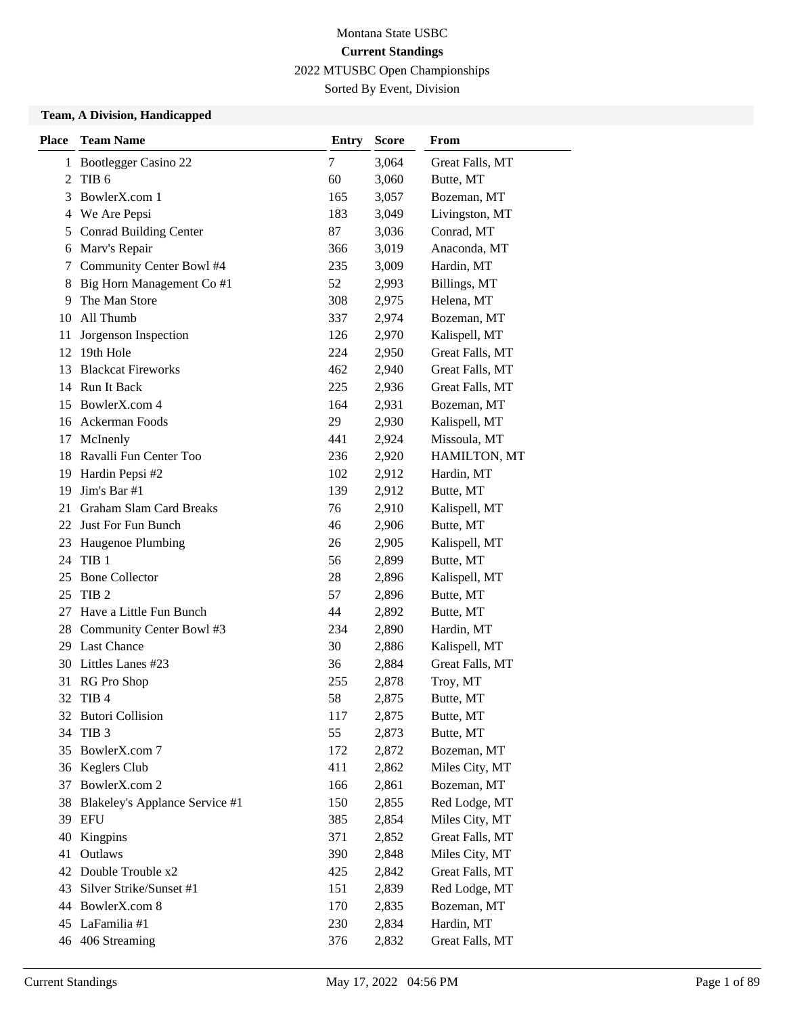Sorted By Event, Division

| <b>Place</b> | <b>Team Name</b>               | <b>Entry</b> | <b>Score</b> | From            |  |
|--------------|--------------------------------|--------------|--------------|-----------------|--|
| 1            | <b>Bootlegger Casino 22</b>    | 7            | 3,064        | Great Falls, MT |  |
| 2            | TIB <sub>6</sub>               | 60           | 3,060        | Butte, MT       |  |
| 3            | BowlerX.com 1                  | 165          | 3,057        | Bozeman, MT     |  |
| 4            | We Are Pepsi                   | 183          | 3,049        | Livingston, MT  |  |
| 5            | <b>Conrad Building Center</b>  | 87           | 3,036        | Conrad, MT      |  |
| 6            | Marv's Repair                  | 366          | 3,019        | Anaconda, MT    |  |
| 7            | Community Center Bowl #4       | 235          | 3,009        | Hardin, MT      |  |
| 8            | Big Horn Management Co #1      | 52           | 2,993        | Billings, MT    |  |
| 9            | The Man Store                  | 308          | 2,975        | Helena, MT      |  |
| 10           | All Thumb                      | 337          | 2,974        | Bozeman, MT     |  |
| 11           | Jorgenson Inspection           | 126          | 2,970        | Kalispell, MT   |  |
|              | 12 19th Hole                   | 224          | 2,950        | Great Falls, MT |  |
| 13           | <b>Blackcat Fireworks</b>      | 462          | 2,940        | Great Falls, MT |  |
|              | 14 Run It Back                 | 225          | 2,936        | Great Falls, MT |  |
|              | 15 BowlerX.com 4               | 164          | 2,931        | Bozeman, MT     |  |
|              | 16 Ackerman Foods              | 29           | 2,930        | Kalispell, MT   |  |
| 17           | McInenly                       | 441          | 2,924        | Missoula, MT    |  |
|              | 18 Ravalli Fun Center Too      | 236          | 2,920        | HAMILTON, MT    |  |
| 19           | Hardin Pepsi #2                | 102          | 2,912        | Hardin, MT      |  |
| 19           | Jim's Bar #1                   | 139          | 2,912        | Butte, MT       |  |
| 21           | <b>Graham Slam Card Breaks</b> | 76           | 2,910        | Kalispell, MT   |  |
| 22           | Just For Fun Bunch             | 46           | 2,906        | Butte, MT       |  |
| 23           | Haugenoe Plumbing              | 26           | 2,905        | Kalispell, MT   |  |
|              | 24 TIB 1                       | 56           | 2,899        | Butte, MT       |  |
| 25           | <b>Bone Collector</b>          | 28           | 2,896        | Kalispell, MT   |  |
| 25           | TIB <sub>2</sub>               | 57           | 2,896        | Butte, MT       |  |
| 27           | Have a Little Fun Bunch        | 44           | 2,892        | Butte, MT       |  |
|              | 28 Community Center Bowl #3    | 234          | 2,890        | Hardin, MT      |  |
|              | 29 Last Chance                 | 30           | 2,886        | Kalispell, MT   |  |
|              | 30 Littles Lanes #23           | 36           | 2,884        | Great Falls, MT |  |
| 31           | RG Pro Shop                    | 255          | 2,878        | Troy, MT        |  |
| 32           | TIB <sub>4</sub>               | 58           | 2,875        | Butte, MT       |  |
|              | 32 Butori Collision            | 117          | 2,875        | Butte, MT       |  |
| 34           | TIB <sub>3</sub>               | 55           | 2,873        | Butte, MT       |  |
| 35           | BowlerX.com 7                  | 172          | 2,872        | Bozeman, MT     |  |
|              | 36 Keglers Club                | 411          | 2,862        | Miles City, MT  |  |
| 37           | BowlerX.com 2                  | 166          | 2,861        | Bozeman, MT     |  |
| 38           | Blakeley's Applance Service #1 | 150          | 2,855        | Red Lodge, MT   |  |
| 39           | EFU                            | 385          | 2,854        | Miles City, MT  |  |
| 40           | Kingpins                       | 371          | 2,852        | Great Falls, MT |  |
| 41           | Outlaws                        | 390          | 2,848        | Miles City, MT  |  |
| 42           | Double Trouble x2              | 425          | 2,842        | Great Falls, MT |  |
| 43           | Silver Strike/Sunset #1        | 151          | 2,839        | Red Lodge, MT   |  |
|              | 44 BowlerX.com 8               | 170          | 2,835        | Bozeman, MT     |  |
|              | 45 LaFamilia #1                | 230          | 2,834        | Hardin, MT      |  |
|              | 46 406 Streaming               | 376          | 2,832        | Great Falls, MT |  |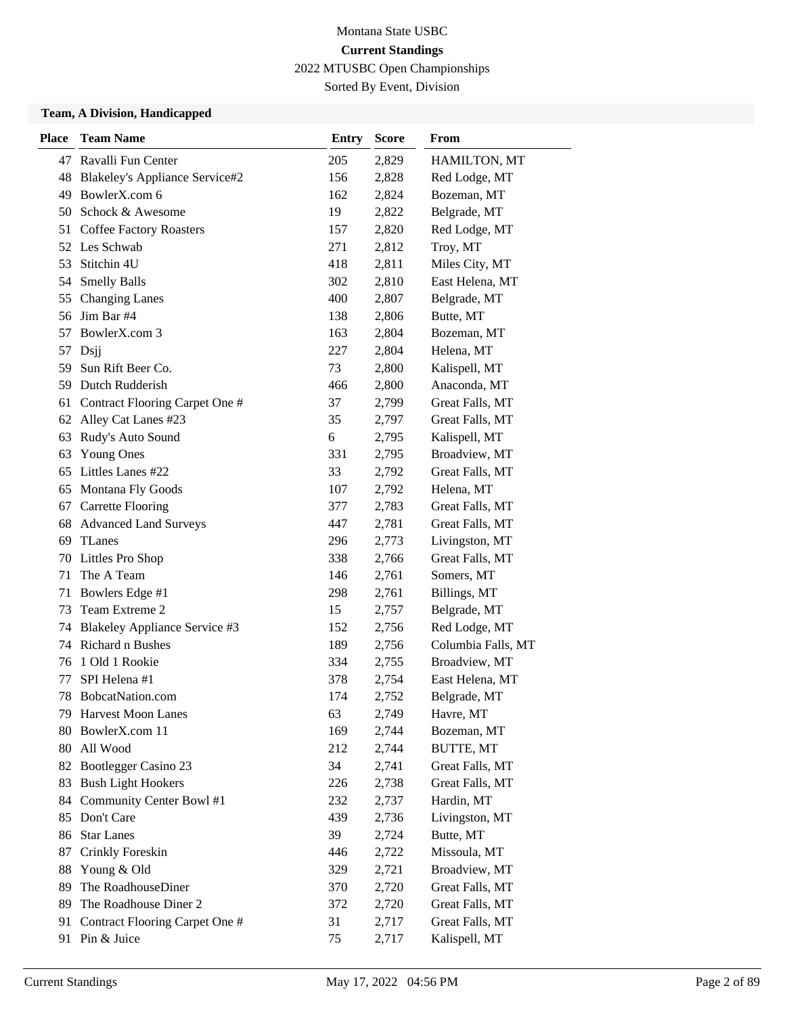Sorted By Event, Division

| <b>Place</b> | <b>Team Name</b>                      | <b>Entry</b> | <b>Score</b> | From               |
|--------------|---------------------------------------|--------------|--------------|--------------------|
|              | 47 Ravalli Fun Center                 | 205          | 2,829        | HAMILTON, MT       |
| 48           | <b>Blakeley's Appliance Service#2</b> | 156          | 2,828        | Red Lodge, MT      |
| 49           | BowlerX.com 6                         | 162          | 2,824        | Bozeman, MT        |
|              | 50 Schock & Awesome                   | 19           | 2,822        | Belgrade, MT       |
|              | 51 Coffee Factory Roasters            | 157          | 2,820        | Red Lodge, MT      |
| 52           | Les Schwab                            | 271          | 2,812        | Troy, MT           |
| 53           | Stitchin 4U                           | 418          | 2,811        | Miles City, MT     |
| 54           | <b>Smelly Balls</b>                   | 302          | 2,810        | East Helena, MT    |
| 55           | <b>Changing Lanes</b>                 | 400          | 2,807        | Belgrade, MT       |
| 56           | Jim Bar #4                            | 138          | 2,806        | Butte, MT          |
| 57           | BowlerX.com 3                         | 163          | 2,804        | Bozeman, MT        |
| 57           | Dsjj                                  | 227          | 2,804        | Helena, MT         |
| 59           | Sun Rift Beer Co.                     | 73           | 2,800        | Kalispell, MT      |
| 59           | Dutch Rudderish                       | 466          | 2,800        | Anaconda, MT       |
| 61           | Contract Flooring Carpet One #        | 37           | 2,799        | Great Falls, MT    |
| 62           | Alley Cat Lanes #23                   | 35           | 2,797        | Great Falls, MT    |
| 63           | Rudy's Auto Sound                     | 6            | 2,795        | Kalispell, MT      |
| 63           | <b>Young Ones</b>                     | 331          | 2,795        | Broadview, MT      |
| 65           | Littles Lanes #22                     | 33           | 2,792        | Great Falls, MT    |
| 65           | Montana Fly Goods                     | 107          | 2,792        | Helena, MT         |
| 67           | <b>Carrette Flooring</b>              | 377          | 2,783        | Great Falls, MT    |
| 68           | <b>Advanced Land Surveys</b>          | 447          | 2,781        | Great Falls, MT    |
| 69           | <b>TLanes</b>                         | 296          | 2,773        | Livingston, MT     |
| 70           | Littles Pro Shop                      | 338          | 2,766        | Great Falls, MT    |
| 71           | The A Team                            | 146          | 2,761        | Somers, MT         |
| 71           | Bowlers Edge #1                       | 298          | 2,761        | Billings, MT       |
| 73           | Team Extreme 2                        | 15           | 2,757        | Belgrade, MT       |
| 74           | Blakeley Appliance Service #3         | 152          | 2,756        | Red Lodge, MT      |
| 74           | Richard n Bushes                      | 189          | 2,756        | Columbia Falls, MT |
| 76           | 1 Old 1 Rookie                        | 334          | 2,755        | Broadview, MT      |
| 77           | SPI Helena #1                         | 378          | 2,754        | East Helena, MT    |
| 78           | BobcatNation.com                      | 174          | 2,752        | Belgrade, MT       |
| 79.          | Harvest Moon Lanes                    | 63           | 2,749        | Havre, MT          |
| 80           | BowlerX.com 11                        | 169          | 2,744        | Bozeman, MT        |
| 80           | All Wood                              | 212          | 2,744        | <b>BUTTE, MT</b>   |
| 82           | Bootlegger Casino 23                  | 34           | 2,741        | Great Falls, MT    |
| 83           | <b>Bush Light Hookers</b>             | 226          | 2,738        | Great Falls, MT    |
| 84           | Community Center Bowl #1              | 232          | 2,737        | Hardin, MT         |
| 85           | Don't Care                            | 439          | 2,736        | Livingston, MT     |
| 86           | <b>Star Lanes</b>                     | 39           | 2,724        | Butte, MT          |
| 87           | Crinkly Foreskin                      | 446          | 2,722        | Missoula, MT       |
| 88           | Young & Old                           | 329          | 2,721        | Broadview, MT      |
| 89           | The RoadhouseDiner                    | 370          | 2,720        | Great Falls, MT    |
| 89           | The Roadhouse Diner 2                 | 372          | 2,720        | Great Falls, MT    |
| 91           | Contract Flooring Carpet One #        | 31           | 2,717        | Great Falls, MT    |
|              | 91 Pin & Juice                        | 75           | 2,717        | Kalispell, MT      |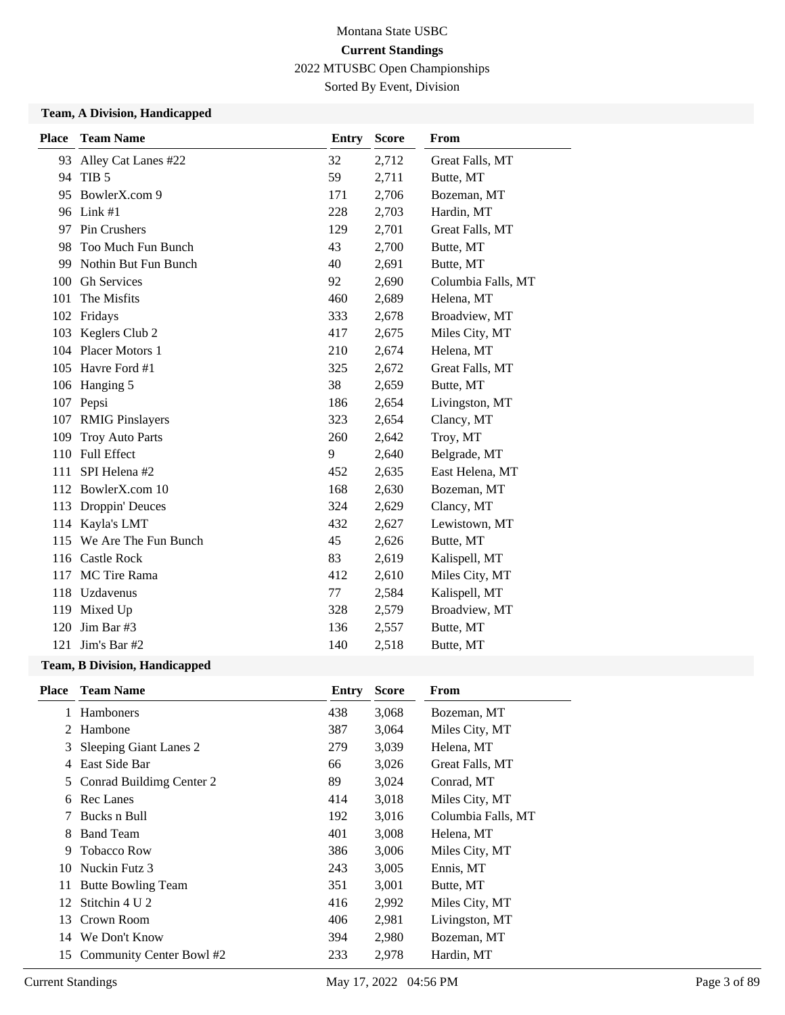Sorted By Event, Division

### **Team, A Division, Handicapped**

| <b>Place</b>                       | <b>Team Name</b>                    | <b>Entry</b> | <b>Score</b>       | From            |
|------------------------------------|-------------------------------------|--------------|--------------------|-----------------|
| 93                                 | Alley Cat Lanes #22                 | 32           | 2,712              | Great Falls, MT |
| 94                                 | TIB <sub>5</sub>                    | 59           | 2,711              | Butte, MT       |
| 95                                 | BowlerX.com 9<br>171                |              | 2,706              | Bozeman, MT     |
|                                    | 96 Link #1                          | 228          | 2,703              | Hardin, MT      |
| 97                                 | Pin Crushers                        | 129          | 2,701              | Great Falls, MT |
| 98                                 | Too Much Fun Bunch                  | 43           | 2,700              | Butte, MT       |
| 99                                 | Nothin But Fun Bunch<br>40<br>2,691 |              | Butte, MT          |                 |
| <b>Gh Services</b><br>100<br>92    |                                     | 2,690        | Columbia Falls, MT |                 |
| The Misfits<br>101<br>460<br>2,689 |                                     | Helena, MT   |                    |                 |
|                                    | 102 Fridays                         | 333          | 2,678              | Broadview, MT   |
|                                    | 103 Keglers Club 2                  | 417          | 2,675              | Miles City, MT  |
|                                    | 104 Placer Motors 1                 | 210          | 2,674              | Helena, MT      |
|                                    | 105 Havre Ford #1                   | 325          | 2,672              | Great Falls, MT |
|                                    | 106 Hanging 5                       | 38           | 2,659              | Butte, MT       |
| 107                                | Pepsi                               | 186          | 2,654              | Livingston, MT  |
| 107                                | <b>RMIG Pinslayers</b>              | 323          | 2,654              | Clancy, MT      |
| 109                                | <b>Troy Auto Parts</b>              | 260          | 2,642              | Troy, MT        |
| 110                                | <b>Full Effect</b>                  | 9            | 2,640              | Belgrade, MT    |
| 111                                | SPI Helena #2                       | 452          | 2,635              | East Helena, MT |
|                                    | 112 BowlerX.com 10                  | 168          | 2,630              | Bozeman, MT     |
| 113                                | Droppin' Deuces                     | 324          | 2,629              | Clancy, MT      |
| 114                                | Kayla's LMT                         | 432          | 2,627              | Lewistown, MT   |
|                                    | 115 We Are The Fun Bunch            | 45           | 2,626              | Butte, MT       |
|                                    | 116 Castle Rock                     | 83           | 2,619              | Kalispell, MT   |
| 117                                | MC Tire Rama                        | 412          | 2,610              | Miles City, MT  |
| 118                                | Uzdavenus                           | 77           | 2,584              | Kalispell, MT   |
| 119                                | Mixed Up                            | 328          | 2,579              | Broadview, MT   |
| 120                                | Jim Bar #3                          | 136          | 2,557              | Butte, MT       |
| 121                                | Jim's Bar #2                        | 140          | 2,518              | Butte, MT       |
|                                    |                                     |              |                    |                 |

| <b>Team Name</b>          | <b>Entry</b>  | <b>Score</b> | <b>From</b>        |
|---------------------------|---------------|--------------|--------------------|
| <b>Hamboners</b>          | 438           | 3,068        | Bozeman, MT        |
| Hambone                   | 387           | 3,064        | Miles City, MT     |
| Sleeping Giant Lanes 2    | 279           | 3,039        | Helena, MT         |
| East Side Bar             | 66            | 3,026        | Great Falls, MT    |
| Conrad Buildimg Center 2  | 89            | 3,024        | Conrad, MT         |
| Rec Lanes                 | 414           | 3,018        | Miles City, MT     |
| Bucks n Bull              | 192           | 3,016        | Columbia Falls, MT |
| <b>Band Team</b>          | 401           | 3,008        | Helena, MT         |
| <b>Tobacco Row</b>        | 386           | 3,006        | Miles City, MT     |
| Nuckin Futz 3             | 243           | 3,005        | Ennis, MT          |
| <b>Butte Bowling Team</b> | 351           | 3,001        | Butte, MT          |
| Stitchin 4 U 2            | 416           | 2,992        | Miles City, MT     |
| Crown Room                | 406           | 2,981        | Livingston, MT     |
|                           | 394           | 2,980        | Bozeman, MT        |
| Community Center Bowl #2  | 233           | 2,978        | Hardin, MT         |
|                           | We Don't Know |              |                    |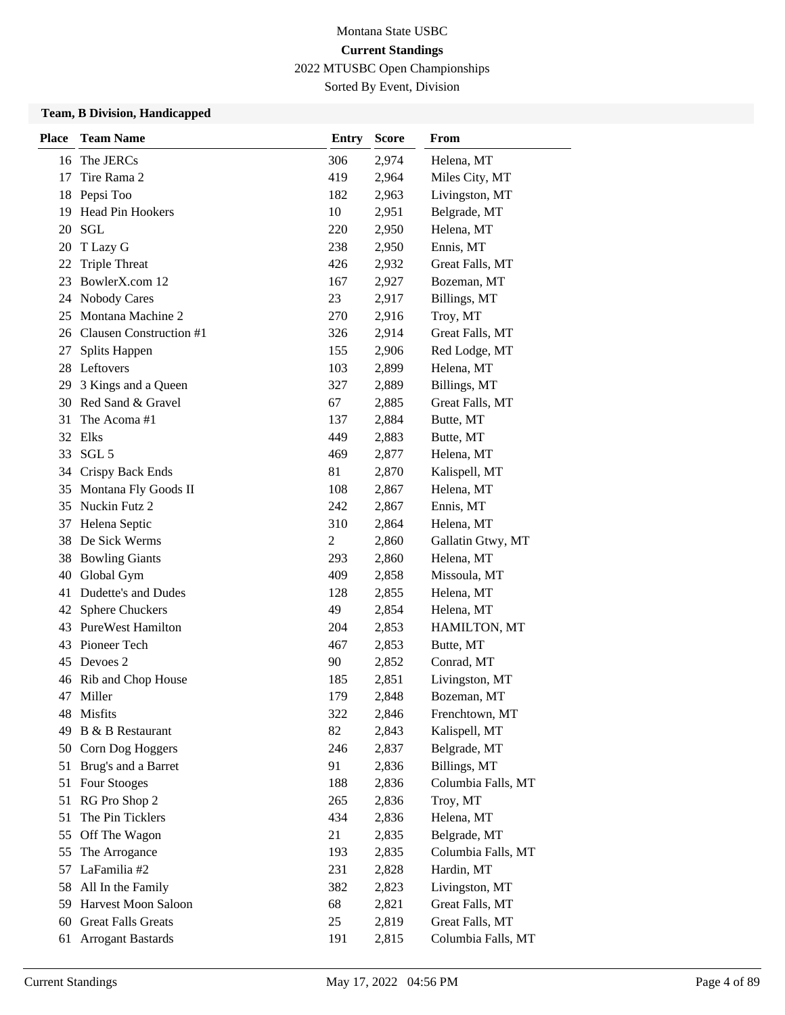Sorted By Event, Division

| <b>Place</b> | <b>Team Name</b>           | <b>Entry</b>   | <b>Score</b> | From               |
|--------------|----------------------------|----------------|--------------|--------------------|
| 16           | The JERCs                  | 306            | 2,974        | Helena, MT         |
| 17           | Tire Rama 2                | 419            | 2,964        | Miles City, MT     |
| 18           | Pepsi Too                  | 182            | 2,963        | Livingston, MT     |
| 19           | Head Pin Hookers           | 10             | 2,951        | Belgrade, MT       |
| 20           | <b>SGL</b>                 | 220            | 2,950        | Helena, MT         |
| 20           | T Lazy G                   | 238            | 2,950        | Ennis, MT          |
| 22           | <b>Triple Threat</b>       | 426            | 2,932        | Great Falls, MT    |
| 23           | BowlerX.com 12             | 167            | 2,927        | Bozeman, MT        |
| 24           | Nobody Cares               | 23             | 2,917        | Billings, MT       |
| 25           | Montana Machine 2          | 270            | 2,916        | Troy, MT           |
|              | 26 Clausen Construction #1 | 326            | 2,914        | Great Falls, MT    |
| 27           | Splits Happen              | 155            | 2,906        | Red Lodge, MT      |
| 28           | Leftovers                  | 103            | 2,899        | Helena, MT         |
| 29           | 3 Kings and a Queen        | 327            | 2,889        | Billings, MT       |
| 30           | Red Sand & Gravel          | 67             | 2,885        | Great Falls, MT    |
| 31           | The Acoma#1                | 137            | 2,884        | Butte, MT          |
|              | 32 Elks                    | 449            | 2,883        | Butte, MT          |
| 33           | SGL <sub>5</sub>           | 469            | 2,877        | Helena, MT         |
|              | 34 Crispy Back Ends        | 81             | 2,870        | Kalispell, MT      |
| 35           | Montana Fly Goods II       | 108            | 2,867        | Helena, MT         |
| 35           | Nuckin Futz 2              | 242            | 2,867        | Ennis, MT          |
| 37           | Helena Septic              | 310            | 2,864        | Helena, MT         |
| 38           | De Sick Werms              | $\overline{c}$ | 2,860        | Gallatin Gtwy, MT  |
| 38           | <b>Bowling Giants</b>      | 293            | 2,860        | Helena, MT         |
| 40           | Global Gym                 | 409            | 2,858        | Missoula, MT       |
| 41           | Dudette's and Dudes        | 128            | 2,855        | Helena, MT         |
| 42           | <b>Sphere Chuckers</b>     | 49             | 2,854        | Helena, MT         |
| 43           | <b>PureWest Hamilton</b>   | 204            | 2,853        | HAMILTON, MT       |
| 43           | Pioneer Tech               | 467            | 2,853        | Butte, MT          |
| 45           | Devoes 2                   | 90             | 2,852        | Conrad, MT         |
| 46           | Rib and Chop House         | 185            | 2,851        | Livingston, MT     |
|              | 47 Miller                  | 179            | 2,848        | Bozeman, MT        |
| 48           | Misfits                    | 322            | 2,846        | Frenchtown, MT     |
| 49           | B & B Restaurant           | 82             | 2,843        | Kalispell, MT      |
| 50           | Corn Dog Hoggers           | 246            | 2,837        | Belgrade, MT       |
| 51           | Brug's and a Barret        | 91             | 2,836        | Billings, MT       |
| 51           | Four Stooges               | 188            | 2,836        | Columbia Falls, MT |
| 51           | RG Pro Shop 2              | 265            | 2,836        | Troy, MT           |
| 51           | The Pin Ticklers           | 434            | 2,836        | Helena, MT         |
| 55           | Off The Wagon              | 21             | 2,835        | Belgrade, MT       |
| 55           | The Arrogance              | 193            | 2,835        | Columbia Falls, MT |
| 57           | LaFamilia #2               | 231            | 2,828        | Hardin, MT         |
| 58           | All In the Family          | 382            | 2,823        | Livingston, MT     |
| 59           | Harvest Moon Saloon        | 68             | 2,821        | Great Falls, MT    |
| 60           | <b>Great Falls Greats</b>  | 25             | 2,819        | Great Falls, MT    |
| 61           | <b>Arrogant Bastards</b>   | 191            | 2,815        | Columbia Falls, MT |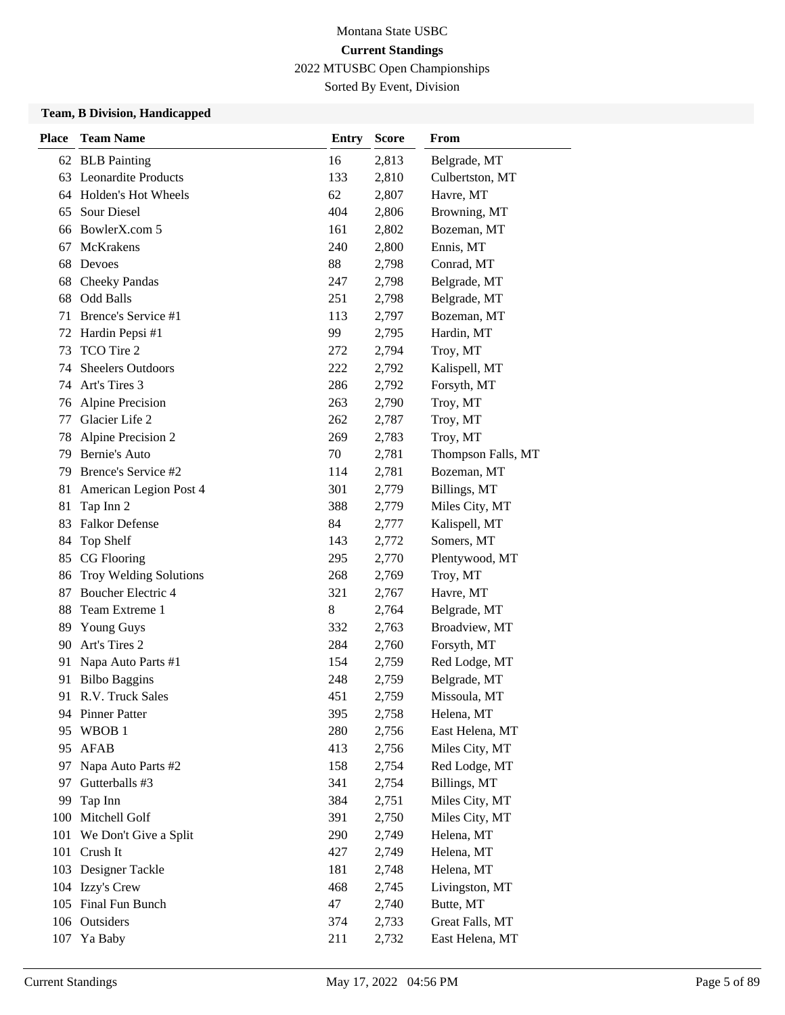Sorted By Event, Division

| <b>Place</b> | <b>Team Name</b>                       | <b>Entry</b> | <b>Score</b> | From                        |  |
|--------------|----------------------------------------|--------------|--------------|-----------------------------|--|
|              | 62 BLB Painting                        | 16           | 2,813        | Belgrade, MT                |  |
| 63           | <b>Leonardite Products</b>             | 133          | 2,810        | Culbertston, MT             |  |
|              | 64 Holden's Hot Wheels                 | 62           | 2,807        | Havre, MT                   |  |
| 65           | <b>Sour Diesel</b>                     | 404          | 2,806        | Browning, MT                |  |
| 66           | BowlerX.com 5                          | 161          | 2,802        | Bozeman, MT                 |  |
| 67           | <b>McKrakens</b>                       | 240          | 2,800        | Ennis, MT                   |  |
| 68           | Devoes                                 | 88           | 2,798        | Conrad, MT                  |  |
| 68           | <b>Cheeky Pandas</b>                   | 247          | 2,798        | Belgrade, MT                |  |
| 68           | <b>Odd Balls</b>                       | 251          | 2,798        | Belgrade, MT                |  |
| 71           | Brence's Service #1                    | 113          | 2,797        | Bozeman, MT                 |  |
| 72           | Hardin Pepsi #1                        | 99           | 2,795        | Hardin, MT                  |  |
| 73           | TCO Tire 2                             | 272          | 2,794        | Troy, MT                    |  |
| 74           | <b>Sheelers Outdoors</b>               | 222          | 2,792        | Kalispell, MT               |  |
| 74           | Art's Tires 3                          | 286          | 2,792        | Forsyth, MT                 |  |
| 76           | <b>Alpine Precision</b>                | 263          | 2,790        | Troy, MT                    |  |
| 77           | Glacier Life 2                         | 262          | 2,787        | Troy, MT                    |  |
| 78           | Alpine Precision 2                     | 269          | 2,783        | Troy, MT                    |  |
| 79           | <b>Bernie's Auto</b>                   | 70           | 2,781        | Thompson Falls, MT          |  |
| 79           | Brence's Service #2                    | 114          | 2,781        | Bozeman, MT                 |  |
| 81           | American Legion Post 4                 | 301          | 2,779        | Billings, MT                |  |
| 81           | Tap Inn 2                              | 388          | 2,779        | Miles City, MT              |  |
| 83           | <b>Falkor Defense</b>                  | 84           | 2,777        | Kalispell, MT               |  |
| 84           | Top Shelf                              | 143          | 2,772        | Somers, MT                  |  |
| 85           | CG Flooring                            | 295          | 2,770        | Plentywood, MT              |  |
| 86           | <b>Troy Welding Solutions</b>          | 268          | 2,769        | Troy, MT                    |  |
| 87           | Boucher Electric 4                     | 321          | 2,767        | Havre, MT                   |  |
| 88           | Team Extreme 1                         | 8            | 2,764        | Belgrade, MT                |  |
| 89           | <b>Young Guys</b>                      | 332          | 2,763        | Broadview, MT               |  |
| 90           | Art's Tires 2                          | 284          | 2,760        | Forsyth, MT                 |  |
| 91           | Napa Auto Parts #1                     | 154          | 2,759        | Red Lodge, MT               |  |
| 91           | <b>Bilbo Baggins</b>                   | 248          | 2,759        | Belgrade, MT                |  |
| 91           | R.V. Truck Sales                       | 451          | 2,759        | Missoula, MT                |  |
|              | 94 Pinner Patter                       | 395          | 2,758        | Helena, MT                  |  |
| 95           | WBOB <sub>1</sub>                      | 280          | 2,756        | East Helena, MT             |  |
| 95           | <b>AFAB</b>                            | 413          | 2,756        | Miles City, MT              |  |
| 97           | Napa Auto Parts #2                     | 158          | 2,754        | Red Lodge, MT               |  |
| 97           | Gutterballs #3                         | 341          | 2,754        | Billings, MT                |  |
| 99           | Tap Inn                                | 384          | 2,751        | Miles City, MT              |  |
| 100          | Mitchell Golf                          | 391          | 2,750        | Miles City, MT              |  |
| 101          | We Don't Give a Split                  | 290          | 2,749        | Helena, MT                  |  |
| 101          | Crush It                               | 427          | 2,749        | Helena, MT                  |  |
| 103          | Designer Tackle                        | 181          | 2,748        | Helena, MT                  |  |
|              | 104 Izzy's Crew<br>105 Final Fun Bunch | 468<br>47    | 2,745        | Livingston, MT<br>Butte, MT |  |
|              | 106 Outsiders                          | 374          | 2,740        | Great Falls, MT             |  |
|              |                                        |              | 2,733        |                             |  |
| 107          | Ya Baby                                | 211          | 2,732        | East Helena, MT             |  |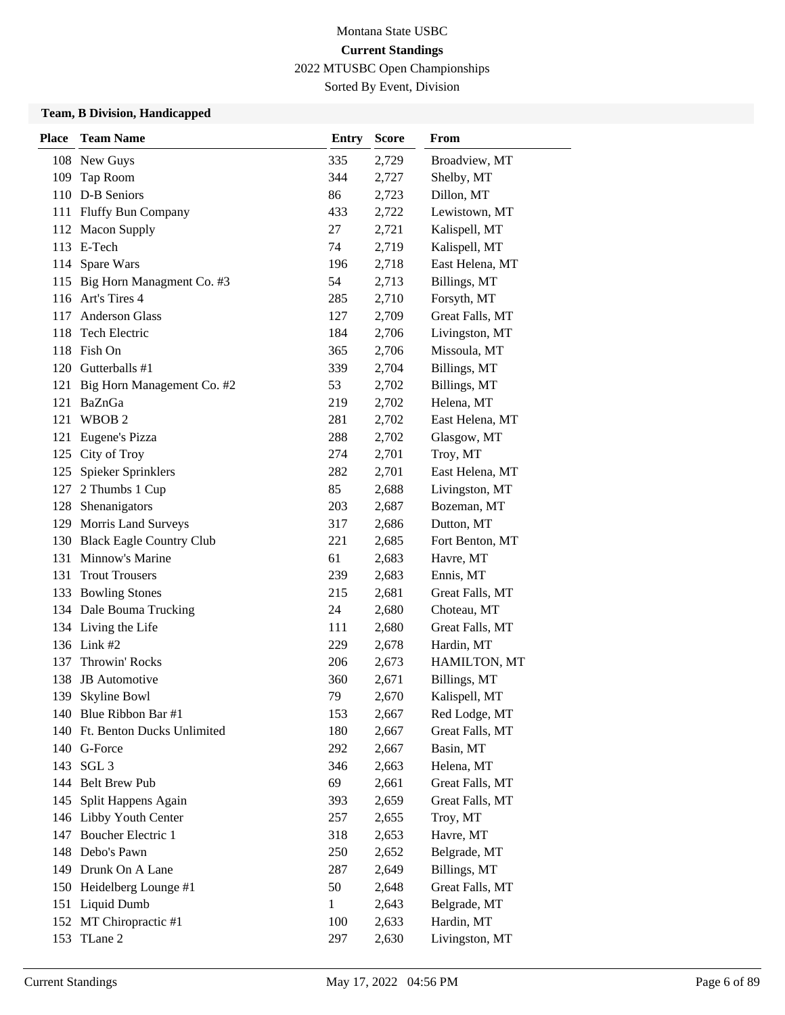# Montana State USBC **Current Standings**

2022 MTUSBC Open Championships Sorted By Event, Division

| <b>Place</b> | <b>Team Name</b>                                    | <b>Entry</b> | <b>Score</b>   | From                  |
|--------------|-----------------------------------------------------|--------------|----------------|-----------------------|
|              | 108 New Guys                                        | 335          | 2,729          | Broadview, MT         |
| 109          | Tap Room                                            | 344          | 2,727          | Shelby, MT            |
|              | 110 D-B Seniors<br>2,723<br>Dillon, MT<br>86        |              |                |                       |
|              | 111 Fluffy Bun Company                              | 433          | 2,722          | Lewistown, MT         |
|              | 112 Macon Supply                                    | 27           | 2,721          | Kalispell, MT         |
|              | 113 E-Tech                                          | 74           | 2,719          | Kalispell, MT         |
|              | 114 Spare Wars                                      | 196          | 2,718          | East Helena, MT       |
|              | 115 Big Horn Managment Co. #3                       | 54           | 2,713          | Billings, MT          |
|              | 116 Art's Tires 4                                   | 285          | 2,710          | Forsyth, MT           |
| 117          | <b>Anderson Glass</b>                               | 127          | 2,709          | Great Falls, MT       |
| 118          | Tech Electric                                       | 184          | 2,706          | Livingston, MT        |
|              | 118 Fish On                                         | 365          | 2,706          | Missoula, MT          |
|              | 120 Gutterballs #1                                  | 339          | 2,704          | Billings, MT          |
| 121          | Big Horn Management Co. #2                          | 53           | 2,702          | Billings, MT          |
| 121          | BaZnGa                                              | 219          | 2,702          | Helena, MT            |
| 121          | WBOB <sub>2</sub>                                   | 281          | 2,702          | East Helena, MT       |
|              | 121 Eugene's Pizza                                  | 288          | 2,702          | Glasgow, MT           |
|              | 125 City of Troy                                    | 274          | 2,701          | Troy, MT              |
| 125          | Spieker Sprinklers                                  | 282          | 2,701          | East Helena, MT       |
| 127          | 2 Thumbs 1 Cup                                      | 85           | 2,688          | Livingston, MT        |
|              | 128 Shenanigators                                   | 203          | 2,687          | Bozeman, MT           |
|              | 129 Morris Land Surveys                             | 317          | 2,686          | Dutton, MT            |
|              | 130 Black Eagle Country Club                        | 221          | 2,685          | Fort Benton, MT       |
|              | 131 Minnow's Marine                                 | 61           | 2,683          | Havre, MT             |
| 131          | <b>Trout Trousers</b>                               | 239          | 2,683          | Ennis, MT             |
|              | 133 Bowling Stones                                  | 215          | 2,681          | Great Falls, MT       |
|              | 134 Dale Bouma Trucking                             | 24           | 2,680          | Choteau, MT           |
|              | 134 Living the Life                                 | 111          | 2,680          | Great Falls, MT       |
|              | 136 Link #2                                         | 229          | 2,678          | Hardin, MT            |
| 137          | Throwin' Rocks                                      | 206          | 2,673          | HAMILTON, MT          |
| 138          | <b>JB</b> Automotive                                | 360          | 2,671          | Billings, MT          |
| 139          | Skyline Bowl                                        | 79           | 2,670          | Kalispell, MT         |
|              | 140 Blue Ribbon Bar #1                              | 153          | 2,667          | Red Lodge, MT         |
|              | 140 Ft. Benton Ducks Unlimited                      | 180          | 2,667          | Great Falls, MT       |
|              | 140 G-Force                                         | 292          | 2,667          | Basin, MT             |
|              | 143 SGL 3                                           | 346          | 2,663          | Helena, MT            |
|              | 144 Belt Brew Pub                                   | 69           | 2,661          | Great Falls, MT       |
| 145          | Split Happens Again                                 | 393          | 2,659          | Great Falls, MT       |
| 147          | 146 Libby Youth Center<br><b>Boucher Electric 1</b> | 257<br>318   | 2,655<br>2,653 | Troy, MT<br>Havre, MT |
|              | 148 Debo's Pawn                                     | 250          | 2,652          | Belgrade, MT          |
|              | 149 Drunk On A Lane                                 | 287          | 2,649          | Billings, MT          |
| 150          | Heidelberg Lounge #1                                | 50           | 2,648          | Great Falls, MT       |
|              | 151 Liquid Dumb                                     | 1            | 2,643          | Belgrade, MT          |
|              | 152 MT Chiropractic #1                              | 100          | 2,633          | Hardin, MT            |
| 153          | TLane 2                                             | 297          | 2,630          | Livingston, MT        |
|              |                                                     |              |                |                       |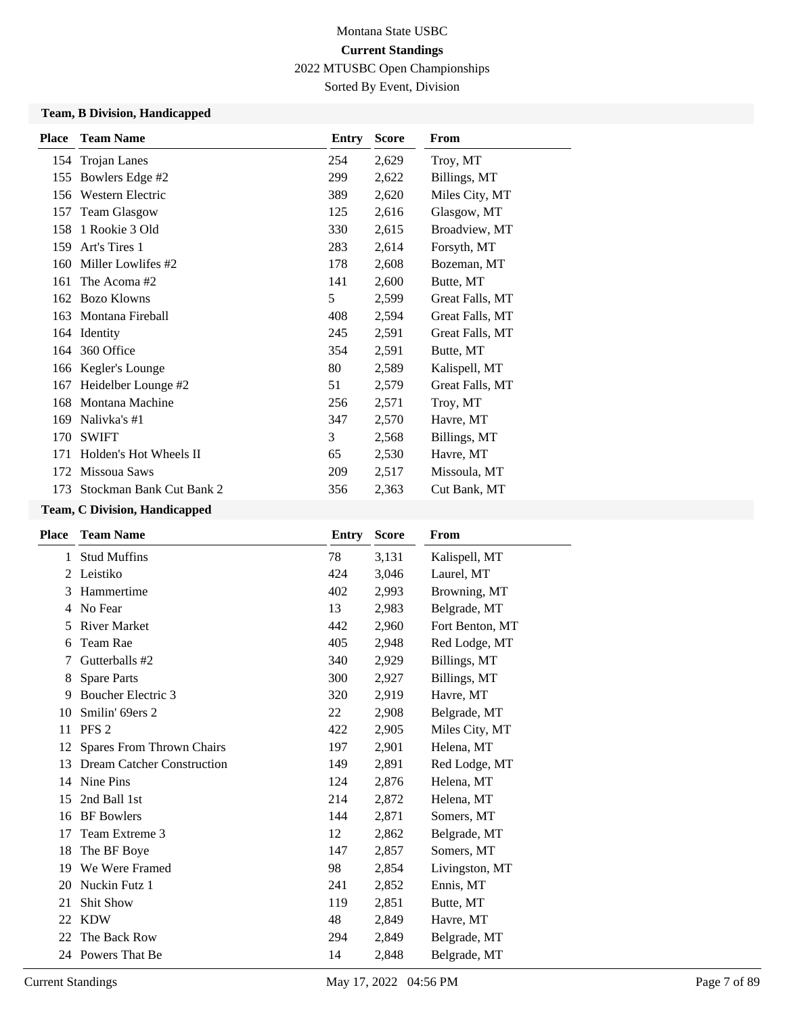Sorted By Event, Division

### **Team, B Division, Handicapped**

| <b>Place</b> | <b>Team Name</b>                                   | Entry | <b>Score</b> | From            |
|--------------|----------------------------------------------------|-------|--------------|-----------------|
|              | 154 Trojan Lanes                                   | 254   | 2,629        | Troy, MT        |
| 155          | Bowlers Edge #2                                    | 299   | 2,622        | Billings, MT    |
| 156          | Western Electric<br>389<br>2,620<br>Miles City, MT |       |              |                 |
| 157          | <b>Team Glasgow</b><br>125<br>2,616<br>Glasgow, MT |       |              |                 |
| 158          | 1 Rookie 3 Old<br>330<br>2,615<br>Broadview, MT    |       |              |                 |
| 159          | Art's Tires 1<br>2,614<br>283<br>Forsyth, MT       |       |              |                 |
| 160          | Miller Lowlifes #2                                 | 178   | 2,608        | Bozeman, MT     |
| 161          | The Acoma#2                                        | 141   | 2,600        | Butte, MT       |
| 162          | <b>Bozo Klowns</b>                                 | 5     | 2,599        | Great Falls, MT |
| 163          | Montana Fireball                                   | 408   | 2,594        | Great Falls, MT |
|              | 164 Identity                                       | 245   | 2,591        | Great Falls, MT |
| 164          | 360 Office                                         | 354   | 2,591        | Butte, MT       |
| 166          | Kegler's Lounge                                    | 80    | 2,589        | Kalispell, MT   |
| 167          | Heidelber Lounge #2                                | 51    | 2,579        | Great Falls, MT |
| 168          | Montana Machine                                    | 256   | 2,571        | Troy, MT        |
| 169          | Nalivka's #1                                       | 347   | 2,570        | Havre, MT       |
| 170          | <b>SWIFT</b>                                       | 3     | 2,568        | Billings, MT    |
| 171          | Holden's Hot Wheels II                             | 65    | 2,530        | Havre, MT       |
| 172          | Missoua Saws                                       | 209   | 2,517        | Missoula, MT    |
| 173          | Stockman Bank Cut Bank 2                           | 356   | 2,363        | Cut Bank, MT    |

| <b>Team Name</b>                  | Entry | <b>Score</b> | From            |
|-----------------------------------|-------|--------------|-----------------|
| <b>Stud Muffins</b>               | 78    | 3,131        | Kalispell, MT   |
| Leistiko                          | 424   | 3,046        | Laurel, MT      |
| Hammertime                        | 402   | 2,993        | Browning, MT    |
| No Fear                           | 13    | 2,983        | Belgrade, MT    |
| <b>River Market</b>               | 442   | 2,960        | Fort Benton, MT |
| Team Rae                          | 405   | 2,948        | Red Lodge, MT   |
| Gutterballs #2                    | 340   | 2,929        | Billings, MT    |
| <b>Spare Parts</b>                | 300   | 2,927        | Billings, MT    |
| <b>Boucher Electric 3</b>         | 320   | 2,919        | Havre, MT       |
| Smilin' 69ers 2                   | 22    | 2,908        | Belgrade, MT    |
| PFS <sub>2</sub>                  | 422   | 2,905        | Miles City, MT  |
| Spares From Thrown Chairs         | 197   | 2,901        | Helena, MT      |
| <b>Dream Catcher Construction</b> | 149   | 2,891        | Red Lodge, MT   |
| Nine Pins                         | 124   | 2,876        | Helena, MT      |
| 2nd Ball 1st                      | 214   | 2,872        | Helena, MT      |
| <b>BF</b> Bowlers                 | 144   | 2,871        | Somers, MT      |
| Team Extreme 3                    | 12    | 2,862        | Belgrade, MT    |
| The BF Boye                       | 147   | 2,857        | Somers, MT      |
| We Were Framed                    | 98    | 2,854        | Livingston, MT  |
| Nuckin Futz 1                     | 241   | 2,852        | Ennis, MT       |
| Shit Show                         | 119   | 2,851        | Butte, MT       |
| <b>KDW</b>                        | 48    | 2,849        | Havre, MT       |
| The Back Row                      | 294   | 2,849        | Belgrade, MT    |
| 24 Powers That Be                 | 14    | 2,848        | Belgrade, MT    |
|                                   |       |              |                 |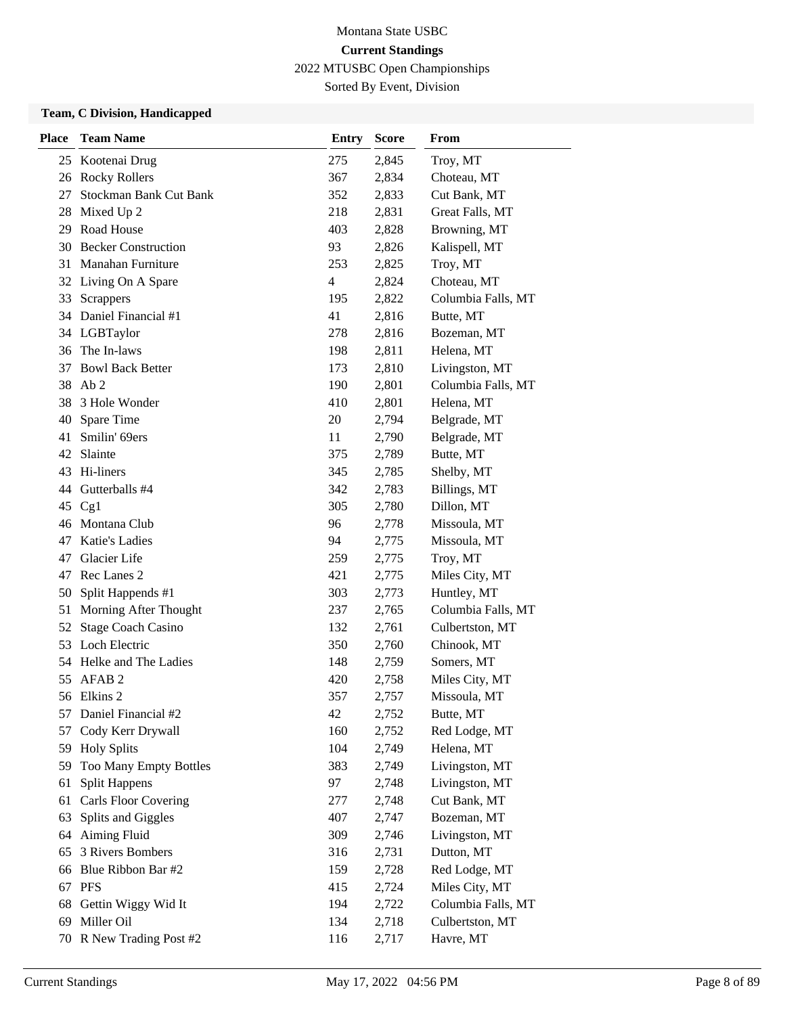Sorted By Event, Division

| <b>Place</b> | <b>Team Name</b>              | <b>Entry</b>   | <b>Score</b> | From               |
|--------------|-------------------------------|----------------|--------------|--------------------|
|              | 25 Kootenai Drug              | 275            | 2,845        | Troy, MT           |
| 26           | <b>Rocky Rollers</b>          | 367            | 2,834        | Choteau, MT        |
| 27           | <b>Stockman Bank Cut Bank</b> | 352            | 2,833        | Cut Bank, MT       |
| 28           | Mixed Up 2                    | 218            | 2,831        | Great Falls, MT    |
| 29           | Road House                    | 403            | 2,828        | Browning, MT       |
|              | 30 Becker Construction        | 93             | 2,826        | Kalispell, MT      |
| 31           | <b>Manahan Furniture</b>      | 253            | 2,825        | Troy, MT           |
|              | 32 Living On A Spare          | $\overline{4}$ | 2,824        | Choteau, MT        |
| 33           | <b>Scrappers</b>              | 195            | 2,822        | Columbia Falls, MT |
|              | 34 Daniel Financial #1        | 41             | 2,816        | Butte, MT          |
| 34           | LGBTaylor                     | 278            | 2,816        | Bozeman, MT        |
|              | 36 The In-laws                | 198            | 2,811        | Helena, MT         |
| 37           | <b>Bowl Back Better</b>       | 173            | 2,810        | Livingston, MT     |
|              | 38 Ab 2                       | 190            | 2,801        | Columbia Falls, MT |
|              | 38 3 Hole Wonder              | 410            | 2,801        | Helena, MT         |
|              | 40 Spare Time                 | 20             | 2,794        | Belgrade, MT       |
| 41           | Smilin' 69ers                 | 11             | 2,790        | Belgrade, MT       |
| 42           | Slainte                       | 375            | 2,789        | Butte, MT          |
|              | 43 Hi-liners                  | 345            | 2,785        | Shelby, MT         |
|              | 44 Gutterballs #4             | 342            | 2,783        | Billings, MT       |
| 45           | Cg1                           | 305            | 2,780        | Dillon, MT         |
|              | 46 Montana Club               | 96             | 2,778        | Missoula, MT       |
|              | 47 Katie's Ladies             | 94             | 2,775        | Missoula, MT       |
| 47           | Glacier Life                  | 259            | 2,775        | Troy, MT           |
| 47           | Rec Lanes 2                   | 421            | 2,775        | Miles City, MT     |
| 50           | Split Happends #1             | 303            | 2,773        | Huntley, MT        |
| 51           | Morning After Thought         | 237            | 2,765        | Columbia Falls, MT |
| 52           | <b>Stage Coach Casino</b>     | 132            | 2,761        | Culbertston, MT    |
|              | 53 Loch Electric              | 350            | 2,760        | Chinook, MT        |
|              | 54 Helke and The Ladies       | 148            | 2,759        | Somers, MT         |
| 55           | AFAB <sub>2</sub>             | 420            | 2,758        | Miles City, MT     |
|              | 56 Elkins 2                   | 357            | 2,757        | Missoula, MT       |
| 57           | Daniel Financial #2           | 42             | 2,752        | Butte, MT          |
| 57           | Cody Kerr Drywall             | 160            | 2,752        | Red Lodge, MT      |
| 59           | <b>Holy Splits</b>            | 104            | 2,749        | Helena, MT         |
| 59           | Too Many Empty Bottles        | 383            | 2,749        | Livingston, MT     |
| 61           | <b>Split Happens</b>          | 97             | 2,748        | Livingston, MT     |
| 61           | <b>Carls Floor Covering</b>   | 277            | 2,748        | Cut Bank, MT       |
| 63           | Splits and Giggles            | 407            | 2,747        | Bozeman, MT        |
| 64           | <b>Aiming Fluid</b>           | 309            | 2,746        | Livingston, MT     |
| 65           | 3 Rivers Bombers              | 316            | 2,731        | Dutton, MT         |
| 66           | Blue Ribbon Bar #2            | 159            | 2,728        | Red Lodge, MT      |
| 67           | <b>PFS</b>                    | 415            | 2,724        | Miles City, MT     |
| 68           | Gettin Wiggy Wid It           | 194            | 2,722        | Columbia Falls, MT |
| 69           | Miller Oil                    | 134            | 2,718        | Culbertston, MT    |
|              | 70 R New Trading Post #2      | 116            | 2,717        | Havre, MT          |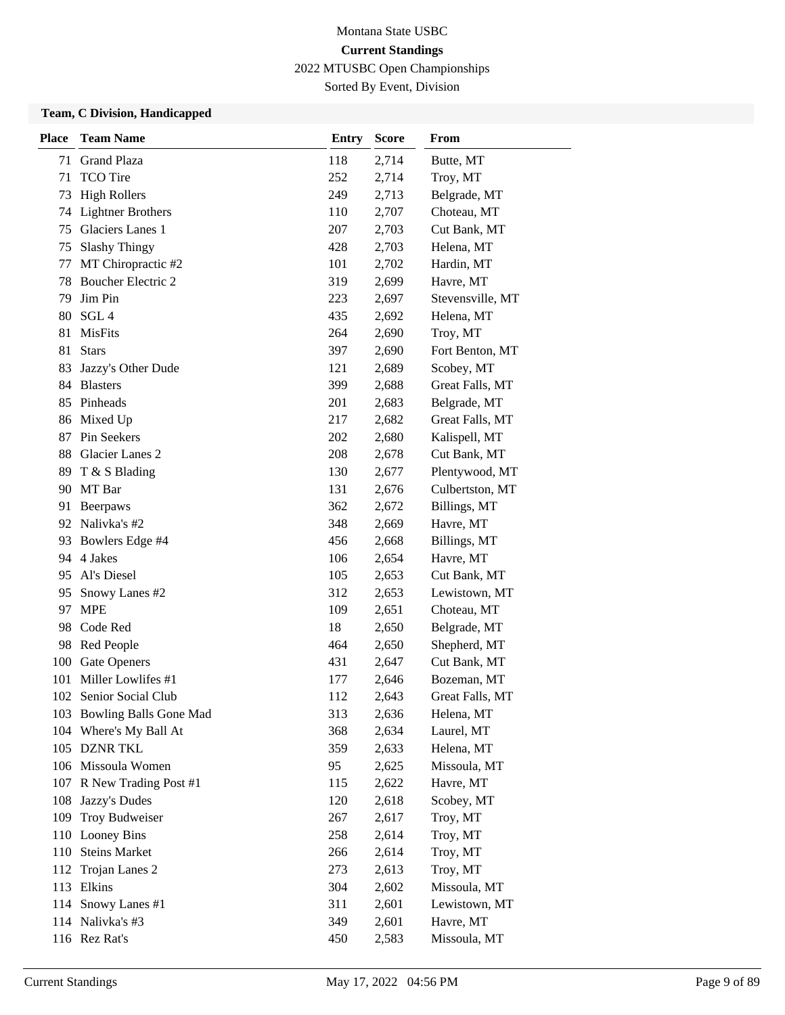Sorted By Event, Division

| <b>Place</b> | <b>Team Name</b>           | <b>Entry</b> | <b>Score</b> | From             |
|--------------|----------------------------|--------------|--------------|------------------|
| 71           | <b>Grand Plaza</b>         | 118          | 2,714        | Butte, MT        |
| 71           | <b>TCO</b> Tire            | 252          | 2,714        | Troy, MT         |
| 73           | <b>High Rollers</b>        | 249          | 2,713        | Belgrade, MT     |
| 74           | <b>Lightner Brothers</b>   | 110          | 2,707        | Choteau, MT      |
| 75           | Glaciers Lanes 1           | 207          | 2,703        | Cut Bank, MT     |
| 75           | <b>Slashy Thingy</b>       | 428          | 2,703        | Helena, MT       |
| 77           | MT Chiropractic #2         | 101          | 2,702        | Hardin, MT       |
|              | 78 Boucher Electric 2      | 319          | 2,699        | Havre, MT        |
| 79           | Jim Pin                    | 223          | 2,697        | Stevensville, MT |
| 80           | SGL <sub>4</sub>           | 435          | 2,692        | Helena, MT       |
| 81           | <b>MisFits</b>             | 264          | 2,690        | Troy, MT         |
| 81           | <b>Stars</b>               | 397          | 2,690        | Fort Benton, MT  |
| 83           | Jazzy's Other Dude         | 121          | 2,689        | Scobey, MT       |
| 84           | <b>Blasters</b>            | 399          | 2,688        | Great Falls, MT  |
| 85           | Pinheads                   | 201          | 2,683        | Belgrade, MT     |
|              | 86 Mixed Up                | 217          | 2,682        | Great Falls, MT  |
| 87           | Pin Seekers                | 202          | 2,680        | Kalispell, MT    |
| 88           | Glacier Lanes 2            | 208          | 2,678        | Cut Bank, MT     |
| 89           | T & S Blading              | 130          | 2,677        | Plentywood, MT   |
|              | 90 MT Bar                  | 131          | 2,676        | Culbertston, MT  |
| 91           | Beerpaws                   | 362          | 2,672        | Billings, MT     |
| 92           | Nalivka's #2               | 348          | 2,669        | Havre, MT        |
| 93           | Bowlers Edge #4            | 456          | 2,668        | Billings, MT     |
|              | 94 4 Jakes                 | 106          | 2,654        | Havre, MT        |
| 95           | Al's Diesel                | 105          | 2,653        | Cut Bank, MT     |
| 95           | Snowy Lanes #2             | 312          | 2,653        | Lewistown, MT    |
| 97           | <b>MPE</b>                 | 109          | 2,651        | Choteau, MT      |
|              | 98 Code Red                | 18           | 2,650        | Belgrade, MT     |
| 98           | Red People                 | 464          | 2,650        | Shepherd, MT     |
| 100          | Gate Openers               | 431          | 2,647        | Cut Bank, MT     |
| 101          | Miller Lowlifes #1         | 177          | 2,646        | Bozeman, MT      |
| 102          | Senior Social Club         | 112          | 2,643        | Great Falls, MT  |
|              | 103 Bowling Balls Gone Mad | 313          | 2,636        | Helena, MT       |
|              | 104 Where's My Ball At     | 368          | 2,634        | Laurel, MT       |
|              | 105 DZNR TKL               | 359          | 2,633        | Helena, MT       |
|              | 106 Missoula Women         | 95           | 2,625        | Missoula, MT     |
| 107          | R New Trading Post #1      | 115          | 2,622        | Havre, MT        |
| 108          | Jazzy's Dudes              | 120          | 2,618        | Scobey, MT       |
| 109          | Troy Budweiser             | 267          | 2,617        | Troy, MT         |
|              | 110 Looney Bins            | 258          | 2,614        | Troy, MT         |
| 110          | <b>Steins Market</b>       | 266          | 2,614        | Troy, MT         |
| 112          | Trojan Lanes 2             | 273          | 2,613        | Troy, MT         |
| 113          | Elkins                     | 304          | 2,602        | Missoula, MT     |
|              | 114 Snowy Lanes #1         | 311          | 2,601        | Lewistown, MT    |
|              | 114 Nalivka's #3           | 349          | 2,601        | Havre, MT        |
|              | 116 Rez Rat's              | 450          | 2,583        | Missoula, MT     |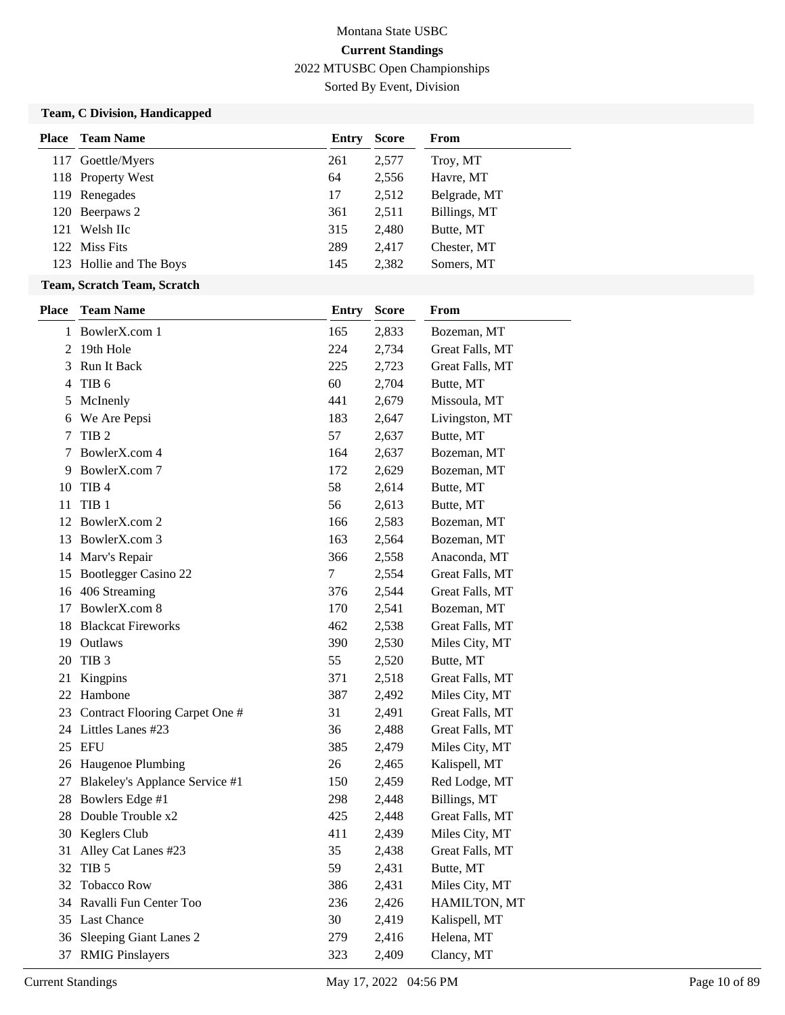Sorted By Event, Division

|              | <b>Place</b> Team Name            | <b>Entry</b> | <b>Score</b> | From            |
|--------------|-----------------------------------|--------------|--------------|-----------------|
|              | 117 Goettle/Myers                 | 261          | 2,577        | Troy, MT        |
|              | 118 Property West                 | 64           | 2,556        | Havre, MT       |
|              | 119 Renegades                     | 17           | 2,512        | Belgrade, MT    |
| 120          | Beerpaws 2                        | 361          | 2,511        | Billings, MT    |
| 121          | Welsh IIc                         | 315          | 2,480        | Butte, MT       |
|              | 122 Miss Fits                     | 289          | 2,417        | Chester, MT     |
|              | 123 Hollie and The Boys           | 145          | 2,382        | Somers, MT      |
|              | Team, Scratch Team, Scratch       |              |              |                 |
| <b>Place</b> | <b>Team Name</b>                  | <b>Entry</b> | <b>Score</b> | From            |
| $\mathbf{1}$ | BowlerX.com 1                     | 165          | 2,833        | Bozeman, MT     |
|              | 2 19th Hole                       | 224          | 2,734        | Great Falls, MT |
| 3            | Run It Back                       | 225          | 2,723        | Great Falls, MT |
| 4            | TIB <sub>6</sub>                  | 60           | 2,704        | Butte, MT       |
| 5            | McInenly                          | 441          | 2,679        | Missoula, MT    |
| 6            | We Are Pepsi                      | 183          | 2,647        | Livingston, MT  |
| 7            | TIB <sub>2</sub>                  | 57           | 2,637        | Butte, MT       |
|              | BowlerX.com 4                     | 164          | 2,637        | Bozeman, MT     |
| 9.           | BowlerX.com 7                     | 172          | 2,629        | Bozeman, MT     |
| 10           | TIB <sub>4</sub>                  | 58           | 2,614        | Butte, MT       |
| 11           | TIB <sub>1</sub>                  | 56           | 2,613        | Butte, MT       |
| 12           | BowlerX.com 2                     | 166          | 2,583        | Bozeman, MT     |
| 13           | BowlerX.com 3                     | 163          | 2,564        | Bozeman, MT     |
| 14           | Marv's Repair                     | 366          | 2,558        | Anaconda, MT    |
| 15           | Bootlegger Casino 22              | 7            | 2,554        | Great Falls, MT |
| 16           | 406 Streaming                     | 376          | 2,544        | Great Falls, MT |
| 17           | BowlerX.com 8                     | 170          | 2,541        | Bozeman, MT     |
| 18           | <b>Blackcat Fireworks</b>         | 462          | 2,538        | Great Falls, MT |
| 19           | Outlaws                           | 390          | 2,530        | Miles City, MT  |
| 20           | TIB <sub>3</sub>                  | 55           | 2,520        | Butte, MT       |
| 21           | Kingpins                          | 371          | 2,518        | Great Falls, MT |
| 22           | Hambone                           | 387          | 2,492        | Miles City, MT  |
|              | 23 Contract Flooring Carpet One # | 31           | 2,491        | Great Falls, MT |
|              | 24 Littles Lanes #23              | 36           | 2,488        | Great Falls, MT |
| 25           | <b>EFU</b>                        | 385          | 2,479        | Miles City, MT  |
|              | 26 Haugenoe Plumbing              | 26           | 2,465        | Kalispell, MT   |
| 27           | Blakeley's Applance Service #1    | 150          | 2,459        | Red Lodge, MT   |
| 28           | Bowlers Edge #1                   | 298          | 2,448        | Billings, MT    |
| 28           | Double Trouble x2                 | 425          | 2,448        | Great Falls, MT |
| 30           | Keglers Club                      | 411          | 2,439        | Miles City, MT  |
| 31           | Alley Cat Lanes #23               | 35           | 2,438        | Great Falls, MT |
| 32           | TIB <sub>5</sub>                  | 59           | 2,431        | Butte, MT       |
| 32           | <b>Tobacco Row</b>                | 386          | 2,431        | Miles City, MT  |
| 34           | Ravalli Fun Center Too            | 236          | 2,426        | HAMILTON, MT    |
| 35           | <b>Last Chance</b>                | 30           | 2,419        | Kalispell, MT   |
| 36           | <b>Sleeping Giant Lanes 2</b>     | 279          | 2,416        | Helena, MT      |
|              | 37 RMIG Pinslayers                | 323          | 2,409        | Clancy, MT      |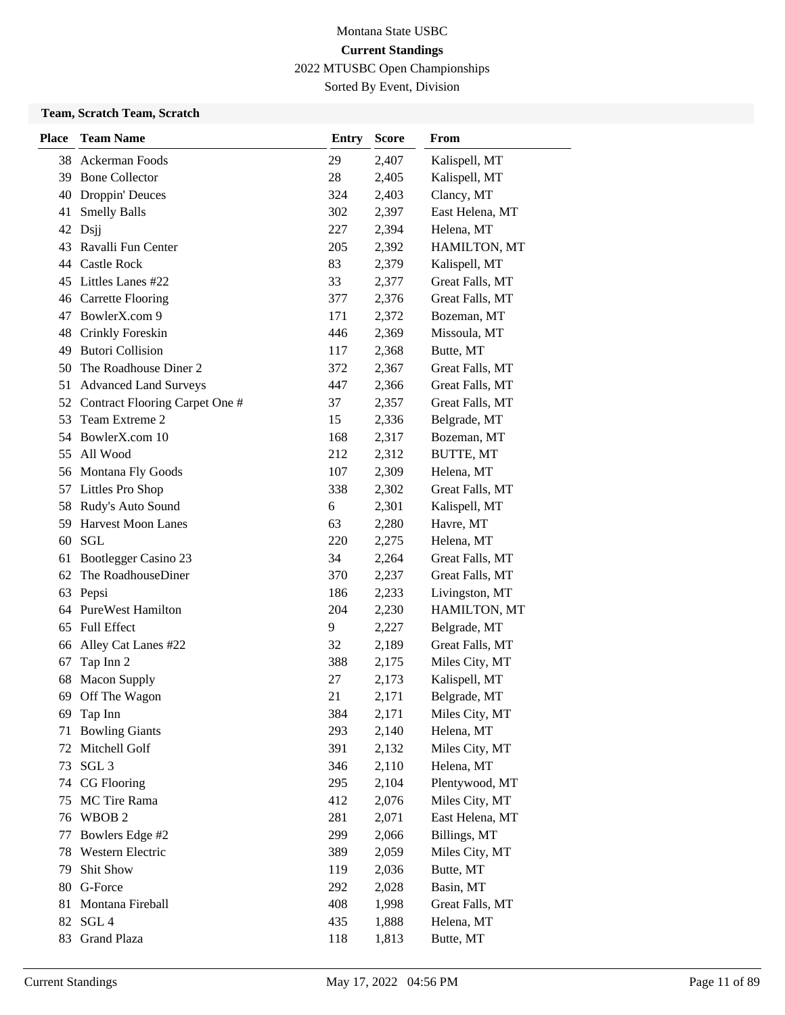Sorted By Event, Division

### **Team, Scratch Team, Scratch**

| <b>Place</b> | <b>Team Name</b>                  | <b>Entry</b> | <b>Score</b> | From             |
|--------------|-----------------------------------|--------------|--------------|------------------|
| 38           | Ackerman Foods                    | 29           | 2,407        | Kalispell, MT    |
| 39           | <b>Bone Collector</b>             | 28           | 2,405        | Kalispell, MT    |
| 40           | Droppin' Deuces                   | 324          | 2,403        | Clancy, MT       |
| 41           | <b>Smelly Balls</b>               | 302          | 2,397        | East Helena, MT  |
| 42           | Dsjj                              | 227          | 2,394        | Helena, MT       |
| 43           | Ravalli Fun Center                | 205          | 2,392        | HAMILTON, MT     |
| 44           | Castle Rock                       | 83           | 2,379        | Kalispell, MT    |
| 45           | Littles Lanes #22                 | 33           | 2,377        | Great Falls, MT  |
| 46           | <b>Carrette Flooring</b>          | 377          | 2,376        | Great Falls, MT  |
| 47           | BowlerX.com 9                     | 171          | 2,372        | Bozeman, MT      |
| 48           | Crinkly Foreskin                  | 446          | 2,369        | Missoula, MT     |
| 49           | <b>Butori Collision</b>           | 117          | 2,368        | Butte, MT        |
| 50           | The Roadhouse Diner 2             | 372          | 2,367        | Great Falls, MT  |
| 51           | <b>Advanced Land Surveys</b>      | 447          | 2,366        | Great Falls, MT  |
|              | 52 Contract Flooring Carpet One # | 37           | 2,357        | Great Falls, MT  |
| 53           | Team Extreme 2                    | 15           | 2,336        | Belgrade, MT     |
| 54           | BowlerX.com 10                    | 168          | 2,317        | Bozeman, MT      |
| 55           | All Wood                          | 212          | 2,312        | <b>BUTTE, MT</b> |
|              | 56 Montana Fly Goods              | 107          | 2,309        | Helena, MT       |
|              | 57 Littles Pro Shop               | 338          | 2,302        | Great Falls, MT  |
| 58           | Rudy's Auto Sound                 | 6            | 2,301        | Kalispell, MT    |
| 59           | <b>Harvest Moon Lanes</b>         | 63           | 2,280        | Havre, MT        |
| 60           | SGL                               | 220          | 2,275        | Helena, MT       |
| 61           | Bootlegger Casino 23              | 34           | 2,264        | Great Falls, MT  |
| 62           | The RoadhouseDiner                | 370          | 2,237        | Great Falls, MT  |
| 63           | Pepsi                             | 186          | 2,233        | Livingston, MT   |
|              | 64 PureWest Hamilton              | 204          | 2,230        | HAMILTON, MT     |
| 65           | <b>Full Effect</b>                | 9            | 2,227        | Belgrade, MT     |
| 66           | Alley Cat Lanes #22               | 32           | 2,189        | Great Falls, MT  |
| 67           | Tap Inn 2                         | 388          | 2,175        | Miles City, MT   |
| 68           | <b>Macon Supply</b>               | 27           | 2,173        | Kalispell, MT    |
| 69           | Off The Wagon                     | 21           | 2,171        | Belgrade, MT     |
| 69           | Tap Inn                           | 384          | 2,171        | Miles City, MT   |
| 71           | <b>Bowling Giants</b>             | 293          | 2,140        | Helena, MT       |
| 72           | Mitchell Golf                     | 391          | 2,132        | Miles City, MT   |
| 73           | SGL <sub>3</sub>                  | 346          | 2,110        | Helena, MT       |
| 74           | CG Flooring                       | 295          | 2,104        | Plentywood, MT   |
| 75           | MC Tire Rama                      | 412          | 2,076        | Miles City, MT   |
| 76           | WBOB <sub>2</sub>                 | 281          | 2,071        | East Helena, MT  |
| 77           | Bowlers Edge #2                   | 299          | 2,066        | Billings, MT     |
| 78           | Western Electric                  | 389          | 2,059        | Miles City, MT   |
| 79           | Shit Show                         | 119          | 2,036        | Butte, MT        |
| 80           | G-Force                           | 292          | 2,028        | Basin, MT        |
| 81           | Montana Fireball                  | 408          | 1,998        | Great Falls, MT  |
| 82           | SGL <sub>4</sub>                  | 435          | 1,888        | Helena, MT       |
| 83           | <b>Grand Plaza</b>                | 118          | 1,813        | Butte, MT        |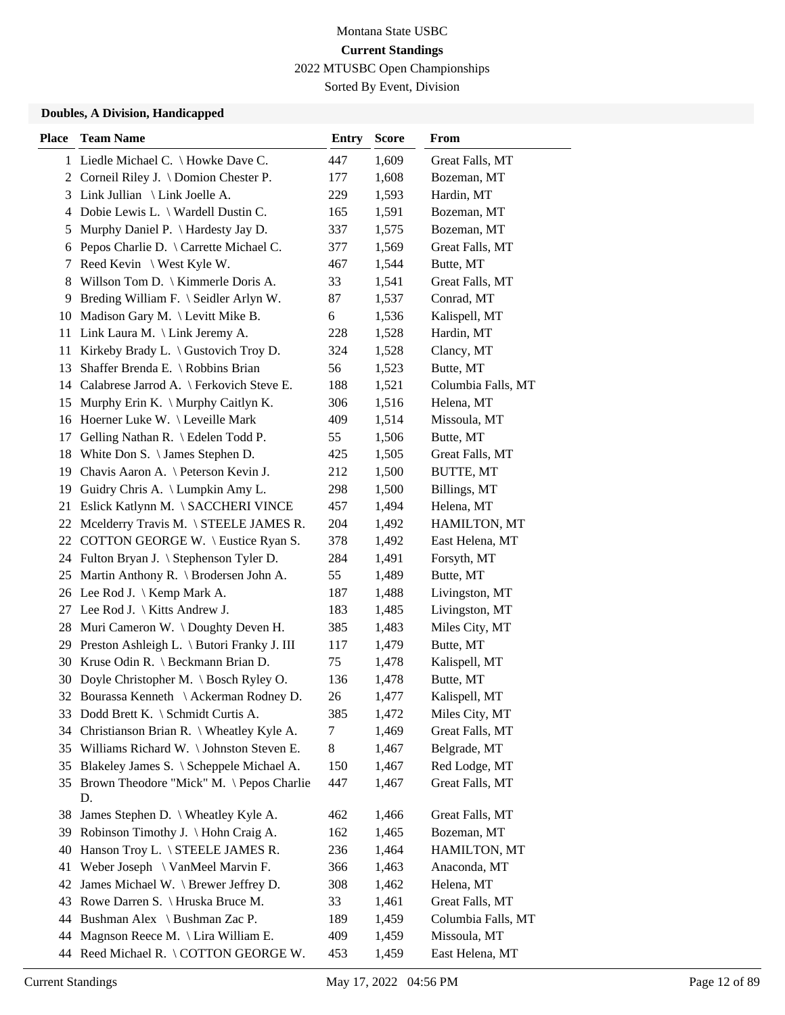Sorted By Event, Division

| <b>Place</b> | <b>Team Name</b>                                  | <b>Entry</b> | <b>Score</b> | <b>From</b>        |
|--------------|---------------------------------------------------|--------------|--------------|--------------------|
|              | 1 Liedle Michael C. \ Howke Dave C.               | 447          | 1,609        | Great Falls, MT    |
|              | Corneil Riley J. \ Domion Chester P.<br>2         | 177          | 1,608        | Bozeman, MT        |
|              | Link Jullian \ Link Joelle A.<br>3                | 229          | 1,593        | Hardin, MT         |
|              | Dobie Lewis L. $\setminus$ Wardell Dustin C.<br>4 | 165          | 1,591        | Bozeman, MT        |
|              | Murphy Daniel P. \ Hardesty Jay D.<br>5           | 337          | 1,575        | Bozeman, MT        |
|              | Pepos Charlie D. \ Carrette Michael C.<br>6       | 377          | 1,569        | Great Falls, MT    |
|              | Reed Kevin \ West Kyle W.<br>7                    | 467          | 1,544        | Butte, MT          |
|              | Willson Tom D.   Kimmerle Doris A.<br>8           | 33           | 1,541        | Great Falls, MT    |
|              | Breding William F. \ Seidler Arlyn W.<br>9        | 87           | 1,537        | Conrad, MT         |
| 10           | Madison Gary M. $\text{Levitt Mike } B$ .         | 6            | 1,536        | Kalispell, MT      |
| 11           | Link Laura M. \ Link Jeremy A.                    | 228          | 1,528        | Hardin, MT         |
| 11           | Kirkeby Brady L. $\setminus$ Gustovich Troy D.    | 324          | 1,528        | Clancy, MT         |
| 13           | Shaffer Brenda E. \ Robbins Brian                 | 56           | 1,523        | Butte, MT          |
|              | Calabrese Jarrod A. \ Ferkovich Steve E.<br>14    | 188          | 1,521        | Columbia Falls, MT |
| 15           | Murphy Erin K. \ Murphy Caitlyn K.                | 306          | 1,516        | Helena, MT         |
| 16           | Hoerner Luke W. \Leveille Mark                    | 409          | 1,514        | Missoula, MT       |
| 17           | Gelling Nathan R. \ Edelen Todd P.                | 55           | 1,506        | Butte, MT          |
| 18           | White Don S. $\setminus$ James Stephen D.         | 425          | 1,505        | Great Falls, MT    |
| 19           | Chavis Aaron A. \ Peterson Kevin J.               | 212          | 1,500        | BUTTE, MT          |
| 19           | Guidry Chris A. \ Lumpkin Amy L.                  | 298          | 1,500        | Billings, MT       |
| 21           | Eslick Katlynn M. \ SACCHERI VINCE                | 457          | 1,494        | Helena, MT         |
| 22           | Mcelderry Travis M. \ STEELE JAMES R.             | 204          | 1,492        | HAMILTON, MT       |
| 22           | COTTON GEORGE W. \ Eustice Ryan S.                | 378          | 1,492        | East Helena, MT    |
|              | 24 Fulton Bryan J. \ Stephenson Tyler D.          | 284          | 1,491        | Forsyth, MT        |
| 25           | Martin Anthony R. \ Brodersen John A.             | 55           | 1,489        | Butte, MT          |
|              | 26 Lee Rod J. \ Kemp Mark A.                      | 187          | 1,488        | Livingston, MT     |
| 27           | Lee Rod J. $\backslash$ Kitts Andrew J.           | 183          | 1,485        | Livingston, MT     |
| 28           | Muri Cameron W. \Doughty Deven H.                 | 385          | 1,483        | Miles City, MT     |
| 29           | Preston Ashleigh L. \ Butori Franky J. III        | 117          | 1,479        | Butte, MT          |
| 30           | Kruse Odin R. $\text{Beckmann Brian D.}$          | 75           | 1,478        | Kalispell, MT      |
| 30           | Doyle Christopher M. \ Bosch Ryley O.             | 136          | 1,478        | Butte, MT          |
|              | 32 Bourassa Kenneth \ Ackerman Rodney D.          | 26           | 1,477        | Kalispell, MT      |
|              | 33 Dodd Brett K. \ Schmidt Curtis A.              | 385          | 1,472        | Miles City, MT     |
| 34           | Christianson Brian R. \ Wheatley Kyle A.          | 7            | 1,469        | Great Falls, MT    |
| 35           | Williams Richard W. \Johnston Steven E.           | $\,8\,$      | 1,467        | Belgrade, MT       |
| 35           | Blakeley James S. \ Scheppele Michael A.          | 150          | 1,467        | Red Lodge, MT      |
| 35           | Brown Theodore "Mick" M. \Pepos Charlie           | 447          | 1,467        | Great Falls, MT    |
|              | D.                                                |              |              |                    |
| 38           | James Stephen D. \ Wheatley Kyle A.               | 462          | 1,466        | Great Falls, MT    |
| 39           | Robinson Timothy J. \ Hohn Craig A.               | 162          | 1,465        | Bozeman, MT        |
| 40           | Hanson Troy L. \ STEELE JAMES R.                  | 236          | 1,464        | HAMILTON, MT       |
| 41           | Weber Joseph \ VanMeel Marvin F.                  | 366          | 1,463        | Anaconda, MT       |
| 42           | James Michael W. \ Brewer Jeffrey D.              | 308          | 1,462        | Helena, MT         |
| 43           | Rowe Darren S. \ Hruska Bruce M.                  | 33           | 1,461        | Great Falls, MT    |
| 44           | Bushman Alex \ Bushman Zac P.                     | 189          | 1,459        | Columbia Falls, MT |
| 44           | Magnson Reece M. \ Lira William E.                | 409          | 1,459        | Missoula, MT       |
|              |                                                   |              |              |                    |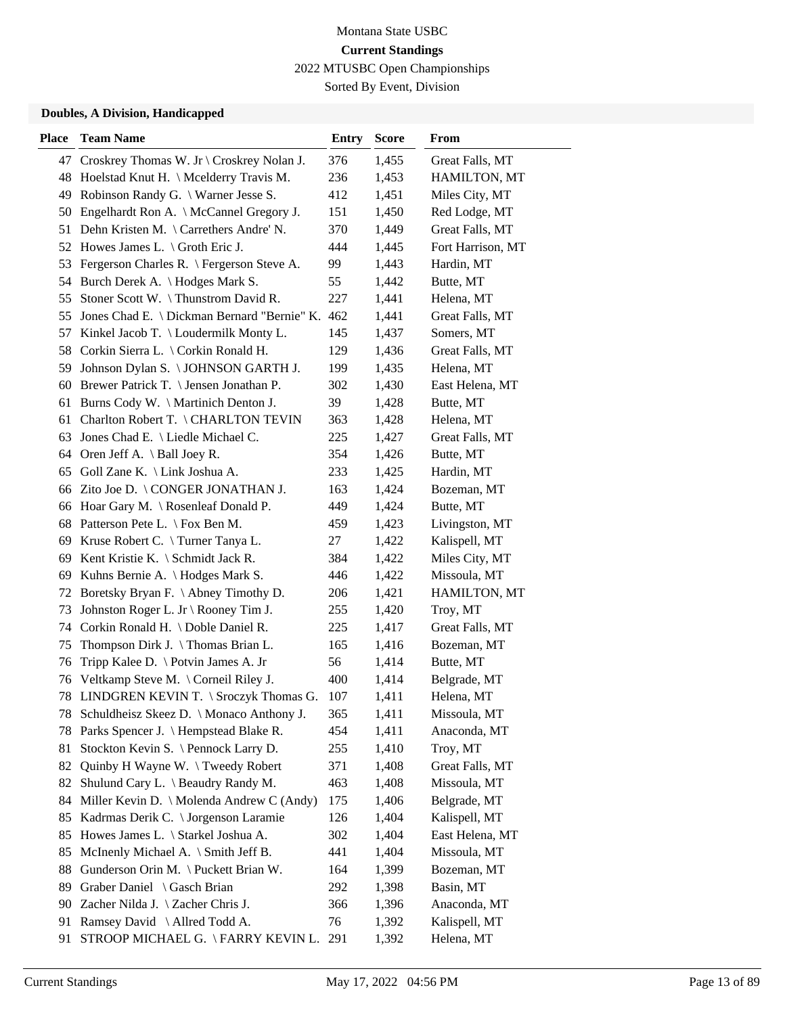Sorted By Event, Division

| <b>Place</b> | <b>Team Name</b>                                | <b>Entry</b> | <b>Score</b> | From              |
|--------------|-------------------------------------------------|--------------|--------------|-------------------|
| 47           | Croskrey Thomas W. Jr \ Croskrey Nolan J.       | 376          | 1,455        | Great Falls, MT   |
|              | 48 Hoelstad Knut H. \ Mcelderry Travis M.       | 236          | 1,453        | HAMILTON, MT      |
| 49           | Robinson Randy G. \ Warner Jesse S.             | 412          | 1,451        | Miles City, MT    |
| 50           | Engelhardt Ron A. \ McCannel Gregory J.         | 151          | 1,450        | Red Lodge, MT     |
| 51           | Dehn Kristen M. \ Carrethers Andre' N.          | 370          | 1,449        | Great Falls, MT   |
| 52           | Howes James L. $\setminus$ Groth Eric J.        | 444          | 1,445        | Fort Harrison, MT |
| 53           | Fergerson Charles R. \ Fergerson Steve A.       | 99           | 1,443        | Hardin, MT        |
|              | 54 Burch Derek A. \ Hodges Mark S.              | 55           | 1,442        | Butte, MT         |
| 55           | Stoner Scott W. \Thunstrom David R.             | 227          | 1,441        | Helena, MT        |
| 55           | Jones Chad E. \ Dickman Bernard "Bernie" K. 462 |              | 1,441        | Great Falls, MT   |
| 57           | Kinkel Jacob T. \ Loudermilk Monty L.           | 145          | 1,437        | Somers, MT        |
|              | 58 Corkin Sierra L. \ Corkin Ronald H.          | 129          | 1,436        | Great Falls, MT   |
| 59           | Johnson Dylan S. \ JOHNSON GARTH J.             | 199          | 1,435        | Helena, MT        |
|              | 60 Brewer Patrick T. \ Jensen Jonathan P.       | 302          | 1,430        | East Helena, MT   |
| 61           | Burns Cody W. \ Martinich Denton J.             | 39           | 1,428        | Butte, MT         |
|              | 61 Charlton Robert T. \CHARLTON TEVIN           | 363          | 1,428        | Helena, MT        |
| 63           | Jones Chad E. \ Liedle Michael C.               | 225          | 1,427        | Great Falls, MT   |
| 64           | Oren Jeff A. $\setminus$ Ball Joey R.           | 354          | 1,426        | Butte, MT         |
| 65           | Goll Zane K. \ Link Joshua A.                   | 233          | 1,425        | Hardin, MT        |
| 66           | Zito Joe D. \ CONGER JONATHAN J.                | 163          | 1,424        | Bozeman, MT       |
|              | 66 Hoar Gary M. \ Rosenleaf Donald P.           | 449          | 1,424        | Butte, MT         |
|              | 68 Patterson Pete L. \ Fox Ben M.               | 459          | 1,423        | Livingston, MT    |
|              | 69 Kruse Robert C. \Turner Tanya L.             | 27           | 1,422        | Kalispell, MT     |
| 69           | Kent Kristie K. $\S$ chmidt Jack R.             | 384          | 1,422        | Miles City, MT    |
| 69           | Kuhns Bernie A. \ Hodges Mark S.                | 446          | 1,422        | Missoula, MT      |
| 72           | Boretsky Bryan F. \ Abney Timothy D.            | 206          | 1,421        | HAMILTON, MT      |
| 73           | Johnston Roger L. Jr \ Rooney Tim J.            | 255          | 1,420        | Troy, MT          |
|              | 74 Corkin Ronald H. \Doble Daniel R.            | 225          | 1,417        | Great Falls, MT   |
| 75           | Thompson Dirk J. \Thomas Brian L.               | 165          | 1,416        | Bozeman, MT       |
| 76           | Tripp Kalee D. \ Potvin James A. Jr             | 56           | 1,414        | Butte, MT         |
| 76           | Veltkamp Steve M. \ Corneil Riley J.            | 400          | 1,414        | Belgrade, MT      |
| 78           | LINDGREN KEVIN T. \ Sroczyk Thomas G.           | 107          | 1,411        | Helena, MT        |
| 78           | Schuldheisz Skeez D. \ Monaco Anthony J.        | 365          | 1,411        | Missoula, MT      |
| 78           | Parks Spencer J. \ Hempstead Blake R.           | 454          | 1,411        | Anaconda, MT      |
| 81           | Stockton Kevin S. \ Pennock Larry D.            | 255          | 1,410        | Troy, MT          |
| 82           | Quinby H Wayne W. \Tweedy Robert                | 371          | 1,408        | Great Falls, MT   |
| 82           | Shulund Cary L. \ Beaudry Randy M.              | 463          | 1,408        | Missoula, MT      |
| 84           | Miller Kevin D. \ Molenda Andrew C (Andy)       | 175          | 1,406        | Belgrade, MT      |
| 85           | Kadrmas Derik C. \ Jorgenson Laramie            | 126          | 1,404        | Kalispell, MT     |
| 85           | Howes James L. \ Starkel Joshua A.              | 302          | 1,404        | East Helena, MT   |
| 85           | McInenly Michael A. \ Smith Jeff B.             | 441          | 1,404        | Missoula, MT      |
| 88           | Gunderson Orin M. \ Puckett Brian W.            | 164          | 1,399        | Bozeman, MT       |
| 89           | Graber Daniel \ Gasch Brian                     | 292          | 1,398        | Basin, MT         |
| 90           | Zacher Nilda J. \ Zacher Chris J.               | 366          | 1,396        | Anaconda, MT      |
| 91           | Ramsey David \ Allred Todd A.                   | 76           | 1,392        | Kalispell, MT     |
| 91           | STROOP MICHAEL G. \FARRY KEVIN L. 291           |              | 1,392        | Helena, MT        |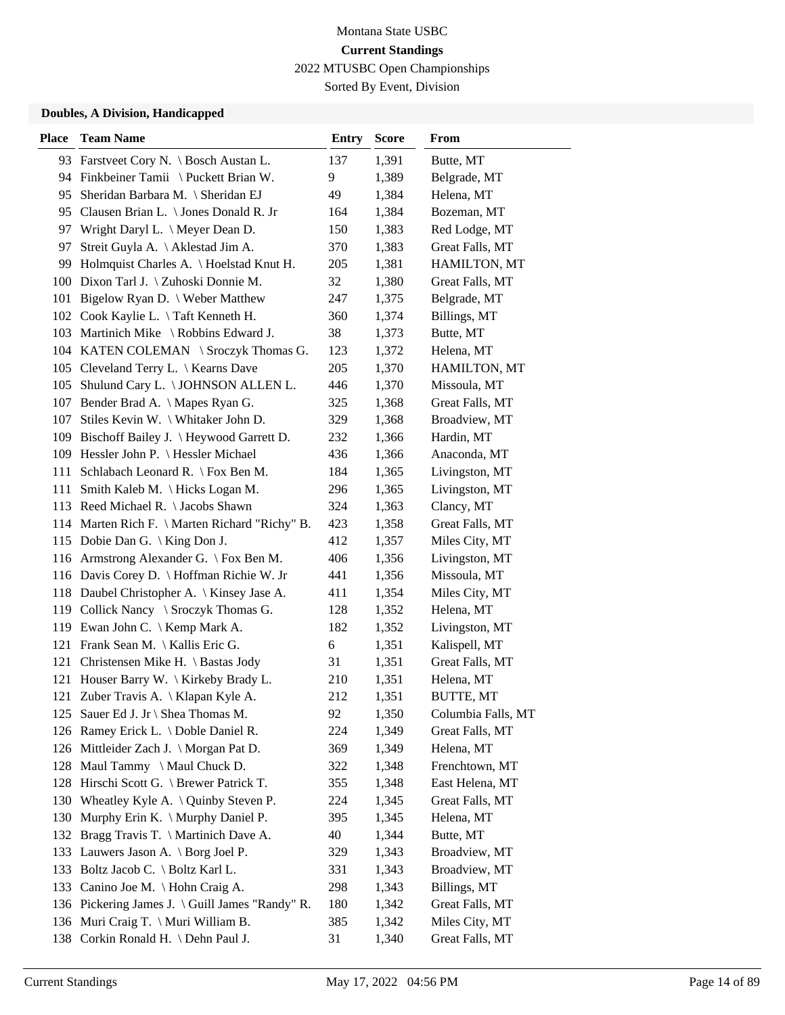Sorted By Event, Division

| <b>Place</b> | <b>Team Name</b>                                | <b>Entry</b> | <b>Score</b> | From               |
|--------------|-------------------------------------------------|--------------|--------------|--------------------|
|              | 93 Farstveet Cory N. \ Bosch Austan L.          | 137          | 1,391        | Butte, MT          |
|              | 94 Finkbeiner Tamii \Puckett Brian W.           | 9            | 1,389        | Belgrade, MT       |
| 95           | Sheridan Barbara M. \ Sheridan EJ               | 49           | 1,384        | Helena, MT         |
| 95           | Clausen Brian L. \ Jones Donald R. Jr           | 164          | 1,384        | Bozeman, MT        |
| 97           | Wright Daryl L. $\setminus$ Meyer Dean D.       | 150          | 1,383        | Red Lodge, MT      |
| 97           | Streit Guyla A. \ Aklestad Jim A.               | 370          | 1,383        | Great Falls, MT    |
| 99           | Holmquist Charles A. \Hoelstad Knut H.          | 205          | 1,381        | HAMILTON, MT       |
| 100          | Dixon Tarl J. \ Zuhoski Donnie M.               | 32           | 1,380        | Great Falls, MT    |
| 101          | Bigelow Ryan D. \ Weber Matthew                 | 247          | 1,375        | Belgrade, MT       |
| 102          | Cook Kaylie L. \Taft Kenneth H.                 | 360          | 1,374        | Billings, MT       |
|              | 103 Martinich Mike \ Robbins Edward J.          | 38           | 1,373        | Butte, MT          |
|              | 104 KATEN COLEMAN \ Sroczyk Thomas G.           | 123          | 1,372        | Helena, MT         |
|              | 105 Cleveland Terry L. \ Kearns Dave            | 205          | 1,370        | HAMILTON, MT       |
| 105          | Shulund Cary L. \ JOHNSON ALLEN L.              | 446          | 1,370        | Missoula, MT       |
|              | 107 Bender Brad A. \ Mapes Ryan G.              | 325          | 1,368        | Great Falls, MT    |
| 107          | Stiles Kevin W. \ Whitaker John D.              | 329          | 1,368        | Broadview, MT      |
| 109          | Bischoff Bailey J. \ Heywood Garrett D.         | 232          | 1,366        | Hardin, MT         |
| 109          | Hessler John P. \ Hessler Michael               | 436          | 1,366        | Anaconda, MT       |
| 111          | Schlabach Leonard R. $\Gamma$ Fox Ben M.        | 184          | 1,365        | Livingston, MT     |
| 111          | Smith Kaleb M. \ Hicks Logan M.                 | 296          | 1,365        | Livingston, MT     |
|              | 113 Reed Michael R. \Jacobs Shawn               | 324          | 1,363        | Clancy, MT         |
|              | 114 Marten Rich F. \ Marten Richard "Richy" B.  | 423          | 1,358        | Great Falls, MT    |
|              | 115 Dobie Dan G.   King Don J.                  | 412          | 1,357        | Miles City, MT     |
|              | 116 Armstrong Alexander G. \ Fox Ben M.         | 406          | 1,356        | Livingston, MT     |
|              | 116 Davis Corey D. \ Hoffman Richie W. Jr       | 441          | 1,356        | Missoula, MT       |
|              | 118 Daubel Christopher A.   Kinsey Jase A.      | 411          | 1,354        | Miles City, MT     |
| 119          | Collick Nancy \ Sroczyk Thomas G.               | 128          | 1,352        | Helena, MT         |
|              | 119 Ewan John C. \ Kemp Mark A.                 | 182          | 1,352        | Livingston, MT     |
|              | 121 Frank Sean M. \ Kallis Eric G.              | 6            | 1,351        | Kalispell, MT      |
| 121          | Christensen Mike H. \ Bastas Jody               | 31           | 1,351        | Great Falls, MT    |
|              | 121 Houser Barry W. \ Kirkeby Brady L.          | 210          | 1,351        | Helena, MT         |
|              | 121 Zuber Travis A.   Klapan Kyle A.            | 212          | 1,351        | <b>BUTTE, MT</b>   |
|              | 125 Sauer Ed J. Jr \ Shea Thomas M.             | 92           | 1,350        | Columbia Falls, MT |
|              | 126 Ramey Erick L. \Doble Daniel R.             | 224          | 1,349        | Great Falls, MT    |
|              | 126 Mittleider Zach J. \ Morgan Pat D.          | 369          | 1,349        | Helena, MT         |
|              | 128 Maul Tammy \ Maul Chuck D.                  | 322          | 1,348        | Frenchtown, MT     |
| 128          | Hirschi Scott G. \ Brewer Patrick T.            | 355          | 1,348        | East Helena, MT    |
| 130          | Wheatley Kyle A. $\setminus$ Quinby Steven P.   | 224          | 1,345        | Great Falls, MT    |
| 130          | Murphy Erin K. \ Murphy Daniel P.               | 395          | 1,345        | Helena, MT         |
| 132          | Bragg Travis T. \ Martinich Dave A.             | 40           | 1,344        | Butte, MT          |
| 133          | Lauwers Jason A. \ Borg Joel P.                 | 329          | 1,343        | Broadview, MT      |
| 133          | Boltz Jacob C. \ Boltz Karl L.                  | 331          | 1,343        | Broadview, MT      |
| 133          | Canino Joe M. \ Hohn Craig A.                   | 298          | 1,343        | Billings, MT       |
|              | 136 Pickering James J. \ Guill James "Randy" R. | 180          | 1,342        | Great Falls, MT    |
|              | 136 Muri Craig T. \ Muri William B.             | 385          | 1,342        | Miles City, MT     |
| 138          | Corkin Ronald H. \ Dehn Paul J.                 | 31           | 1,340        | Great Falls, MT    |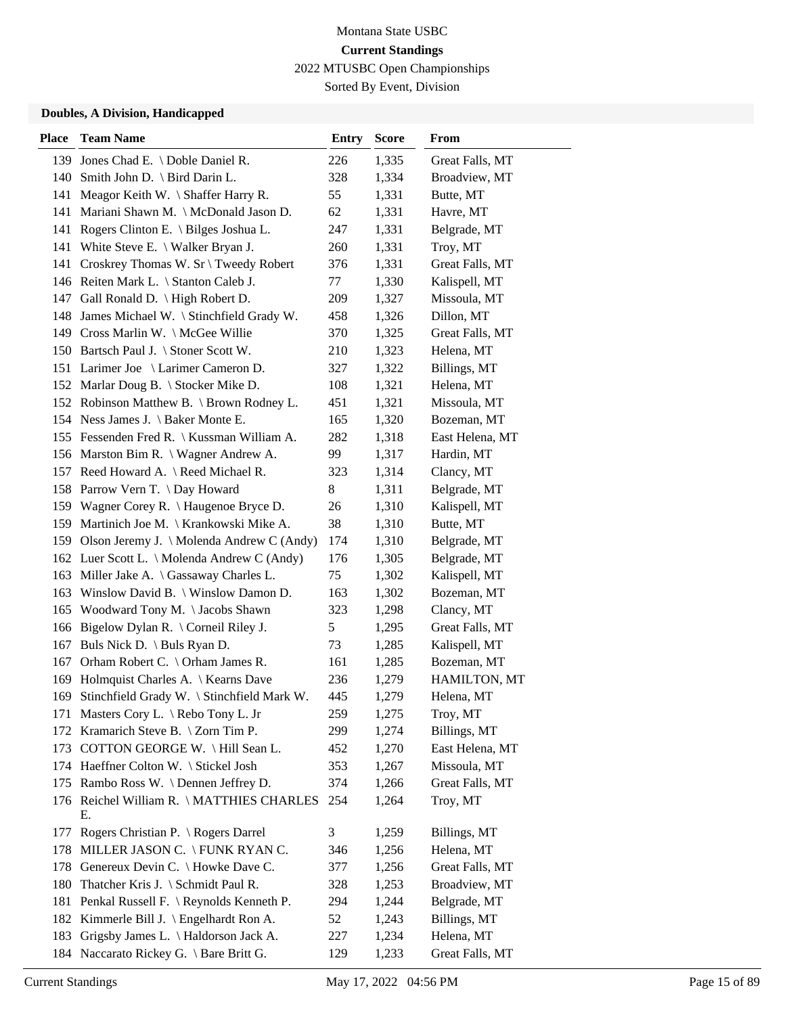Sorted By Event, Division

| <b>Place</b> | <b>Team Name</b>                               | <b>Entry</b> | <b>Score</b> | From            |
|--------------|------------------------------------------------|--------------|--------------|-----------------|
|              | 139 Jones Chad E. \ Doble Daniel R.            | 226          | 1,335        | Great Falls, MT |
|              | 140 Smith John D. \ Bird Darin L.              | 328          | 1,334        | Broadview, MT   |
| 141          | Meagor Keith W. $\setminus$ Shaffer Harry R.   | 55           | 1,331        | Butte, MT       |
| 141          | Mariani Shawn M. \ McDonald Jason D.           | 62           | 1,331        | Havre, MT       |
| 141          | Rogers Clinton E. \ Bilges Joshua L.           | 247          | 1,331        | Belgrade, MT    |
| 141          | White Steve E. \ Walker Bryan J.               | 260          | 1,331        | Troy, MT        |
| 141          | Croskrey Thomas W. Sr \ Tweedy Robert          | 376          | 1,331        | Great Falls, MT |
|              | 146 Reiten Mark L. \ Stanton Caleb J.          | 77           | 1,330        | Kalispell, MT   |
|              | 147 Gall Ronald D. \ High Robert D.            | 209          | 1,327        | Missoula, MT    |
|              | 148 James Michael W. \ Stinchfield Grady W.    | 458          | 1,326        | Dillon, MT      |
|              | 149 Cross Marlin W. \ McGee Willie             | 370          | 1,325        | Great Falls, MT |
|              | 150 Bartsch Paul J. \ Stoner Scott W.          | 210          | 1,323        | Helena, MT      |
|              | 151 Larimer Joe \ Larimer Cameron D.           | 327          | 1,322        | Billings, MT    |
|              | 152 Marlar Doug B. \ Stocker Mike D.           | 108          | 1,321        | Helena, MT      |
|              | 152 Robinson Matthew B. \ Brown Rodney L.      | 451          | 1,321        | Missoula, MT    |
|              | 154 Ness James J. \ Baker Monte E.             | 165          | 1,320        | Bozeman, MT     |
|              | 155 Fessenden Fred R.   Kussman William A.     | 282          | 1,318        | East Helena, MT |
|              | 156 Marston Bim R. \ Wagner Andrew A.          | 99           | 1,317        | Hardin, MT      |
|              | 157 Reed Howard A. \ Reed Michael R.           | 323          | 1,314        | Clancy, MT      |
|              | 158 Parrow Vern T. \ Day Howard                | 8            | 1,311        | Belgrade, MT    |
|              | 159 Wagner Corey R. \ Haugenoe Bryce D.        | 26           | 1,310        | Kalispell, MT   |
|              | 159 Martinich Joe M. \ Krankowski Mike A.      | 38           | 1,310        | Butte, MT       |
|              | 159 Olson Jeremy J. \ Molenda Andrew C (Andy)  | 174          | 1,310        | Belgrade, MT    |
|              | 162 Luer Scott L. \ Molenda Andrew C (Andy)    | 176          | 1,305        | Belgrade, MT    |
|              | 163 Miller Jake A. \ Gassaway Charles L.       | 75           | 1,302        | Kalispell, MT   |
| 163          | Winslow David B. \ Winslow Damon D.            | 163          | 1,302        | Bozeman, MT     |
| 165          | Woodward Tony M. \Jacobs Shawn                 | 323          | 1,298        | Clancy, MT      |
| 166          | Bigelow Dylan R. $\setminus$ Corneil Riley J.  | 5            | 1,295        | Great Falls, MT |
| 167          | Buls Nick D. \ Buls Ryan D.                    | 73           | 1,285        | Kalispell, MT   |
| 167          | Orham Robert C. \ Orham James R.               | 161          | 1,285        | Bozeman, MT     |
| 169          | Holmquist Charles A.   Kearns Dave             | 236          | 1,279        | HAMILTON, MT    |
| 169          | Stinchfield Grady W. \ Stinchfield Mark W.     | 445          | 1,279        | Helena, MT      |
|              | 171 Masters Cory L. \ Rebo Tony L. Jr          | 259          | 1,275        | Troy, MT        |
|              | 172 Kramarich Steve B. \ Zorn Tim P.           | 299          | 1,274        | Billings, MT    |
| 173          | COTTON GEORGE W. \Hill Sean L.                 | 452          | 1,270        | East Helena, MT |
|              | 174 Haeffner Colton W. \ Stickel Josh          | 353          | 1,267        | Missoula, MT    |
|              | 175 Rambo Ross W. \Dennen Jeffrey D.           | 374          | 1,266        | Great Falls, MT |
|              | 176 Reichel William R. \MATTHIES CHARLES<br>Е. | 254          | 1,264        | Troy, MT        |
| 177          | Rogers Christian P. \ Rogers Darrel            | 3            | 1,259        | Billings, MT    |
| 178          | MILLER JASON C. \ FUNK RYAN C.                 | 346          | 1,256        | Helena, MT      |
| 178          | Genereux Devin C. \ Howke Dave C.              | 377          | 1,256        | Great Falls, MT |
| 180          | Thatcher Kris J. \ Schmidt Paul R.             | 328          | 1,253        | Broadview, MT   |
| 181          | Penkal Russell F. \ Reynolds Kenneth P.        | 294          | 1,244        | Belgrade, MT    |
| 182          | Kimmerle Bill J. \ Engelhardt Ron A.           | 52           | 1,243        | Billings, MT    |
| 183          | Grigsby James L. \ Haldorson Jack A.           | 227          | 1,234        | Helena, MT      |
|              | 184 Naccarato Rickey G. \ Bare Britt G.        | 129          | 1,233        | Great Falls, MT |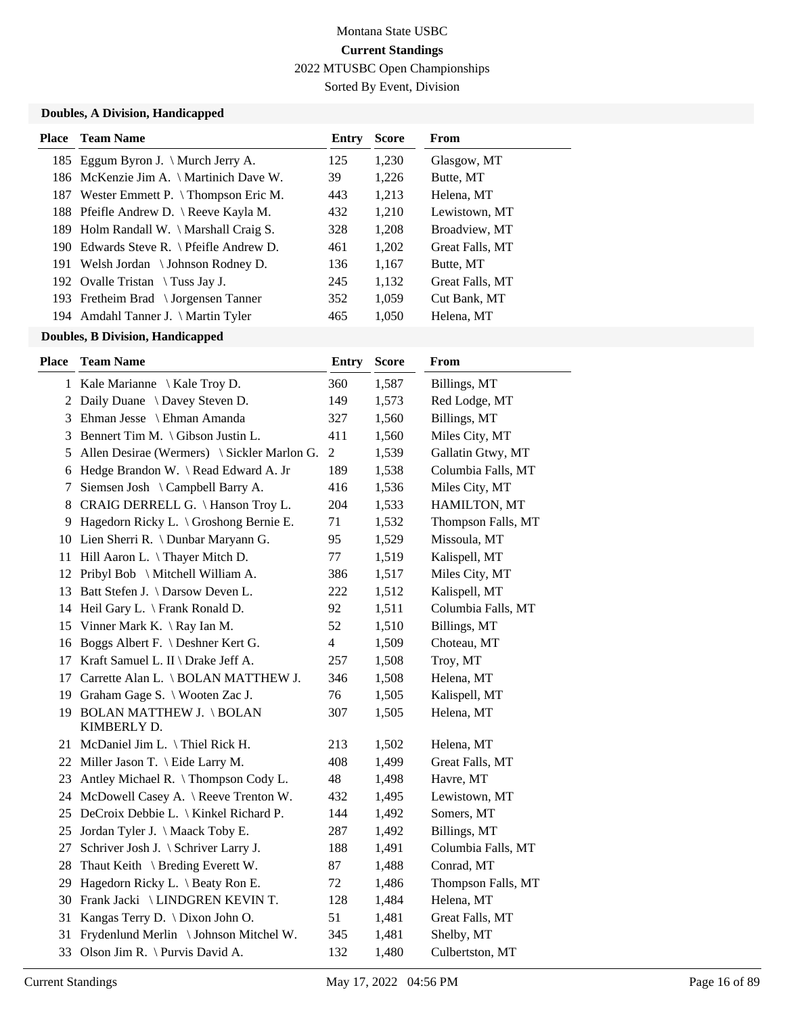Sorted By Event, Division

### **Doubles, A Division, Handicapped**

| Place | <b>Team Name</b>                         | Entry | <b>Score</b> | From            |
|-------|------------------------------------------|-------|--------------|-----------------|
|       | 185 Eggum Byron J. \ Murch Jerry A.      | 125   | 1,230        | Glasgow, MT     |
|       | 186 McKenzie Jim A. \ Martinich Dave W.  | 39    | 1,226        | Butte, MT       |
|       | 187 Wester Emmett P. \Thompson Eric M.   | 443   | 1,213        | Helena, MT      |
|       | 188 Pfeifle Andrew D. \ Reeve Kayla M.   | 432   | 1.210        | Lewistown, MT   |
|       | 189 Holm Randall W. \ Marshall Craig S.  | 328   | 1,208        | Broadview, MT   |
|       | 190 Edwards Steve R. \ Pfeifle Andrew D. | 461   | 1,202        | Great Falls, MT |
|       | 191 Welsh Jordan \ Johnson Rodney D.     | 136   | 1,167        | Butte, MT       |
|       | 192 Ovalle Tristan \ Tuss Jay J.         | 245   | 1,132        | Great Falls, MT |
|       | 193 Fretheim Brad \ Jorgensen Tanner     | 352   | 1.059        | Cut Bank, MT    |
|       | 194 Amdahl Tanner J. \ Martin Tyler      | 465   | 1,050        | Helena, MT      |
|       |                                          |       |              |                 |

| Place | <b>Team Name</b>                               | <b>Entry</b>             | <b>Score</b> | From               |
|-------|------------------------------------------------|--------------------------|--------------|--------------------|
|       | 1 Kale Marianne \ Kale Troy D.                 | 360                      | 1,587        | Billings, MT       |
| 2     | Daily Duane \ Davey Steven D.                  | 149                      | 1,573        | Red Lodge, MT      |
| 3     | Ehman Jesse \ Ehman Amanda                     | 327                      | 1,560        | Billings, MT       |
| 3     | Bennert Tim M. \ Gibson Justin L.              | 411                      | 1,560        | Miles City, MT     |
| 5     | Allen Desirae (Wermers) \ Sickler Marlon G.    | $\mathbf{2}$             | 1,539        | Gallatin Gtwy, MT  |
| 6     | Hedge Brandon W. \ Read Edward A. Jr           | 189                      | 1,538        | Columbia Falls, MT |
| 7     | Siemsen Josh \ Campbell Barry A.               | 416                      | 1,536        | Miles City, MT     |
| 8     | CRAIG DERRELL G. \Hanson Troy L.               | 204                      | 1,533        | HAMILTON, MT       |
| 9     | Hagedorn Ricky L. \ Groshong Bernie E.         | 71                       | 1,532        | Thompson Falls, MT |
|       | 10 Lien Sherri R. \ Dunbar Maryann G.          | 95                       | 1,529        | Missoula, MT       |
| 11    | Hill Aaron L. \Thayer Mitch D.                 | 77                       | 1,519        | Kalispell, MT      |
| 12    | Pribyl Bob \ Mitchell William A.               | 386                      | 1,517        | Miles City, MT     |
| 13    | Batt Stefen J. \ Darsow Deven L.               | 222                      | 1,512        | Kalispell, MT      |
| 14    | Heil Gary L. \ Frank Ronald D.                 | 92                       | 1,511        | Columbia Falls, MT |
|       | 15 Vinner Mark K. \ Ray Ian M.                 | 52                       | 1,510        | Billings, MT       |
| 16    | Boggs Albert F. \ Deshner Kert G.              | $\overline{\mathcal{L}}$ | 1,509        | Choteau, MT        |
| 17    | Kraft Samuel L. II \ Drake Jeff A.             | 257                      | 1,508        | Troy, MT           |
| 17    | Carrette Alan L. \ BOLAN MATTHEW J.            | 346                      | 1,508        | Helena, MT         |
| 19    | Graham Gage S. \ Wooten Zac J.                 | 76                       | 1,505        | Kalispell, MT      |
| 19    | <b>BOLAN MATTHEW J. \ BOLAN</b><br>KIMBERLY D. | 307                      | 1,505        | Helena, MT         |
|       | 21 McDaniel Jim L. \Thiel Rick H.              | 213                      | 1,502        | Helena, MT         |
|       | 22 Miller Jason T. \ Eide Larry M.             | 408                      | 1,499        | Great Falls, MT    |
| 23    | Antley Michael R. \Thompson Cody L.            | 48                       | 1,498        | Havre, MT          |
| 24    | McDowell Casey A. \ Reeve Trenton W.           | 432                      | 1,495        | Lewistown, MT      |
|       | 25 DeCroix Debbie L. \ Kinkel Richard P.       | 144                      | 1,492        | Somers, MT         |
| 25    | Jordan Tyler J. \ Maack Toby E.                | 287                      | 1,492        | Billings, MT       |
| 27    | Schriver Josh J. \ Schriver Larry J.           | 188                      | 1,491        | Columbia Falls, MT |
| 28    | Thaut Keith $\setminus$ Breding Everett W.     | 87                       | 1,488        | Conrad, MT         |
| 29    | Hagedorn Ricky L. \ Beaty Ron E.               | 72                       | 1,486        | Thompson Falls, MT |
|       | 30 Frank Jacki \ LINDGREN KEVIN T.             | 128                      | 1,484        | Helena, MT         |
| 31    | Kangas Terry D. $\langle$ Dixon John O.        | 51                       | 1,481        | Great Falls, MT    |
| 31    | Frydenlund Merlin \ Johnson Mitchel W.         | 345                      | 1,481        | Shelby, MT         |
|       | 33 Olson Jim R. \ Purvis David A.              | 132                      | 1,480        | Culbertston, MT    |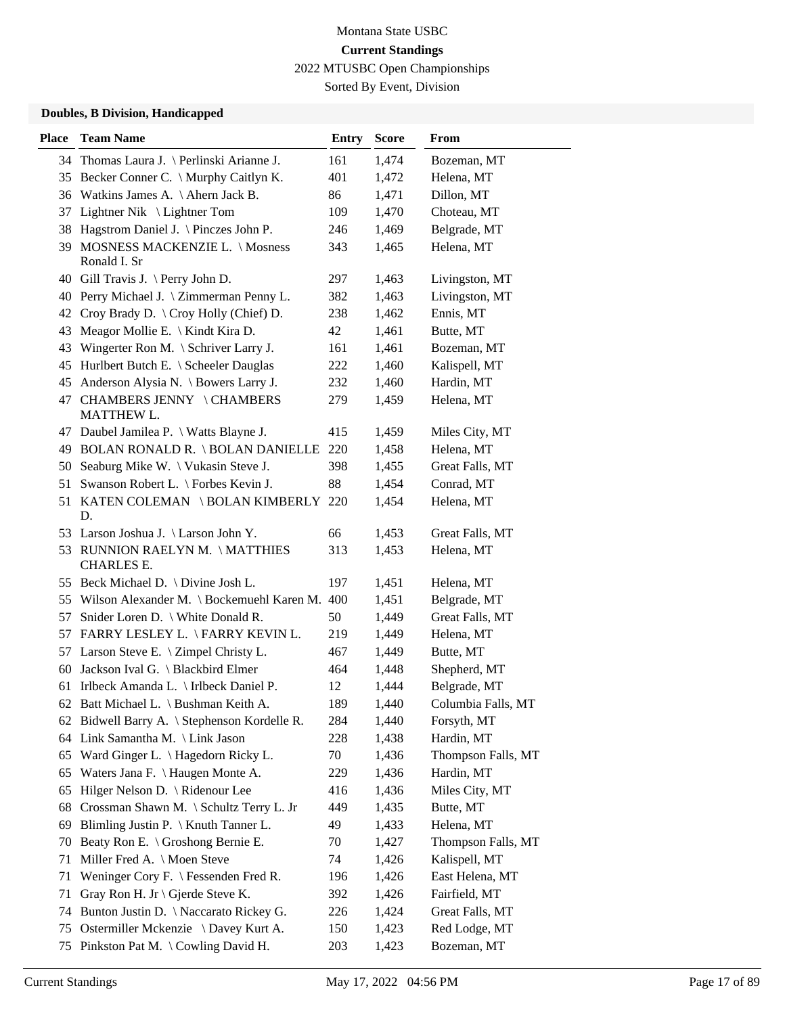Sorted By Event, Division

| 34 Thomas Laura J. \ Perlinski Arianne J.<br>1,474<br>161<br>Bozeman, MT<br>401<br>Helena, MT<br>35 Becker Conner C. \ Murphy Caitlyn K.<br>1,472<br>36 Watkins James A. \Ahern Jack B.<br>Dillon, MT<br>86<br>1,471<br>37 Lightner Nik \ Lightner Tom<br>109<br>1,470<br>Choteau, MT<br>Hagstrom Daniel J. \ Pinczes John P.<br>246<br>Belgrade, MT<br>38<br>1,469<br>MOSNESS MACKENZIE L. \ Mosness<br>Helena, MT<br>39<br>343<br>1,465<br>Ronald I. Sr<br>40 Gill Travis J. \ Perry John D.<br>297<br>Livingston, MT<br>1,463<br>40 Perry Michael J. \ Zimmerman Penny L.<br>Livingston, MT<br>382<br>1,463<br>Croy Brady D. \ Croy Holly (Chief) D.<br>Ennis, MT<br>42<br>238<br>1,462<br>Butte, MT<br>Meagor Mollie E. $\setminus$ Kindt Kira D.<br>42<br>43<br>1,461<br>Wingerter Ron M. \ Schriver Larry J.<br>Bozeman, MT<br>1,461<br>43<br>161<br>45 Hurlbert Butch E. \ Scheeler Dauglas<br>Kalispell, MT<br>1,460<br>222<br>Anderson Alysia N. \ Bowers Larry J.<br>Hardin, MT<br>45<br>232<br>1,460<br>CHAMBERS JENNY \CHAMBERS<br>Helena, MT<br>47<br>279<br>1,459<br>MATTHEW L.<br>415<br>Miles City, MT<br>47 Daubel Jamilea P. \ Watts Blayne J.<br>1,459<br>49 BOLAN RONALD R. \BOLAN DANIELLE 220<br>1,458<br>Helena, MT<br>50 Seaburg Mike W. \ Vukasin Steve J.<br>398<br>1,455<br>Great Falls, MT<br>88<br>Conrad, MT<br>51 Swanson Robert L. \ Forbes Kevin J.<br>1,454<br>51 KATEN COLEMAN \BOLAN KIMBERLY 220<br>Helena, MT<br>1,454<br>D.<br>53 Larson Joshua J. \ Larson John Y.<br>66<br>1,453<br>Great Falls, MT<br>53 RUNNION RAELYN M. \MATTHIES<br>313<br>1,453<br>Helena, MT<br>CHARLES E.<br>55 Beck Michael D. \ Divine Josh L.<br>197<br>1,451<br>Helena, MT<br>55 Wilson Alexander M. \ Bockemuehl Karen M. 400<br>1,451<br>Belgrade, MT<br>57 Snider Loren D. \ White Donald R.<br>50<br>1,449<br>Great Falls, MT<br>57 FARRY LESLEY L. \FARRY KEVIN L.<br>1,449<br>Helena, MT<br>219<br>57 Larson Steve E. \ Zimpel Christy L.<br>Butte, MT<br>467<br>1,449<br>60 Jackson Ival G. \ Blackbird Elmer<br>Shepherd, MT<br>464<br>1,448<br>61 Irlbeck Amanda L. \ Irlbeck Daniel P.<br>Belgrade, MT<br>12<br>1,444<br>62 Batt Michael L. \ Bushman Keith A.<br>1,440<br>Columbia Falls, MT<br>189<br>62 Bidwell Barry A. \ Stephenson Kordelle R.<br>284<br>Forsyth, MT<br>1,440<br>64 Link Samantha M. \ Link Jason<br>228<br>1,438<br>Hardin, MT<br>65 Ward Ginger L. \ Hagedorn Ricky L.<br>Thompson Falls, MT<br>70<br>1,436<br>Waters Jana F. \ Haugen Monte A.<br>Hardin, MT<br>229<br>1,436<br>65<br>Hilger Nelson D. \ Ridenour Lee<br>Miles City, MT<br>416<br>1,436<br>65<br>Butte, MT<br>Crossman Shawn M. \ Schultz Terry L. Jr<br>449<br>1,435<br>68<br>Blimling Justin P. \ Knuth Tanner L.<br>Helena, MT<br>49<br>1,433<br>69<br>Beaty Ron E. \ Groshong Bernie E.<br>70<br>1,427<br>Thompson Falls, MT<br>70<br>Miller Fred A. \ Moen Steve<br>Kalispell, MT<br>74<br>1,426<br>71<br>Weninger Cory F. $\setminus$ Fessenden Fred R.<br>196<br>1,426<br>East Helena, MT<br>71 | <b>Place</b> | <b>Team Name</b> | <b>Entry</b> | <b>Score</b> | From |
|--------------------------------------------------------------------------------------------------------------------------------------------------------------------------------------------------------------------------------------------------------------------------------------------------------------------------------------------------------------------------------------------------------------------------------------------------------------------------------------------------------------------------------------------------------------------------------------------------------------------------------------------------------------------------------------------------------------------------------------------------------------------------------------------------------------------------------------------------------------------------------------------------------------------------------------------------------------------------------------------------------------------------------------------------------------------------------------------------------------------------------------------------------------------------------------------------------------------------------------------------------------------------------------------------------------------------------------------------------------------------------------------------------------------------------------------------------------------------------------------------------------------------------------------------------------------------------------------------------------------------------------------------------------------------------------------------------------------------------------------------------------------------------------------------------------------------------------------------------------------------------------------------------------------------------------------------------------------------------------------------------------------------------------------------------------------------------------------------------------------------------------------------------------------------------------------------------------------------------------------------------------------------------------------------------------------------------------------------------------------------------------------------------------------------------------------------------------------------------------------------------------------------------------------------------------------------------------------------------------------------------------------------------------------------------------------------------------------------------------------------------------------------------------------------------------------------------------------------------------------------------------------------------------------------------------------------------------------------------------------------------------------------------|--------------|------------------|--------------|--------------|------|
|                                                                                                                                                                                                                                                                                                                                                                                                                                                                                                                                                                                                                                                                                                                                                                                                                                                                                                                                                                                                                                                                                                                                                                                                                                                                                                                                                                                                                                                                                                                                                                                                                                                                                                                                                                                                                                                                                                                                                                                                                                                                                                                                                                                                                                                                                                                                                                                                                                                                                                                                                                                                                                                                                                                                                                                                                                                                                                                                                                                                                                |              |                  |              |              |      |
|                                                                                                                                                                                                                                                                                                                                                                                                                                                                                                                                                                                                                                                                                                                                                                                                                                                                                                                                                                                                                                                                                                                                                                                                                                                                                                                                                                                                                                                                                                                                                                                                                                                                                                                                                                                                                                                                                                                                                                                                                                                                                                                                                                                                                                                                                                                                                                                                                                                                                                                                                                                                                                                                                                                                                                                                                                                                                                                                                                                                                                |              |                  |              |              |      |
|                                                                                                                                                                                                                                                                                                                                                                                                                                                                                                                                                                                                                                                                                                                                                                                                                                                                                                                                                                                                                                                                                                                                                                                                                                                                                                                                                                                                                                                                                                                                                                                                                                                                                                                                                                                                                                                                                                                                                                                                                                                                                                                                                                                                                                                                                                                                                                                                                                                                                                                                                                                                                                                                                                                                                                                                                                                                                                                                                                                                                                |              |                  |              |              |      |
|                                                                                                                                                                                                                                                                                                                                                                                                                                                                                                                                                                                                                                                                                                                                                                                                                                                                                                                                                                                                                                                                                                                                                                                                                                                                                                                                                                                                                                                                                                                                                                                                                                                                                                                                                                                                                                                                                                                                                                                                                                                                                                                                                                                                                                                                                                                                                                                                                                                                                                                                                                                                                                                                                                                                                                                                                                                                                                                                                                                                                                |              |                  |              |              |      |
|                                                                                                                                                                                                                                                                                                                                                                                                                                                                                                                                                                                                                                                                                                                                                                                                                                                                                                                                                                                                                                                                                                                                                                                                                                                                                                                                                                                                                                                                                                                                                                                                                                                                                                                                                                                                                                                                                                                                                                                                                                                                                                                                                                                                                                                                                                                                                                                                                                                                                                                                                                                                                                                                                                                                                                                                                                                                                                                                                                                                                                |              |                  |              |              |      |
|                                                                                                                                                                                                                                                                                                                                                                                                                                                                                                                                                                                                                                                                                                                                                                                                                                                                                                                                                                                                                                                                                                                                                                                                                                                                                                                                                                                                                                                                                                                                                                                                                                                                                                                                                                                                                                                                                                                                                                                                                                                                                                                                                                                                                                                                                                                                                                                                                                                                                                                                                                                                                                                                                                                                                                                                                                                                                                                                                                                                                                |              |                  |              |              |      |
|                                                                                                                                                                                                                                                                                                                                                                                                                                                                                                                                                                                                                                                                                                                                                                                                                                                                                                                                                                                                                                                                                                                                                                                                                                                                                                                                                                                                                                                                                                                                                                                                                                                                                                                                                                                                                                                                                                                                                                                                                                                                                                                                                                                                                                                                                                                                                                                                                                                                                                                                                                                                                                                                                                                                                                                                                                                                                                                                                                                                                                |              |                  |              |              |      |
|                                                                                                                                                                                                                                                                                                                                                                                                                                                                                                                                                                                                                                                                                                                                                                                                                                                                                                                                                                                                                                                                                                                                                                                                                                                                                                                                                                                                                                                                                                                                                                                                                                                                                                                                                                                                                                                                                                                                                                                                                                                                                                                                                                                                                                                                                                                                                                                                                                                                                                                                                                                                                                                                                                                                                                                                                                                                                                                                                                                                                                |              |                  |              |              |      |
|                                                                                                                                                                                                                                                                                                                                                                                                                                                                                                                                                                                                                                                                                                                                                                                                                                                                                                                                                                                                                                                                                                                                                                                                                                                                                                                                                                                                                                                                                                                                                                                                                                                                                                                                                                                                                                                                                                                                                                                                                                                                                                                                                                                                                                                                                                                                                                                                                                                                                                                                                                                                                                                                                                                                                                                                                                                                                                                                                                                                                                |              |                  |              |              |      |
|                                                                                                                                                                                                                                                                                                                                                                                                                                                                                                                                                                                                                                                                                                                                                                                                                                                                                                                                                                                                                                                                                                                                                                                                                                                                                                                                                                                                                                                                                                                                                                                                                                                                                                                                                                                                                                                                                                                                                                                                                                                                                                                                                                                                                                                                                                                                                                                                                                                                                                                                                                                                                                                                                                                                                                                                                                                                                                                                                                                                                                |              |                  |              |              |      |
|                                                                                                                                                                                                                                                                                                                                                                                                                                                                                                                                                                                                                                                                                                                                                                                                                                                                                                                                                                                                                                                                                                                                                                                                                                                                                                                                                                                                                                                                                                                                                                                                                                                                                                                                                                                                                                                                                                                                                                                                                                                                                                                                                                                                                                                                                                                                                                                                                                                                                                                                                                                                                                                                                                                                                                                                                                                                                                                                                                                                                                |              |                  |              |              |      |
|                                                                                                                                                                                                                                                                                                                                                                                                                                                                                                                                                                                                                                                                                                                                                                                                                                                                                                                                                                                                                                                                                                                                                                                                                                                                                                                                                                                                                                                                                                                                                                                                                                                                                                                                                                                                                                                                                                                                                                                                                                                                                                                                                                                                                                                                                                                                                                                                                                                                                                                                                                                                                                                                                                                                                                                                                                                                                                                                                                                                                                |              |                  |              |              |      |
|                                                                                                                                                                                                                                                                                                                                                                                                                                                                                                                                                                                                                                                                                                                                                                                                                                                                                                                                                                                                                                                                                                                                                                                                                                                                                                                                                                                                                                                                                                                                                                                                                                                                                                                                                                                                                                                                                                                                                                                                                                                                                                                                                                                                                                                                                                                                                                                                                                                                                                                                                                                                                                                                                                                                                                                                                                                                                                                                                                                                                                |              |                  |              |              |      |
|                                                                                                                                                                                                                                                                                                                                                                                                                                                                                                                                                                                                                                                                                                                                                                                                                                                                                                                                                                                                                                                                                                                                                                                                                                                                                                                                                                                                                                                                                                                                                                                                                                                                                                                                                                                                                                                                                                                                                                                                                                                                                                                                                                                                                                                                                                                                                                                                                                                                                                                                                                                                                                                                                                                                                                                                                                                                                                                                                                                                                                |              |                  |              |              |      |
|                                                                                                                                                                                                                                                                                                                                                                                                                                                                                                                                                                                                                                                                                                                                                                                                                                                                                                                                                                                                                                                                                                                                                                                                                                                                                                                                                                                                                                                                                                                                                                                                                                                                                                                                                                                                                                                                                                                                                                                                                                                                                                                                                                                                                                                                                                                                                                                                                                                                                                                                                                                                                                                                                                                                                                                                                                                                                                                                                                                                                                |              |                  |              |              |      |
|                                                                                                                                                                                                                                                                                                                                                                                                                                                                                                                                                                                                                                                                                                                                                                                                                                                                                                                                                                                                                                                                                                                                                                                                                                                                                                                                                                                                                                                                                                                                                                                                                                                                                                                                                                                                                                                                                                                                                                                                                                                                                                                                                                                                                                                                                                                                                                                                                                                                                                                                                                                                                                                                                                                                                                                                                                                                                                                                                                                                                                |              |                  |              |              |      |
|                                                                                                                                                                                                                                                                                                                                                                                                                                                                                                                                                                                                                                                                                                                                                                                                                                                                                                                                                                                                                                                                                                                                                                                                                                                                                                                                                                                                                                                                                                                                                                                                                                                                                                                                                                                                                                                                                                                                                                                                                                                                                                                                                                                                                                                                                                                                                                                                                                                                                                                                                                                                                                                                                                                                                                                                                                                                                                                                                                                                                                |              |                  |              |              |      |
|                                                                                                                                                                                                                                                                                                                                                                                                                                                                                                                                                                                                                                                                                                                                                                                                                                                                                                                                                                                                                                                                                                                                                                                                                                                                                                                                                                                                                                                                                                                                                                                                                                                                                                                                                                                                                                                                                                                                                                                                                                                                                                                                                                                                                                                                                                                                                                                                                                                                                                                                                                                                                                                                                                                                                                                                                                                                                                                                                                                                                                |              |                  |              |              |      |
|                                                                                                                                                                                                                                                                                                                                                                                                                                                                                                                                                                                                                                                                                                                                                                                                                                                                                                                                                                                                                                                                                                                                                                                                                                                                                                                                                                                                                                                                                                                                                                                                                                                                                                                                                                                                                                                                                                                                                                                                                                                                                                                                                                                                                                                                                                                                                                                                                                                                                                                                                                                                                                                                                                                                                                                                                                                                                                                                                                                                                                |              |                  |              |              |      |
|                                                                                                                                                                                                                                                                                                                                                                                                                                                                                                                                                                                                                                                                                                                                                                                                                                                                                                                                                                                                                                                                                                                                                                                                                                                                                                                                                                                                                                                                                                                                                                                                                                                                                                                                                                                                                                                                                                                                                                                                                                                                                                                                                                                                                                                                                                                                                                                                                                                                                                                                                                                                                                                                                                                                                                                                                                                                                                                                                                                                                                |              |                  |              |              |      |
|                                                                                                                                                                                                                                                                                                                                                                                                                                                                                                                                                                                                                                                                                                                                                                                                                                                                                                                                                                                                                                                                                                                                                                                                                                                                                                                                                                                                                                                                                                                                                                                                                                                                                                                                                                                                                                                                                                                                                                                                                                                                                                                                                                                                                                                                                                                                                                                                                                                                                                                                                                                                                                                                                                                                                                                                                                                                                                                                                                                                                                |              |                  |              |              |      |
|                                                                                                                                                                                                                                                                                                                                                                                                                                                                                                                                                                                                                                                                                                                                                                                                                                                                                                                                                                                                                                                                                                                                                                                                                                                                                                                                                                                                                                                                                                                                                                                                                                                                                                                                                                                                                                                                                                                                                                                                                                                                                                                                                                                                                                                                                                                                                                                                                                                                                                                                                                                                                                                                                                                                                                                                                                                                                                                                                                                                                                |              |                  |              |              |      |
|                                                                                                                                                                                                                                                                                                                                                                                                                                                                                                                                                                                                                                                                                                                                                                                                                                                                                                                                                                                                                                                                                                                                                                                                                                                                                                                                                                                                                                                                                                                                                                                                                                                                                                                                                                                                                                                                                                                                                                                                                                                                                                                                                                                                                                                                                                                                                                                                                                                                                                                                                                                                                                                                                                                                                                                                                                                                                                                                                                                                                                |              |                  |              |              |      |
|                                                                                                                                                                                                                                                                                                                                                                                                                                                                                                                                                                                                                                                                                                                                                                                                                                                                                                                                                                                                                                                                                                                                                                                                                                                                                                                                                                                                                                                                                                                                                                                                                                                                                                                                                                                                                                                                                                                                                                                                                                                                                                                                                                                                                                                                                                                                                                                                                                                                                                                                                                                                                                                                                                                                                                                                                                                                                                                                                                                                                                |              |                  |              |              |      |
|                                                                                                                                                                                                                                                                                                                                                                                                                                                                                                                                                                                                                                                                                                                                                                                                                                                                                                                                                                                                                                                                                                                                                                                                                                                                                                                                                                                                                                                                                                                                                                                                                                                                                                                                                                                                                                                                                                                                                                                                                                                                                                                                                                                                                                                                                                                                                                                                                                                                                                                                                                                                                                                                                                                                                                                                                                                                                                                                                                                                                                |              |                  |              |              |      |
|                                                                                                                                                                                                                                                                                                                                                                                                                                                                                                                                                                                                                                                                                                                                                                                                                                                                                                                                                                                                                                                                                                                                                                                                                                                                                                                                                                                                                                                                                                                                                                                                                                                                                                                                                                                                                                                                                                                                                                                                                                                                                                                                                                                                                                                                                                                                                                                                                                                                                                                                                                                                                                                                                                                                                                                                                                                                                                                                                                                                                                |              |                  |              |              |      |
|                                                                                                                                                                                                                                                                                                                                                                                                                                                                                                                                                                                                                                                                                                                                                                                                                                                                                                                                                                                                                                                                                                                                                                                                                                                                                                                                                                                                                                                                                                                                                                                                                                                                                                                                                                                                                                                                                                                                                                                                                                                                                                                                                                                                                                                                                                                                                                                                                                                                                                                                                                                                                                                                                                                                                                                                                                                                                                                                                                                                                                |              |                  |              |              |      |
|                                                                                                                                                                                                                                                                                                                                                                                                                                                                                                                                                                                                                                                                                                                                                                                                                                                                                                                                                                                                                                                                                                                                                                                                                                                                                                                                                                                                                                                                                                                                                                                                                                                                                                                                                                                                                                                                                                                                                                                                                                                                                                                                                                                                                                                                                                                                                                                                                                                                                                                                                                                                                                                                                                                                                                                                                                                                                                                                                                                                                                |              |                  |              |              |      |
|                                                                                                                                                                                                                                                                                                                                                                                                                                                                                                                                                                                                                                                                                                                                                                                                                                                                                                                                                                                                                                                                                                                                                                                                                                                                                                                                                                                                                                                                                                                                                                                                                                                                                                                                                                                                                                                                                                                                                                                                                                                                                                                                                                                                                                                                                                                                                                                                                                                                                                                                                                                                                                                                                                                                                                                                                                                                                                                                                                                                                                |              |                  |              |              |      |
|                                                                                                                                                                                                                                                                                                                                                                                                                                                                                                                                                                                                                                                                                                                                                                                                                                                                                                                                                                                                                                                                                                                                                                                                                                                                                                                                                                                                                                                                                                                                                                                                                                                                                                                                                                                                                                                                                                                                                                                                                                                                                                                                                                                                                                                                                                                                                                                                                                                                                                                                                                                                                                                                                                                                                                                                                                                                                                                                                                                                                                |              |                  |              |              |      |
|                                                                                                                                                                                                                                                                                                                                                                                                                                                                                                                                                                                                                                                                                                                                                                                                                                                                                                                                                                                                                                                                                                                                                                                                                                                                                                                                                                                                                                                                                                                                                                                                                                                                                                                                                                                                                                                                                                                                                                                                                                                                                                                                                                                                                                                                                                                                                                                                                                                                                                                                                                                                                                                                                                                                                                                                                                                                                                                                                                                                                                |              |                  |              |              |      |
|                                                                                                                                                                                                                                                                                                                                                                                                                                                                                                                                                                                                                                                                                                                                                                                                                                                                                                                                                                                                                                                                                                                                                                                                                                                                                                                                                                                                                                                                                                                                                                                                                                                                                                                                                                                                                                                                                                                                                                                                                                                                                                                                                                                                                                                                                                                                                                                                                                                                                                                                                                                                                                                                                                                                                                                                                                                                                                                                                                                                                                |              |                  |              |              |      |
|                                                                                                                                                                                                                                                                                                                                                                                                                                                                                                                                                                                                                                                                                                                                                                                                                                                                                                                                                                                                                                                                                                                                                                                                                                                                                                                                                                                                                                                                                                                                                                                                                                                                                                                                                                                                                                                                                                                                                                                                                                                                                                                                                                                                                                                                                                                                                                                                                                                                                                                                                                                                                                                                                                                                                                                                                                                                                                                                                                                                                                |              |                  |              |              |      |
|                                                                                                                                                                                                                                                                                                                                                                                                                                                                                                                                                                                                                                                                                                                                                                                                                                                                                                                                                                                                                                                                                                                                                                                                                                                                                                                                                                                                                                                                                                                                                                                                                                                                                                                                                                                                                                                                                                                                                                                                                                                                                                                                                                                                                                                                                                                                                                                                                                                                                                                                                                                                                                                                                                                                                                                                                                                                                                                                                                                                                                |              |                  |              |              |      |
|                                                                                                                                                                                                                                                                                                                                                                                                                                                                                                                                                                                                                                                                                                                                                                                                                                                                                                                                                                                                                                                                                                                                                                                                                                                                                                                                                                                                                                                                                                                                                                                                                                                                                                                                                                                                                                                                                                                                                                                                                                                                                                                                                                                                                                                                                                                                                                                                                                                                                                                                                                                                                                                                                                                                                                                                                                                                                                                                                                                                                                |              |                  |              |              |      |
|                                                                                                                                                                                                                                                                                                                                                                                                                                                                                                                                                                                                                                                                                                                                                                                                                                                                                                                                                                                                                                                                                                                                                                                                                                                                                                                                                                                                                                                                                                                                                                                                                                                                                                                                                                                                                                                                                                                                                                                                                                                                                                                                                                                                                                                                                                                                                                                                                                                                                                                                                                                                                                                                                                                                                                                                                                                                                                                                                                                                                                |              |                  |              |              |      |
|                                                                                                                                                                                                                                                                                                                                                                                                                                                                                                                                                                                                                                                                                                                                                                                                                                                                                                                                                                                                                                                                                                                                                                                                                                                                                                                                                                                                                                                                                                                                                                                                                                                                                                                                                                                                                                                                                                                                                                                                                                                                                                                                                                                                                                                                                                                                                                                                                                                                                                                                                                                                                                                                                                                                                                                                                                                                                                                                                                                                                                |              |                  |              |              |      |
|                                                                                                                                                                                                                                                                                                                                                                                                                                                                                                                                                                                                                                                                                                                                                                                                                                                                                                                                                                                                                                                                                                                                                                                                                                                                                                                                                                                                                                                                                                                                                                                                                                                                                                                                                                                                                                                                                                                                                                                                                                                                                                                                                                                                                                                                                                                                                                                                                                                                                                                                                                                                                                                                                                                                                                                                                                                                                                                                                                                                                                |              |                  |              |              |      |
|                                                                                                                                                                                                                                                                                                                                                                                                                                                                                                                                                                                                                                                                                                                                                                                                                                                                                                                                                                                                                                                                                                                                                                                                                                                                                                                                                                                                                                                                                                                                                                                                                                                                                                                                                                                                                                                                                                                                                                                                                                                                                                                                                                                                                                                                                                                                                                                                                                                                                                                                                                                                                                                                                                                                                                                                                                                                                                                                                                                                                                |              |                  |              |              |      |
|                                                                                                                                                                                                                                                                                                                                                                                                                                                                                                                                                                                                                                                                                                                                                                                                                                                                                                                                                                                                                                                                                                                                                                                                                                                                                                                                                                                                                                                                                                                                                                                                                                                                                                                                                                                                                                                                                                                                                                                                                                                                                                                                                                                                                                                                                                                                                                                                                                                                                                                                                                                                                                                                                                                                                                                                                                                                                                                                                                                                                                |              |                  |              |              |      |
| Gray Ron H. Jr \ Gjerde Steve K.<br>Fairfield, MT<br>392<br>1,426<br>71                                                                                                                                                                                                                                                                                                                                                                                                                                                                                                                                                                                                                                                                                                                                                                                                                                                                                                                                                                                                                                                                                                                                                                                                                                                                                                                                                                                                                                                                                                                                                                                                                                                                                                                                                                                                                                                                                                                                                                                                                                                                                                                                                                                                                                                                                                                                                                                                                                                                                                                                                                                                                                                                                                                                                                                                                                                                                                                                                        |              |                  |              |              |      |
| Bunton Justin D. \ Naccarato Rickey G.<br>226<br>1,424<br>Great Falls, MT<br>74                                                                                                                                                                                                                                                                                                                                                                                                                                                                                                                                                                                                                                                                                                                                                                                                                                                                                                                                                                                                                                                                                                                                                                                                                                                                                                                                                                                                                                                                                                                                                                                                                                                                                                                                                                                                                                                                                                                                                                                                                                                                                                                                                                                                                                                                                                                                                                                                                                                                                                                                                                                                                                                                                                                                                                                                                                                                                                                                                |              |                  |              |              |      |
| Ostermiller Mckenzie \ Davey Kurt A.<br>Red Lodge, MT<br>150<br>1,423<br>75                                                                                                                                                                                                                                                                                                                                                                                                                                                                                                                                                                                                                                                                                                                                                                                                                                                                                                                                                                                                                                                                                                                                                                                                                                                                                                                                                                                                                                                                                                                                                                                                                                                                                                                                                                                                                                                                                                                                                                                                                                                                                                                                                                                                                                                                                                                                                                                                                                                                                                                                                                                                                                                                                                                                                                                                                                                                                                                                                    |              |                  |              |              |      |
| Pinkston Pat M. \ Cowling David H.<br>203<br>1,423<br>Bozeman, MT<br>75                                                                                                                                                                                                                                                                                                                                                                                                                                                                                                                                                                                                                                                                                                                                                                                                                                                                                                                                                                                                                                                                                                                                                                                                                                                                                                                                                                                                                                                                                                                                                                                                                                                                                                                                                                                                                                                                                                                                                                                                                                                                                                                                                                                                                                                                                                                                                                                                                                                                                                                                                                                                                                                                                                                                                                                                                                                                                                                                                        |              |                  |              |              |      |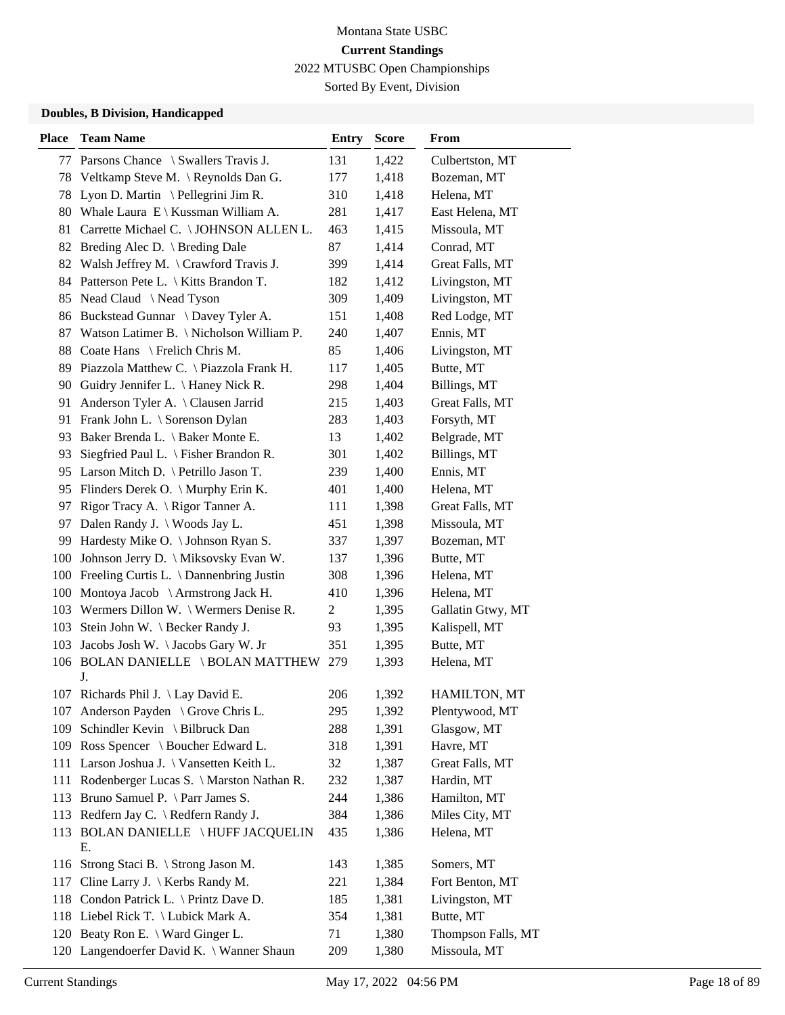Sorted By Event, Division

| <b>Place</b> | <b>Team Name</b>                                 | <b>Entry</b>   | <b>Score</b> | From               |
|--------------|--------------------------------------------------|----------------|--------------|--------------------|
|              | 77 Parsons Chance \ Swallers Travis J.           | 131            | 1,422        | Culbertston, MT    |
|              | 78 Veltkamp Steve M. \Reynolds Dan G.            | 177            | 1,418        | Bozeman, MT        |
| 78           | Lyon D. Martin \ Pellegrini Jim R.               | 310            | 1,418        | Helena, MT         |
|              | 80 Whale Laura E \ Kussman William A.            | 281            | 1,417        | East Helena, MT    |
| 81           | Carrette Michael C. \ JOHNSON ALLEN L.           | 463            | 1,415        | Missoula, MT       |
| 82           | Breding Alec D. \ Breding Dale                   | 87             | 1,414        | Conrad, MT         |
|              | 82 Walsh Jeffrey M. \ Crawford Travis J.         | 399            | 1,414        | Great Falls, MT    |
|              | 84 Patterson Pete L. \ Kitts Brandon T.          | 182            | 1,412        | Livingston, MT     |
|              | 85 Nead Claud \Nead Tyson                        | 309            | 1,409        | Livingston, MT     |
| 86           | Buckstead Gunnar \ Davey Tyler A.                | 151            | 1,408        | Red Lodge, MT      |
| 87           | Watson Latimer B. \ Nicholson William P.         | 240            | 1,407        | Ennis, MT          |
|              | 88 Coate Hans \ Frelich Chris M.                 | 85             | 1,406        | Livingston, MT     |
| 89           | Piazzola Matthew C. \ Piazzola Frank H.          | 117            | 1,405        | Butte, MT          |
| 90           | Guidry Jennifer L. \ Haney Nick R.               | 298            | 1,404        | Billings, MT       |
| 91           | Anderson Tyler A. \ Clausen Jarrid               | 215            | 1,403        | Great Falls, MT    |
|              | 91 Frank John L. \ Sorenson Dylan                | 283            | 1,403        | Forsyth, MT        |
| 93           | Baker Brenda L. \ Baker Monte E.                 | 13             | 1,402        | Belgrade, MT       |
| 93           | Siegfried Paul L. $\backslash$ Fisher Brandon R. | 301            | 1,402        | Billings, MT       |
|              | 95 Larson Mitch D. \ Petrillo Jason T.           | 239            | 1,400        | Ennis, MT          |
|              | 95 Flinders Derek O. \ Murphy Erin K.            | 401            | 1,400        | Helena, MT         |
| 97           | Rigor Tracy A. \ Rigor Tanner A.                 | 111            | 1,398        | Great Falls, MT    |
| 97           | Dalen Randy J. \ Woods Jay L.                    | 451            | 1,398        | Missoula, MT       |
|              | 99 Hardesty Mike O. \ Johnson Ryan S.            | 337            | 1,397        | Bozeman, MT        |
|              | 100 Johnson Jerry D. \ Miksovsky Evan W.         | 137            | 1,396        | Butte, MT          |
|              | 100 Freeling Curtis L. \ Dannenbring Justin      | 308            | 1,396        | Helena, MT         |
| 100          | Montoya Jacob \ Armstrong Jack H.                | 410            | 1,396        | Helena, MT         |
|              | 103 Wermers Dillon W. \ Wermers Denise R.        | $\overline{c}$ | 1,395        | Gallatin Gtwy, MT  |
| 103          | Stein John W. \ Becker Randy J.                  | 93             | 1,395        | Kalispell, MT      |
| 103          | Jacobs Josh W. \Jacobs Gary W. Jr                | 351            | 1,395        | Butte, MT          |
|              | 106 BOLAN DANIELLE \BOLAN MATTHEW 279<br>J.      |                | 1,393        | Helena, MT         |
|              | 107 Richards Phil J. \ Lay David E.              | 206            | 1,392        | HAMILTON, MT       |
|              | 107 Anderson Payden \ Grove Chris L.             | 295            | 1,392        | Plentywood, MT     |
| 109          | Schindler Kevin \ Bilbruck Dan                   | 288            | 1,391        | Glasgow, MT        |
|              | 109 Ross Spencer \ Boucher Edward L.             | 318            | 1,391        | Havre, MT          |
|              | 111 Larson Joshua J. \ Vansetten Keith L.        | 32             | 1,387        | Great Falls, MT    |
|              | 111 Rodenberger Lucas S. \ Marston Nathan R.     | 232            | 1,387        | Hardin, MT         |
|              | 113 Bruno Samuel P. \ Parr James S.              | 244            | 1,386        | Hamilton, MT       |
|              | 113 Redfern Jay C. \ Redfern Randy J.            | 384            | 1,386        | Miles City, MT     |
| 113          | <b>BOLAN DANIELLE \HUFF JACQUELIN</b><br>E.      | 435            | 1,386        | Helena, MT         |
|              | 116 Strong Staci B. \ Strong Jason M.            | 143            | 1,385        | Somers, MT         |
| 117          | Cline Larry J. $\K$ erbs Randy M.                | 221            | 1,384        | Fort Benton, MT    |
|              | 118 Condon Patrick L. \ Printz Dave D.           | 185            | 1,381        | Livingston, MT     |
|              | 118 Liebel Rick T. \ Lubick Mark A.              | 354            | 1,381        | Butte, MT          |
|              | 120 Beaty Ron E. \ Ward Ginger L.                | 71             | 1,380        | Thompson Falls, MT |
|              | 120 Langendoerfer David K. \ Wanner Shaun        | 209            | 1,380        | Missoula, MT       |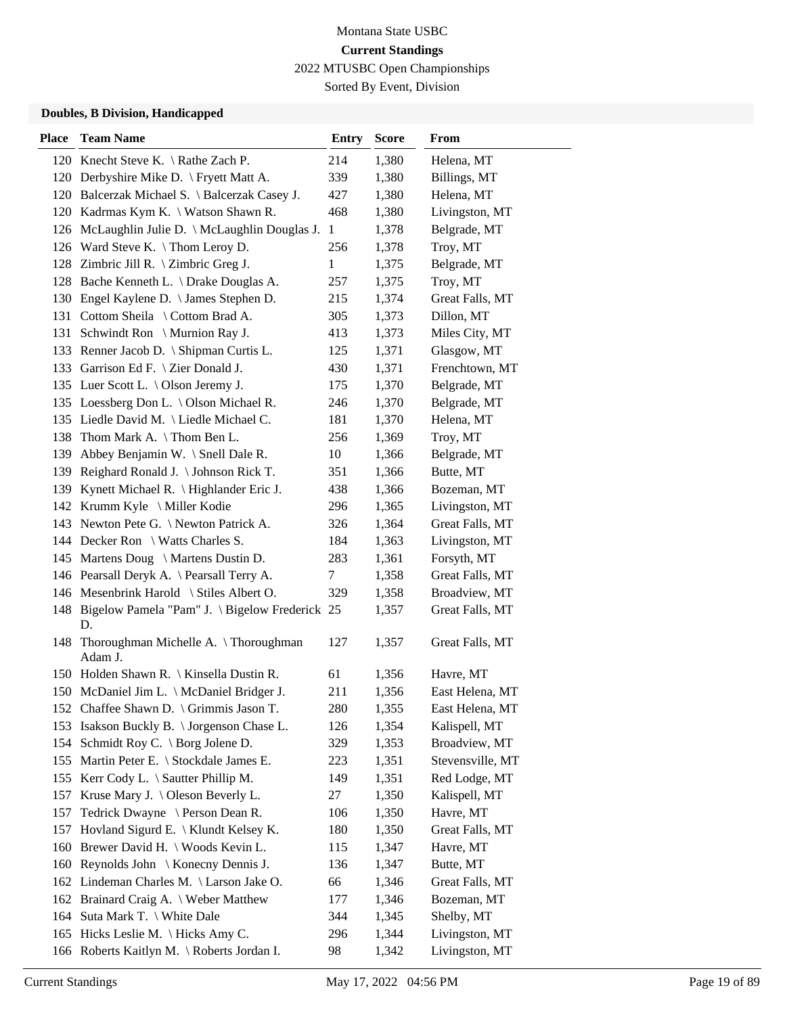Sorted By Event, Division

| <b>Place</b> | <b>Team Name</b>                                         | <b>Entry</b> | <b>Score</b> | From             |
|--------------|----------------------------------------------------------|--------------|--------------|------------------|
|              | 120 Knecht Steve K. \Rathe Zach P.                       | 214          | 1,380        | Helena, MT       |
|              | 120 Derbyshire Mike D. \ Fryett Matt A.                  | 339          | 1,380        | Billings, MT     |
|              | 120 Balcerzak Michael S. \ Balcerzak Casey J.            | 427          | 1,380        | Helena, MT       |
|              | 120 Kadrmas Kym K. \ Watson Shawn R.                     | 468          | 1,380        | Livingston, MT   |
|              | 126 McLaughlin Julie D. \ McLaughlin Douglas J.          | $\mathbf{1}$ | 1,378        | Belgrade, MT     |
|              | 126 Ward Steve K. \Thom Leroy D.                         | 256          | 1,378        | Troy, MT         |
|              | 128 Zimbric Jill R. \ Zimbric Greg J.                    | 1            | 1,375        | Belgrade, MT     |
|              | 128 Bache Kenneth L. \ Drake Douglas A.                  | 257          | 1,375        | Troy, MT         |
|              | 130 Engel Kaylene D. \ James Stephen D.                  | 215          | 1,374        | Great Falls, MT  |
| 131          | Cottom Sheila \ Cottom Brad A.                           | 305          | 1,373        | Dillon, MT       |
| 131          | Schwindt Ron \ Murnion Ray J.                            | 413          | 1,373        | Miles City, MT   |
|              | 133 Renner Jacob D. \ Shipman Curtis L.                  | 125          | 1,371        | Glasgow, MT      |
| 133          | Garrison Ed F. \ Zier Donald J.                          | 430          | 1,371        | Frenchtown, MT   |
|              | 135 Luer Scott L. \ Olson Jeremy J.                      | 175          | 1,370        | Belgrade, MT     |
|              | 135 Loessberg Don L. \ Olson Michael R.                  | 246          | 1,370        | Belgrade, MT     |
|              | 135 Liedle David M. \ Liedle Michael C.                  | 181          | 1,370        | Helena, MT       |
| 138          | Thom Mark A. $\setminus$ Thom Ben L.                     | 256          | 1,369        | Troy, MT         |
| 139          | Abbey Benjamin W. \ Snell Dale R.                        | 10           | 1,366        | Belgrade, MT     |
| 139          | Reighard Ronald J. \ Johnson Rick T.                     | 351          | 1,366        | Butte, MT        |
|              | 139 Kynett Michael R. \ Highlander Eric J.               | 438          | 1,366        | Bozeman, MT      |
|              | 142 Krumm Kyle \ Miller Kodie                            | 296          | 1,365        | Livingston, MT   |
|              | 143 Newton Pete G. \ Newton Patrick A.                   | 326          | 1,364        | Great Falls, MT  |
|              | 144 Decker Ron \ Watts Charles S.                        | 184          | 1,363        | Livingston, MT   |
|              | 145 Martens Doug \ Martens Dustin D.                     | 283          | 1,361        | Forsyth, MT      |
|              | 146 Pearsall Deryk A. \ Pearsall Terry A.                | 7            | 1,358        | Great Falls, MT  |
|              | 146 Mesenbrink Harold \ Stiles Albert O.                 | 329          | 1,358        | Broadview, MT    |
|              | 148 Bigelow Pamela "Pam" J. \ Bigelow Frederick 25<br>D. |              | 1,357        | Great Falls, MT  |
| 148          | Thoroughman Michelle A. \Thoroughman<br>Adam J.          | 127          | 1,357        | Great Falls, MT  |
|              | 150 Holden Shawn R.   Kinsella Dustin R.                 | 61           | 1,356        | Havre, MT        |
|              | 150 McDaniel Jim L. \ McDaniel Bridger J.                | 211          | 1,356        | East Helena, MT  |
|              | 152 Chaffee Shawn D. \ Grimmis Jason T.                  | 280          | 1,355        | East Helena, MT  |
|              | 153 Isakson Buckly B. \ Jorgenson Chase L.               | 126          | 1,354        | Kalispell, MT    |
| 154          | Schmidt Roy C. $\setminus$ Borg Jolene D.                | 329          | 1,353        | Broadview, MT    |
|              | 155 Martin Peter E. \ Stockdale James E.                 | 223          | 1,351        | Stevensville, MT |
|              | 155 Kerr Cody L. \ Sautter Phillip M.                    | 149          | 1,351        | Red Lodge, MT    |
|              | 157 Kruse Mary J. \ Oleson Beverly L.                    | 27           | 1,350        | Kalispell, MT    |
| 157          | Tedrick Dwayne \ Person Dean R.                          | 106          | 1,350        | Havre, MT        |
| 157          | Hovland Sigurd E. \ Klundt Kelsey K.                     | 180          | 1,350        | Great Falls, MT  |
| 160          | Brewer David H. \ Woods Kevin L.                         | 115          | 1,347        | Havre, MT        |
|              | 160 Reynolds John \ Konecny Dennis J.                    | 136          | 1,347        | Butte, MT        |
|              | 162 Lindeman Charles M. \ Larson Jake O.                 | 66           | 1,346        | Great Falls, MT  |
|              | 162 Brainard Craig A. \ Weber Matthew                    | 177          | 1,346        | Bozeman, MT      |
| 164          | Suta Mark T. \ White Dale                                | 344          | 1,345        | Shelby, MT       |
|              | 165 Hicks Leslie M. \ Hicks Amy C.                       | 296          | 1,344        | Livingston, MT   |
|              | 166 Roberts Kaitlyn M. \ Roberts Jordan I.               | 98           | 1,342        | Livingston, MT   |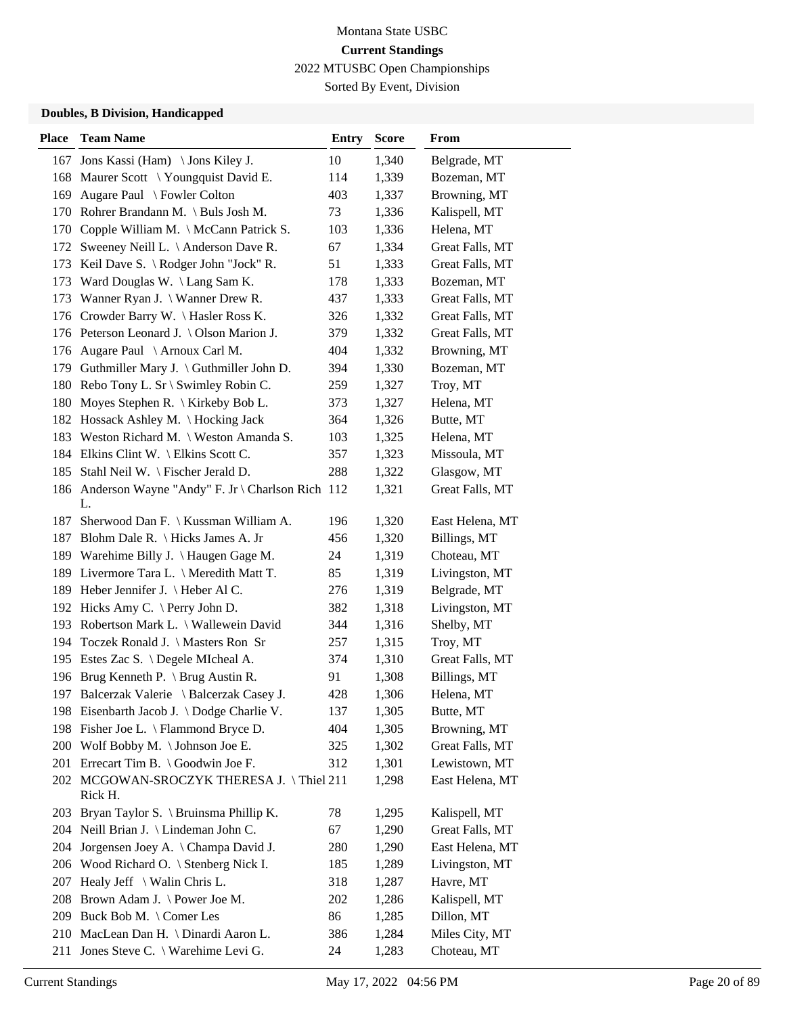Sorted By Event, Division

| <b>Place</b> | <b>Team Name</b>                                          | <b>Entry</b> | <b>Score</b> | From            |
|--------------|-----------------------------------------------------------|--------------|--------------|-----------------|
|              | 167 Jons Kassi (Ham) \ Jons Kiley J.                      | 10           | 1,340        | Belgrade, MT    |
|              | 168 Maurer Scott \ Youngquist David E.                    | 114          | 1,339        | Bozeman, MT     |
| 169          | Augare Paul \ Fowler Colton                               | 403          | 1,337        | Browning, MT    |
| 170          | Rohrer Brandann M. \ Buls Josh M.                         | 73           | 1,336        | Kalispell, MT   |
| 170          | Copple William M. \ McCann Patrick S.                     | 103          | 1,336        | Helena, MT      |
|              | 172 Sweeney Neill L. \ Anderson Dave R.                   | 67           | 1,334        | Great Falls, MT |
|              | 173 Keil Dave S. \ Rodger John "Jock" R.                  | 51           | 1,333        | Great Falls, MT |
| 173          | Ward Douglas W. \ Lang Sam K.                             | 178          | 1,333        | Bozeman, MT     |
| 173          | Wanner Ryan J. \ Wanner Drew R.                           | 437          | 1,333        | Great Falls, MT |
| 176          | Crowder Barry W. \Hasler Ross K.                          | 326          | 1,332        | Great Falls, MT |
|              | 176 Peterson Leonard J. \ Olson Marion J.                 | 379          | 1,332        | Great Falls, MT |
| 176          | Augare Paul \ Arnoux Carl M.                              | 404          | 1,332        | Browning, MT    |
| 179          | Guthmiller Mary J. $\langle$ Guthmiller John D.           | 394          | 1,330        | Bozeman, MT     |
|              | 180 Rebo Tony L. Sr \ Swimley Robin C.                    | 259          | 1,327        | Troy, MT        |
| 180          | Moyes Stephen R. \ Kirkeby Bob L.                         | 373          | 1,327        | Helena, MT      |
|              | 182 Hossack Ashley M. \ Hocking Jack                      | 364          | 1,326        | Butte, MT       |
|              | 183 Weston Richard M. \ Weston Amanda S.                  | 103          | 1,325        | Helena, MT      |
|              | 184 Elkins Clint W. \ Elkins Scott C.                     | 357          | 1,323        | Missoula, MT    |
|              | 185 Stahl Neil W. \ Fischer Jerald D.                     | 288          | 1,322        | Glasgow, MT     |
|              | 186 Anderson Wayne "Andy" F. Jr \ Charlson Rich 112<br>L. |              | 1,321        | Great Falls, MT |
| 187          | Sherwood Dan F. \ Kussman William A.                      | 196          | 1,320        | East Helena, MT |
|              | 187 Blohm Dale R. \ Hicks James A. Jr                     | 456          | 1,320        | Billings, MT    |
|              | 189 Warehime Billy J. \ Haugen Gage M.                    | 24           | 1,319        | Choteau, MT     |
|              | 189 Livermore Tara L. \ Meredith Matt T.                  | 85           | 1,319        | Livingston, MT  |
|              | 189 Heber Jennifer J. \ Heber Al C.                       | 276          | 1,319        | Belgrade, MT    |
|              | 192 Hicks Amy C. \ Perry John D.                          | 382          | 1,318        | Livingston, MT  |
|              | 193 Robertson Mark L. \ Wallewein David                   | 344          | 1,316        | Shelby, MT      |
| 194          | Toczek Ronald J. \ Masters Ron Sr                         | 257          | 1,315        | Troy, MT        |
|              | 195 Estes Zac S. \ Degele MIcheal A.                      | 374          | 1,310        | Great Falls, MT |
|              | 196 Brug Kenneth P. \ Brug Austin R.                      | 91           | 1,308        | Billings, MT    |
|              | 197 Balcerzak Valerie \ Balcerzak Casey J.                | 428          | 1,306        | Helena, MT      |
|              | 198 Eisenbarth Jacob J. \Dodge Charlie V.                 | 137          | 1,305        | Butte, MT       |
|              | 198 Fisher Joe L. \ Flammond Bryce D.                     | 404          | 1,305        | Browning, MT    |
|              | 200 Wolf Bobby M. \Johnson Joe E.                         | 325          | 1,302        | Great Falls, MT |
|              | 201 Errecart Tim B. \ Goodwin Joe F.                      | 312          | 1,301        | Lewistown, MT   |
|              | 202 MCGOWAN-SROCZYK THERESA J. \Thiel 211<br>Rick H.      |              | 1,298        | East Helena, MT |
|              | 203 Bryan Taylor S. \ Bruinsma Phillip K.                 | 78           | 1,295        | Kalispell, MT   |
|              | 204 Neill Brian J. \ Lindeman John C.                     | 67           | 1,290        | Great Falls, MT |
| 204          | Jorgensen Joey A. \ Champa David J.                       | 280          | 1,290        | East Helena, MT |
|              | 206 Wood Richard O. \ Stenberg Nick I.                    | 185          | 1,289        | Livingston, MT  |
| 207          | Healy Jeff $\setminus$ Walin Chris L.                     | 318          | 1,287        | Havre, MT       |
| 208          | Brown Adam J. \ Power Joe M.                              | 202          | 1,286        | Kalispell, MT   |
|              | 209 Buck Bob M. \ Comer Les                               | 86           | 1,285        | Dillon, MT      |
|              | 210 MacLean Dan H. \ Dinardi Aaron L.                     | 386          | 1,284        | Miles City, MT  |
| 211          | Jones Steve C. \ Warehime Levi G.                         | 24           | 1,283        | Choteau, MT     |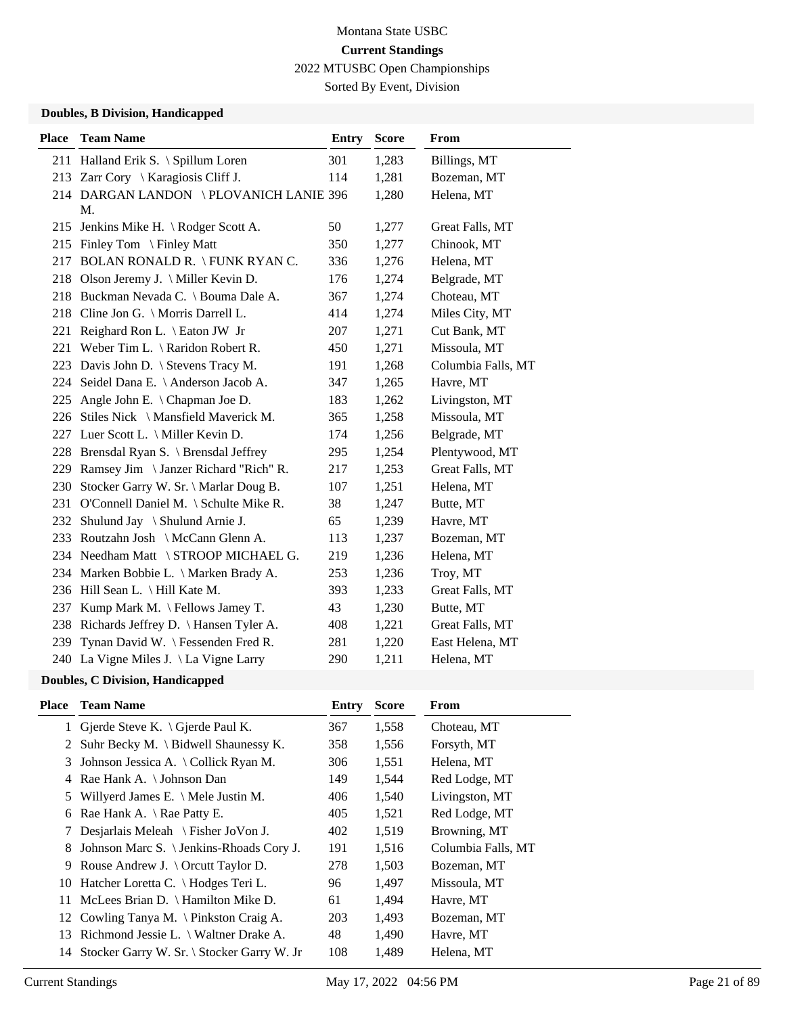Sorted By Event, Division

### **Doubles, B Division, Handicapped**

| <b>Team Name</b>                         | <b>Entry</b>                                                                                                                                                                                                                                                                                                                                                                                                                                                                                                                                | <b>Score</b>                            | From               |
|------------------------------------------|---------------------------------------------------------------------------------------------------------------------------------------------------------------------------------------------------------------------------------------------------------------------------------------------------------------------------------------------------------------------------------------------------------------------------------------------------------------------------------------------------------------------------------------------|-----------------------------------------|--------------------|
|                                          | 301                                                                                                                                                                                                                                                                                                                                                                                                                                                                                                                                         | 1,283                                   | Billings, MT       |
|                                          | 114                                                                                                                                                                                                                                                                                                                                                                                                                                                                                                                                         | 1,281                                   | Bozeman, MT        |
| M.                                       |                                                                                                                                                                                                                                                                                                                                                                                                                                                                                                                                             | 1,280                                   | Helena, MT         |
| Jenkins Mike H. \ Rodger Scott A.        | 50                                                                                                                                                                                                                                                                                                                                                                                                                                                                                                                                          | 1,277                                   | Great Falls, MT    |
|                                          | 350                                                                                                                                                                                                                                                                                                                                                                                                                                                                                                                                         | 1,277                                   | Chinook, MT        |
|                                          | 336                                                                                                                                                                                                                                                                                                                                                                                                                                                                                                                                         | 1,276                                   | Helena, MT         |
| Olson Jeremy J. \ Miller Kevin D.        | 176                                                                                                                                                                                                                                                                                                                                                                                                                                                                                                                                         | 1,274                                   | Belgrade, MT       |
|                                          | 367                                                                                                                                                                                                                                                                                                                                                                                                                                                                                                                                         | 1,274                                   | Choteau, MT        |
| Cline Jon G. \ Morris Darrell L.         | 414                                                                                                                                                                                                                                                                                                                                                                                                                                                                                                                                         | 1,274                                   | Miles City, MT     |
| Reighard Ron L. \ Eaton JW Jr            | 207                                                                                                                                                                                                                                                                                                                                                                                                                                                                                                                                         | 1,271                                   | Cut Bank, MT       |
|                                          | 450                                                                                                                                                                                                                                                                                                                                                                                                                                                                                                                                         | 1,271                                   | Missoula, MT       |
| Davis John D. \ Stevens Tracy M.         | 191                                                                                                                                                                                                                                                                                                                                                                                                                                                                                                                                         | 1,268                                   | Columbia Falls, MT |
| Seidel Dana E. \ Anderson Jacob A.       | 347                                                                                                                                                                                                                                                                                                                                                                                                                                                                                                                                         | 1,265                                   | Havre, MT          |
| Angle John E. $\setminus$ Chapman Joe D. | 183                                                                                                                                                                                                                                                                                                                                                                                                                                                                                                                                         | 1,262                                   | Livingston, MT     |
| Stiles Nick \ Mansfield Maverick M.      | 365                                                                                                                                                                                                                                                                                                                                                                                                                                                                                                                                         | 1,258                                   | Missoula, MT       |
|                                          | 174                                                                                                                                                                                                                                                                                                                                                                                                                                                                                                                                         | 1,256                                   | Belgrade, MT       |
|                                          | 295                                                                                                                                                                                                                                                                                                                                                                                                                                                                                                                                         | 1,254                                   | Plentywood, MT     |
| Ramsey Jim \ Janzer Richard "Rich" R.    | 217                                                                                                                                                                                                                                                                                                                                                                                                                                                                                                                                         | 1,253                                   | Great Falls, MT    |
| Stocker Garry W. Sr. \ Marlar Doug B.    | 107                                                                                                                                                                                                                                                                                                                                                                                                                                                                                                                                         | 1,251                                   | Helena, MT         |
| O'Connell Daniel M. \ Schulte Mike R.    | 38                                                                                                                                                                                                                                                                                                                                                                                                                                                                                                                                          | 1,247                                   | Butte, MT          |
| Shulund Jay \ Shulund Arnie J.           | 65                                                                                                                                                                                                                                                                                                                                                                                                                                                                                                                                          | 1,239                                   | Havre, MT          |
|                                          | 113                                                                                                                                                                                                                                                                                                                                                                                                                                                                                                                                         | 1,237                                   | Bozeman, MT        |
| Needham Matt \ STROOP MICHAEL G.         | 219                                                                                                                                                                                                                                                                                                                                                                                                                                                                                                                                         | 1,236                                   | Helena, MT         |
|                                          | 253                                                                                                                                                                                                                                                                                                                                                                                                                                                                                                                                         | 1,236                                   | Troy, MT           |
|                                          | 393                                                                                                                                                                                                                                                                                                                                                                                                                                                                                                                                         | 1,233                                   | Great Falls, MT    |
| Kump Mark M. $\ \$ Fellows Jamey T.      | 43                                                                                                                                                                                                                                                                                                                                                                                                                                                                                                                                          | 1,230                                   | Butte, MT          |
|                                          | 408                                                                                                                                                                                                                                                                                                                                                                                                                                                                                                                                         | 1,221                                   | Great Falls, MT    |
| Tynan David W. \ Fessenden Fred R.       | 281                                                                                                                                                                                                                                                                                                                                                                                                                                                                                                                                         | 1,220                                   | East Helena, MT    |
|                                          | 290                                                                                                                                                                                                                                                                                                                                                                                                                                                                                                                                         | 1,211                                   | Helena, MT         |
|                                          | 211 Halland Erik S. \ Spillum Loren<br>213 Zarr Cory \ Karagiosis Cliff J.<br>215 Finley Tom \ Finley Matt<br>217 BOLAN RONALD R. \FUNK RYAN C.<br>218 Buckman Nevada C. \ Bouma Dale A.<br>Weber Tim L. $\lambda$ Raridon Robert R.<br>224<br>227 Luer Scott L. \ Miller Kevin D.<br>228 Brensdal Ryan S. \ Brensdal Jeffrey<br>232<br>Routzahn Josh \ McCann Glenn A.<br>234 Marken Bobbie L. \ Marken Brady A.<br>236 Hill Sean L. \ Hill Kate M.<br>238 Richards Jeffrey D. \ Hansen Tyler A.<br>240 La Vigne Miles J. \ La Vigne Larry | 214 DARGAN LANDON \ PLOVANICH LANIE 396 |                    |

| Place | <b>Team Name</b>                               | Entry | <b>Score</b> | From               |
|-------|------------------------------------------------|-------|--------------|--------------------|
|       | 1 Gjerde Steve K. $\bigcap$ Gjerde Paul K.     | 367   | 1,558        | Choteau, MT        |
|       | 2 Suhr Becky M. \ Bidwell Shaunessy K.         | 358   | 1,556        | Forsyth, MT        |
| 3     | Johnson Jessica A. $\setminus$ Collick Ryan M. | 306   | 1,551        | Helena, MT         |
|       | 4 Rae Hank A. \ Johnson Dan                    | 149   | 1,544        | Red Lodge, MT      |
| 5     | Willyerd James E. $\setminus$ Mele Justin M.   | 406   | 1,540        | Livingston, MT     |
| 6     | Rae Hank A. $\Re$ Rae Patty E.                 | 405   | 1,521        | Red Lodge, MT      |
|       | Desjarlais Meleah \ Fisher JoVon J.            | 402   | 1,519        | Browning, MT       |
| 8     | Johnson Marc S. \ Jenkins-Rhoads Cory J.       | 191   | 1,516        | Columbia Falls, MT |
| 9     | Rouse Andrew J. $\text{Orcutt}$ Taylor D.      | 278   | 1,503        | Bozeman, MT        |
| 10    | Hatcher Loretta C. \ Hodges Teri L.            | 96    | 1,497        | Missoula, MT       |
| 11    | McLees Brian D. $\{$ Hamilton Mike D.          | 61    | 1,494        | Havre, MT          |
|       | 12 Cowling Tanya M. \ Pinkston Craig A.        | 203   | 1,493        | Bozeman, MT        |
| 13    | Richmond Jessie L. \ Waltner Drake A.          | 48    | 1,490        | Havre, MT          |
| 14    | Stocker Garry W. Sr. \ Stocker Garry W. Jr     | 108   | 1,489        | Helena, MT         |
|       |                                                |       |              |                    |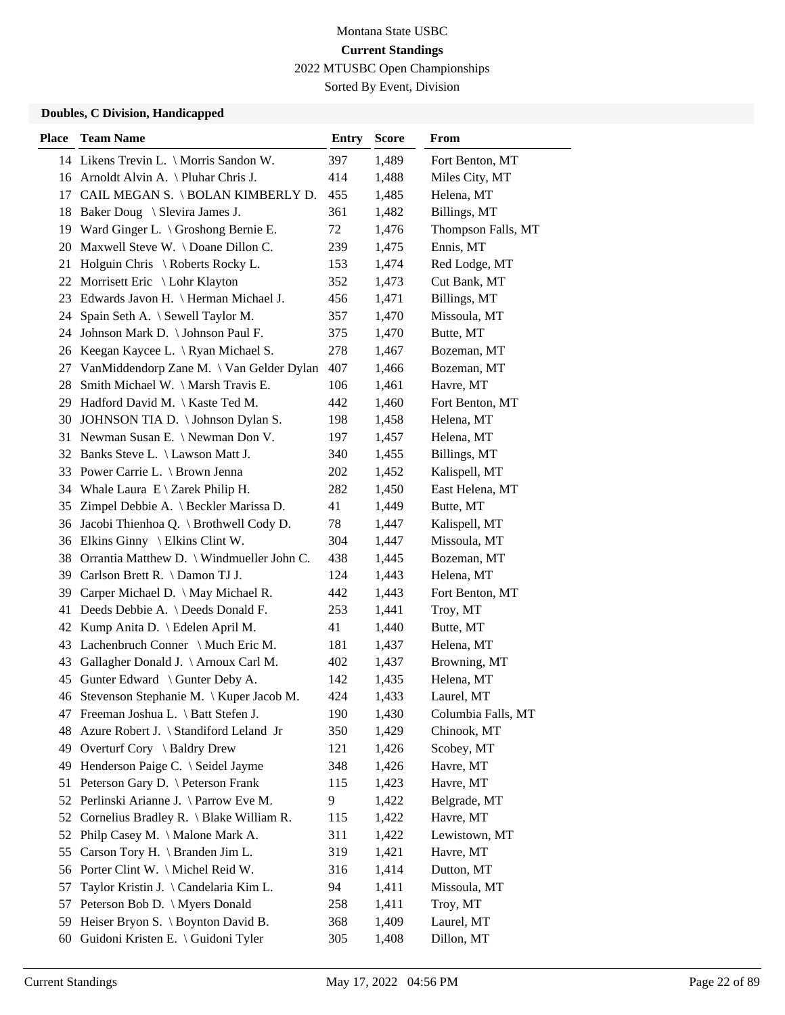Sorted By Event, Division

| <b>Place</b> | <b>Team Name</b>                              | <b>Entry</b> | <b>Score</b> | From               |
|--------------|-----------------------------------------------|--------------|--------------|--------------------|
|              | 14 Likens Trevin L. \ Morris Sandon W.        | 397          | 1,489        | Fort Benton, MT    |
|              | 16 Arnoldt Alvin A. \ Pluhar Chris J.         | 414          | 1,488        | Miles City, MT     |
| 17           | CAIL MEGAN S. \ BOLAN KIMBERLY D.             | 455          | 1,485        | Helena, MT         |
|              | 18 Baker Doug \ Slevira James J.              | 361          | 1,482        | Billings, MT       |
|              | 19 Ward Ginger L. \ Groshong Bernie E.        | 72           | 1,476        | Thompson Falls, MT |
| 20           | Maxwell Steve W. \Doane Dillon C.             | 239          | 1,475        | Ennis, MT          |
| 21           | Holguin Chris \ Roberts Rocky L.              | 153          | 1,474        | Red Lodge, MT      |
|              | 22 Morrisett Eric \ Lohr Klayton              | 352          | 1,473        | Cut Bank, MT       |
| 23           | Edwards Javon H. \ Herman Michael J.          | 456          | 1,471        | Billings, MT       |
| 24           | Spain Seth A. \ Sewell Taylor M.              | 357          | 1,470        | Missoula, MT       |
| 24           | Johnson Mark D. \ Johnson Paul F.             | 375          | 1,470        | Butte, MT          |
|              | 26 Keegan Kaycee L. \Ryan Michael S.          | 278          | 1,467        | Bozeman, MT        |
| 27           | Van Middendorp Zane M. \ Van Gelder Dylan     | 407          | 1,466        | Bozeman, MT        |
| 28           | Smith Michael W. \ Marsh Travis E.            | 106          | 1,461        | Havre, MT          |
| 29           | Hadford David M.   Kaste Ted M.               | 442          | 1,460        | Fort Benton, MT    |
|              | 30 JOHNSON TIA D. \ Johnson Dylan S.          | 198          | 1,458        | Helena, MT         |
| 31           | Newman Susan E. \Newman Don V.                | 197          | 1,457        | Helena, MT         |
| 32           | Banks Steve L. \ Lawson Matt J.               | 340          | 1,455        | Billings, MT       |
| 33           | Power Carrie L. \ Brown Jenna                 | 202          | 1,452        | Kalispell, MT      |
|              | 34 Whale Laura $E \setminus Z$ arek Philip H. | 282          | 1,450        | East Helena, MT    |
| 35           | Zimpel Debbie A. \ Beckler Marissa D.         | 41           | 1,449        | Butte, MT          |
| 36           | Jacobi Thienhoa Q. \ Brothwell Cody D.        | 78           | 1,447        | Kalispell, MT      |
|              | 36 Elkins Ginny \ Elkins Clint W.             | 304          | 1,447        | Missoula, MT       |
|              | 38 Orrantia Matthew D. \ Windmueller John C.  | 438          | 1,445        | Bozeman, MT        |
|              | 39 Carlson Brett R. \ Damon TJ J.             | 124          | 1,443        | Helena, MT         |
| 39           | Carper Michael D. \ May Michael R.            | 442          | 1,443        | Fort Benton, MT    |
| 41           | Deeds Debbie A. \ Deeds Donald F.             | 253          | 1,441        | Troy, MT           |
| 42           | Kump Anita D.   Edelen April M.               | 41           | 1,440        | Butte, MT          |
| 43           | Lachenbruch Conner \ Much Eric M.             | 181          | 1,437        | Helena, MT         |
| 43           | Gallagher Donald J. \ Arnoux Carl M.          | 402          | 1,437        | Browning, MT       |
| 45           | Gunter Edward \ Gunter Deby A.                | 142          | 1,435        | Helena, MT         |
|              | 46 Stevenson Stephanie M. \ Kuper Jacob M.    | 424          | 1,433        | Laurel, MT         |
|              | 47 Freeman Joshua L. \ Batt Stefen J.         | 190          | 1,430        | Columbia Falls, MT |
| 48           | Azure Robert J. \ Standiford Leland Jr        | 350          | 1,429        | Chinook, MT        |
| 49           | Overturf Cory \ Baldry Drew                   | 121          | 1,426        | Scobey, MT         |
| 49           | Henderson Paige C. \ Seidel Jayme             | 348          | 1,426        | Havre, MT          |
| 51           | Peterson Gary D. \ Peterson Frank             | 115          | 1,423        | Havre, MT          |
| 52           | Perlinski Arianne J. \ Parrow Eve M.          | 9            | 1,422        | Belgrade, MT       |
| 52           | Cornelius Bradley R. \ Blake William R.       | 115          | 1,422        | Havre, MT          |
| 52           | Philp Casey M. \ Malone Mark A.               | 311          | 1,422        | Lewistown, MT      |
| 55           | Carson Tory H. \ Branden Jim L.               | 319          | 1,421        | Havre, MT          |
|              | 56 Porter Clint W. \ Michel Reid W.           | 316          | 1,414        | Dutton, MT         |
| 57           | Taylor Kristin J. \ Candelaria Kim L.         | 94           | 1,411        | Missoula, MT       |
| 57           | Peterson Bob D. \ Myers Donald                | 258          | 1,411        | Troy, MT           |
| 59           | Heiser Bryon S. \ Boynton David B.            | 368          | 1,409        | Laurel, MT         |
|              | 60 Guidoni Kristen E. \ Guidoni Tyler         | 305          | 1,408        | Dillon, MT         |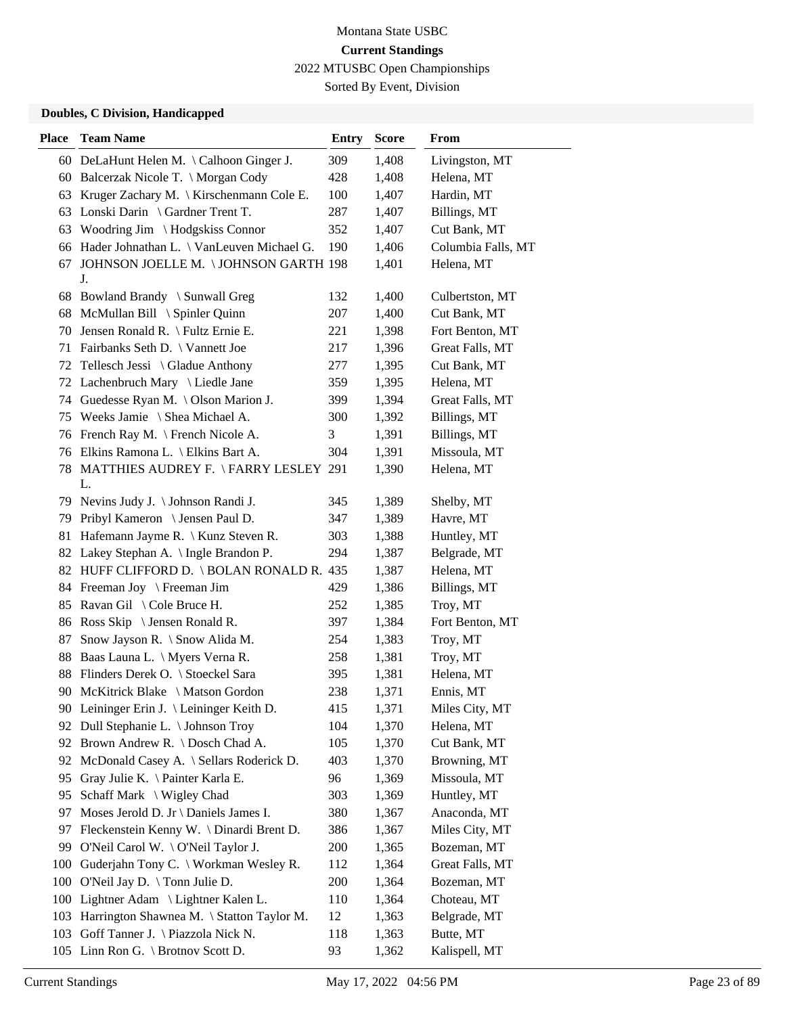Sorted By Event, Division

| <b>Place</b> | <b>Team Name</b>                            | <b>Entry</b> | <b>Score</b> | From                       |
|--------------|---------------------------------------------|--------------|--------------|----------------------------|
|              | 60 DeLaHunt Helen M. \Calhoon Ginger J.     | 309          | 1,408        | Livingston, MT             |
|              | 60 Balcerzak Nicole T. \ Morgan Cody        | 428          | 1,408        | Helena, MT                 |
|              | 63 Kruger Zachary M. \ Kirschenmann Cole E. | 100          | 1,407        | Hardin, MT                 |
| 63           | Lonski Darin \ Gardner Trent T.             | 287          | 1,407        | Billings, MT               |
| 63           | Woodring Jim \Hodgskiss Connor              | 352          | 1,407        | Cut Bank, MT               |
| 66           | Hader Johnathan L. \ VanLeuven Michael G.   | 190          | 1,406        | Columbia Falls, MT         |
| 67           | JOHNSON JOELLE M. \ JOHNSON GARTH 198       |              | 1,401        | Helena, MT                 |
|              | J.<br>68 Bowland Brandy \ Sunwall Greg      | 132          | 1,400        | Culbertston, MT            |
|              | McMullan Bill \ Spinler Quinn               | 207          | 1,400        | Cut Bank, MT               |
| 68           |                                             |              |              |                            |
| 70           | Jensen Ronald R. \ Fultz Ernie E.           | 221          | 1,398        | Fort Benton, MT            |
| 71           | Fairbanks Seth D. \ Vannett Joe             | 217          | 1,396        | Great Falls, MT            |
|              | 72 Tellesch Jessi \ Gladue Anthony          | 277          | 1,395        | Cut Bank, MT               |
| 72           | Lachenbruch Mary \ Liedle Jane              | 359          | 1,395        | Helena, MT                 |
| 74           | Guedesse Ryan M. \ Olson Marion J.          | 399          | 1,394        | Great Falls, MT            |
|              | 75 Weeks Jamie \ Shea Michael A.            | 300          | 1,392        | Billings, MT               |
| 76           | French Ray M. \ French Nicole A.            | 3            | 1,391        | Billings, MT               |
|              | 76 Elkins Ramona L. \ Elkins Bart A.        | 304          | 1,391        | Missoula, MT               |
| 78           | MATTHIES AUDREY F. \FARRY LESLEY 291<br>L.  |              | 1,390        | Helena, MT                 |
|              | 79 Nevins Judy J. \ Johnson Randi J.        | 345          | 1,389        | Shelby, MT                 |
| 79           | Pribyl Kameron \ Jensen Paul D.             | 347          | 1,389        | Havre, MT                  |
| 81           | Hafemann Jayme R. \ Kunz Steven R.          | 303          | 1,388        | Huntley, MT                |
| 82           | Lakey Stephan A. \ Ingle Brandon P.         | 294          | 1,387        | Belgrade, MT               |
|              | 82 HUFF CLIFFORD D. \BOLAN RONALD R. 435    |              | 1,387        | Helena, MT                 |
|              | 84 Freeman Joy \ Freeman Jim                | 429          | 1,386        | Billings, MT               |
| 85           | Ravan Gil \ Cole Bruce H.                   | 252          | 1,385        | Troy, MT                   |
| 86           | Ross Skip $\setminus$ Jensen Ronald R.      | 397          | 1,384        | Fort Benton, MT            |
| 87           | Snow Jayson R. \ Snow Alida M.              | 254          | 1,383        | Troy, MT                   |
| 88           | Baas Launa L. \ Myers Verna R.              | 258          | 1,381        | Troy, MT                   |
| 88           | Flinders Derek O. \ Stoeckel Sara           | 395          | 1,381        | Helena, MT                 |
| 90           | McKitrick Blake \ Matson Gordon             | 238          | 1,371        | Ennis, MT                  |
|              | 90 Leininger Erin J. \ Leininger Keith D.   | 415          | 1,371        | Miles City, MT             |
| 92           | Dull Stephanie L. \ Johnson Troy            | 104          | 1,370        | Helena, MT                 |
| 92           | Brown Andrew R. \ Dosch Chad A.             | 105          | 1,370        | Cut Bank, MT               |
| 92           | McDonald Casey A. \ Sellars Roderick D.     | 403          | 1,370        | Browning, MT               |
| 95           | Gray Julie K. \ Painter Karla E.            | 96           | 1,369        | Missoula, MT               |
| 95           | Schaff Mark \ Wigley Chad                   | 303          | 1,369        | Huntley, MT                |
| 97           | Moses Jerold D. Jr \ Daniels James I.       | 380          | 1,367        | Anaconda, MT               |
| 97           | Fleckenstein Kenny W. \ Dinardi Brent D.    | 386          | 1,367        | Miles City, MT             |
| 99           | O'Neil Carol W. \ O'Neil Taylor J.          | 200          | 1,365        | Bozeman, MT                |
| $100\,$      | Guderjahn Tony C. \ Workman Wesley R.       | 112          | 1,364        | Great Falls, MT            |
| 100          | O'Neil Jay D. \ Tonn Julie D.               | 200          | 1,364        | Bozeman, MT                |
| 100          | Lightner Adam \ Lightner Kalen L.           | 110          | 1,364        | Choteau, MT                |
|              | Harrington Shawnea M. \ Statton Taylor M.   | 12           | 1,363        | Belgrade, MT               |
| 103          |                                             |              |              |                            |
| 103          | Goff Tanner J. \ Piazzola Nick N.           | 118          | 1,363        | Butte, MT<br>Kalispell, MT |
|              | 105 Linn Ron G. \ Brotnov Scott D.          | 93           | 1,362        |                            |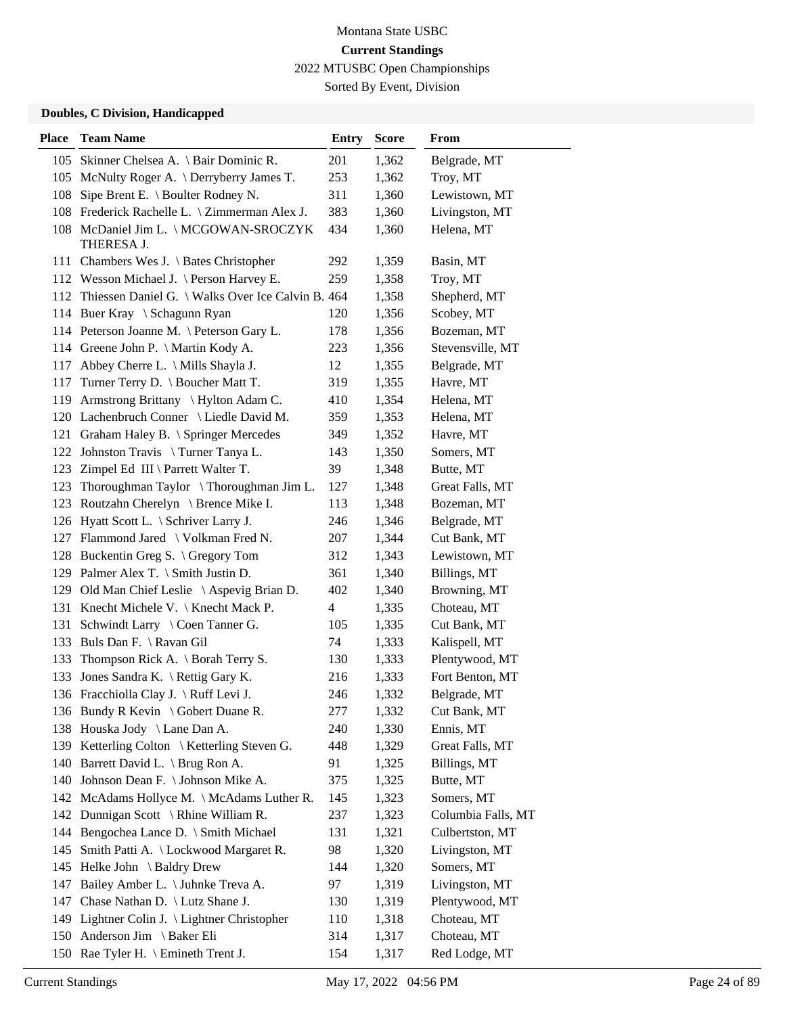Sorted By Event, Division

| <b>Place</b> | <b>Team Name</b>                                      | <b>Entry</b> | <b>Score</b> | From               |
|--------------|-------------------------------------------------------|--------------|--------------|--------------------|
| 105          | Skinner Chelsea A. \ Bair Dominic R.                  | 201          | 1,362        | Belgrade, MT       |
|              | 105 McNulty Roger A. \ Derryberry James T.            | 253          | 1,362        | Troy, MT           |
| 108          | Sipe Brent E. \ Boulter Rodney N.                     | 311          | 1,360        | Lewistown, MT      |
| 108          | Frederick Rachelle L. \ Zimmerman Alex J.             | 383          | 1,360        | Livingston, MT     |
|              | 108 McDaniel Jim L. \MCGOWAN-SROCZYK<br>THERESA J.    | 434          | 1,360        | Helena, MT         |
|              | 111 Chambers Wes J. \ Bates Christopher               | 292          | 1,359        | Basin, MT          |
|              | 112 Wesson Michael J. \ Person Harvey E.              | 259          | 1,358        | Troy, MT           |
|              | 112 Thiessen Daniel G. \ Walks Over Ice Calvin B. 464 |              | 1,358        | Shepherd, MT       |
|              | 114 Buer Kray \ Schagunn Ryan                         | 120          | 1,356        | Scobey, MT         |
|              | 114 Peterson Joanne M. \ Peterson Gary L.             | 178          | 1,356        | Bozeman, MT        |
|              | 114 Greene John P. \ Martin Kody A.                   | 223          | 1,356        | Stevensville, MT   |
| 117          | Abbey Cherre L. \ Mills Shayla J.                     | 12           | 1,355        | Belgrade, MT       |
|              | Turner Terry D. \ Boucher Matt T.                     |              | 1,355        | Havre, MT          |
| 117          | Armstrong Brittany \ Hylton Adam C.                   | 319          |              |                    |
| 119          |                                                       | 410          | 1,354        | Helena, MT         |
|              | 120 Lachenbruch Conner \ Liedle David M.              | 359          | 1,353        | Helena, MT         |
|              | 121 Graham Haley B. \ Springer Mercedes               | 349          | 1,352        | Havre, MT          |
|              | 122 Johnston Travis \ Turner Tanya L.                 | 143          | 1,350        | Somers, MT         |
| 123          | Zimpel Ed III \ Parrett Walter T.                     | 39           | 1,348        | Butte, MT          |
| 123          | Thoroughman Taylor \Thoroughman Jim L.                | 127          | 1,348        | Great Falls, MT    |
| 123          | Routzahn Cherelyn \ Brence Mike I.                    | 113          | 1,348        | Bozeman, MT        |
|              | 126 Hyatt Scott L. \ Schriver Larry J.                | 246          | 1,346        | Belgrade, MT       |
|              | 127 Flammond Jared \ Volkman Fred N.                  | 207          | 1,344        | Cut Bank, MT       |
| 128          | Buckentin Greg S. $\backslash$ Gregory Tom            | 312          | 1,343        | Lewistown, MT      |
|              | 129 Palmer Alex T. \ Smith Justin D.                  | 361          | 1,340        | Billings, MT       |
|              | 129 Old Man Chief Leslie \ Aspevig Brian D.           | 402          | 1,340        | Browning, MT       |
|              | 131 Knecht Michele V. \ Knecht Mack P.                | 4            | 1,335        | Choteau, MT        |
| 131          | Schwindt Larry \ Coen Tanner G.                       | 105          | 1,335        | Cut Bank, MT       |
| 133          | Buls Dan F. \ Ravan Gil                               | 74           | 1,333        | Kalispell, MT      |
| 133          | Thompson Rick A. $\setminus$ Borah Terry S.           | 130          | 1,333        | Plentywood, MT     |
| 133          | Jones Sandra K. \ Rettig Gary K.                      | 216          | 1,333        | Fort Benton, MT    |
|              | 136 Fracchiolla Clay J. \ Ruff Levi J.                | 246          | 1,332        | Belgrade, MT       |
|              | 136 Bundy R Kevin \ Gobert Duane R.                   | 277          | 1,332        | Cut Bank, MT       |
|              | 138 Houska Jody \ Lane Dan A.                         | 240          | 1,330        | Ennis, MT          |
|              | 139 Ketterling Colton \ Ketterling Steven G.          | 448          | 1,329        | Great Falls, MT    |
|              | 140 Barrett David L. \ Brug Ron A.                    | 91           | 1,325        | Billings, MT       |
|              | 140 Johnson Dean F. \ Johnson Mike A.                 | 375          | 1,325        | Butte, MT          |
|              | 142 McAdams Hollyce M. \ McAdams Luther R.            | 145          | 1,323        | Somers, MT         |
|              | 142 Dunnigan Scott \ Rhine William R.                 | 237          | 1,323        | Columbia Falls, MT |
| 144          | Bengochea Lance D. \ Smith Michael                    | 131          | 1,321        | Culbertston, MT    |
| 145          | Smith Patti A. \ Lockwood Margaret R.                 | 98           | 1,320        | Livingston, MT     |
| 145          | Helke John \ Baldry Drew                              | 144          | 1,320        | Somers, MT         |
| 147          | Bailey Amber L. \ Juhnke Treva A.                     | 97           | 1,319        | Livingston, MT     |
| 147          | Chase Nathan D. \ Lutz Shane J.                       | 130          | 1,319        | Plentywood, MT     |
|              | 149 Lightner Colin J. \ Lightner Christopher          | 110          | 1,318        | Choteau, MT        |
|              | 150 Anderson Jim \ Baker Eli                          | 314          | 1,317        | Choteau, MT        |
|              | 150 Rae Tyler H. \ Emineth Trent J.                   | 154          | 1,317        | Red Lodge, MT      |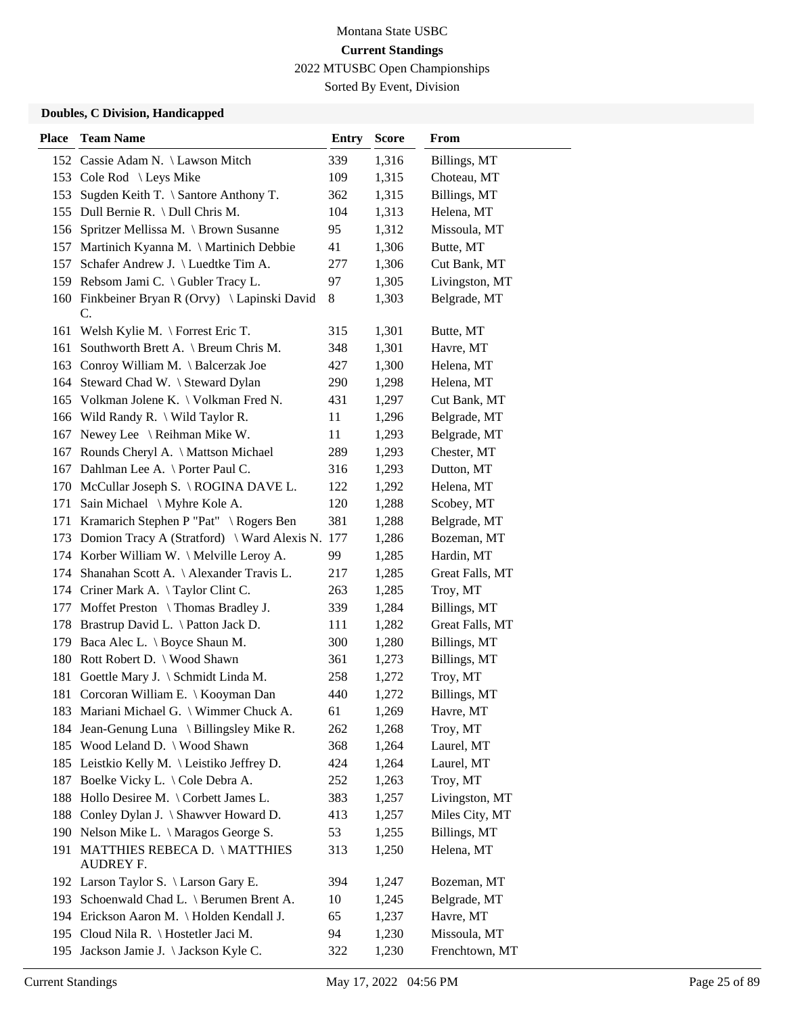Sorted By Event, Division

| <b>Place</b> | <b>Team Name</b>                                     | <b>Entry</b> | <b>Score</b> | From            |
|--------------|------------------------------------------------------|--------------|--------------|-----------------|
|              | 152 Cassie Adam N. \ Lawson Mitch                    | 339          | 1,316        | Billings, MT    |
|              | 153 Cole Rod \ Leys Mike                             | 109          | 1,315        | Choteau, MT     |
| 153          | Sugden Keith T. \ Santore Anthony T.                 | 362          | 1,315        | Billings, MT    |
|              | 155 Dull Bernie R. \ Dull Chris M.                   | 104          | 1,313        | Helena, MT      |
| 156          | Spritzer Mellissa M. \ Brown Susanne                 | 95           | 1,312        | Missoula, MT    |
| 157          | Martinich Kyanna M. \ Martinich Debbie               | 41           | 1,306        | Butte, MT       |
| 157          | Schafer Andrew J. \ Luedtke Tim A.                   | 277          | 1,306        | Cut Bank, MT    |
|              | 159 Rebsom Jami C. \ Gubler Tracy L.                 | 97           | 1,305        | Livingston, MT  |
|              | 160 Finkbeiner Bryan R (Orvy) \ Lapinski David<br>C. | 8            | 1,303        | Belgrade, MT    |
| 161          | Welsh Kylie M. \ Forrest Eric T.                     | 315          | 1,301        | Butte, MT       |
| 161          | Southworth Brett A. \ Breum Chris M.                 | 348          | 1,301        | Havre, MT       |
| 163          | Conroy William M. \ Balcerzak Joe                    | 427          | 1,300        | Helena, MT      |
| 164          | Steward Chad W. \ Steward Dylan                      | 290          | 1,298        | Helena, MT      |
| 165          | Volkman Jolene K. \ Volkman Fred N.                  | 431          | 1,297        | Cut Bank, MT    |
|              | 166 Wild Randy R. \ Wild Taylor R.                   | 11           | 1,296        | Belgrade, MT    |
|              | 167 Newey Lee \ Reihman Mike W.                      | 11           | 1,293        | Belgrade, MT    |
| 167          | Rounds Cheryl A. \ Mattson Michael                   | 289          | 1,293        | Chester, MT     |
|              | 167 Dahlman Lee A. \ Porter Paul C.                  | 316          | 1,293        | Dutton, MT      |
|              | 170 McCullar Joseph S. \ROGINA DAVE L.               | 122          | 1,292        | Helena, MT      |
| 171          | Sain Michael \ Myhre Kole A.                         | 120          | 1,288        | Scobey, MT      |
| 171          | Kramarich Stephen P "Pat" \ Rogers Ben               | 381          | 1,288        | Belgrade, MT    |
| 173          | Domion Tracy A (Stratford) \ Ward Alexis N. 177      |              | 1,286        | Bozeman, MT     |
|              | 174 Korber William W. \ Melville Leroy A.            | 99           | 1,285        | Hardin, MT      |
|              | 174 Shanahan Scott A. \ Alexander Travis L.          | 217          | 1,285        | Great Falls, MT |
|              | 174 Criner Mark A. \Taylor Clint C.                  | 263          | 1,285        | Troy, MT        |
| 177          | Moffet Preston \ Thomas Bradley J.                   | 339          | 1,284        | Billings, MT    |
| 178          | Brastrup David L. \ Patton Jack D.                   | 111          | 1,282        | Great Falls, MT |
|              | 179 Baca Alec L. \ Boyce Shaun M.                    | 300          | 1,280        | Billings, MT    |
| 180          | Rott Robert D. \ Wood Shawn                          | 361          | 1,273        | Billings, MT    |
| 181          | Goettle Mary J. \ Schmidt Linda M.                   | 258          | 1,272        | Troy, MT        |
| 181          | Corcoran William E. \ Kooyman Dan                    | 440          | 1,272        | Billings, MT    |
|              | 183 Mariani Michael G. \ Wimmer Chuck A.             | 61           | 1,269        | Havre, MT       |
| 184          | Jean-Genung Luna \ Billingsley Mike R.               | 262          | 1,268        | Troy, MT        |
|              | 185 Wood Leland D. \ Wood Shawn                      | 368          | 1,264        | Laurel, MT      |
|              | 185 Leistkio Kelly M. \Leistiko Jeffrey D.           | 424          | 1,264        | Laurel, MT      |
|              | 187 Boelke Vicky L. \ Cole Debra A.                  | 252          | 1,263        | Troy, MT        |
|              | 188 Hollo Desiree M. \ Corbett James L.              | 383          | 1,257        | Livingston, MT  |
| 188          | Conley Dylan J. \ Shawver Howard D.                  | 413          | 1,257        | Miles City, MT  |
|              | 190 Nelson Mike L. \ Maragos George S.               | 53           | 1,255        | Billings, MT    |
|              | 191 MATTHIES REBECA D. \MATTHIES<br><b>AUDREY F.</b> | 313          | 1,250        | Helena, MT      |
|              | 192 Larson Taylor S. \ Larson Gary E.                | 394          | 1,247        | Bozeman, MT     |
| 193          | Schoenwald Chad L. \ Berumen Brent A.                | 10           | 1,245        | Belgrade, MT    |
|              | 194 Erickson Aaron M. \ Holden Kendall J.            | 65           | 1,237        | Havre, MT       |
|              | 195 Cloud Nila R. \ Hostetler Jaci M.                | 94           | 1,230        | Missoula, MT    |
|              | 195 Jackson Jamie J. \ Jackson Kyle C.               | 322          | 1,230        | Frenchtown, MT  |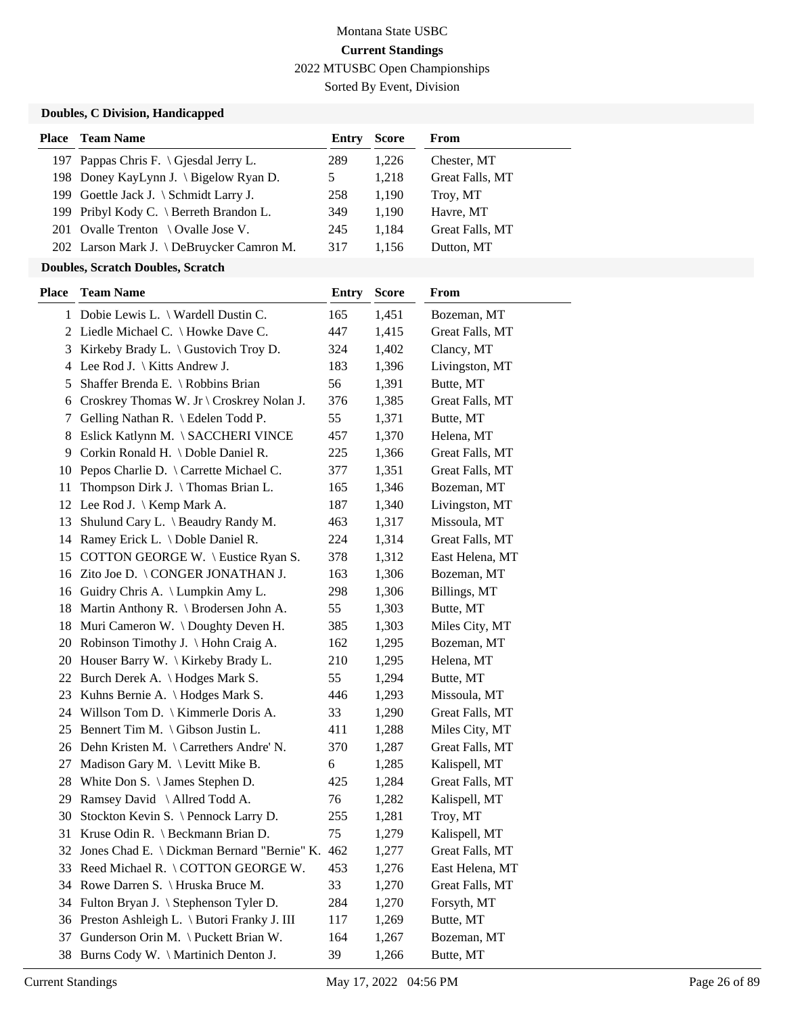Sorted By Event, Division

### **Doubles, C Division, Handicapped**

| <b>Place</b> Team Name                    | Entry | <b>Score</b> | From            |
|-------------------------------------------|-------|--------------|-----------------|
| 197 Pappas Chris F. \ Gjesdal Jerry L.    | 289   | 1,226        | Chester, MT     |
| 198 Doney KayLynn J. \ Bigelow Ryan D.    | 5     | 1.218        | Great Falls, MT |
| 199 Goettle Jack J. $\S$ chmidt Larry J.  | 258   | 1.190        | Troy, MT        |
| 199 Pribyl Kody C. \ Berreth Brandon L.   | 349   | 1.190        | Havre, MT       |
| 201 Ovalle Trenton \ Ovalle Jose V.       | 245   | 1.184        | Great Falls, MT |
| 202 Larson Mark J. \ DeBruycker Camron M. | 317   | 1.156        | Dutton, MT      |

#### **Doubles, Scratch Doubles, Scratch**

| <b>Place</b> | <b>Team Name</b>                                | <b>Entry</b> | <b>Score</b> | From            |
|--------------|-------------------------------------------------|--------------|--------------|-----------------|
|              | 1 Dobie Lewis L. \ Wardell Dustin C.            | 165          | 1,451        | Bozeman, MT     |
| 2            | Liedle Michael C. \ Howke Dave C.               | 447          | 1,415        | Great Falls, MT |
| 3            | Kirkeby Brady L. $\setminus$ Gustovich Troy D.  | 324          | 1,402        | Clancy, MT      |
| 4            | Lee Rod J. $\backslash$ Kitts Andrew J.         | 183          | 1,396        | Livingston, MT  |
| 5            | Shaffer Brenda E. \ Robbins Brian               | 56           | 1,391        | Butte, MT       |
| 6            | Croskrey Thomas W. Jr \ Croskrey Nolan J.       | 376          | 1,385        | Great Falls, MT |
| 7            | Gelling Nathan R. \ Edelen Todd P.              | 55           | 1,371        | Butte, MT       |
| 8            | Eslick Katlynn M. \ SACCHERI VINCE              | 457          | 1,370        | Helena, MT      |
| 9            | Corkin Ronald H. \ Doble Daniel R.              | 225          | 1,366        | Great Falls, MT |
| 10           | Pepos Charlie D. \ Carrette Michael C.          | 377          | 1,351        | Great Falls, MT |
| 11           | Thompson Dirk J. $\{$ Thomas Brian L.           | 165          | 1,346        | Bozeman, MT     |
| 12           | Lee Rod J. $\kappa$ Kemp Mark A.                | 187          | 1,340        | Livingston, MT  |
| 13           | Shulund Cary L. \ Beaudry Randy M.              | 463          | 1,317        | Missoula, MT    |
| 14           | Ramey Erick L. \ Doble Daniel R.                | 224          | 1,314        | Great Falls, MT |
| 15           | COTTON GEORGE W. $\text{Eustice}$ Ryan S.       | 378          | 1,312        | East Helena, MT |
| 16           | Zito Joe D. \ CONGER JONATHAN J.                | 163          | 1,306        | Bozeman, MT     |
| 16           | Guidry Chris A. \ Lumpkin Amy L.                | 298          | 1,306        | Billings, MT    |
| 18           | Martin Anthony R. \ Brodersen John A.           | 55           | 1,303        | Butte, MT       |
| 18           | Muri Cameron W. \Doughty Deven H.               | 385          | 1,303        | Miles City, MT  |
| 20           | Robinson Timothy J. \ Hohn Craig A.             | 162          | 1,295        | Bozeman, MT     |
| 20           | Houser Barry W. \ Kirkeby Brady L.              | 210          | 1,295        | Helena, MT      |
| 22           | Burch Derek A. \ Hodges Mark S.                 | 55           | 1,294        | Butte, MT       |
| 23           | Kuhns Bernie A. \ Hodges Mark S.                | 446          | 1,293        | Missoula, MT    |
|              | 24 Willson Tom D.   Kimmerle Doris A.           | 33           | 1,290        | Great Falls, MT |
| 25           | Bennert Tim M. \ Gibson Justin L.               | 411          | 1,288        | Miles City, MT  |
|              | 26 Dehn Kristen M. \ Carrethers Andre' N.       | 370          | 1,287        | Great Falls, MT |
| 27           | Madison Gary M. $\text{Levitt Mike } B$ .       | 6            | 1,285        | Kalispell, MT   |
| 28           | White Don S. \ James Stephen D.                 | 425          | 1,284        | Great Falls, MT |
| 29           | Ramsey David \ Allred Todd A.                   | 76           | 1,282        | Kalispell, MT   |
| 30           | Stockton Kevin S. \ Pennock Larry D.            | 255          | 1,281        | Troy, MT        |
|              | 31 Kruse Odin R. \ Beckmann Brian D.            | 75           | 1,279        | Kalispell, MT   |
| 32           | Jones Chad E. \ Dickman Bernard "Bernie" K. 462 |              | 1,277        | Great Falls, MT |
|              | 33 Reed Michael R. \COTTON GEORGE W.            | 453          | 1,276        | East Helena, MT |
| 34           | Rowe Darren S. \ Hruska Bruce M.                | 33           | 1,270        | Great Falls, MT |
| 34           | Fulton Bryan J. \ Stephenson Tyler D.           | 284          | 1,270        | Forsyth, MT     |
| 36           | Preston Ashleigh L. \ Butori Franky J. III      | 117          | 1,269        | Butte, MT       |
| 37           | Gunderson Orin M. \ Puckett Brian W.            | 164          | 1,267        | Bozeman, MT     |
| 38           | Burns Cody W. \ Martinich Denton J.             | 39           | 1,266        | Butte, MT       |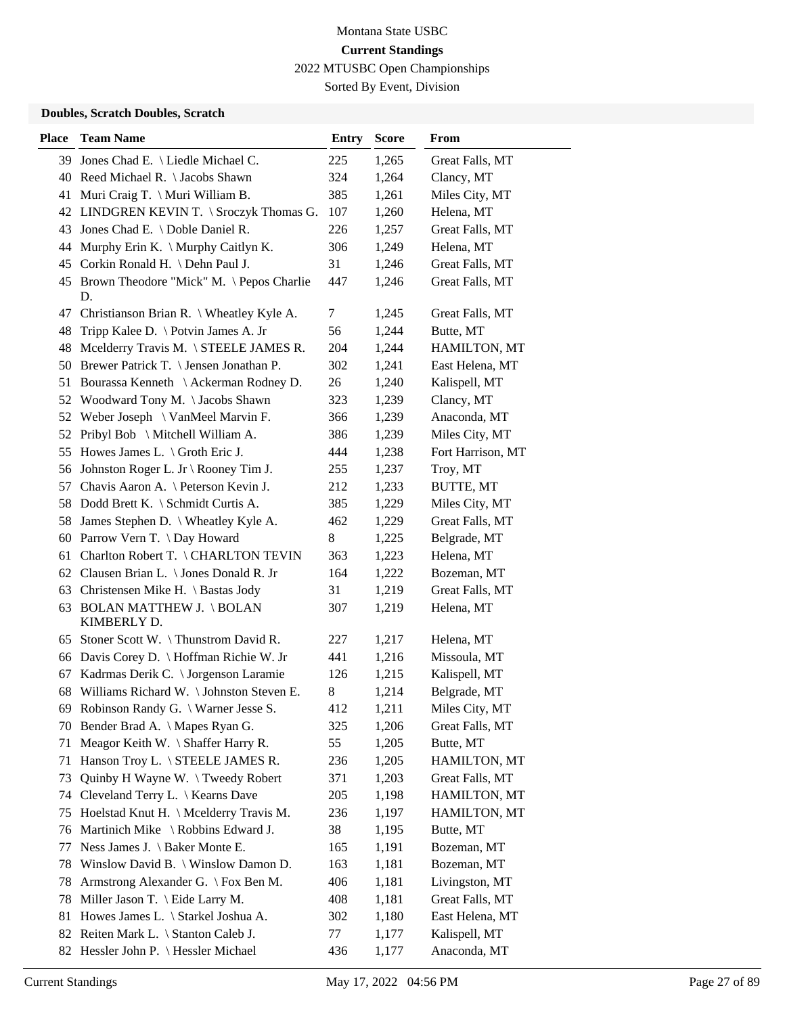Sorted By Event, Division

### **Doubles, Scratch Doubles, Scratch**

| <b>Place</b> | <b>Team Name</b>                                 | <b>Entry</b> | <b>Score</b> | From              |
|--------------|--------------------------------------------------|--------------|--------------|-------------------|
|              | 39 Jones Chad E. \ Liedle Michael C.             | 225          | 1,265        | Great Falls, MT   |
|              | 40 Reed Michael R. \ Jacobs Shawn                | 324          | 1,264        | Clancy, MT        |
| 41           | Muri Craig T. \ Muri William B.                  | 385          | 1,261        | Miles City, MT    |
| 42           | LINDGREN KEVIN T. \ Sroczyk Thomas G.            | 107          | 1,260        | Helena, MT        |
| 43           | Jones Chad E. \ Doble Daniel R.                  | 226          | 1,257        | Great Falls, MT   |
| 44           | Murphy Erin K. \ Murphy Caitlyn K.               | 306          | 1,249        | Helena, MT        |
| 45           | Corkin Ronald H. \ Dehn Paul J.                  | 31           | 1,246        | Great Falls, MT   |
|              | 45 Brown Theodore "Mick" M. \Pepos Charlie<br>D. | 447          | 1,246        | Great Falls, MT   |
| 47           | Christianson Brian R. \ Wheatley Kyle A.         | 7            | 1,245        | Great Falls, MT   |
| 48           | Tripp Kalee D. \ Potvin James A. Jr              | 56           | 1,244        | Butte, MT         |
| 48           | Mcelderry Travis M. \ STEELE JAMES R.            | 204          | 1,244        | HAMILTON, MT      |
| 50           | Brewer Patrick T. \ Jensen Jonathan P.           | 302          | 1,241        | East Helena, MT   |
| 51           | Bourassa Kenneth \ Ackerman Rodney D.            | 26           | 1,240        | Kalispell, MT     |
| 52           | Woodward Tony M. \Jacobs Shawn                   | 323          | 1,239        | Clancy, MT        |
| 52           | Weber Joseph $\setminus$ VanMeel Marvin F.       | 366          | 1,239        | Anaconda, MT      |
| 52           | Pribyl Bob \ Mitchell William A.                 | 386          | 1,239        | Miles City, MT    |
| 55           | Howes James L. $\setminus$ Groth Eric J.         | 444          | 1,238        | Fort Harrison, MT |
| 56           | Johnston Roger L. Jr \ Rooney Tim J.             | 255          | 1,237        | Troy, MT          |
| 57           | Chavis Aaron A. \ Peterson Kevin J.              | 212          | 1,233        | BUTTE, MT         |
| 58           | Dodd Brett K. \ Schmidt Curtis A.                | 385          | 1,229        | Miles City, MT    |
| 58           | James Stephen D. \ Wheatley Kyle A.              | 462          | 1,229        | Great Falls, MT   |
| 60           | Parrow Vern T. \ Day Howard                      | 8            | 1,225        | Belgrade, MT      |
| 61           | Charlton Robert T. \CHARLTON TEVIN               | 363          | 1,223        | Helena, MT        |
|              | 62 Clausen Brian L. \ Jones Donald R. Jr         | 164          | 1,222        | Bozeman, MT       |
| 63           | Christensen Mike H. \ Bastas Jody                | 31           | 1,219        | Great Falls, MT   |
|              | 63 BOLAN MATTHEW J. \BOLAN<br>KIMBERLY D.        | 307          | 1,219        | Helena, MT        |
| 65           | Stoner Scott W. \Thunstrom David R.              | 227          | 1,217        | Helena, MT        |
| 66           | Davis Corey D. \ Hoffman Richie W. Jr            | 441          | 1,216        | Missoula, MT      |
| 67           | Kadrmas Derik C. \ Jorgenson Laramie             | 126          | 1,215        | Kalispell, MT     |
|              | 68 Williams Richard W. \Johnston Steven E.       | 8            | 1,214        | Belgrade, MT      |
|              | 69 Robinson Randy G. \ Warner Jesse S.           | 412          | 1,211        | Miles City, MT    |
| 70           | Bender Brad A. \ Mapes Ryan G.                   | 325          | 1,206        | Great Falls, MT   |
| 71           | Meagor Keith W. \ Shaffer Harry R.               | 55           | 1,205        | Butte, MT         |
| 71           | Hanson Troy L. \ STEELE JAMES R.                 | 236          | 1,205        | HAMILTON, MT      |
| 73           | Quinby H Wayne W. \Tweedy Robert                 | 371          | 1,203        | Great Falls, MT   |
| 74           | Cleveland Terry L. \ Kearns Dave                 | 205          | 1,198        | HAMILTON, MT      |
| 75           | Hoelstad Knut H. \ Mcelderry Travis M.           | 236          | 1,197        | HAMILTON, MT      |
| 76           | Martinich Mike \ Robbins Edward J.               | 38           | 1,195        | Butte, MT         |
| 77           | Ness James J. \ Baker Monte E.                   | 165          | 1,191        | Bozeman, MT       |
| 78           | Winslow David B. \ Winslow Damon D.              | 163          | 1,181        | Bozeman, MT       |
| 78           | Armstrong Alexander G. \ Fox Ben M.              | 406          | 1,181        | Livingston, MT    |
| 78           | Miller Jason T. $\left\{$ Eide Larry M.          | 408          | 1,181        | Great Falls, MT   |
| 81           | Howes James L. \ Starkel Joshua A.               | 302          | 1,180        | East Helena, MT   |
| 82           | Reiten Mark L. \ Stanton Caleb J.                | 77           | 1,177        | Kalispell, MT     |
| 82           | Hessler John P. \ Hessler Michael                | 436          | 1,177        | Anaconda, MT      |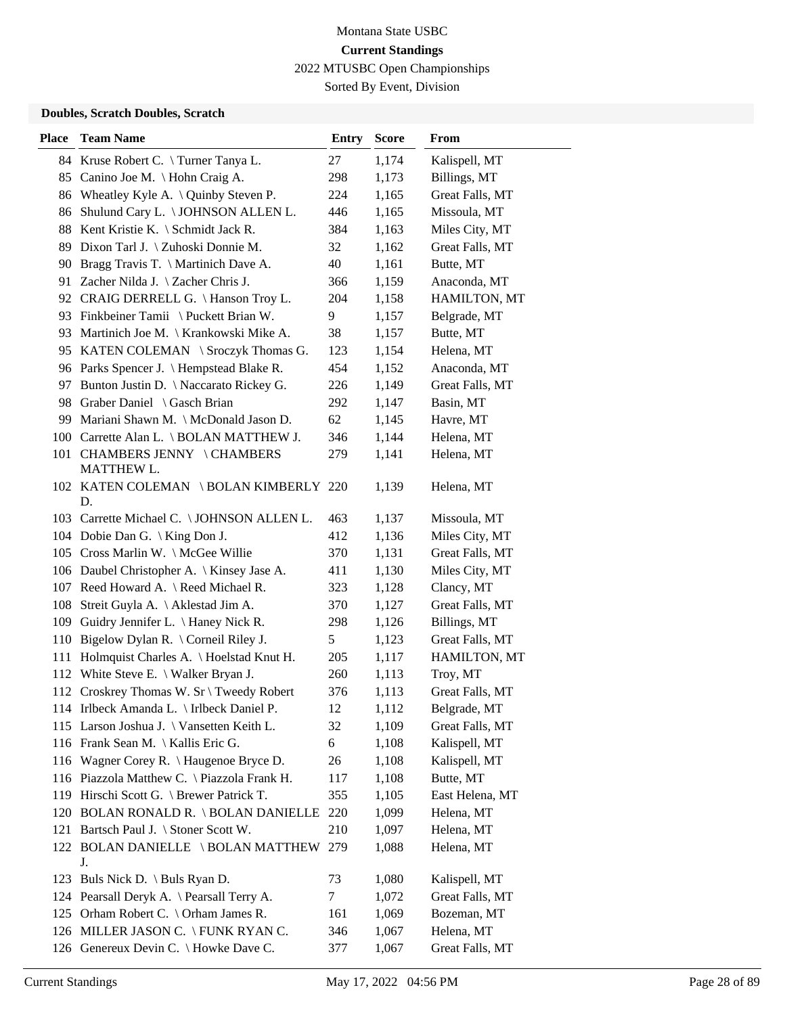Sorted By Event, Division

#### **Doubles, Scratch Doubles, Scratch**

| <b>Place</b> | <b>Team Name</b>                            | <b>Entry</b> | <b>Score</b> | From            |
|--------------|---------------------------------------------|--------------|--------------|-----------------|
|              | 84 Kruse Robert C. \Turner Tanya L.         | 27           | 1,174        | Kalispell, MT   |
| 85           | Canino Joe M. \ Hohn Craig A.               | 298          | 1,173        | Billings, MT    |
|              | 86 Wheatley Kyle A. \ Quinby Steven P.      | 224          | 1,165        | Great Falls, MT |
| 86           | Shulund Cary L. \ JOHNSON ALLEN L.          | 446          | 1,165        | Missoula, MT    |
| 88           | Kent Kristie K. $\S$ chmidt Jack R.         | 384          | 1,163        | Miles City, MT  |
| 89           | Dixon Tarl J. \ Zuhoski Donnie M.           | 32           | 1,162        | Great Falls, MT |
|              | 90 Bragg Travis T. \ Martinich Dave A.      | 40           | 1,161        | Butte, MT       |
|              | 91 Zacher Nilda J. \ Zacher Chris J.        | 366          | 1,159        | Anaconda, MT    |
|              | 92 CRAIG DERRELL G. \Hanson Troy L.         | 204          | 1,158        | HAMILTON, MT    |
|              | 93 Finkbeiner Tamii \Puckett Brian W.       | 9            | 1,157        | Belgrade, MT    |
|              | 93 Martinich Joe M. \ Krankowski Mike A.    | 38           | 1,157        | Butte, MT       |
|              | 95 KATEN COLEMAN \ Sroczyk Thomas G.        | 123          | 1,154        | Helena, MT      |
|              | 96 Parks Spencer J. \ Hempstead Blake R.    | 454          | 1,152        | Anaconda, MT    |
| 97           | Bunton Justin D. \ Naccarato Rickey G.      | 226          | 1,149        | Great Falls, MT |
|              | 98 Graber Daniel \ Gasch Brian              | 292          | 1,147        | Basin, MT       |
|              | 99 Mariani Shawn M. \ McDonald Jason D.     | 62           | 1,145        | Havre, MT       |
|              | 100 Carrette Alan L. \BOLAN MATTHEW J.      | 346          | 1,144        | Helena, MT      |
|              | 101 CHAMBERS JENNY \CHAMBERS<br>MATTHEW L.  | 279          | 1,141        | Helena, MT      |
|              | 102 KATEN COLEMAN \BOLAN KIMBERLY 220<br>D. |              | 1,139        | Helena, MT      |
|              | 103 Carrette Michael C. \ JOHNSON ALLEN L.  | 463          | 1,137        | Missoula, MT    |
|              | 104 Dobie Dan G. \ King Don J.              | 412          | 1,136        | Miles City, MT  |
|              | 105 Cross Marlin W. \ McGee Willie          | 370          | 1,131        | Great Falls, MT |
|              | 106 Daubel Christopher A.   Kinsey Jase A.  | 411          | 1,130        | Miles City, MT  |
|              | 107 Reed Howard A. \ Reed Michael R.        | 323          | 1,128        | Clancy, MT      |
| 108          | Streit Guyla A. \ Aklestad Jim A.           | 370          | 1,127        | Great Falls, MT |
| 109          | Guidry Jennifer L. \ Haney Nick R.          | 298          | 1,126        | Billings, MT    |
| 110          | Bigelow Dylan R. \ Corneil Riley J.         | 5            | 1,123        | Great Falls, MT |
| 111          | Holmquist Charles A. \ Hoelstad Knut H.     | 205          | 1,117        | HAMILTON, MT    |
|              | 112 White Steve E. \ Walker Bryan J.        | 260          | 1,113        | Troy, MT        |
|              | 112 Croskrey Thomas W. Sr \ Tweedy Robert   | 376          | 1,113        | Great Falls, MT |
|              | 114 Irlbeck Amanda L. \ Irlbeck Daniel P.   | 12           | 1,112        | Belgrade, MT    |
|              | 115 Larson Joshua J. \ Vansetten Keith L.   | 32           | 1,109        | Great Falls, MT |
|              | 116 Frank Sean M. \ Kallis Eric G.          | 6            | 1,108        | Kalispell, MT   |
|              | 116 Wagner Corey R. \ Haugenoe Bryce D.     | 26           | 1,108        | Kalispell, MT   |
|              | 116 Piazzola Matthew C. \ Piazzola Frank H. | 117          | 1,108        | Butte, MT       |
|              | 119 Hirschi Scott G. \ Brewer Patrick T.    | 355          | 1,105        | East Helena, MT |
|              | 120 BOLAN RONALD R. \ BOLAN DANIELLE 220    |              | 1,099        | Helena, MT      |
|              | 121 Bartsch Paul J. \ Stoner Scott W.       | 210          | 1,097        | Helena, MT      |
|              | 122 BOLAN DANIELLE \BOLAN MATTHEW 279<br>J. |              | 1,088        | Helena, MT      |
|              | 123 Buls Nick D. \ Buls Ryan D.             | 73           | 1,080        | Kalispell, MT   |
|              | 124 Pearsall Deryk A. \ Pearsall Terry A.   | 7            | 1,072        | Great Falls, MT |
|              | 125 Orham Robert C. \ Orham James R.        | 161          | 1,069        | Bozeman, MT     |
|              | 126 MILLER JASON C. \FUNK RYAN C.           | 346          | 1,067        | Helena, MT      |
|              | 126 Genereux Devin C. \ Howke Dave C.       | 377          | 1,067        | Great Falls, MT |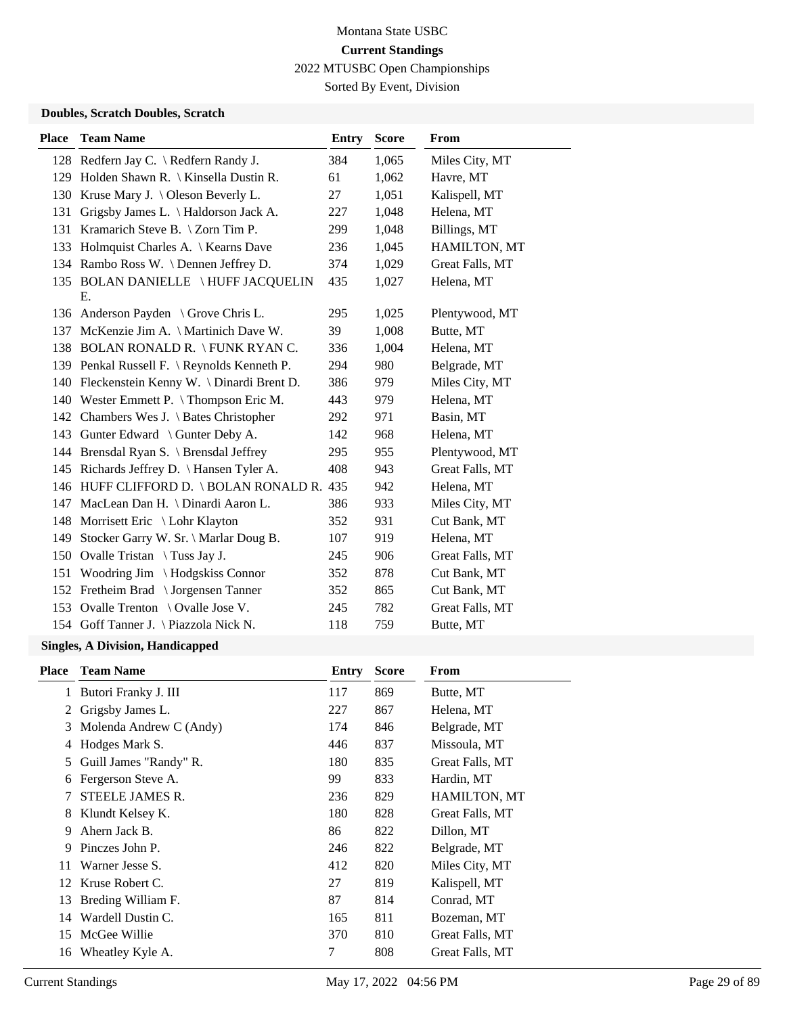Sorted By Event, Division

#### **Doubles, Scratch Doubles, Scratch**

| <b>Place</b> | <b>Team Name</b>                            | <b>Entry</b> | <b>Score</b> | <b>From</b>     |
|--------------|---------------------------------------------|--------------|--------------|-----------------|
|              | 128 Redfern Jay C. \ Redfern Randy J.       | 384          | 1,065        | Miles City, MT  |
|              | 129 Holden Shawn R. \ Kinsella Dustin R.    | 61           | 1,062        | Havre, MT       |
| 130          | Kruse Mary J. \ Oleson Beverly L.           | 27           | 1,051        | Kalispell, MT   |
| 131          | Grigsby James L. \ Haldorson Jack A.        | 227          | 1,048        | Helena, MT      |
| 131          | Kramarich Steve B. $\setminus$ Zorn Tim P.  | 299          | 1,048        | Billings, MT    |
| 133          | Holmquist Charles A.   Kearns Dave          | 236          | 1,045        | HAMILTON, MT    |
|              | 134 Rambo Ross W. \Dennen Jeffrey D.        | 374          | 1,029        | Great Falls, MT |
|              | 135 BOLAN DANIELLE \HUFF JACQUELIN<br>E.    | 435          | 1,027        | Helena, MT      |
|              | 136 Anderson Payden \ Grove Chris L.        | 295          | 1,025        | Plentywood, MT  |
| 137          | McKenzie Jim A. \ Martinich Dave W.         | 39           | 1,008        | Butte, MT       |
|              | 138 BOLAN RONALD R. \FUNK RYAN C.           | 336          | 1,004        | Helena, MT      |
|              | 139 Penkal Russell F. \ Reynolds Kenneth P. | 294          | 980          | Belgrade, MT    |
| 140          | Fleckenstein Kenny W. \ Dinardi Brent D.    | 386          | 979          | Miles City, MT  |
|              | 140 Wester Emmett P. \Thompson Eric M.      | 443          | 979          | Helena, MT      |
| 142          | Chambers Wes J. \ Bates Christopher         | 292          | 971          | Basin, MT       |
| 143          | Gunter Edward \ Gunter Deby A.              | 142          | 968          | Helena, MT      |
| 144          | Brensdal Ryan S. \ Brensdal Jeffrey         | 295          | 955          | Plentywood, MT  |
|              | 145 Richards Jeffrey D. \ Hansen Tyler A.   | 408          | 943          | Great Falls, MT |
|              | 146 HUFF CLIFFORD D. \BOLAN RONALD R. 435   |              | 942          | Helena, MT      |
| 147          | MacLean Dan H. \ Dinardi Aaron L.           | 386          | 933          | Miles City, MT  |
| 148          | Morrisett Eric \ Lohr Klayton               | 352          | 931          | Cut Bank, MT    |
| 149          | Stocker Garry W. Sr. \ Marlar Doug B.       | 107          | 919          | Helena, MT      |
| 150          | Ovalle Tristan $\setminus$ Tuss Jay J.      | 245          | 906          | Great Falls, MT |
| 151          | Woodring Jim \Hodgskiss Connor              | 352          | 878          | Cut Bank, MT    |
|              | 152 Fretheim Brad \ Jorgensen Tanner        | 352          | 865          | Cut Bank, MT    |
| 153          | Ovalle Trenton \ Ovalle Jose V.             | 245          | 782          | Great Falls, MT |
|              | 154 Goff Tanner J. \ Piazzola Nick N.       | 118          | 759          | Butte, MT       |

| <b>Place</b> | <b>Team Name</b>        | Entry | <b>Score</b> | From                |
|--------------|-------------------------|-------|--------------|---------------------|
|              | Butori Franky J. III    | 117   | 869          | Butte, MT           |
| 2            | Grigsby James L.        | 227   | 867          | Helena, MT          |
| 3            | Molenda Andrew C (Andy) | 174   | 846          | Belgrade, MT        |
| 4            | Hodges Mark S.          | 446   | 837          | Missoula, MT        |
| 5.           | Guill James "Randy" R.  | 180   | 835          | Great Falls, MT     |
| 6            | Fergerson Steve A.      | 99    | 833          | Hardin, MT          |
| 7            | STEELE JAMES R.         | 236   | 829          | <b>HAMILTON, MT</b> |
| 8            | Klundt Kelsey K.        | 180   | 828          | Great Falls, MT     |
| 9            | Ahern Jack B.           | 86    | 822          | Dillon, MT          |
| 9            | Pinczes John P.         | 246   | 822          | Belgrade, MT        |
| 11           | Warner Jesse S.         | 412   | 820          | Miles City, MT      |
|              | 12 Kruse Robert C.      | 27    | 819          | Kalispell, MT       |
| 13           | Breding William F.      | 87    | 814          | Conrad, MT          |
|              | 14 Wardell Dustin C.    | 165   | 811          | Bozeman, MT         |
| 15           | McGee Willie            | 370   | 810          | Great Falls, MT     |
| 16           | Wheatley Kyle A.        | 7     | 808          | Great Falls, MT     |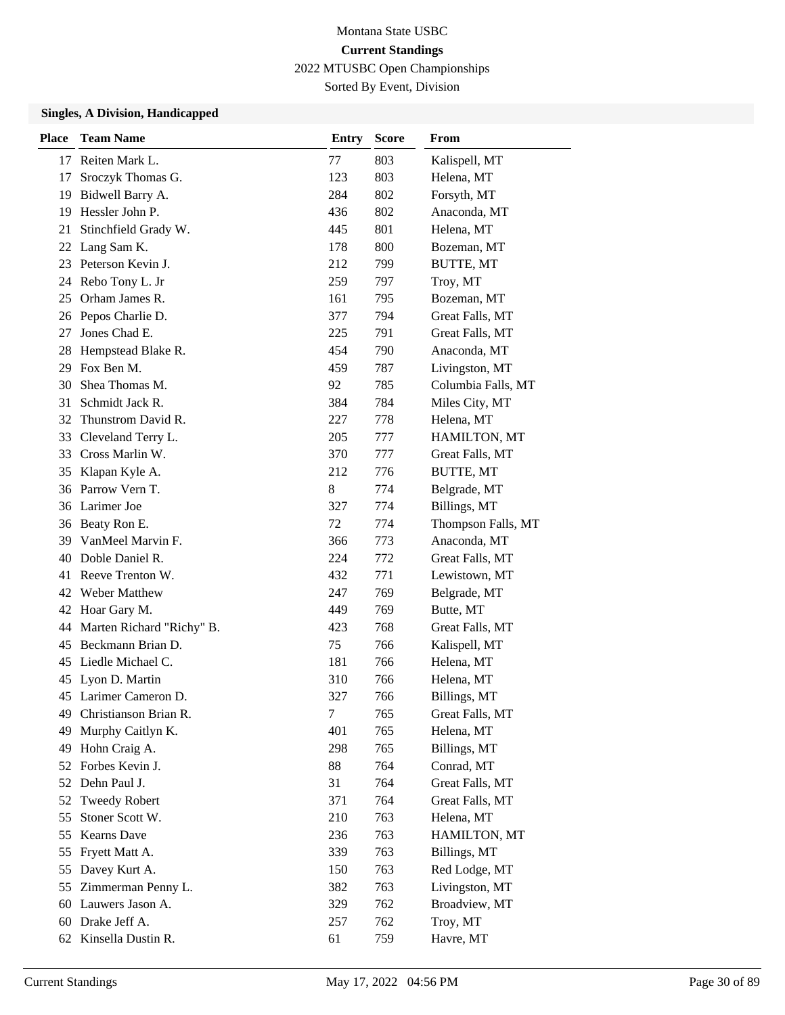Sorted By Event, Division

| <b>Place</b> | <b>Team Name</b>          | <b>Entry</b> | <b>Score</b> | From               |
|--------------|---------------------------|--------------|--------------|--------------------|
|              | 17 Reiten Mark L.         | 77           | 803          | Kalispell, MT      |
| 17           | Sroczyk Thomas G.         | 123          | 803          | Helena, MT         |
| 19           | Bidwell Barry A.          | 284          | 802          | Forsyth, MT        |
| 19           | Hessler John P.           | 436          | 802          | Anaconda, MT       |
| 21           | Stinchfield Grady W.      | 445          | 801          | Helena, MT         |
| 22           | Lang Sam K.               | 178          | 800          | Bozeman, MT        |
|              | 23 Peterson Kevin J.      | 212          | 799          | BUTTE, MT          |
|              | 24 Rebo Tony L. Jr        | 259          | 797          | Troy, MT           |
| 25           | Orham James R.            | 161          | 795          | Bozeman, MT        |
| 26           | Pepos Charlie D.          | 377          | 794          | Great Falls, MT    |
| 27           | Jones Chad E.             | 225          | 791          | Great Falls, MT    |
| 28           | Hempstead Blake R.        | 454          | 790          | Anaconda, MT       |
| 29           | Fox Ben M.                | 459          | 787          | Livingston, MT     |
| 30           | Shea Thomas M.            | 92           | 785          | Columbia Falls, MT |
| 31           | Schmidt Jack R.           | 384          | 784          | Miles City, MT     |
| 32           | Thunstrom David R.        | 227          | 778          | Helena, MT         |
| 33           | Cleveland Terry L.        | 205          | 777          | HAMILTON, MT       |
| 33           | Cross Marlin W.           | 370          | 777          | Great Falls, MT    |
| 35           | Klapan Kyle A.            | 212          | 776          | <b>BUTTE, MT</b>   |
|              | 36 Parrow Vern T.         | 8            | 774          | Belgrade, MT       |
| 36           | Larimer Joe               | 327          | 774          | Billings, MT       |
| 36           | Beaty Ron E.              | 72           | 774          | Thompson Falls, MT |
| 39           | VanMeel Marvin F.         | 366          | 773          | Anaconda, MT       |
| 40           | Doble Daniel R.           | 224          | 772          | Great Falls, MT    |
| 41           | Reeve Trenton W.          | 432          | 771          | Lewistown, MT      |
| 42           | Weber Matthew             | 247          | 769          | Belgrade, MT       |
| 42           | Hoar Gary M.              | 449          | 769          | Butte, MT          |
| 44           | Marten Richard "Richy" B. | 423          | 768          | Great Falls, MT    |
| 45           | Beckmann Brian D.         | 75           | 766          | Kalispell, MT      |
|              | 45 Liedle Michael C.      | 181          | 766          | Helena, MT         |
|              | 45 Lyon D. Martin         | 310          | 766          | Helena, MT         |
|              | 45 Larimer Cameron D.     | 327          | 766          | Billings, MT       |
| 49           | Christianson Brian R.     | $\tau$       | 765          | Great Falls, MT    |
| 49           | Murphy Caitlyn K.         | 401          | 765          | Helena, MT         |
| 49           | Hohn Craig A.             | 298          | 765          | Billings, MT       |
| 52           | Forbes Kevin J.           | 88           | 764          | Conrad, MT         |
| 52           | Dehn Paul J.              | 31           | 764          | Great Falls, MT    |
| 52           | <b>Tweedy Robert</b>      | 371          | 764          | Great Falls, MT    |
| 55           | Stoner Scott W.           | 210          | 763          | Helena, MT         |
| 55           | <b>Kearns Dave</b>        | 236          | 763          | HAMILTON, MT       |
| 55           | Fryett Matt A.            | 339          | 763          | Billings, MT       |
| 55           | Davey Kurt A.             | 150          | 763          | Red Lodge, MT      |
| 55           | Zimmerman Penny L.        | 382          | 763          | Livingston, MT     |
| 60           | Lauwers Jason A.          | 329          | 762          | Broadview, MT      |
| 60           | Drake Jeff A.             | 257          | 762          | Troy, MT           |
|              | 62 Kinsella Dustin R.     | 61           | 759          | Havre, MT          |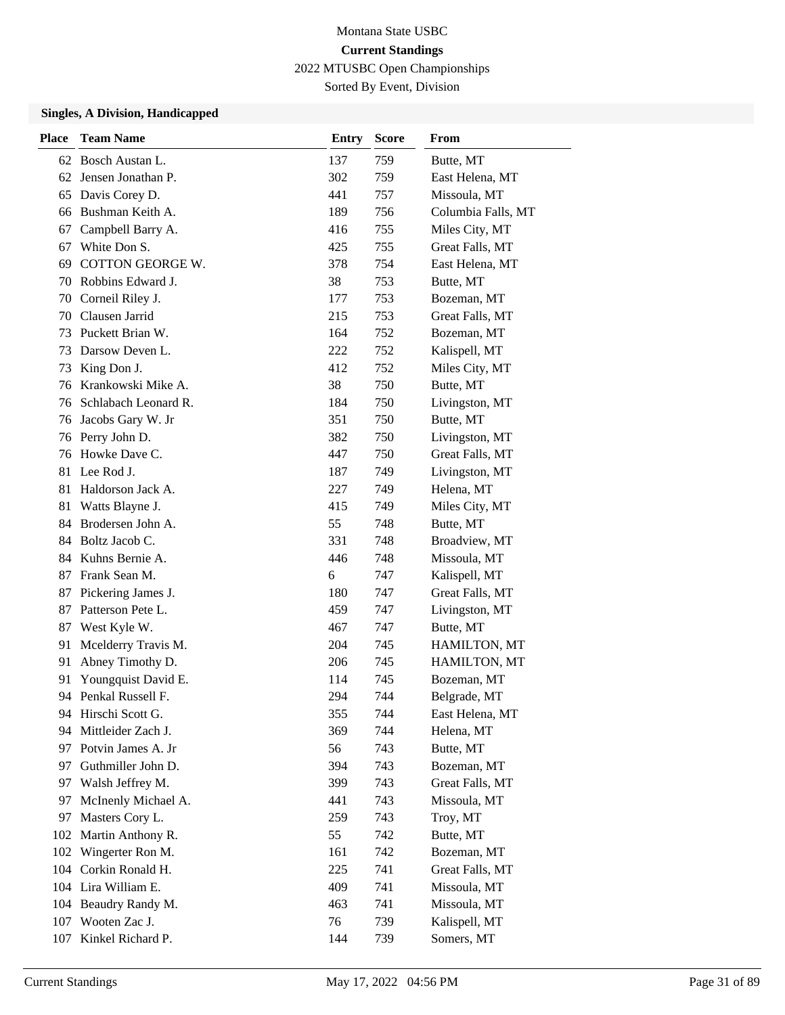Sorted By Event, Division

| <b>Place</b> | <b>Team Name</b>     | <b>Entry</b> | <b>Score</b> | From               |
|--------------|----------------------|--------------|--------------|--------------------|
| 62           | Bosch Austan L.      | 137          | 759          | Butte, MT          |
| 62           | Jensen Jonathan P.   | 302          | 759          | East Helena, MT    |
| 65           | Davis Corey D.       | 441          | 757          | Missoula, MT       |
| 66           | Bushman Keith A.     | 189          | 756          | Columbia Falls, MT |
| 67           | Campbell Barry A.    | 416          | 755          | Miles City, MT     |
| 67           | White Don S.         | 425          | 755          | Great Falls, MT    |
| 69           | COTTON GEORGE W.     | 378          | 754          | East Helena, MT    |
| 70           | Robbins Edward J.    | 38           | 753          | Butte, MT          |
| 70           | Corneil Riley J.     | 177          | 753          | Bozeman, MT        |
| 70           | Clausen Jarrid       | 215          | 753          | Great Falls, MT    |
| 73           | Puckett Brian W.     | 164          | 752          | Bozeman, MT        |
| 73           | Darsow Deven L.      | 222          | 752          | Kalispell, MT      |
| 73           | King Don J.          | 412          | 752          | Miles City, MT     |
| 76           | Krankowski Mike A.   | 38           | 750          | Butte, MT          |
| 76           | Schlabach Leonard R. | 184          | 750          | Livingston, MT     |
| 76           | Jacobs Gary W. Jr    | 351          | 750          | Butte, MT          |
| 76           | Perry John D.        | 382          | 750          | Livingston, MT     |
| 76           | Howke Dave C.        | 447          | 750          | Great Falls, MT    |
| 81           | Lee Rod J.           | 187          | 749          | Livingston, MT     |
| 81           | Haldorson Jack A.    | 227          | 749          | Helena, MT         |
| 81           | Watts Blayne J.      | 415          | 749          | Miles City, MT     |
|              | 84 Brodersen John A. | 55           | 748          | Butte, MT          |
|              | 84 Boltz Jacob C.    | 331          | 748          | Broadview, MT      |
|              | 84 Kuhns Bernie A.   | 446          | 748          | Missoula, MT       |
| 87           | Frank Sean M.        | 6            | 747          | Kalispell, MT      |
| 87           | Pickering James J.   | 180          | 747          | Great Falls, MT    |
| 87           | Patterson Pete L.    | 459          | 747          | Livingston, MT     |
| 87           | West Kyle W.         | 467          | 747          | Butte, MT          |
| 91           | Mcelderry Travis M.  | 204          | 745          | HAMILTON, MT       |
| 91           | Abney Timothy D.     | 206          | 745          | HAMILTON, MT       |
| 91           | Youngquist David E.  | 114          | 745          | Bozeman, MT        |
|              | 94 Penkal Russell F. | 294          | 744          | Belgrade, MT       |
|              | 94 Hirschi Scott G.  | 355          | 744          | East Helena, MT    |
| 94           | Mittleider Zach J.   | 369          | 744          | Helena, MT         |
| 97           | Potvin James A. Jr   | 56           | 743          | Butte, MT          |
| 97           | Guthmiller John D.   | 394          | 743          | Bozeman, MT        |
| 97           | Walsh Jeffrey M.     | 399          | 743          | Great Falls, MT    |
| 97           | McInenly Michael A.  | 441          | 743          | Missoula, MT       |
| 97           | Masters Cory L.      | 259          | 743          | Troy, MT           |
| 102          | Martin Anthony R.    | 55           | 742          | Butte, MT          |
| 102          | Wingerter Ron M.     | 161          | 742          | Bozeman, MT        |
| 104          | Corkin Ronald H.     | 225          | 741          | Great Falls, MT    |
|              | 104 Lira William E.  | 409          | 741          | Missoula, MT       |
|              | 104 Beaudry Randy M. | 463          | 741          | Missoula, MT       |
|              | 107 Wooten Zac J.    | 76           | 739          | Kalispell, MT      |
| 107          | Kinkel Richard P.    | 144          | 739          | Somers, MT         |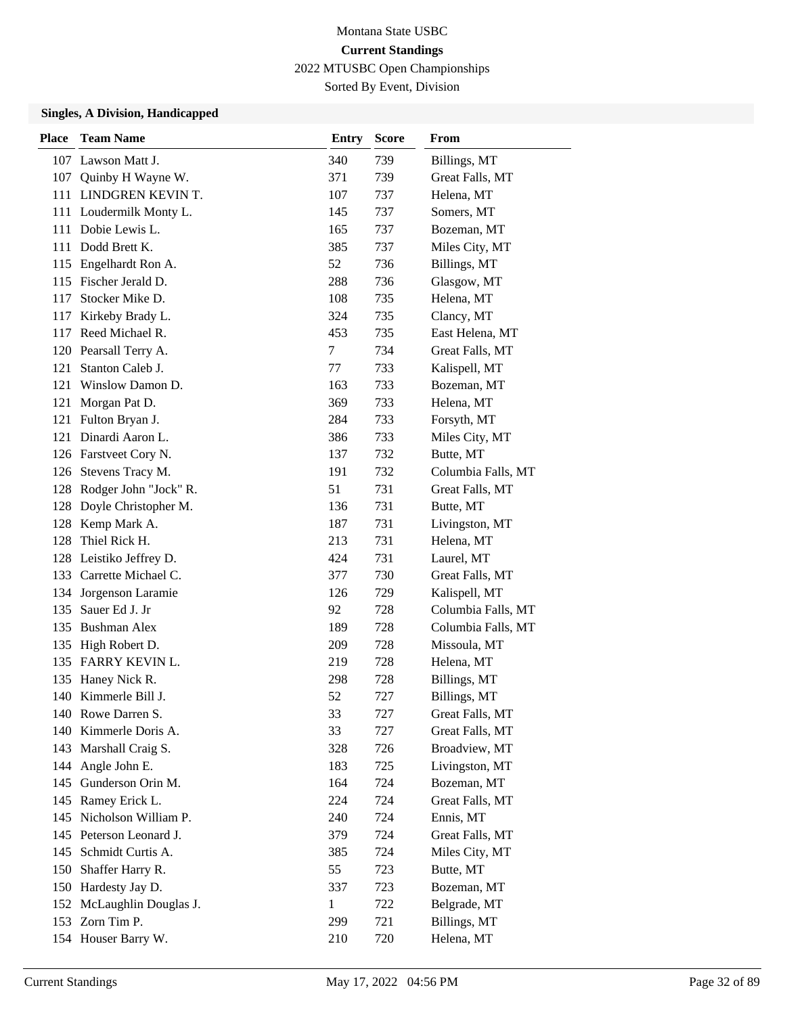Sorted By Event, Division

| <b>Place</b> | <b>Team Name</b>          | <b>Entry</b> | <b>Score</b> | <b>From</b>        |
|--------------|---------------------------|--------------|--------------|--------------------|
|              | 107 Lawson Matt J.        | 340          | 739          | Billings, MT       |
| 107          | Quinby H Wayne W.         | 371          | 739          | Great Falls, MT    |
|              | 111 LINDGREN KEVIN T.     | 107          | 737          | Helena, MT         |
|              | 111 Loudermilk Monty L.   | 145          | 737          | Somers, MT         |
|              | 111 Dobie Lewis L.        | 165          | 737          | Bozeman, MT        |
|              | 111 Dodd Brett K.         | 385          | 737          | Miles City, MT     |
|              | 115 Engelhardt Ron A.     | 52           | 736          | Billings, MT       |
|              | 115 Fischer Jerald D.     | 288          | 736          | Glasgow, MT        |
| 117          | Stocker Mike D.           | 108          | 735          | Helena, MT         |
| 117          | Kirkeby Brady L.          | 324          | 735          | Clancy, MT         |
| 117          | Reed Michael R.           | 453          | 735          | East Helena, MT    |
|              | 120 Pearsall Terry A.     | 7            | 734          | Great Falls, MT    |
| 121          | Stanton Caleb J.          | 77           | 733          | Kalispell, MT      |
| 121          | Winslow Damon D.          | 163          | 733          | Bozeman, MT        |
| 121          | Morgan Pat D.             | 369          | 733          | Helena, MT         |
| 121          | Fulton Bryan J.           | 284          | 733          | Forsyth, MT        |
|              | 121 Dinardi Aaron L.      | 386          | 733          | Miles City, MT     |
|              | 126 Farstveet Cory N.     | 137          | 732          | Butte, MT          |
| 126          | Stevens Tracy M.          | 191          | 732          | Columbia Falls, MT |
|              | 128 Rodger John "Jock" R. | 51           | 731          | Great Falls, MT    |
| 128          | Doyle Christopher M.      | 136          | 731          | Butte, MT          |
| 128          | Kemp Mark A.              | 187          | 731          | Livingston, MT     |
| 128          | Thiel Rick H.             | 213          | 731          | Helena, MT         |
|              | 128 Leistiko Jeffrey D.   | 424          | 731          | Laurel, MT         |
|              | 133 Carrette Michael C.   | 377          | 730          | Great Falls, MT    |
| 134          | Jorgenson Laramie         | 126          | 729          | Kalispell, MT      |
| 135          | Sauer Ed J. Jr            | 92           | 728          | Columbia Falls, MT |
|              | 135 Bushman Alex          | 189          | 728          | Columbia Falls, MT |
| 135          | High Robert D.            | 209          | 728          | Missoula, MT       |
|              | 135 FARRY KEVIN L.        | 219          | 728          | Helena, MT         |
| 135          | Haney Nick R.             | 298          | 728          | Billings, MT       |
|              | 140 Kimmerle Bill J.      | 52           | 727          | Billings, MT       |
|              | 140 Rowe Darren S.        | 33           | 727          | Great Falls, MT    |
| 140          | Kimmerle Doris A.         | 33           | 727          | Great Falls, MT    |
| 143          | Marshall Craig S.         | 328          | 726          | Broadview, MT      |
| 144          | Angle John E.             | 183          | 725          | Livingston, MT     |
| 145          | Gunderson Orin M.         | 164          | 724          | Bozeman, MT        |
| 145          | Ramey Erick L.            | 224          | 724          | Great Falls, MT    |
| 145          | Nicholson William P.      | 240          | 724          | Ennis, MT          |
| 145          | Peterson Leonard J.       | 379          | 724          | Great Falls, MT    |
| 145          | Schmidt Curtis A.         | 385          | 724          | Miles City, MT     |
| 150          | Shaffer Harry R.          | 55           | 723          | Butte, MT          |
| 150          | Hardesty Jay D.           | 337          | 723          | Bozeman, MT        |
| 152          | McLaughlin Douglas J.     | 1            | 722          | Belgrade, MT       |
| 153          | Zorn Tim P.               | 299          | 721          | Billings, MT       |
|              | 154 Houser Barry W.       | 210          | 720          | Helena, MT         |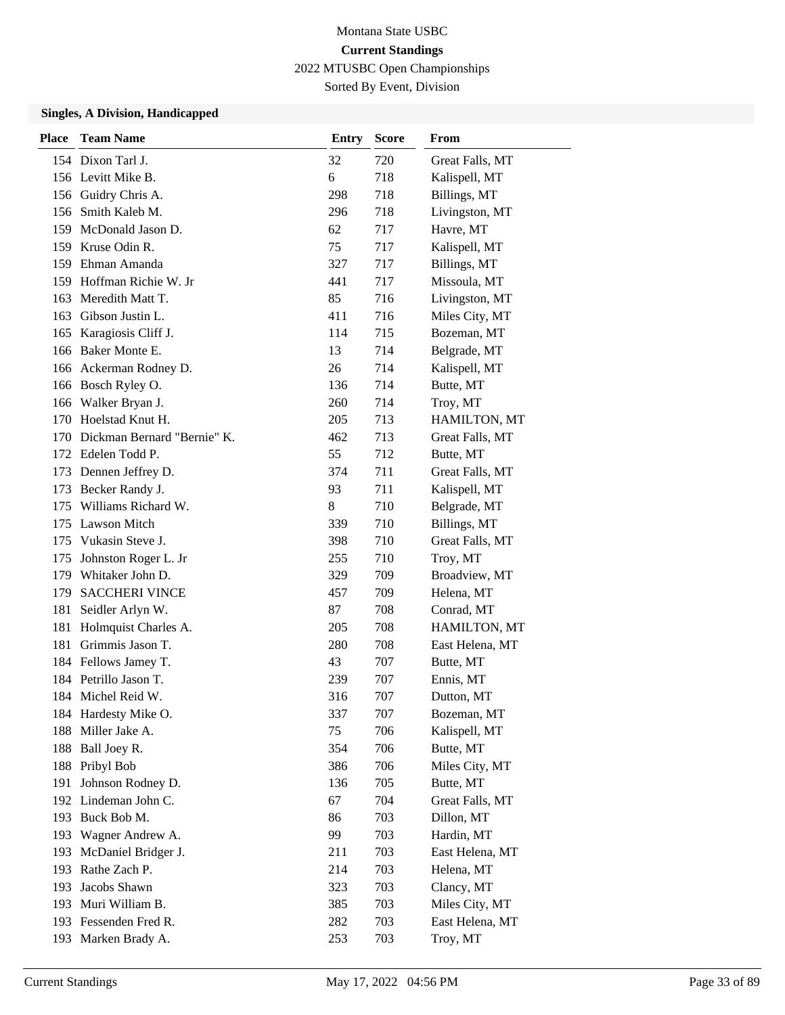Sorted By Event, Division

| <b>Place</b> | <b>Team Name</b>                | <b>Entry</b> | <b>Score</b> | From            |
|--------------|---------------------------------|--------------|--------------|-----------------|
|              | 154 Dixon Tarl J.               | 32           | 720          | Great Falls, MT |
|              | 156 Levitt Mike B.              | 6            | 718          | Kalispell, MT   |
|              | 156 Guidry Chris A.             | 298          | 718          | Billings, MT    |
|              | 156 Smith Kaleb M.              | 296          | 718          | Livingston, MT  |
|              | 159 McDonald Jason D.           | 62           | 717          | Havre, MT       |
|              | 159 Kruse Odin R.               | 75           | 717          | Kalispell, MT   |
|              | 159 Ehman Amanda                | 327          | 717          | Billings, MT    |
|              | 159 Hoffman Richie W. Jr        | 441          | 717          | Missoula, MT    |
|              | 163 Meredith Matt T.            | 85           | 716          | Livingston, MT  |
|              | 163 Gibson Justin L.            | 411          | 716          | Miles City, MT  |
|              | 165 Karagiosis Cliff J.         | 114          | 715          | Bozeman, MT     |
|              | 166 Baker Monte E.              | 13           | 714          | Belgrade, MT    |
|              | 166 Ackerman Rodney D.          | 26           | 714          | Kalispell, MT   |
|              | 166 Bosch Ryley O.              | 136          | 714          | Butte, MT       |
|              | 166 Walker Bryan J.             | 260          | 714          | Troy, MT        |
|              | 170 Hoelstad Knut H.            | 205          | 713          | HAMILTON, MT    |
|              | 170 Dickman Bernard "Bernie" K. | 462          | 713          | Great Falls, MT |
|              | 172 Edelen Todd P.              | 55           | 712          | Butte, MT       |
| 173          | Dennen Jeffrey D.               | 374          | 711          | Great Falls, MT |
| 173          | Becker Randy J.                 | 93           | 711          | Kalispell, MT   |
|              | 175 Williams Richard W.         | 8            | 710          | Belgrade, MT    |
|              | 175 Lawson Mitch                | 339          | 710          | Billings, MT    |
|              | 175 Vukasin Steve J.            | 398          | 710          | Great Falls, MT |
| 175          | Johnston Roger L. Jr            | 255          | 710          | Troy, MT        |
|              | 179 Whitaker John D.            | 329          | 709          | Broadview, MT   |
| 179          | <b>SACCHERI VINCE</b>           | 457          | 709          | Helena, MT      |
| 181          | Seidler Arlyn W.                | 87           | 708          | Conrad, MT      |
| 181          | Holmquist Charles A.            | 205          | 708          | HAMILTON, MT    |
| 181          | Grimmis Jason T.                | 280          | 708          | East Helena, MT |
|              | 184 Fellows Jamey T.            | 43           | 707          | Butte, MT       |
|              | 184 Petrillo Jason T.           | 239          | 707          | Ennis, MT       |
|              | 184 Michel Reid W.              | 316          | 707          | Dutton, MT      |
|              | 184 Hardesty Mike O.            | 337          | 707          | Bozeman, MT     |
| 188          | Miller Jake A.                  | 75           | 706          | Kalispell, MT   |
| 188          | Ball Joey R.                    | 354          | 706          | Butte, MT       |
|              | 188 Pribyl Bob                  | 386          | 706          | Miles City, MT  |
| 191          | Johnson Rodney D.               | 136          | 705          | Butte, MT       |
| 192          | Lindeman John C.                | 67           | 704          | Great Falls, MT |
| 193          | Buck Bob M.                     | 86           | 703          | Dillon, MT      |
| 193          | Wagner Andrew A.                | 99           | 703          | Hardin, MT      |
| 193          | McDaniel Bridger J.             | 211          | 703          | East Helena, MT |
| 193          | Rathe Zach P.                   | 214          | 703          | Helena, MT      |
| 193          | Jacobs Shawn                    | 323          | 703          | Clancy, MT      |
|              | 193 Muri William B.             | 385          | 703          | Miles City, MT  |
|              | 193 Fessenden Fred R.           | 282          | 703          | East Helena, MT |
| 193          | Marken Brady A.                 | 253          | 703          | Troy, MT        |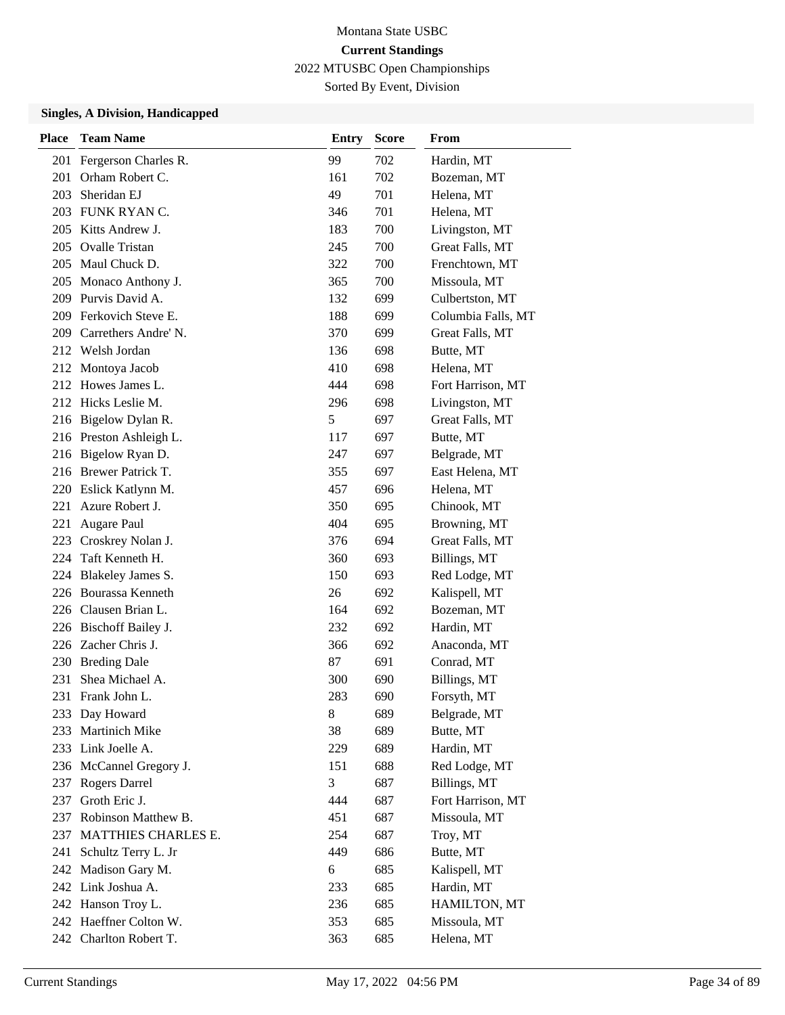Sorted By Event, Division

| Place | <b>Team Name</b>        | <b>Entry</b> | <b>Score</b> | From               |
|-------|-------------------------|--------------|--------------|--------------------|
| 201   | Fergerson Charles R.    | 99           | 702          | Hardin, MT         |
| 201   | Orham Robert C.         | 161          | 702          | Bozeman, MT        |
| 203   | Sheridan EJ             | 49           | 701          | Helena, MT         |
|       | 203 FUNK RYAN C.        | 346          | 701          | Helena, MT         |
| 205   | Kitts Andrew J.         | 183          | 700          | Livingston, MT     |
| 205   | <b>Ovalle Tristan</b>   | 245          | 700          | Great Falls, MT    |
| 205   | Maul Chuck D.           | 322          | 700          | Frenchtown, MT     |
| 205   | Monaco Anthony J.       | 365          | 700          | Missoula, MT       |
| 209   | Purvis David A.         | 132          | 699          | Culbertston, MT    |
| 209   | Ferkovich Steve E.      | 188          | 699          | Columbia Falls, MT |
| 209   | Carrethers Andre' N.    | 370          | 699          | Great Falls, MT    |
| 212   | Welsh Jordan            | 136          | 698          | Butte, MT          |
| 212   | Montoya Jacob           | 410          | 698          | Helena, MT         |
| 212   | Howes James L.          | 444          | 698          | Fort Harrison, MT  |
|       | 212 Hicks Leslie M.     | 296          | 698          | Livingston, MT     |
|       | 216 Bigelow Dylan R.    | 5            | 697          | Great Falls, MT    |
|       | 216 Preston Ashleigh L. | 117          | 697          | Butte, MT          |
| 216   | Bigelow Ryan D.         | 247          | 697          | Belgrade, MT       |
|       | 216 Brewer Patrick T.   | 355          | 697          | East Helena, MT    |
|       | 220 Eslick Katlynn M.   | 457          | 696          | Helena, MT         |
| 221   | Azure Robert J.         | 350          | 695          | Chinook, MT        |
| 221   | Augare Paul             | 404          | 695          | Browning, MT       |
| 223   | Croskrey Nolan J.       | 376          | 694          | Great Falls, MT    |
| 224   | Taft Kenneth H.         | 360          | 693          | Billings, MT       |
| 224   | Blakeley James S.       | 150          | 693          | Red Lodge, MT      |
| 226   | <b>Bourassa Kenneth</b> | 26           | 692          | Kalispell, MT      |
| 226   | Clausen Brian L.        | 164          | 692          | Bozeman, MT        |
|       | 226 Bischoff Bailey J.  | 232          | 692          | Hardin, MT         |
|       | 226 Zacher Chris J.     | 366          | 692          | Anaconda, MT       |
| 230   | <b>Breding Dale</b>     | 87           | 691          | Conrad, MT         |
| 231   | Shea Michael A.         | 300          | 690          | Billings, MT       |
| 231   | Frank John L.           | 283          | 690          | Forsyth, MT        |
|       | 233 Day Howard          | 8            | 689          | Belgrade, MT       |
| 233   | Martinich Mike          | 38           | 689          | Butte, MT          |
|       | 233 Link Joelle A.      | 229          | 689          | Hardin, MT         |
|       | 236 McCannel Gregory J. | 151          | 688          | Red Lodge, MT      |
| 237   | <b>Rogers Darrel</b>    | 3            | 687          | Billings, MT       |
| 237   | Groth Eric J.           | 444          | 687          | Fort Harrison, MT  |
| 237   | Robinson Matthew B.     | 451          | 687          | Missoula, MT       |
| 237   | MATTHIES CHARLES E.     | 254          | 687          | Troy, MT           |
| 241   | Schultz Terry L. Jr     | 449          | 686          | Butte, MT          |
| 242   | Madison Gary M.         | 6            | 685          | Kalispell, MT      |
|       | 242 Link Joshua A.      | 233          | 685          | Hardin, MT         |
|       | 242 Hanson Troy L.      | 236          | 685          | HAMILTON, MT       |
|       | 242 Haeffner Colton W.  | 353          | 685          | Missoula, MT       |
|       | 242 Charlton Robert T.  | 363          | 685          | Helena, MT         |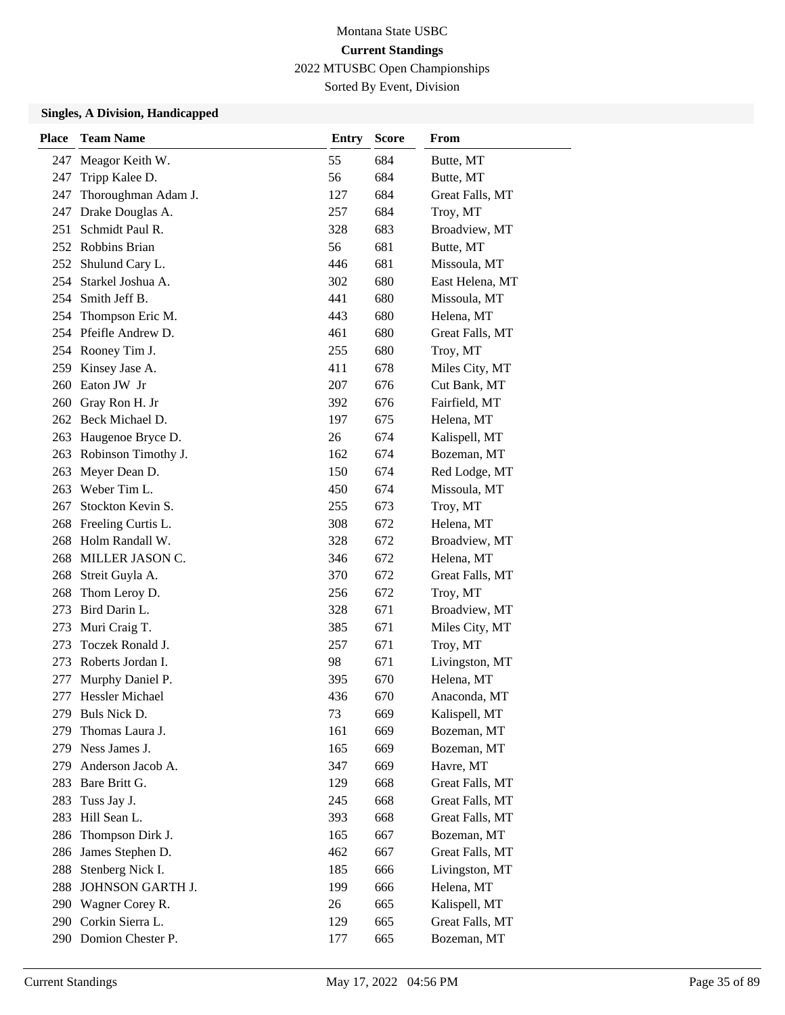Sorted By Event, Division

| <b>Place</b> | <b>Team Name</b>      | <b>Entry</b> | <b>Score</b> | From            |
|--------------|-----------------------|--------------|--------------|-----------------|
| 247          | Meagor Keith W.       | 55           | 684          | Butte, MT       |
| 247          | Tripp Kalee D.        | 56           | 684          | Butte, MT       |
| 247          | Thoroughman Adam J.   | 127          | 684          | Great Falls, MT |
| 247          | Drake Douglas A.      | 257          | 684          | Troy, MT        |
| 251          | Schmidt Paul R.       | 328          | 683          | Broadview, MT   |
|              | 252 Robbins Brian     | 56           | 681          | Butte, MT       |
| 252          | Shulund Cary L.       | 446          | 681          | Missoula, MT    |
|              | 254 Starkel Joshua A. | 302          | 680          | East Helena, MT |
| 254          | Smith Jeff B.         | 441          | 680          | Missoula, MT    |
| 254          | Thompson Eric M.      | 443          | 680          | Helena, MT      |
|              | 254 Pfeifle Andrew D. | 461          | 680          | Great Falls, MT |
|              | 254 Rooney Tim J.     | 255          | 680          | Troy, MT        |
| 259          | Kinsey Jase A.        | 411          | 678          | Miles City, MT  |
| 260          | Eaton JW Jr           | 207          | 676          | Cut Bank, MT    |
|              | 260 Gray Ron H. Jr    | 392          | 676          | Fairfield, MT   |
|              | 262 Beck Michael D.   | 197          | 675          | Helena, MT      |
| 263          | Haugenoe Bryce D.     | 26           | 674          | Kalispell, MT   |
| 263          | Robinson Timothy J.   | 162          | 674          | Bozeman, MT     |
| 263          | Meyer Dean D.         | 150          | 674          | Red Lodge, MT   |
| 263          | Weber Tim L.          | 450          | 674          | Missoula, MT    |
| 267          | Stockton Kevin S.     | 255          | 673          | Troy, MT        |
| 268          | Freeling Curtis L.    | 308          | 672          | Helena, MT      |
|              | 268 Holm Randall W.   | 328          | 672          | Broadview, MT   |
|              | 268 MILLER JASON C.   | 346          | 672          | Helena, MT      |
| 268          | Streit Guyla A.       | 370          | 672          | Great Falls, MT |
| 268          | Thom Leroy D.         | 256          | 672          | Troy, MT        |
| 273          | Bird Darin L.         | 328          | 671          | Broadview, MT   |
| 273          | Muri Craig T.         | 385          | 671          | Miles City, MT  |
| 273          | Toczek Ronald J.      | 257          | 671          | Troy, MT        |
| 273          | Roberts Jordan I.     | 98           | 671          | Livingston, MT  |
| 277          | Murphy Daniel P.      | 395          | 670          | Helena, MT      |
| 277          | Hessler Michael       | 436          | 670          | Anaconda, MT    |
| 279          | Buls Nick D.          | 73           | 669          | Kalispell, MT   |
| 279          | Thomas Laura J.       | 161          | 669          | Bozeman, MT     |
|              | 279 Ness James J.     | 165          | 669          | Bozeman, MT     |
| 279          | Anderson Jacob A.     | 347          | 669          | Havre, MT       |
| 283          | Bare Britt G.         | 129          | 668          | Great Falls, MT |
| 283          | Tuss Jay J.           | 245          | 668          | Great Falls, MT |
| 283          | Hill Sean L.          | 393          | 668          | Great Falls, MT |
| 286          | Thompson Dirk J.      | 165          | 667          | Bozeman, MT     |
| 286          | James Stephen D.      | 462          | 667          | Great Falls, MT |
| 288          | Stenberg Nick I.      | 185          | 666          | Livingston, MT  |
| 288          | JOHNSON GARTH J.      | 199          | 666          | Helena, MT      |
| 290          | Wagner Corey R.       | 26           | 665          | Kalispell, MT   |
| 290          | Corkin Sierra L.      | 129          | 665          | Great Falls, MT |
|              | 290 Domion Chester P. | 177          | 665          | Bozeman, MT     |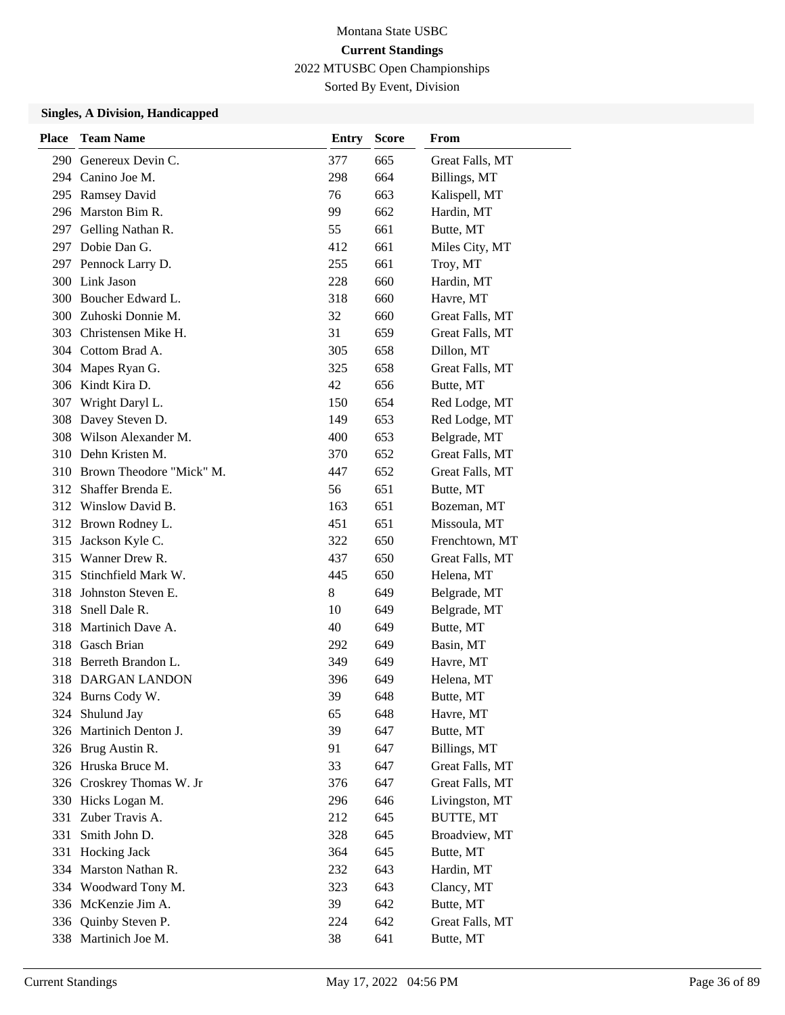Sorted By Event, Division

| <b>Place</b> | <b>Team Name</b>             | <b>Entry</b> | <b>Score</b> | From             |
|--------------|------------------------------|--------------|--------------|------------------|
| 290          | Genereux Devin C.            | 377          | 665          | Great Falls, MT  |
|              | 294 Canino Joe M.            | 298          | 664          | Billings, MT     |
| 295          | <b>Ramsey David</b>          | 76           | 663          | Kalispell, MT    |
|              | 296 Marston Bim R.           | 99           | 662          | Hardin, MT       |
|              | 297 Gelling Nathan R.        | 55           | 661          | Butte, MT        |
| 297          | Dobie Dan G.                 | 412          | 661          | Miles City, MT   |
|              | 297 Pennock Larry D.         | 255          | 661          | Troy, MT         |
|              | 300 Link Jason               | 228          | 660          | Hardin, MT       |
|              | 300 Boucher Edward L.        | 318          | 660          | Havre, MT        |
|              | 300 Zuhoski Donnie M.        | 32           | 660          | Great Falls, MT  |
| 303          | Christensen Mike H.          | 31           | 659          | Great Falls, MT  |
|              | 304 Cottom Brad A.           | 305          | 658          | Dillon, MT       |
| 304          | Mapes Ryan G.                | 325          | 658          | Great Falls, MT  |
|              | 306 Kindt Kira D.            | 42           | 656          | Butte, MT        |
| 307          | Wright Daryl L.              | 150          | 654          | Red Lodge, MT    |
| 308          | Davey Steven D.              | 149          | 653          | Red Lodge, MT    |
|              | 308 Wilson Alexander M.      | 400          | 653          | Belgrade, MT     |
|              | 310 Dehn Kristen M.          | 370          | 652          | Great Falls, MT  |
|              | 310 Brown Theodore "Mick" M. | 447          | 652          | Great Falls, MT  |
|              | 312 Shaffer Brenda E.        | 56           | 651          | Butte, MT        |
|              | 312 Winslow David B.         | 163          | 651          | Bozeman, MT      |
|              | 312 Brown Rodney L.          | 451          | 651          | Missoula, MT     |
| 315          | Jackson Kyle C.              | 322          | 650          | Frenchtown, MT   |
|              | 315 Wanner Drew R.           | 437          | 650          | Great Falls, MT  |
| 315          | Stinchfield Mark W.          | 445          | 650          | Helena, MT       |
| 318          | Johnston Steven E.           | 8            | 649          | Belgrade, MT     |
| 318          | Snell Dale R.                | 10           | 649          | Belgrade, MT     |
| 318          | Martinich Dave A.            | 40           | 649          | Butte, MT        |
|              | 318 Gasch Brian              | 292          | 649          | Basin, MT        |
|              | 318 Berreth Brandon L.       | 349          | 649          | Havre, MT        |
|              | 318 DARGAN LANDON            | 396          | 649          | Helena, MT       |
|              | 324 Burns Cody W.            | 39           | 648          | Butte, MT        |
| 324          | Shulund Jay                  | 65           | 648          | Havre, MT        |
| 326          | Martinich Denton J.          | 39           | 647          | Butte, MT        |
|              | 326 Brug Austin R.           | 91           | 647          | Billings, MT     |
|              | 326 Hruska Bruce M.          | 33           | 647          | Great Falls, MT  |
|              | 326 Croskrey Thomas W. Jr    | 376          | 647          | Great Falls, MT  |
|              | 330 Hicks Logan M.           | 296          | 646          | Livingston, MT   |
| 331          | Zuber Travis A.              | 212          | 645          | <b>BUTTE, MT</b> |
| 331          | Smith John D.                | 328          | 645          | Broadview, MT    |
| 331          | Hocking Jack                 | 364          | 645          | Butte, MT        |
| 334          | Marston Nathan R.            | 232          | 643          | Hardin, MT       |
| 334          | Woodward Tony M.             | 323          | 643          | Clancy, MT       |
|              | 336 McKenzie Jim A.          | 39           | 642          | Butte, MT        |
| 336          | Quinby Steven P.             | 224          | 642          | Great Falls, MT  |
| 338          | Martinich Joe M.             | 38           | 641          | Butte, MT        |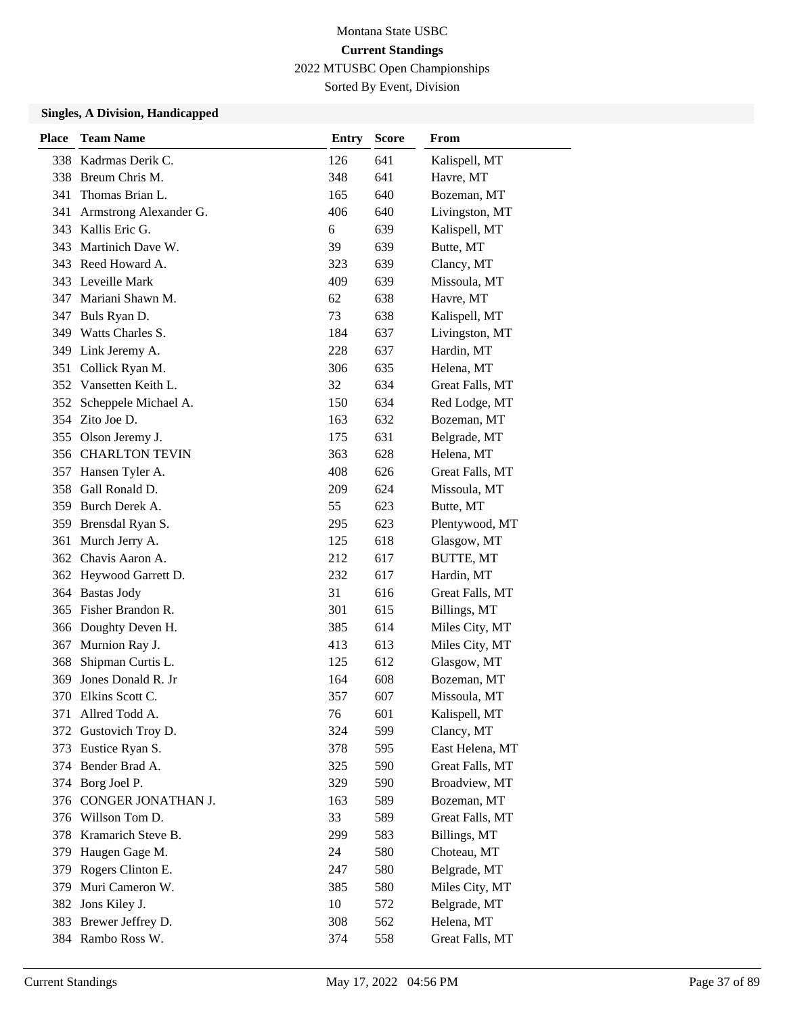Sorted By Event, Division

| <b>Place</b> | <b>Team Name</b>       | <b>Entry</b> | <b>Score</b> | From            |
|--------------|------------------------|--------------|--------------|-----------------|
| 338          | Kadrmas Derik C.       | 126          | 641          | Kalispell, MT   |
|              | 338 Breum Chris M.     | 348          | 641          | Havre, MT       |
| 341          | Thomas Brian L.        | 165          | 640          | Bozeman, MT     |
| 341          | Armstrong Alexander G. | 406          | 640          | Livingston, MT  |
|              | 343 Kallis Eric G.     | 6            | 639          | Kalispell, MT   |
| 343          | Martinich Dave W.      | 39           | 639          | Butte, MT       |
|              | 343 Reed Howard A.     | 323          | 639          | Clancy, MT      |
|              | 343 Leveille Mark      | 409          | 639          | Missoula, MT    |
|              | 347 Mariani Shawn M.   | 62           | 638          | Havre, MT       |
| 347          | Buls Ryan D.           | 73           | 638          | Kalispell, MT   |
| 349          | Watts Charles S.       | 184          | 637          | Livingston, MT  |
|              | 349 Link Jeremy A.     | 228          | 637          | Hardin, MT      |
| 351          | Collick Ryan M.        | 306          | 635          | Helena, MT      |
|              | 352 Vansetten Keith L. | 32           | 634          | Great Falls, MT |
| 352          | Scheppele Michael A.   | 150          | 634          | Red Lodge, MT   |
|              | 354 Zito Joe D.        | 163          | 632          | Bozeman, MT     |
| 355          | Olson Jeremy J.        | 175          | 631          | Belgrade, MT    |
|              | 356 CHARLTON TEVIN     | 363          | 628          | Helena, MT      |
|              | 357 Hansen Tyler A.    | 408          | 626          | Great Falls, MT |
|              | 358 Gall Ronald D.     | 209          | 624          | Missoula, MT    |
|              | 359 Burch Derek A.     | 55           | 623          | Butte, MT       |
| 359          | Brensdal Ryan S.       | 295          | 623          | Plentywood, MT  |
| 361          | Murch Jerry A.         | 125          | 618          | Glasgow, MT     |
|              | 362 Chavis Aaron A.    | 212          | 617          | BUTTE, MT       |
|              | 362 Heywood Garrett D. | 232          | 617          | Hardin, MT      |
| 364          | <b>Bastas Jody</b>     | 31           | 616          | Great Falls, MT |
| 365          | Fisher Brandon R.      | 301          | 615          | Billings, MT    |
|              | 366 Doughty Deven H.   | 385          | 614          | Miles City, MT  |
| 367          | Murnion Ray J.         | 413          | 613          | Miles City, MT  |
| 368          | Shipman Curtis L.      | 125          | 612          | Glasgow, MT     |
| 369          | Jones Donald R. Jr     | 164          | 608          | Bozeman, MT     |
|              | 370 Elkins Scott C.    | 357          | 607          | Missoula, MT    |
| 371          | Allred Todd A.         | 76           | 601          | Kalispell, MT   |
| 372          | Gustovich Troy D.      | 324          | 599          | Clancy, MT      |
| 373          | Eustice Ryan S.        | 378          | 595          | East Helena, MT |
|              | 374 Bender Brad A.     | 325          | 590          | Great Falls, MT |
| 374          | Borg Joel P.           | 329          | 590          | Broadview, MT   |
| 376          | CONGER JONATHAN J.     | 163          | 589          | Bozeman, MT     |
|              | 376 Willson Tom D.     | 33           | 589          | Great Falls, MT |
| 378          | Kramarich Steve B.     | 299          | 583          | Billings, MT    |
| 379          | Haugen Gage M.         | 24           | 580          | Choteau, MT     |
| 379          | Rogers Clinton E.      | 247          | 580          | Belgrade, MT    |
| 379          | Muri Cameron W.        | 385          | 580          | Miles City, MT  |
| 382          | Jons Kiley J.          | 10           | 572          | Belgrade, MT    |
| 383          | Brewer Jeffrey D.      | 308          | 562          | Helena, MT      |
| 384          | Rambo Ross W.          | 374          | 558          | Great Falls, MT |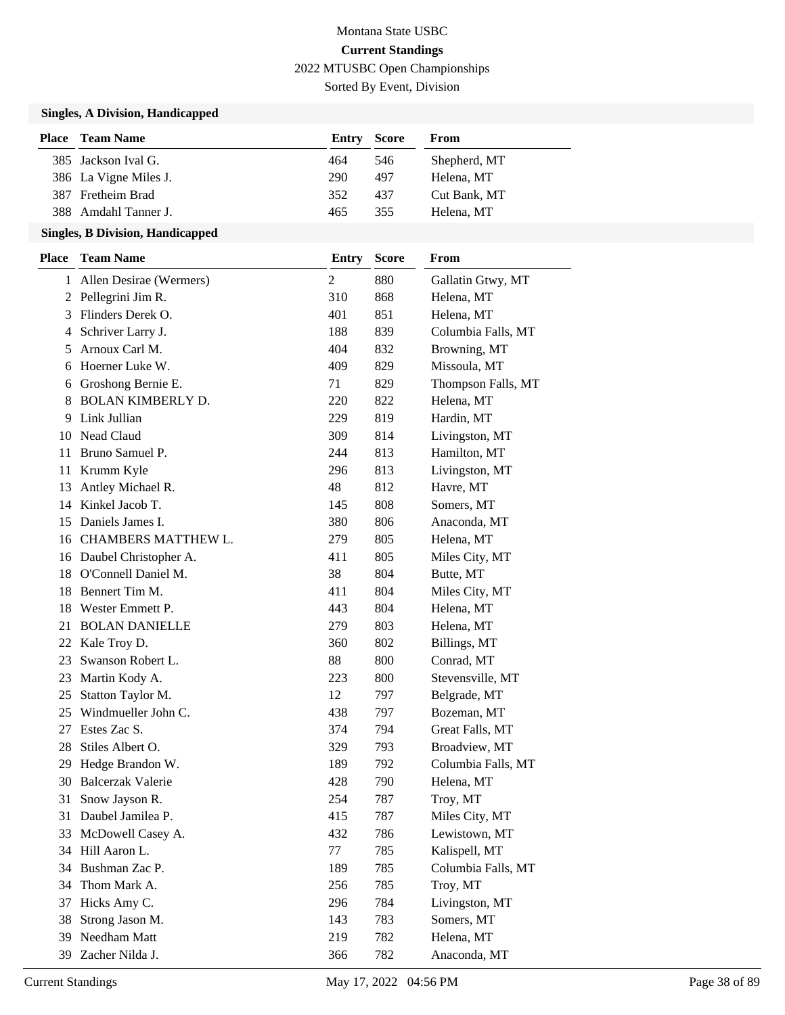Sorted By Event, Division

## **Singles, A Division, Handicapped**

| Place | <b>Team Name</b>      | Entry | <b>Score</b> | From         |
|-------|-----------------------|-------|--------------|--------------|
|       | 385 Jackson Ival G.   | 464   | 546          | Shepherd, MT |
|       | 386 La Vigne Miles J. | 290   | 497          | Helena, MT   |
|       | 387 Fretheim Brad     | 352   | 437          | Cut Bank, MT |
|       | 388 Amdahl Tanner J.  | 465   | 355          | Helena, MT   |

| <b>Place</b> | <b>Team Name</b>          | <b>Entry</b>   | <b>Score</b> | From               |
|--------------|---------------------------|----------------|--------------|--------------------|
|              | 1 Allen Desirae (Wermers) | $\overline{2}$ | 880          | Gallatin Gtwy, MT  |
|              | 2 Pellegrini Jim R.       | 310            | 868          | Helena, MT         |
|              | 3 Flinders Derek O.       | 401            | 851          | Helena, MT         |
| 4            | Schriver Larry J.         | 188            | 839          | Columbia Falls, MT |
| 5            | Arnoux Carl M.            | 404            | 832          | Browning, MT       |
|              | 6 Hoerner Luke W.         | 409            | 829          | Missoula, MT       |
| 6            | Groshong Bernie E.        | 71             | 829          | Thompson Falls, MT |
| 8            | <b>BOLAN KIMBERLY D.</b>  | 220            | 822          | Helena, MT         |
| 9            | Link Jullian              | 229            | 819          | Hardin, MT         |
|              | 10 Nead Claud             | 309            | 814          | Livingston, MT     |
| 11           | Bruno Samuel P.           | 244            | 813          | Hamilton, MT       |
| 11 -         | Krumm Kyle                | 296            | 813          | Livingston, MT     |
| 13           | Antley Michael R.         | 48             | 812          | Havre, MT          |
|              | 14 Kinkel Jacob T.        | 145            | 808          | Somers, MT         |
| 15           | Daniels James I.          | 380            | 806          | Anaconda, MT       |
|              | 16 CHAMBERS MATTHEW L.    | 279            | 805          | Helena, MT         |
|              | 16 Daubel Christopher A.  | 411            | 805          | Miles City, MT     |
|              | 18 O'Connell Daniel M.    | 38             | 804          | Butte, MT          |
| 18           | Bennert Tim M.            | 411            | 804          | Miles City, MT     |
| 18           | Wester Emmett P.          | 443            | 804          | Helena, MT         |
| 21           | <b>BOLAN DANIELLE</b>     | 279            | 803          | Helena, MT         |
|              | 22 Kale Troy D.           | 360            | 802          | Billings, MT       |
| 23           | Swanson Robert L.         | 88             | 800          | Conrad, MT         |
| 23           | Martin Kody A.            | 223            | 800          | Stevensville, MT   |
| 25           | Statton Taylor M.         | 12             | 797          | Belgrade, MT       |
|              | 25 Windmueller John C.    | 438            | 797          | Bozeman, MT        |
| 27           | Estes Zac S.              | 374            | 794          | Great Falls, MT    |
| 28           | Stiles Albert O.          | 329            | 793          | Broadview, MT      |
| 29           | Hedge Brandon W.          | 189            | 792          | Columbia Falls, MT |
|              | 30 Balcerzak Valerie      | 428            | 790          | Helena, MT         |
| 31           | Snow Jayson R.            | 254            | 787          | Troy, MT           |
|              | 31 Daubel Jamilea P.      | 415            | 787          | Miles City, MT     |
|              | 33 McDowell Casey A.      | 432            | 786          | Lewistown, MT      |
|              | 34 Hill Aaron L.          | 77             | 785          | Kalispell, MT      |
| 34           | Bushman Zac P.            | 189            | 785          | Columbia Falls, MT |
| 34           | Thom Mark A.              | 256            | 785          | Troy, MT           |
| 37           | Hicks Amy C.              | 296            | 784          | Livingston, MT     |
| 38           | Strong Jason M.           | 143            | 783          | Somers, MT         |
| 39           | Needham Matt              | 219            | 782          | Helena, MT         |
| 39           | Zacher Nilda J.           | 366            | 782          | Anaconda, MT       |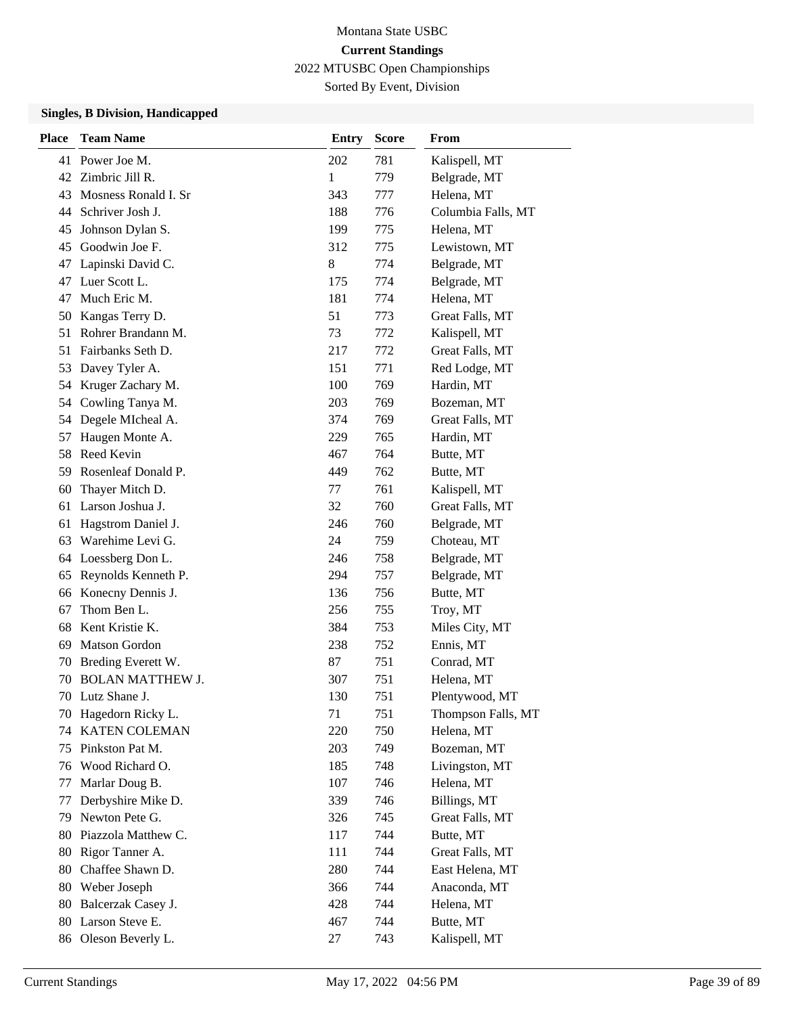Sorted By Event, Division

| <b>Place</b> | <b>Team Name</b>        | Entry        | <b>Score</b> | From               |
|--------------|-------------------------|--------------|--------------|--------------------|
| 41           | Power Joe M.            | 202          | 781          | Kalispell, MT      |
| 42           | Zimbric Jill R.         | $\mathbf{1}$ | 779          | Belgrade, MT       |
| 43           | Mosness Ronald I. Sr    | 343          | 777          | Helena, MT         |
| 44           | Schriver Josh J.        | 188          | 776          | Columbia Falls, MT |
| 45           | Johnson Dylan S.        | 199          | 775          | Helena, MT         |
| 45           | Goodwin Joe F.          | 312          | 775          | Lewistown, MT      |
| 47           | Lapinski David C.       | 8            | 774          | Belgrade, MT       |
| 47           | Luer Scott L.           | 175          | 774          | Belgrade, MT       |
| 47           | Much Eric M.            | 181          | 774          | Helena, MT         |
| 50           | Kangas Terry D.         | 51           | 773          | Great Falls, MT    |
| 51           | Rohrer Brandann M.      | 73           | 772          | Kalispell, MT      |
| 51           | Fairbanks Seth D.       | 217          | 772          | Great Falls, MT    |
| 53           | Davey Tyler A.          | 151          | 771          | Red Lodge, MT      |
| 54           | Kruger Zachary M.       | 100          | 769          | Hardin, MT         |
| 54           | Cowling Tanya M.        | 203          | 769          | Bozeman, MT        |
| 54           | Degele MIcheal A.       | 374          | 769          | Great Falls, MT    |
| 57           | Haugen Monte A.         | 229          | 765          | Hardin, MT         |
| 58           | Reed Kevin              | 467          | 764          | Butte, MT          |
| 59           | Rosenleaf Donald P.     | 449          | 762          | Butte, MT          |
| 60           | Thayer Mitch D.         | 77           | 761          | Kalispell, MT      |
| 61           | Larson Joshua J.        | 32           | 760          | Great Falls, MT    |
| 61           | Hagstrom Daniel J.      | 246          | 760          | Belgrade, MT       |
| 63           | Warehime Levi G.        | 24           | 759          | Choteau, MT        |
| 64           | Loessberg Don L.        | 246          | 758          | Belgrade, MT       |
| 65           | Reynolds Kenneth P.     | 294          | 757          | Belgrade, MT       |
| 66           | Konecny Dennis J.       | 136          | 756          | Butte, MT          |
| 67           | Thom Ben L.             | 256          | 755          | Troy, MT           |
| 68           | Kent Kristie K.         | 384          | 753          | Miles City, MT     |
| 69           | <b>Matson Gordon</b>    | 238          | 752          | Ennis, MT          |
| 70           | Breding Everett W.      | 87           | 751          | Conrad, MT         |
| 70           | <b>BOLAN MATTHEW J.</b> | 307          | 751          | Helena, MT         |
|              | 70 Lutz Shane J.        | 130          | 751          | Plentywood, MT     |
| 70           | Hagedorn Ricky L.       | 71           | 751          | Thompson Falls, MT |
| 74           | <b>KATEN COLEMAN</b>    | 220          | 750          | Helena, MT         |
| 75           | Pinkston Pat M.         | 203          | 749          | Bozeman, MT        |
| 76           | Wood Richard O.         | 185          | 748          | Livingston, MT     |
| 77           | Marlar Doug B.          | 107          | 746          | Helena, MT         |
| 77           | Derbyshire Mike D.      | 339          | 746          | Billings, MT       |
| 79           | Newton Pete G.          | 326          | 745          | Great Falls, MT    |
| 80           | Piazzola Matthew C.     | 117          | 744          | Butte, MT          |
| 80           | Rigor Tanner A.         | 111          | 744          | Great Falls, MT    |
| 80           | Chaffee Shawn D.        | 280          | 744          | East Helena, MT    |
| 80           | Weber Joseph            | 366          | 744          | Anaconda, MT       |
| 80           | Balcerzak Casey J.      | 428          | 744          | Helena, MT         |
| 80           | Larson Steve E.         | 467          | 744          | Butte, MT          |
| 86           | Oleson Beverly L.       | 27           | 743          | Kalispell, MT      |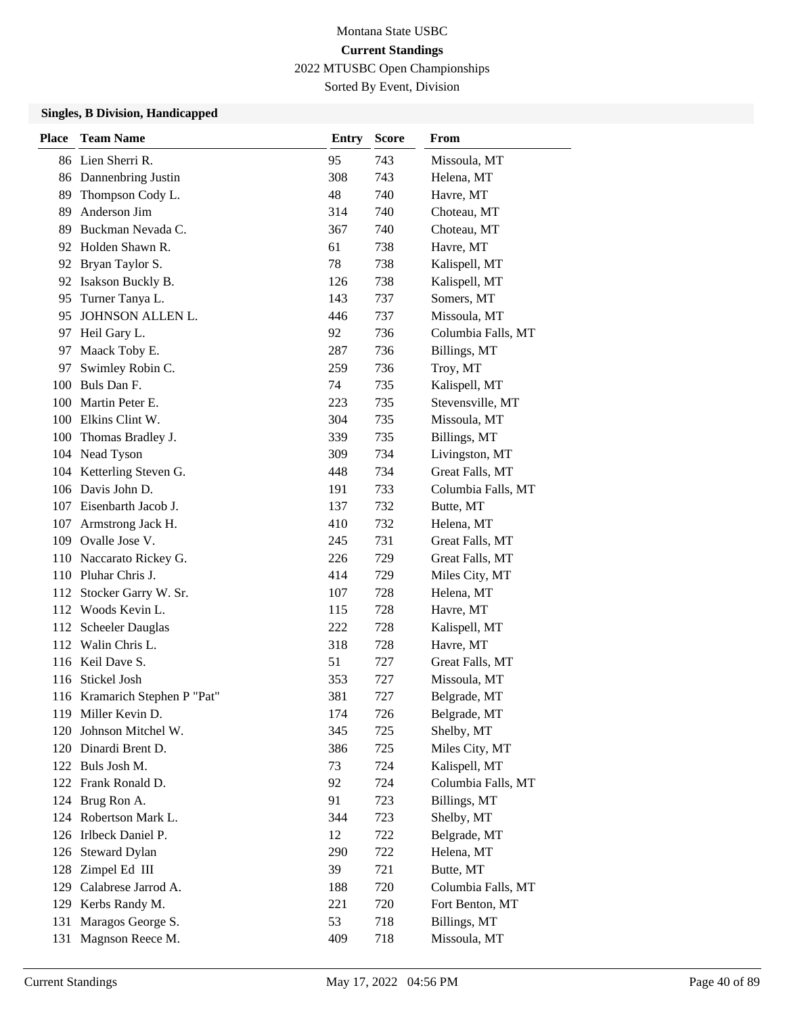Sorted By Event, Division

| <b>Place</b> | <b>Team Name</b>              | <b>Entry</b> | <b>Score</b> | From               |
|--------------|-------------------------------|--------------|--------------|--------------------|
|              | 86 Lien Sherri R.             | 95           | 743          | Missoula, MT       |
|              | 86 Dannenbring Justin         | 308          | 743          | Helena, MT         |
| 89           | Thompson Cody L.              | 48           | 740          | Havre, MT          |
| 89           | Anderson Jim                  | 314          | 740          | Choteau, MT        |
| 89           | Buckman Nevada C.             | 367          | 740          | Choteau, MT        |
| 92           | Holden Shawn R.               | 61           | 738          | Havre, MT          |
|              | 92 Bryan Taylor S.            | 78           | 738          | Kalispell, MT      |
| 92           | Isakson Buckly B.             | 126          | 738          | Kalispell, MT      |
| 95           | Turner Tanya L.               | 143          | 737          | Somers, MT         |
| 95           | JOHNSON ALLEN L.              | 446          | 737          | Missoula, MT       |
| 97           | Heil Gary L.                  | 92           | 736          | Columbia Falls, MT |
| 97           | Maack Toby E.                 | 287          | 736          | Billings, MT       |
| 97           | Swimley Robin C.              | 259          | 736          | Troy, MT           |
|              | 100 Buls Dan F.               | 74           | 735          | Kalispell, MT      |
|              | 100 Martin Peter E.           | 223          | 735          | Stevensville, MT   |
|              | 100 Elkins Clint W.           | 304          | 735          | Missoula, MT       |
| 100          | Thomas Bradley J.             | 339          | 735          | Billings, MT       |
|              | 104 Nead Tyson                | 309          | 734          | Livingston, MT     |
|              | 104 Ketterling Steven G.      | 448          | 734          | Great Falls, MT    |
|              | 106 Davis John D.             | 191          | 733          | Columbia Falls, MT |
|              | 107 Eisenbarth Jacob J.       | 137          | 732          | Butte, MT          |
| 107          | Armstrong Jack H.             | 410          | 732          | Helena, MT         |
|              | 109 Ovalle Jose V.            | 245          | 731          | Great Falls, MT    |
|              | 110 Naccarato Rickey G.       | 226          | 729          | Great Falls, MT    |
|              | 110 Pluhar Chris J.           | 414          | 729          | Miles City, MT     |
| 112          | Stocker Garry W. Sr.          | 107          | 728          | Helena, MT         |
|              | 112 Woods Kevin L.            | 115          | 728          | Havre, MT          |
|              | 112 Scheeler Dauglas          | 222          | 728          | Kalispell, MT      |
|              | 112 Walin Chris L.            | 318          | 728          | Havre, MT          |
|              | 116 Keil Dave S.              | 51           | 727          | Great Falls, MT    |
|              | 116 Stickel Josh              | 353          | 727          | Missoula, MT       |
|              | 116 Kramarich Stephen P "Pat" | 381          | 727          | Belgrade, MT       |
|              | 119 Miller Kevin D.           | 174          | 726          | Belgrade, MT       |
| 120          | Johnson Mitchel W.            | 345          | 725          | Shelby, MT         |
|              | 120 Dinardi Brent D.          | 386          | 725          | Miles City, MT     |
|              | 122 Buls Josh M.              | 73           | 724          | Kalispell, MT      |
|              | 122 Frank Ronald D.           | 92           | 724          | Columbia Falls, MT |
|              | 124 Brug Ron A.               | 91           | 723          | Billings, MT       |
|              | 124 Robertson Mark L.         | 344          | 723          | Shelby, MT         |
|              | 126 Irlbeck Daniel P.         | 12           | 722          | Belgrade, MT       |
| 126          | <b>Steward Dylan</b>          | 290          | 722          | Helena, MT         |
| 128          | Zimpel Ed III                 | 39           | 721          | Butte, MT          |
| 129          | Calabrese Jarrod A.           | 188          | 720          | Columbia Falls, MT |
|              | 129 Kerbs Randy M.            | 221          | 720          | Fort Benton, MT    |
| 131          | Maragos George S.             | 53           | 718          | Billings, MT       |
|              | 131 Magnson Reece M.          | 409          | 718          | Missoula, MT       |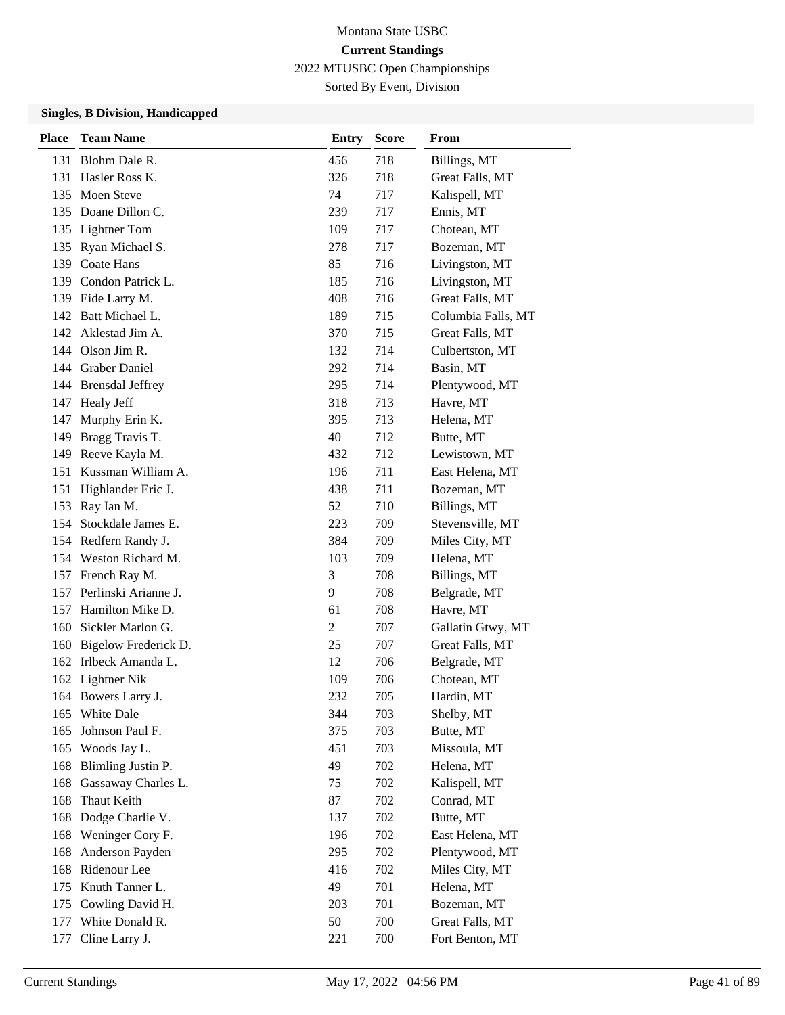Sorted By Event, Division

| <b>Place</b> | <b>Team Name</b>      | <b>Entry</b>   | <b>Score</b> | From               |
|--------------|-----------------------|----------------|--------------|--------------------|
| 131          | Blohm Dale R.         | 456            | 718          | Billings, MT       |
| 131          | Hasler Ross K.        | 326            | 718          | Great Falls, MT    |
| 135          | <b>Moen Steve</b>     | 74             | 717          | Kalispell, MT      |
|              | 135 Doane Dillon C.   | 239            | 717          | Ennis, MT          |
|              | 135 Lightner Tom      | 109            | 717          | Choteau, MT        |
| 135          | Ryan Michael S.       | 278            | 717          | Bozeman, MT        |
|              | 139 Coate Hans        | 85             | 716          | Livingston, MT     |
|              | 139 Condon Patrick L. | 185            | 716          | Livingston, MT     |
| 139          | Eide Larry M.         | 408            | 716          | Great Falls, MT    |
|              | 142 Batt Michael L.   | 189            | 715          | Columbia Falls, MT |
|              | 142 Aklestad Jim A.   | 370            | 715          | Great Falls, MT    |
|              | 144 Olson Jim R.      | 132            | 714          | Culbertston, MT    |
|              | 144 Graber Daniel     | 292            | 714          | Basin, MT          |
|              | 144 Brensdal Jeffrey  | 295            | 714          | Plentywood, MT     |
| 147          | <b>Healy Jeff</b>     | 318            | 713          | Havre, MT          |
| 147          | Murphy Erin K.        | 395            | 713          | Helena, MT         |
| 149          | Bragg Travis T.       | 40             | 712          | Butte, MT          |
| 149          | Reeve Kayla M.        | 432            | 712          | Lewistown, MT      |
| 151          | Kussman William A.    | 196            | 711          | East Helena, MT    |
| 151          | Highlander Eric J.    | 438            | 711          | Bozeman, MT        |
| 153          | Ray Ian M.            | 52             | 710          | Billings, MT       |
| 154          | Stockdale James E.    | 223            | 709          | Stevensville, MT   |
|              | 154 Redfern Randy J.  | 384            | 709          | Miles City, MT     |
|              | 154 Weston Richard M. | 103            | 709          | Helena, MT         |
| 157          | French Ray M.         | 3              | 708          | Billings, MT       |
| 157          | Perlinski Arianne J.  | 9              | 708          | Belgrade, MT       |
| 157          | Hamilton Mike D.      | 61             | 708          | Havre, MT          |
| 160          | Sickler Marlon G.     | $\overline{2}$ | 707          | Gallatin Gtwy, MT  |
| 160          | Bigelow Frederick D.  | 25             | 707          | Great Falls, MT    |
|              | 162 Irlbeck Amanda L. | 12             | 706          | Belgrade, MT       |
|              | 162 Lightner Nik      | 109            | 706          | Choteau, MT        |
|              | 164 Bowers Larry J.   | 232            | 705          | Hardin, MT         |
|              | 165 White Dale        | 344            | 703          | Shelby, MT         |
| 165          | Johnson Paul F.       | 375            | 703          | Butte, MT          |
| 165          | Woods Jay L.          | 451            | 703          | Missoula, MT       |
| 168          | Blimling Justin P.    | 49             | 702          | Helena, MT         |
| 168          | Gassaway Charles L.   | 75             | 702          | Kalispell, MT      |
| 168          | Thaut Keith           | 87             | 702          | Conrad, MT         |
| 168          | Dodge Charlie V.      | 137            | 702          | Butte, MT          |
| 168          | Weninger Cory F.      | 196            | 702          | East Helena, MT    |
| 168          | Anderson Payden       | 295            | 702          | Plentywood, MT     |
| 168          | Ridenour Lee          | 416            | 702          | Miles City, MT     |
| 175          | Knuth Tanner L.       | 49             | 701          | Helena, MT         |
| 175          | Cowling David H.      | 203            | 701          | Bozeman, MT        |
| 177          | White Donald R.       | 50             | 700          | Great Falls, MT    |
| 177          | Cline Larry J.        | 221            | 700          | Fort Benton, MT    |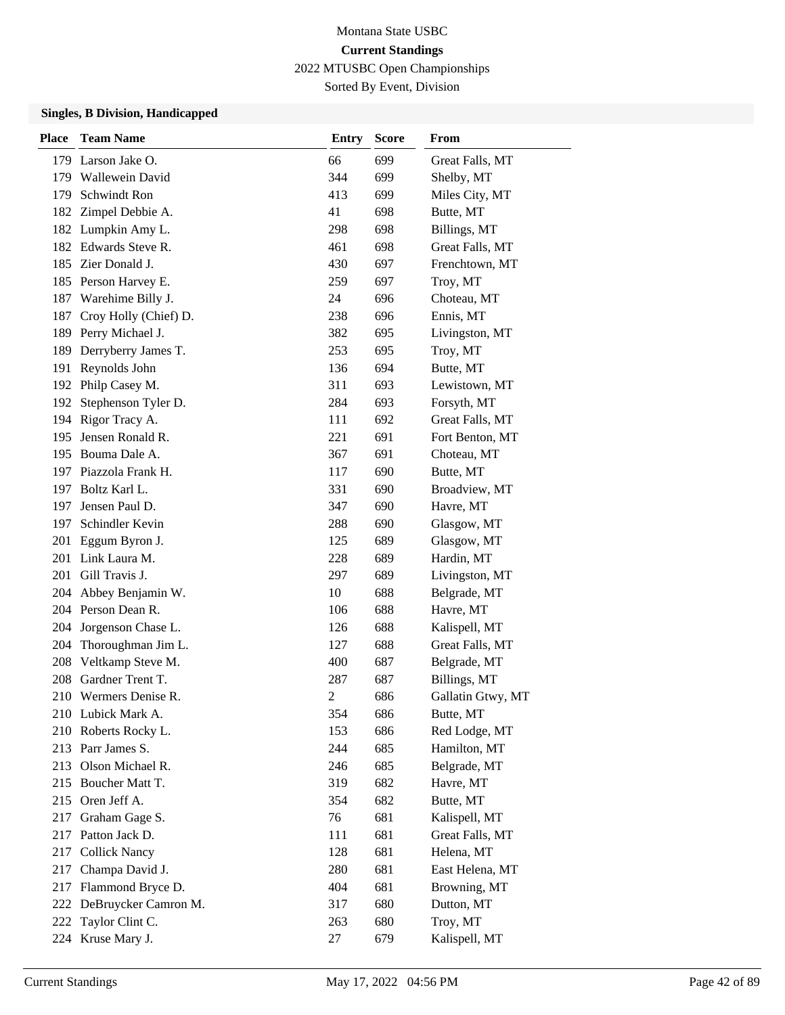Sorted By Event, Division

| <b>Place</b> | <b>Team Name</b>      | <b>Entry</b>   | <b>Score</b> | From              |
|--------------|-----------------------|----------------|--------------|-------------------|
|              | 179 Larson Jake O.    | 66             | 699          | Great Falls, MT   |
|              | 179 Wallewein David   | 344            | 699          | Shelby, MT        |
| 179          | Schwindt Ron          | 413            | 699          | Miles City, MT    |
| 182          | Zimpel Debbie A.      | 41             | 698          | Butte, MT         |
|              | 182 Lumpkin Amy L.    | 298            | 698          | Billings, MT      |
| 182          | Edwards Steve R.      | 461            | 698          | Great Falls, MT   |
|              | 185 Zier Donald J.    | 430            | 697          | Frenchtown, MT    |
|              | 185 Person Harvey E.  | 259            | 697          | Troy, MT          |
| 187          | Warehime Billy J.     | 24             | 696          | Choteau, MT       |
| 187          | Croy Holly (Chief) D. | 238            | 696          | Ennis, MT         |
| 189          | Perry Michael J.      | 382            | 695          | Livingston, MT    |
| 189          | Derryberry James T.   | 253            | 695          | Troy, MT          |
| 191          | Reynolds John         | 136            | 694          | Butte, MT         |
| 192          | Philp Casey M.        | 311            | 693          | Lewistown, MT     |
| 192          | Stephenson Tyler D.   | 284            | 693          | Forsyth, MT       |
|              | 194 Rigor Tracy A.    | 111            | 692          | Great Falls, MT   |
| 195          | Jensen Ronald R.      | 221            | 691          | Fort Benton, MT   |
| 195          | Bouma Dale A.         | 367            | 691          | Choteau, MT       |
|              | 197 Piazzola Frank H. | 117            | 690          | Butte, MT         |
|              | 197 Boltz Karl L.     | 331            | 690          | Broadview, MT     |
| 197          | Jensen Paul D.        | 347            | 690          | Havre, MT         |
| 197          | Schindler Kevin       | 288            | 690          | Glasgow, MT       |
| 201          | Eggum Byron J.        | 125            | 689          | Glasgow, MT       |
|              | 201 Link Laura M.     | 228            | 689          | Hardin, MT        |
| 201          | Gill Travis J.        | 297            | 689          | Livingston, MT    |
| 204          | Abbey Benjamin W.     | 10             | 688          | Belgrade, MT      |
|              | 204 Person Dean R.    | 106            | 688          | Havre, MT         |
| 204          | Jorgenson Chase L.    | 126            | 688          | Kalispell, MT     |
| 204          | Thoroughman Jim L.    | 127            | 688          | Great Falls, MT   |
| 208          | Veltkamp Steve M.     | 400            | 687          | Belgrade, MT      |
| 208          | Gardner Trent T.      | 287            | 687          | Billings, MT      |
| 210          | Wermers Denise R.     | $\overline{c}$ | 686          | Gallatin Gtwy, MT |
|              | 210 Lubick Mark A.    | 354            | 686          | Butte, MT         |
|              | 210 Roberts Rocky L.  | 153            | 686          | Red Lodge, MT     |
|              | 213 Parr James S.     | 244            | 685          | Hamilton, MT      |
|              | 213 Olson Michael R.  | 246            | 685          | Belgrade, MT      |
|              | 215 Boucher Matt T.   | 319            | 682          | Havre, MT         |
|              | 215 Oren Jeff A.      | 354            | 682          | Butte, MT         |
| 217          | Graham Gage S.        | 76             | 681          | Kalispell, MT     |
| 217          | Patton Jack D.        | 111            | 681          | Great Falls, MT   |
| 217          | <b>Collick Nancy</b>  | 128            | 681          | Helena, MT        |
| 217          | Champa David J.       | 280            | 681          | East Helena, MT   |
| 217          | Flammond Bryce D.     | 404            | 681          | Browning, MT      |
| 222          | DeBruycker Camron M.  | 317            | 680          | Dutton, MT        |
| 222          | Taylor Clint C.       | 263            | 680          | Troy, MT          |
|              | 224 Kruse Mary J.     | 27             | 679          | Kalispell, MT     |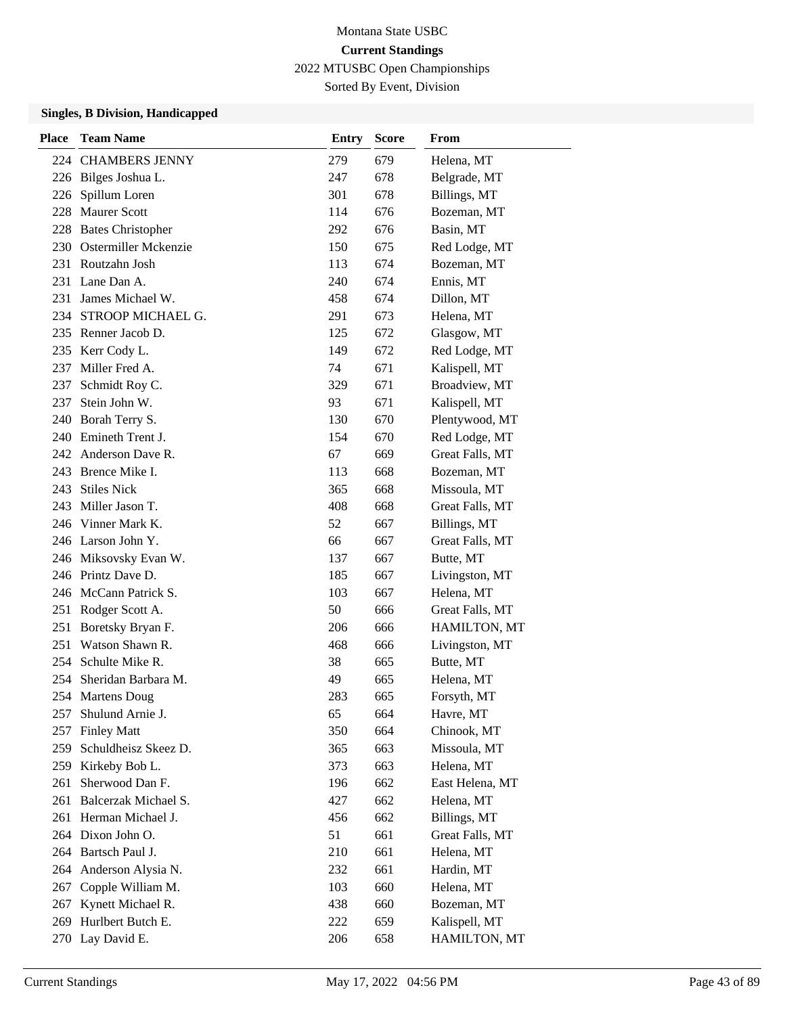Sorted By Event, Division

| Place | <b>Team Name</b>         | <b>Entry</b> | <b>Score</b> | From            |
|-------|--------------------------|--------------|--------------|-----------------|
|       | 224 CHAMBERS JENNY       | 279          | 679          | Helena, MT      |
|       | 226 Bilges Joshua L.     | 247          | 678          | Belgrade, MT    |
| 226   | Spillum Loren            | 301          | 678          | Billings, MT    |
| 228   | <b>Maurer Scott</b>      | 114          | 676          | Bozeman, MT     |
| 228   | <b>Bates Christopher</b> | 292          | 676          | Basin, MT       |
| 230   | Ostermiller Mckenzie     | 150          | 675          | Red Lodge, MT   |
|       | 231 Routzahn Josh        | 113          | 674          | Bozeman, MT     |
|       | 231 Lane Dan A.          | 240          | 674          | Ennis, MT       |
| 231   | James Michael W.         | 458          | 674          | Dillon, MT      |
| 234   | STROOP MICHAEL G.        | 291          | 673          | Helena, MT      |
|       | 235 Renner Jacob D.      | 125          | 672          | Glasgow, MT     |
|       | 235 Kerr Cody L.         | 149          | 672          | Red Lodge, MT   |
| 237   | Miller Fred A.           | 74           | 671          | Kalispell, MT   |
| 237   | Schmidt Roy C.           | 329          | 671          | Broadview, MT   |
| 237   | Stein John W.            | 93           | 671          | Kalispell, MT   |
| 240   | Borah Terry S.           | 130          | 670          | Plentywood, MT  |
| 240   | Emineth Trent J.         | 154          | 670          | Red Lodge, MT   |
| 242   | Anderson Dave R.         | 67           | 669          | Great Falls, MT |
|       | 243 Brence Mike I.       | 113          | 668          | Bozeman, MT     |
| 243   | <b>Stiles Nick</b>       | 365          | 668          | Missoula, MT    |
| 243   | Miller Jason T.          | 408          | 668          | Great Falls, MT |
|       | 246 Vinner Mark K.       | 52           | 667          | Billings, MT    |
|       | 246 Larson John Y.       | 66           | 667          | Great Falls, MT |
|       | 246 Miksovsky Evan W.    | 137          | 667          | Butte, MT       |
| 246   | Printz Dave D.           | 185          | 667          | Livingston, MT  |
|       | 246 McCann Patrick S.    | 103          | 667          | Helena, MT      |
| 251   | Rodger Scott A.          | 50           | 666          | Great Falls, MT |
| 251   | Boretsky Bryan F.        | 206          | 666          | HAMILTON, MT    |
| 251   | Watson Shawn R.          | 468          | 666          | Livingston, MT  |
| 254   | Schulte Mike R.          | 38           | 665          | Butte, MT       |
| 254   | Sheridan Barbara M.      | 49           | 665          | Helena, MT      |
|       | 254 Martens Doug         | 283          | 665          | Forsyth, MT     |
| 257   | Shulund Arnie J.         | 65           | 664          | Havre, MT       |
| 257   | <b>Finley Matt</b>       | 350          | 664          | Chinook, MT     |
| 259   | Schuldheisz Skeez D.     | 365          | 663          | Missoula, MT    |
|       | 259 Kirkeby Bob L.       | 373          | 663          | Helena, MT      |
| 261   | Sherwood Dan F.          | 196          | 662          | East Helena, MT |
| 261   | Balcerzak Michael S.     | 427          | 662          | Helena, MT      |
| 261   | Herman Michael J.        | 456          | 662          | Billings, MT    |
|       | 264 Dixon John O.        | 51           | 661          | Great Falls, MT |
|       | 264 Bartsch Paul J.      | 210          | 661          | Helena, MT      |
| 264   | Anderson Alysia N.       | 232          | 661          | Hardin, MT      |
| 267   | Copple William M.        | 103          | 660          | Helena, MT      |
| 267   | Kynett Michael R.        | 438          | 660          | Bozeman, MT     |
| 269   | Hurlbert Butch E.        | 222          | 659          | Kalispell, MT   |
|       | 270 Lay David E.         | 206          | 658          | HAMILTON, MT    |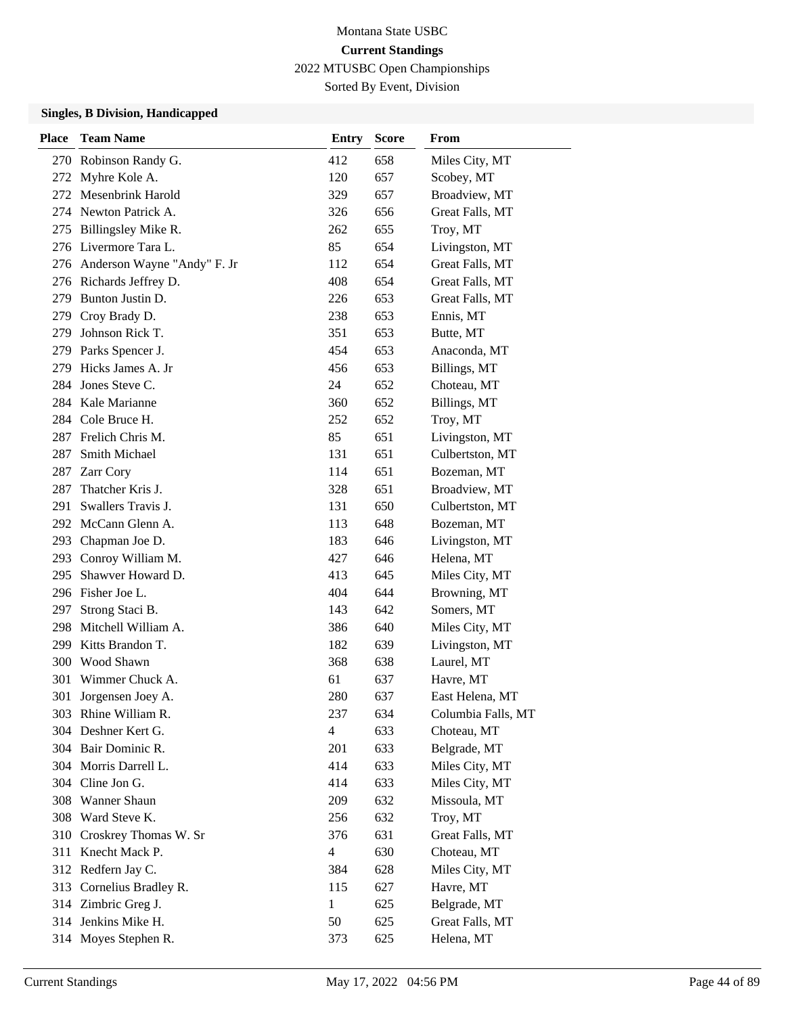Sorted By Event, Division

| <b>Place</b> | <b>Team Name</b>                | <b>Entry</b>   | <b>Score</b> | From               |
|--------------|---------------------------------|----------------|--------------|--------------------|
|              | 270 Robinson Randy G.           | 412            | 658          | Miles City, MT     |
| 272          | Myhre Kole A.                   | 120            | 657          | Scobey, MT         |
| 272          | Mesenbrink Harold               | 329            | 657          | Broadview, MT      |
|              | 274 Newton Patrick A.           | 326            | 656          | Great Falls, MT    |
| 275          | Billingsley Mike R.             | 262            | 655          | Troy, MT           |
|              | 276 Livermore Tara L.           | 85             | 654          | Livingston, MT     |
|              | 276 Anderson Wayne "Andy" F. Jr | 112            | 654          | Great Falls, MT    |
|              | 276 Richards Jeffrey D.         | 408            | 654          | Great Falls, MT    |
| 279          | Bunton Justin D.                | 226            | 653          | Great Falls, MT    |
| 279          | Croy Brady D.                   | 238            | 653          | Ennis, MT          |
| 279          | Johnson Rick T.                 | 351            | 653          | Butte, MT          |
| 279          | Parks Spencer J.                | 454            | 653          | Anaconda, MT       |
| 279          | Hicks James A. Jr               | 456            | 653          | Billings, MT       |
| 284          | Jones Steve C.                  | 24             | 652          | Choteau, MT        |
|              | 284 Kale Marianne               | 360            | 652          | Billings, MT       |
|              | 284 Cole Bruce H.               | 252            | 652          | Troy, MT           |
|              | 287 Frelich Chris M.            | 85             | 651          | Livingston, MT     |
| 287          | Smith Michael                   | 131            | 651          | Culbertston, MT    |
| 287          | Zarr Cory                       | 114            | 651          | Bozeman, MT        |
| 287          | Thatcher Kris J.                | 328            | 651          | Broadview, MT      |
| 291          | Swallers Travis J.              | 131            | 650          | Culbertston, MT    |
| 292          | McCann Glenn A.                 | 113            | 648          | Bozeman, MT        |
| 293          | Chapman Joe D.                  | 183            | 646          | Livingston, MT     |
|              | 293 Conroy William M.           | 427            | 646          | Helena, MT         |
| 295          | Shawver Howard D.               | 413            | 645          | Miles City, MT     |
|              | 296 Fisher Joe L.               | 404            | 644          | Browning, MT       |
| 297          | Strong Staci B.                 | 143            | 642          | Somers, MT         |
| 298          | Mitchell William A.             | 386            | 640          | Miles City, MT     |
| 299          | Kitts Brandon T.                | 182            | 639          | Livingston, MT     |
| 300          | Wood Shawn                      | 368            | 638          | Laurel, MT         |
| 301          | Wimmer Chuck A.                 | 61             | 637          | Havre, MT          |
| 301          | Jorgensen Joey A.               | 280            | 637          | East Helena, MT    |
|              | 303 Rhine William R.            | 237            | 634          | Columbia Falls, MT |
|              | 304 Deshner Kert G.             | $\overline{4}$ | 633          | Choteau, MT        |
|              | 304 Bair Dominic R.             | 201            | 633          | Belgrade, MT       |
|              | 304 Morris Darrell L.           | 414            | 633          | Miles City, MT     |
|              | 304 Cline Jon G.                | 414            | 633          | Miles City, MT     |
| 308          | <b>Wanner Shaun</b>             | 209            | 632          | Missoula, MT       |
| 308          | Ward Steve K.                   | 256            | 632          | Troy, MT           |
| 310          | Croskrey Thomas W. Sr           | 376            | 631          | Great Falls, MT    |
| 311          | Knecht Mack P.                  | 4              | 630          | Choteau, MT        |
| 312          | Redfern Jay C.                  | 384            | 628          | Miles City, MT     |
| 313          | Cornelius Bradley R.            | 115            | 627          | Havre, MT          |
|              | 314 Zimbric Greg J.             | $\mathbf{1}$   | 625          | Belgrade, MT       |
|              | 314 Jenkins Mike H.             | 50             | 625          | Great Falls, MT    |
| 314          | Moyes Stephen R.                | 373            | 625          | Helena, MT         |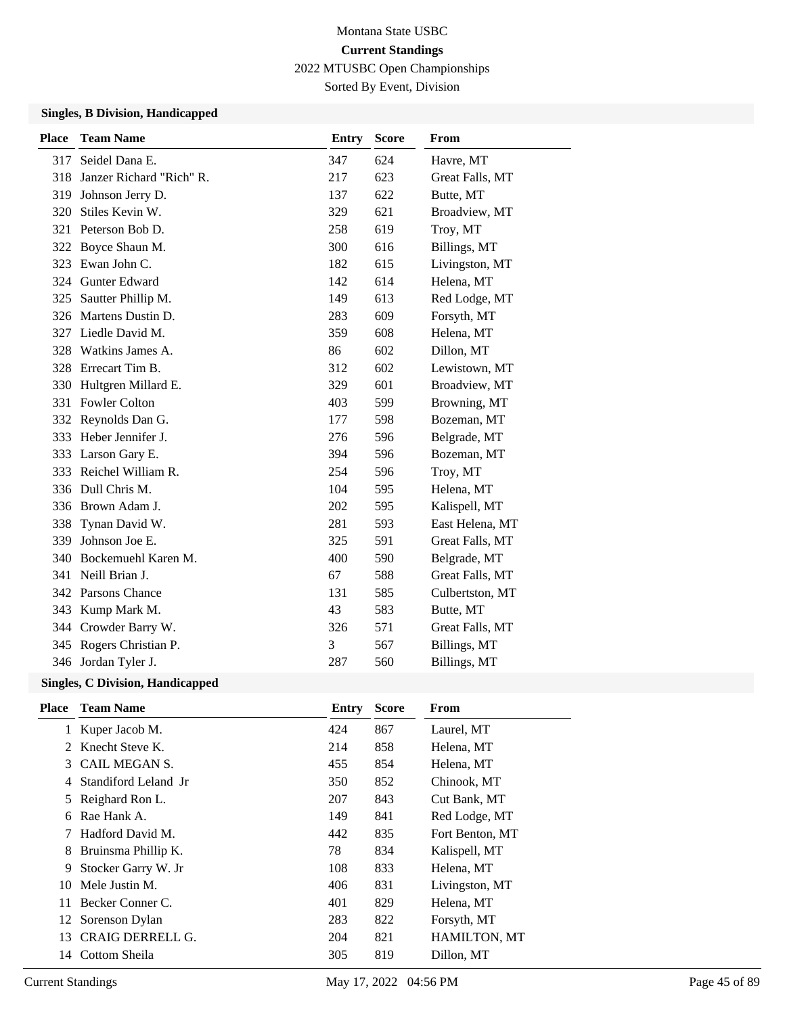Sorted By Event, Division

## **Singles, B Division, Handicapped**

| <b>Place</b> | <b>Team Name</b>         | <b>Entry</b> | <b>Score</b> | From            |
|--------------|--------------------------|--------------|--------------|-----------------|
| 317          | Seidel Dana E.           | 347          | 624          | Havre, MT       |
| 318          | Janzer Richard "Rich" R. | 217          | 623          | Great Falls, MT |
| 319          | Johnson Jerry D.         | 137          | 622          | Butte, MT       |
| 320          | Stiles Kevin W.          | 329          | 621          | Broadview, MT   |
| 321          | Peterson Bob D.          | 258          | 619          | Troy, MT        |
| 322          | Boyce Shaun M.           | 300          | 616          | Billings, MT    |
| 323          | Ewan John C.             | 182          | 615          | Livingston, MT  |
|              | 324 Gunter Edward        | 142          | 614          | Helena, MT      |
| 325          | Sautter Phillip M.       | 149          | 613          | Red Lodge, MT   |
| 326          | Martens Dustin D.        | 283          | 609          | Forsyth, MT     |
|              | 327 Liedle David M.      | 359          | 608          | Helena, MT      |
| 328          | Watkins James A.         | 86           | 602          | Dillon, MT      |
|              | 328 Errecart Tim B.      | 312          | 602          | Lewistown, MT   |
| 330          | Hultgren Millard E.      | 329          | 601          | Broadview, MT   |
|              | 331 Fowler Colton        | 403          | 599          | Browning, MT    |
| 332          | Reynolds Dan G.          | 177          | 598          | Bozeman, MT     |
|              | 333 Heber Jennifer J.    | 276          | 596          | Belgrade, MT    |
| 333          | Larson Gary E.           | 394          | 596          | Bozeman, MT     |
|              | 333 Reichel William R.   | 254          | 596          | Troy, MT        |
|              | 336 Dull Chris M.        | 104          | 595          | Helena, MT      |
|              | 336 Brown Adam J.        | 202          | 595          | Kalispell, MT   |
| 338          | Tynan David W.           | 281          | 593          | East Helena, MT |
| 339          | Johnson Joe E.           | 325          | 591          | Great Falls, MT |
| 340          | Bockemuehl Karen M.      | 400          | 590          | Belgrade, MT    |
| 341          | Neill Brian J.           | 67           | 588          | Great Falls, MT |
|              | 342 Parsons Chance       | 131          | 585          | Culbertston, MT |
| 343          | Kump Mark M.             | 43           | 583          | Butte, MT       |
|              | 344 Crowder Barry W.     | 326          | 571          | Great Falls, MT |
|              | 345 Rogers Christian P.  | 3            | 567          | Billings, MT    |
|              | 346 Jordan Tyler J.      | 287          | 560          | Billings, MT    |
|              |                          |              |              |                 |

| <b>Place</b> | <b>Team Name</b>        | Entry | <b>Score</b> | From                |
|--------------|-------------------------|-------|--------------|---------------------|
|              | 1 Kuper Jacob M.        | 424   | 867          | Laurel, MT          |
|              | 2 Knecht Steve K.       | 214   | 858          | Helena, MT          |
| 3            | CAIL MEGAN S.           | 455   | 854          | Helena, MT          |
| 4            | Standiford Leland Jr    | 350   | 852          | Chinook, MT         |
|              | 5 Reighard Ron L.       | 207   | 843          | Cut Bank, MT        |
| 6            | Rae Hank A.             | 149   | 841          | Red Lodge, MT       |
|              | 7 Hadford David M.      | 442   | 835          | Fort Benton, MT     |
| 8            | Bruinsma Phillip K.     | 78    | 834          | Kalispell, MT       |
| 9            | Stocker Garry W. Jr     | 108   | 833          | Helena, MT          |
| 10           | Mele Justin M.          | 406   | 831          | Livingston, MT      |
| 11           | Becker Conner C.        | 401   | 829          | Helena, MT          |
| 12           | Sorenson Dylan          | 283   | 822          | Forsyth, MT         |
| 13           | <b>CRAIG DERRELL G.</b> | 204   | 821          | <b>HAMILTON, MT</b> |
| 14           | Cottom Sheila           | 305   | 819          | Dillon, MT          |
|              |                         |       |              |                     |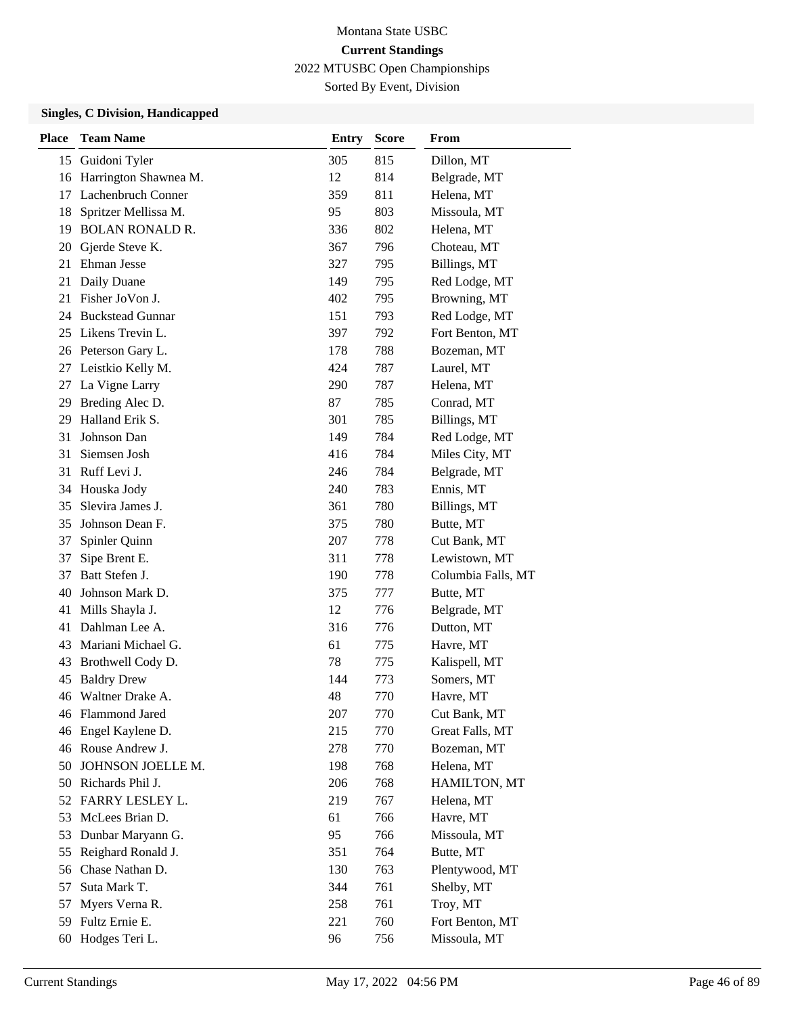Sorted By Event, Division

| <b>Place</b> | <b>Team Name</b>          | <b>Entry</b> | <b>Score</b> | From               |
|--------------|---------------------------|--------------|--------------|--------------------|
| 15           | Guidoni Tyler             | 305          | 815          | Dillon, MT         |
| 16           | Harrington Shawnea M.     | 12           | 814          | Belgrade, MT       |
| 17           | <b>Lachenbruch Conner</b> | 359          | 811          | Helena, MT         |
| 18           | Spritzer Mellissa M.      | 95           | 803          | Missoula, MT       |
| 19           | <b>BOLAN RONALD R.</b>    | 336          | 802          | Helena, MT         |
| 20           | Gjerde Steve K.           | 367          | 796          | Choteau, MT        |
| 21           | Ehman Jesse               | 327          | 795          | Billings, MT       |
| 21           | Daily Duane               | 149          | 795          | Red Lodge, MT      |
| 21           | Fisher JoVon J.           | 402          | 795          | Browning, MT       |
| 24           | <b>Buckstead Gunnar</b>   | 151          | 793          | Red Lodge, MT      |
| 25           | Likens Trevin L.          | 397          | 792          | Fort Benton, MT    |
|              | 26 Peterson Gary L.       | 178          | 788          | Bozeman, MT        |
| 27           | Leistkio Kelly M.         | 424          | 787          | Laurel, MT         |
| 27           | La Vigne Larry            | 290          | 787          | Helena, MT         |
| 29           | Breding Alec D.           | 87           | 785          | Conrad, MT         |
| 29           | Halland Erik S.           | 301          | 785          | Billings, MT       |
| 31           | Johnson Dan               | 149          | 784          | Red Lodge, MT      |
| 31           | Siemsen Josh              | 416          | 784          | Miles City, MT     |
| 31           | Ruff Levi J.              | 246          | 784          | Belgrade, MT       |
| 34           | Houska Jody               | 240          | 783          | Ennis, MT          |
| 35           | Slevira James J.          | 361          | 780          | Billings, MT       |
| 35           | Johnson Dean F.           | 375          | 780          | Butte, MT          |
| 37           | Spinler Quinn             | 207          | 778          | Cut Bank, MT       |
| 37           | Sipe Brent E.             | 311          | 778          | Lewistown, MT      |
| 37           | Batt Stefen J.            | 190          | 778          | Columbia Falls, MT |
| 40           | Johnson Mark D.           | 375          | 777          | Butte, MT          |
| 41           | Mills Shayla J.           | 12           | 776          | Belgrade, MT       |
| 41           | Dahlman Lee A.            | 316          | 776          | Dutton, MT         |
| 43           | Mariani Michael G.        | 61           | 775          | Havre, MT          |
| 43           | Brothwell Cody D.         | 78           | 775          | Kalispell, MT      |
| 45           | <b>Baldry Drew</b>        | 144          | 773          | Somers, MT         |
| 46           | Waltner Drake A.          | 48           | 770          | Havre, MT          |
|              | 46 Flammond Jared         | 207          | 770          | Cut Bank, MT       |
|              | 46 Engel Kaylene D.       | 215          | 770          | Great Falls, MT    |
|              | 46 Rouse Andrew J.        | 278          | 770          | Bozeman, MT        |
| 50           | JOHNSON JOELLE M.         | 198          | 768          | Helena, MT         |
| 50           | Richards Phil J.          | 206          | 768          | HAMILTON, MT       |
| 52           | FARRY LESLEY L.           | 219          | 767          | Helena, MT         |
| 53           | McLees Brian D.           | 61           | 766          | Havre, MT          |
| 53           | Dunbar Maryann G.         | 95           | 766          | Missoula, MT       |
| 55           | Reighard Ronald J.        | 351          | 764          | Butte, MT          |
| 56           | Chase Nathan D.           | 130          | 763          | Plentywood, MT     |
| 57           | Suta Mark T.              | 344          | 761          | Shelby, MT         |
| 57           | Myers Verna R.            | 258          | 761          | Troy, MT           |
| 59           | Fultz Ernie E.            | 221          | 760          | Fort Benton, MT    |
| 60           | Hodges Teri L.            | 96           | 756          | Missoula, MT       |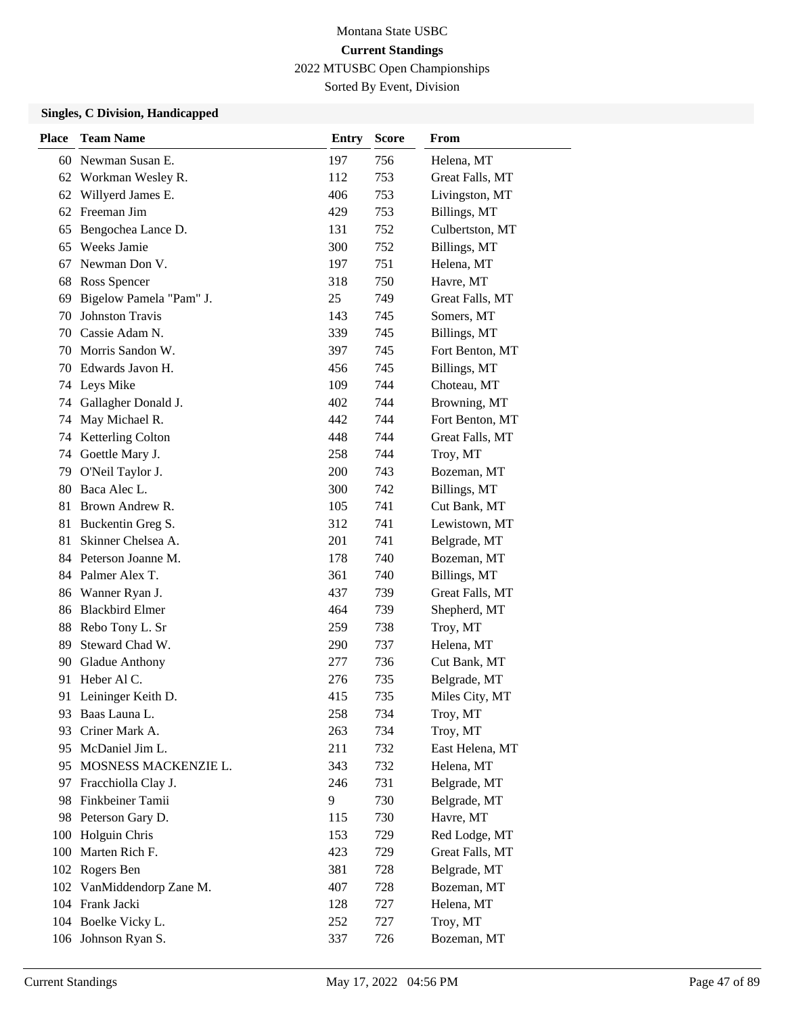Sorted By Event, Division

| <b>Place</b> | <b>Team Name</b>        | <b>Entry</b> | <b>Score</b> | <b>From</b>     |
|--------------|-------------------------|--------------|--------------|-----------------|
| 60           | Newman Susan E.         | 197          | 756          | Helena, MT      |
| 62           | Workman Wesley R.       | 112          | 753          | Great Falls, MT |
| 62           | Willyerd James E.       | 406          | 753          | Livingston, MT  |
| 62           | Freeman Jim             | 429          | 753          | Billings, MT    |
| 65           | Bengochea Lance D.      | 131          | 752          | Culbertston, MT |
| 65           | Weeks Jamie             | 300          | 752          | Billings, MT    |
| 67           | Newman Don V.           | 197          | 751          | Helena, MT      |
| 68           | Ross Spencer            | 318          | 750          | Havre, MT       |
| 69           | Bigelow Pamela "Pam" J. | 25           | 749          | Great Falls, MT |
| 70           | <b>Johnston Travis</b>  | 143          | 745          | Somers, MT      |
| 70           | Cassie Adam N.          | 339          | 745          | Billings, MT    |
| 70           | Morris Sandon W.        | 397          | 745          | Fort Benton, MT |
| 70           | Edwards Javon H.        | 456          | 745          | Billings, MT    |
| 74           | Leys Mike               | 109          | 744          | Choteau, MT     |
| 74           | Gallagher Donald J.     | 402          | 744          | Browning, MT    |
| 74           | May Michael R.          | 442          | 744          | Fort Benton, MT |
| 74           | Ketterling Colton       | 448          | 744          | Great Falls, MT |
| 74           | Goettle Mary J.         | 258          | 744          | Troy, MT        |
| 79           | O'Neil Taylor J.        | 200          | 743          | Bozeman, MT     |
| 80           | Baca Alec L.            | 300          | 742          | Billings, MT    |
| 81           | Brown Andrew R.         | 105          | 741          | Cut Bank, MT    |
| 81           | Buckentin Greg S.       | 312          | 741          | Lewistown, MT   |
| 81           | Skinner Chelsea A.      | 201          | 741          | Belgrade, MT    |
|              | 84 Peterson Joanne M.   | 178          | 740          | Bozeman, MT     |
|              | 84 Palmer Alex T.       | 361          | 740          | Billings, MT    |
| 86           | Wanner Ryan J.          | 437          | 739          | Great Falls, MT |
| 86           | <b>Blackbird Elmer</b>  | 464          | 739          | Shepherd, MT    |
| 88           | Rebo Tony L. Sr         | 259          | 738          | Troy, MT        |
| 89           | Steward Chad W.         | 290          | 737          | Helena, MT      |
| 90           | Gladue Anthony          | 277          | 736          | Cut Bank, MT    |
| 91           | Heber Al C.             | 276          | 735          | Belgrade, MT    |
| 91           | Leininger Keith D.      | 415          | 735          | Miles City, MT  |
| 93           | Baas Launa L.           | 258          | 734          | Troy, MT        |
| 93           | Criner Mark A.          | 263          | 734          | Troy, MT        |
| 95           | McDaniel Jim L.         | 211          | 732          | East Helena, MT |
|              | 95 MOSNESS MACKENZIE L. | 343          | 732          | Helena, MT      |
| 97           | Fracchiolla Clay J.     | 246          | 731          | Belgrade, MT    |
| 98           | Finkbeiner Tamii        | 9            | 730          | Belgrade, MT    |
| 98           | Peterson Gary D.        | 115          | 730          | Havre, MT       |
| 100          | Holguin Chris           | 153          | 729          | Red Lodge, MT   |
| 100          | Marten Rich F.          | 423          | 729          | Great Falls, MT |
| 102          | Rogers Ben              | 381          | 728          | Belgrade, MT    |
| 102          | VanMiddendorp Zane M.   | 407          | 728          | Bozeman, MT     |
|              | 104 Frank Jacki         | 128          | 727          | Helena, MT      |
|              | 104 Boelke Vicky L.     | 252          | 727          | Troy, MT        |
|              | 106 Johnson Ryan S.     | 337          | 726          | Bozeman, MT     |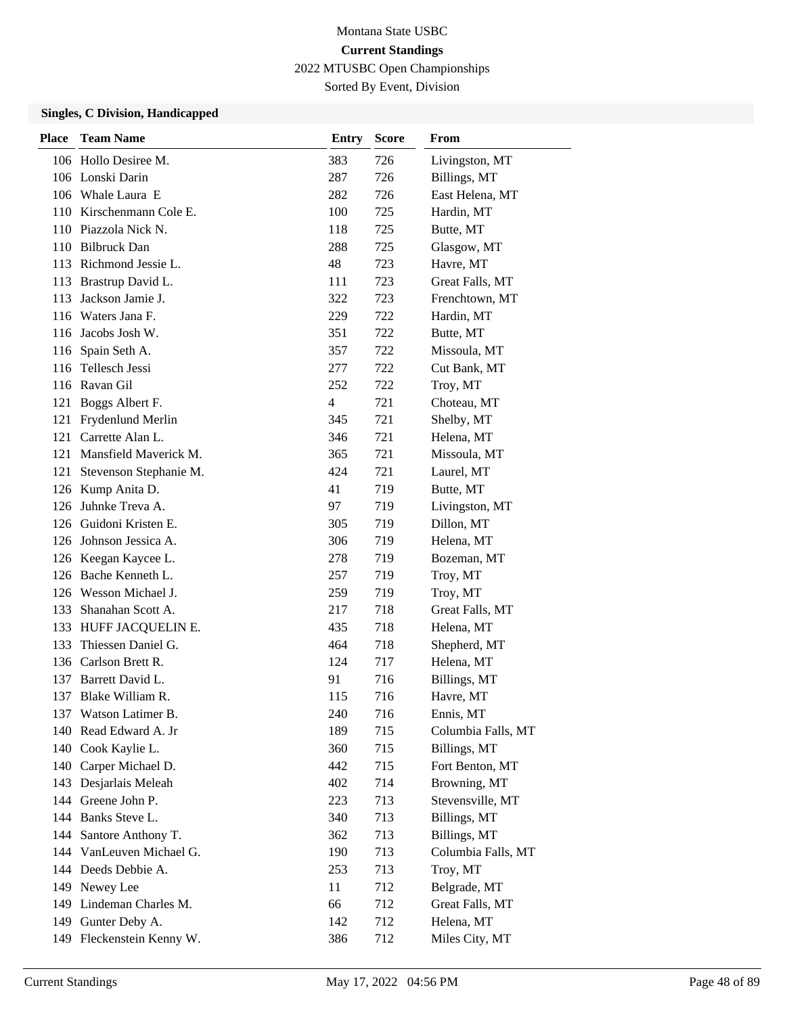Sorted By Event, Division

| Place | <b>Team Name</b>          | <b>Entry</b>   | <b>Score</b> | From               |
|-------|---------------------------|----------------|--------------|--------------------|
|       | 106 Hollo Desiree M.      | 383            | 726          | Livingston, MT     |
|       | 106 Lonski Darin          | 287            | 726          | Billings, MT       |
|       | 106 Whale Laura E         | 282            | 726          | East Helena, MT    |
|       | 110 Kirschenmann Cole E.  | 100            | 725          | Hardin, MT         |
|       | 110 Piazzola Nick N.      | 118            | 725          | Butte, MT          |
|       | 110 Bilbruck Dan          | 288            | 725          | Glasgow, MT        |
|       | 113 Richmond Jessie L.    | 48             | 723          | Havre, MT          |
| 113   | Brastrup David L.         | 111            | 723          | Great Falls, MT    |
| 113   | Jackson Jamie J.          | 322            | 723          | Frenchtown, MT     |
|       | 116 Waters Jana F.        | 229            | 722          | Hardin, MT         |
|       | 116 Jacobs Josh W.        | 351            | 722          | Butte, MT          |
|       | 116 Spain Seth A.         | 357            | 722          | Missoula, MT       |
| 116   | Tellesch Jessi            | 277            | 722          | Cut Bank, MT       |
|       | 116 Ravan Gil             | 252            | 722          | Troy, MT           |
|       | 121 Boggs Albert F.       | $\overline{4}$ | 721          | Choteau, MT        |
|       | 121 Frydenlund Merlin     | 345            | 721          | Shelby, MT         |
|       | 121 Carrette Alan L.      | 346            | 721          | Helena, MT         |
|       | 121 Mansfield Maverick M. | 365            | 721          | Missoula, MT       |
| 121   | Stevenson Stephanie M.    | 424            | 721          | Laurel, MT         |
|       | 126 Kump Anita D.         | 41             | 719          | Butte, MT          |
| 126   | Juhnke Treva A.           | 97             | 719          | Livingston, MT     |
|       | 126 Guidoni Kristen E.    | 305            | 719          | Dillon, MT         |
|       | 126 Johnson Jessica A.    | 306            | 719          | Helena, MT         |
|       | 126 Keegan Kaycee L.      | 278            | 719          | Bozeman, MT        |
|       | 126 Bache Kenneth L.      | 257            | 719          | Troy, MT           |
|       | 126 Wesson Michael J.     | 259            | 719          | Troy, MT           |
| 133   | Shanahan Scott A.         | 217            | 718          | Great Falls, MT    |
| 133   | HUFF JACQUELIN E.         | 435            | 718          | Helena, MT         |
| 133   | Thiessen Daniel G.        | 464            | 718          | Shepherd, MT       |
|       | 136 Carlson Brett R.      | 124            | 717          | Helena, MT         |
|       | 137 Barrett David L.      | 91             | 716          | Billings, MT       |
| 137   | Blake William R.          | 115            | 716          | Havre, MT          |
|       | 137 Watson Latimer B.     | 240            | 716          | Ennis, MT          |
| 140   | Read Edward A. Jr         | 189            | 715          | Columbia Falls, MT |
| 140   | Cook Kaylie L.            | 360            | 715          | Billings, MT       |
|       | 140 Carper Michael D.     | 442            | 715          | Fort Benton, MT    |
| 143   | Desjarlais Meleah         | 402            | 714          | Browning, MT       |
| 144   | Greene John P.            | 223            | 713          | Stevensville, MT   |
| 144   | Banks Steve L.            | 340            | 713          | Billings, MT       |
| 144   | Santore Anthony T.        | 362            | 713          | Billings, MT       |
|       | 144 VanLeuven Michael G.  | 190            | 713          | Columbia Falls, MT |
|       | 144 Deeds Debbie A.       | 253            | 713          | Troy, MT           |
| 149   | Newey Lee                 | 11             | 712          | Belgrade, MT       |
|       | 149 Lindeman Charles M.   | 66             | 712          | Great Falls, MT    |
|       | 149 Gunter Deby A.        | 142            | 712          | Helena, MT         |
| 149   | Fleckenstein Kenny W.     | 386            | 712          | Miles City, MT     |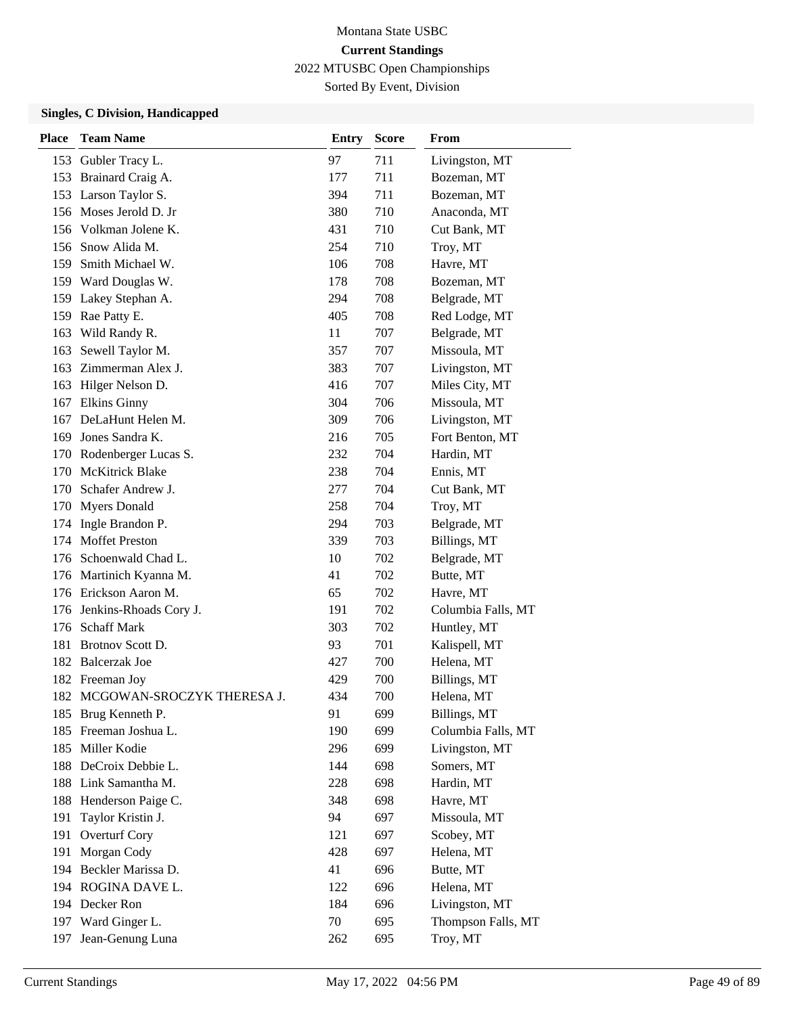Sorted By Event, Division

| <b>Place</b> | <b>Team Name</b>               | <b>Entry</b> | <b>Score</b> | From               |
|--------------|--------------------------------|--------------|--------------|--------------------|
|              | 153 Gubler Tracy L.            | 97           | 711          | Livingston, MT     |
|              | 153 Brainard Craig A.          | 177          | 711          | Bozeman, MT        |
|              | 153 Larson Taylor S.           | 394          | 711          | Bozeman, MT        |
|              | 156 Moses Jerold D. Jr         | 380          | 710          | Anaconda, MT       |
|              | 156 Volkman Jolene K.          | 431          | 710          | Cut Bank, MT       |
|              | 156 Snow Alida M.              | 254          | 710          | Troy, MT           |
| 159          | Smith Michael W.               | 106          | 708          | Havre, MT          |
|              | 159 Ward Douglas W.            | 178          | 708          | Bozeman, MT        |
|              | 159 Lakey Stephan A.           | 294          | 708          | Belgrade, MT       |
|              | 159 Rae Patty E.               | 405          | 708          | Red Lodge, MT      |
| 163          | Wild Randy R.                  | 11           | 707          | Belgrade, MT       |
| 163          | Sewell Taylor M.               | 357          | 707          | Missoula, MT       |
|              | 163 Zimmerman Alex J.          | 383          | 707          | Livingston, MT     |
|              | 163 Hilger Nelson D.           | 416          | 707          | Miles City, MT     |
|              | 167 Elkins Ginny               | 304          | 706          | Missoula, MT       |
|              | 167 DeLaHunt Helen M.          | 309          | 706          | Livingston, MT     |
| 169          | Jones Sandra K.                | 216          | 705          | Fort Benton, MT    |
|              | 170 Rodenberger Lucas S.       | 232          | 704          | Hardin, MT         |
| 170          | <b>McKitrick Blake</b>         | 238          | 704          | Ennis, MT          |
| 170          | Schafer Andrew J.              | 277          | 704          | Cut Bank, MT       |
| 170          | <b>Myers Donald</b>            | 258          | 704          | Troy, MT           |
| 174          | Ingle Brandon P.               | 294          | 703          | Belgrade, MT       |
|              | 174 Moffet Preston             | 339          | 703          | Billings, MT       |
|              | 176 Schoenwald Chad L.         | 10           | 702          | Belgrade, MT       |
|              | 176 Martinich Kyanna M.        | 41           | 702          | Butte, MT          |
|              | 176 Erickson Aaron M.          | 65           | 702          | Havre, MT          |
| 176          | Jenkins-Rhoads Cory J.         | 191          | 702          | Columbia Falls, MT |
|              | 176 Schaff Mark                | 303          | 702          | Huntley, MT        |
| 181          | Brotnov Scott D.               | 93           | 701          | Kalispell, MT      |
|              | 182 Balcerzak Joe              | 427          | 700          | Helena, MT         |
|              | 182 Freeman Joy                | 429          | 700          | Billings, MT       |
|              | 182 MCGOWAN-SROCZYK THERESA J. | 434          | 700          | Helena, MT         |
|              | 185 Brug Kenneth P.            | 91           | 699          | Billings, MT       |
|              | 185 Freeman Joshua L.          | 190          | 699          | Columbia Falls, MT |
|              | 185 Miller Kodie               | 296          | 699          | Livingston, MT     |
|              | 188 DeCroix Debbie L.          | 144          | 698          | Somers, MT         |
|              | 188 Link Samantha M.           | 228          | 698          | Hardin, MT         |
|              | 188 Henderson Paige C.         | 348          | 698          | Havre, MT          |
| 191          | Taylor Kristin J.              | 94           | 697          | Missoula, MT       |
| 191          | <b>Overturf Cory</b>           | 121          | 697          | Scobey, MT         |
| 191          | Morgan Cody                    | 428          | 697          | Helena, MT         |
| 194          | Beckler Marissa D.             | 41           | 696          | Butte, MT          |
|              | 194 ROGINA DAVE L.             | 122          | 696          | Helena, MT         |
|              | 194 Decker Ron                 | 184          | 696          | Livingston, MT     |
|              | 197 Ward Ginger L.             | 70           | 695          | Thompson Falls, MT |
| 197          | Jean-Genung Luna               | 262          | 695          | Troy, MT           |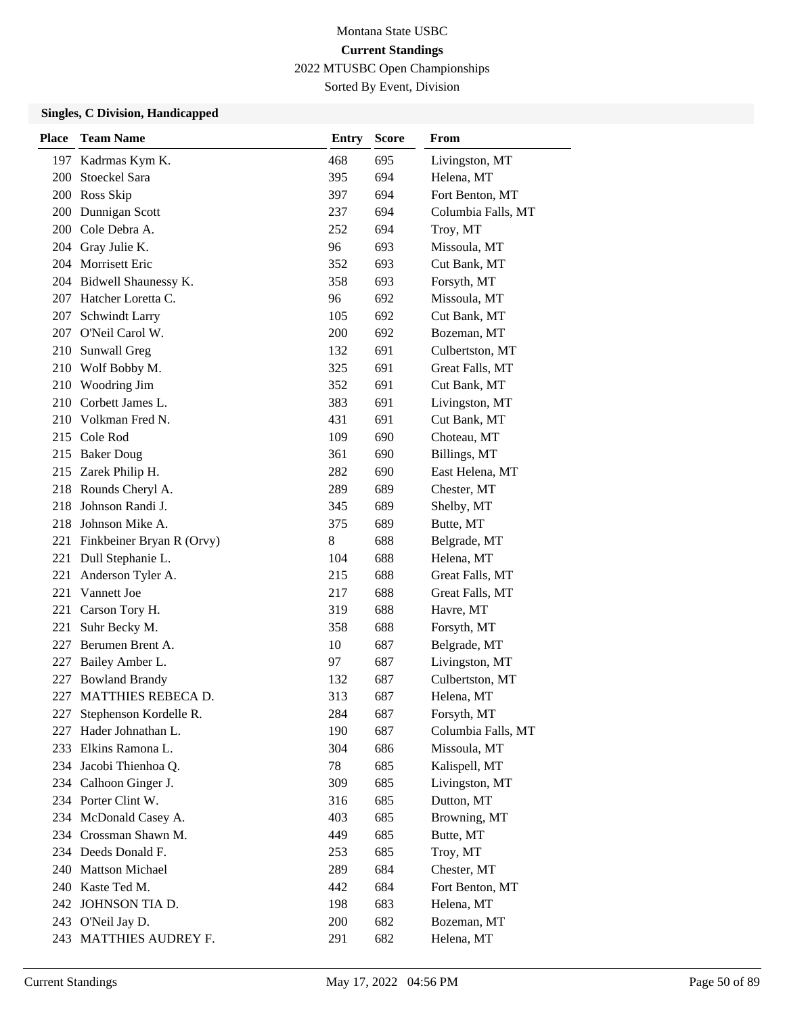Sorted By Event, Division

| <b>Place</b> | <b>Team Name</b>          | <b>Entry</b> | <b>Score</b> | From               |
|--------------|---------------------------|--------------|--------------|--------------------|
| 197          | Kadrmas Kym K.            | 468          | 695          | Livingston, MT     |
| 200          | <b>Stoeckel Sara</b>      | 395          | 694          | Helena, MT         |
| 200          | Ross Skip                 | 397          | 694          | Fort Benton, MT    |
| <b>200</b>   | Dunnigan Scott            | 237          | 694          | Columbia Falls, MT |
| 200          | Cole Debra A.             | 252          | 694          | Troy, MT           |
| 204          | Gray Julie K.             | 96           | 693          | Missoula, MT       |
|              | 204 Morrisett Eric        | 352          | 693          | Cut Bank, MT       |
|              | 204 Bidwell Shaunessy K.  | 358          | 693          | Forsyth, MT        |
|              | 207 Hatcher Loretta C.    | 96           | 692          | Missoula, MT       |
| 207          | Schwindt Larry            | 105          | 692          | Cut Bank, MT       |
| 207          | O'Neil Carol W.           | 200          | 692          | Bozeman, MT        |
|              | 210 Sunwall Greg          | 132          | 691          | Culbertston, MT    |
|              | 210 Wolf Bobby M.         | 325          | 691          | Great Falls, MT    |
|              | 210 Woodring Jim          | 352          | 691          | Cut Bank, MT       |
|              | 210 Corbett James L.      | 383          | 691          | Livingston, MT     |
|              | 210 Volkman Fred N.       | 431          | 691          | Cut Bank, MT       |
|              | 215 Cole Rod              | 109          | 690          | Choteau, MT        |
|              | 215 Baker Doug            | 361          | 690          | Billings, MT       |
|              | 215 Zarek Philip H.       | 282          | 690          | East Helena, MT    |
|              | 218 Rounds Cheryl A.      | 289          | 689          | Chester, MT        |
| 218          | Johnson Randi J.          | 345          | 689          | Shelby, MT         |
|              | 218 Johnson Mike A.       | 375          | 689          | Butte, MT          |
| 221          | Finkbeiner Bryan R (Orvy) | 8            | 688          | Belgrade, MT       |
| 221          | Dull Stephanie L.         | 104          | 688          | Helena, MT         |
| 221          | Anderson Tyler A.         | 215          | 688          | Great Falls, MT    |
| 221          | Vannett Joe               | 217          | 688          | Great Falls, MT    |
| 221          | Carson Tory H.            | 319          | 688          | Havre, MT          |
| 221          | Suhr Becky M.             | 358          | 688          | Forsyth, MT        |
| 227          | Berumen Brent A.          | 10           | 687          | Belgrade, MT       |
| 227          | Bailey Amber L.           | 97           | 687          | Livingston, MT     |
| 227          | <b>Bowland Brandy</b>     | 132          | 687          | Culbertston, MT    |
| 227          | MATTHIES REBECA D.        | 313          | 687          | Helena, MT         |
| 227          | Stephenson Kordelle R.    | 284          | 687          | Forsyth, MT        |
| 227          | Hader Johnathan L.        | 190          | 687          | Columbia Falls, MT |
|              | 233 Elkins Ramona L.      | 304          | 686          | Missoula, MT       |
|              | 234 Jacobi Thienhoa Q.    | 78           | 685          | Kalispell, MT      |
|              | 234 Calhoon Ginger J.     | 309          | 685          | Livingston, MT     |
|              | 234 Porter Clint W.       | 316          | 685          | Dutton, MT         |
|              | 234 McDonald Casey A.     | 403          | 685          | Browning, MT       |
|              | 234 Crossman Shawn M.     | 449          | 685          | Butte, MT          |
|              | 234 Deeds Donald F.       | 253          | 685          | Troy, MT           |
|              | 240 Mattson Michael       | 289          | 684          | Chester, MT        |
|              | 240 Kaste Ted M.          | 442          | 684          | Fort Benton, MT    |
|              | 242 JOHNSON TIA D.        | 198          | 683          | Helena, MT         |
|              | 243 O'Neil Jay D.         | 200          | 682          | Bozeman, MT        |
|              | 243 MATTHIES AUDREY F.    | 291          | 682          | Helena, MT         |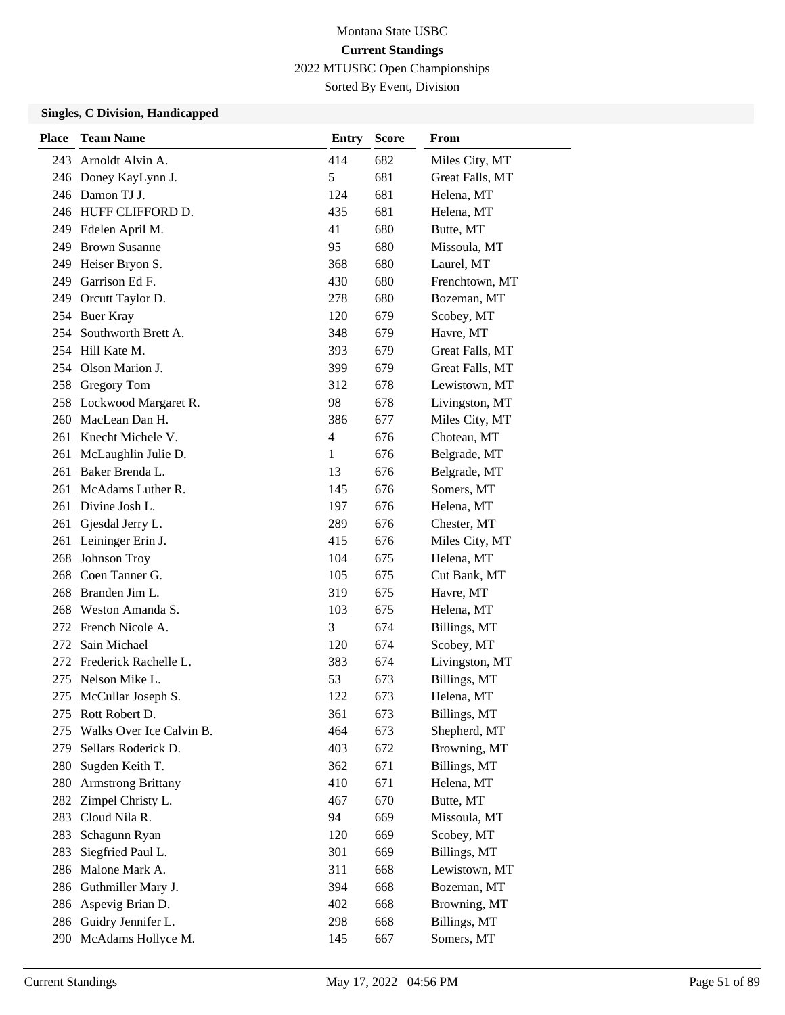Sorted By Event, Division

| <b>Place</b> | <b>Team Name</b>          | <b>Entry</b>  | <b>Score</b> | From            |
|--------------|---------------------------|---------------|--------------|-----------------|
| 243          | Arnoldt Alvin A.          | 414           | 682          | Miles City, MT  |
|              | 246 Doney KayLynn J.      | $\mathfrak s$ | 681          | Great Falls, MT |
|              | 246 Damon TJ J.           | 124           | 681          | Helena, MT      |
|              | 246 HUFF CLIFFORD D.      | 435           | 681          | Helena, MT      |
|              | 249 Edelen April M.       | 41            | 680          | Butte, MT       |
| 249          | <b>Brown Susanne</b>      | 95            | 680          | Missoula, MT    |
| 249          | Heiser Bryon S.           | 368           | 680          | Laurel, MT      |
|              | 249 Garrison Ed F.        | 430           | 680          | Frenchtown, MT  |
|              | 249 Orcutt Taylor D.      | 278           | 680          | Bozeman, MT     |
|              | 254 Buer Kray             | 120           | 679          | Scobey, MT      |
|              | 254 Southworth Brett A.   | 348           | 679          | Havre, MT       |
|              | 254 Hill Kate M.          | 393           | 679          | Great Falls, MT |
|              | 254 Olson Marion J.       | 399           | 679          | Great Falls, MT |
|              | 258 Gregory Tom           | 312           | 678          | Lewistown, MT   |
|              | 258 Lockwood Margaret R.  | 98            | 678          | Livingston, MT  |
|              | 260 MacLean Dan H.        | 386           | 677          | Miles City, MT  |
| 261          | Knecht Michele V.         | 4             | 676          | Choteau, MT     |
| 261          | McLaughlin Julie D.       | 1             | 676          | Belgrade, MT    |
| 261          | Baker Brenda L.           | 13            | 676          | Belgrade, MT    |
|              | 261 McAdams Luther R.     | 145           | 676          | Somers, MT      |
| 261          | Divine Josh L.            | 197           | 676          | Helena, MT      |
|              | 261 Gjesdal Jerry L.      | 289           | 676          | Chester, MT     |
|              | 261 Leininger Erin J.     | 415           | 676          | Miles City, MT  |
| 268          | Johnson Troy              | 104           | 675          | Helena, MT      |
|              | 268 Coen Tanner G.        | 105           | 675          | Cut Bank, MT    |
|              | 268 Branden Jim L.        | 319           | 675          | Havre, MT       |
| 268          | Weston Amanda S.          | 103           | 675          | Helena, MT      |
| 272          | French Nicole A.          | 3             | 674          | Billings, MT    |
| 272          | Sain Michael              | 120           | 674          | Scobey, MT      |
|              | 272 Frederick Rachelle L. | 383           | 674          | Livingston, MT  |
|              | 275 Nelson Mike L.        | 53            | 673          | Billings, MT    |
| 275          | McCullar Joseph S.        | 122           | 673          | Helena, MT      |
| 275          | Rott Robert D.            | 361           | 673          | Billings, MT    |
| 275          | Walks Over Ice Calvin B.  | 464           | 673          | Shepherd, MT    |
| 279          | Sellars Roderick D.       | 403           | 672          | Browning, MT    |
| 280          | Sugden Keith T.           | 362           | 671          | Billings, MT    |
| 280          | <b>Armstrong Brittany</b> | 410           | 671          | Helena, MT      |
| 282          | Zimpel Christy L.         | 467           | 670          | Butte, MT       |
| 283          | Cloud Nila R.             | 94            | 669          | Missoula, MT    |
| 283          | Schagunn Ryan             | 120           | 669          | Scobey, MT      |
| 283          | Siegfried Paul L.         | 301           | 669          | Billings, MT    |
| 286          | Malone Mark A.            | 311           | 668          | Lewistown, MT   |
|              | 286 Guthmiller Mary J.    | 394           | 668          | Bozeman, MT     |
|              | 286 Aspevig Brian D.      | 402           | 668          | Browning, MT    |
|              | 286 Guidry Jennifer L.    | 298           | 668          | Billings, MT    |
|              | 290 McAdams Hollyce M.    | 145           | 667          | Somers, MT      |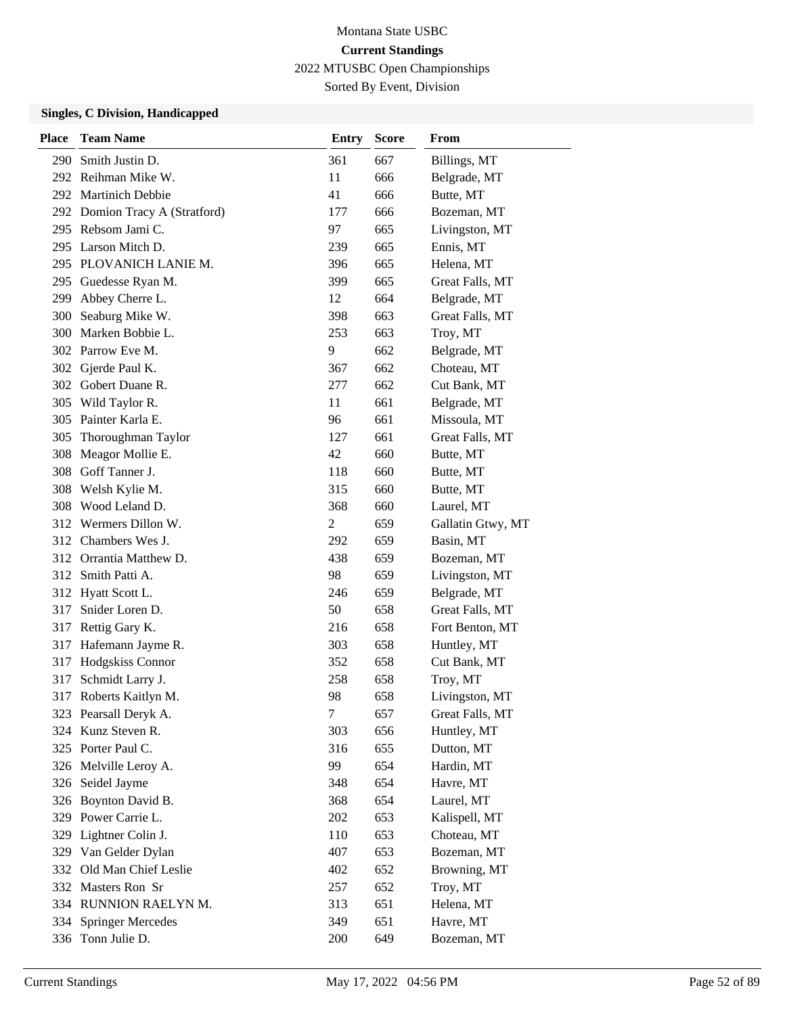Sorted By Event, Division

| <b>Place</b> | <b>Team Name</b>               | <b>Entry</b>   | <b>Score</b> | From              |
|--------------|--------------------------------|----------------|--------------|-------------------|
| 290          | Smith Justin D.                | 361            | 667          | Billings, MT      |
|              | 292 Reihman Mike W.            | 11             | 666          | Belgrade, MT      |
|              | 292 Martinich Debbie           | 41             | 666          | Butte, MT         |
|              | 292 Domion Tracy A (Stratford) | 177            | 666          | Bozeman, MT       |
|              | 295 Rebsom Jami C.             | 97             | 665          | Livingston, MT    |
|              | 295 Larson Mitch D.            | 239            | 665          | Ennis, MT         |
|              | 295 PLOVANICH LANIE M.         | 396            | 665          | Helena, MT        |
|              | 295 Guedesse Ryan M.           | 399            | 665          | Great Falls, MT   |
| 299          | Abbey Cherre L.                | 12             | 664          | Belgrade, MT      |
| 300          | Seaburg Mike W.                | 398            | 663          | Great Falls, MT   |
| 300          | Marken Bobbie L.               | 253            | 663          | Troy, MT          |
|              | 302 Parrow Eve M.              | 9              | 662          | Belgrade, MT      |
|              | 302 Gjerde Paul K.             | 367            | 662          | Choteau, MT       |
|              | 302 Gobert Duane R.            | 277            | 662          | Cut Bank, MT      |
| 305          | Wild Taylor R.                 | 11             | 661          | Belgrade, MT      |
|              | 305 Painter Karla E.           | 96             | 661          | Missoula, MT      |
| 305          | Thoroughman Taylor             | 127            | 661          | Great Falls, MT   |
| 308          | Meagor Mollie E.               | 42             | 660          | Butte, MT         |
|              | 308 Goff Tanner J.             | 118            | 660          | Butte, MT         |
|              | 308 Welsh Kylie M.             | 315            | 660          | Butte, MT         |
|              | 308 Wood Leland D.             | 368            | 660          | Laurel, MT        |
|              | 312 Wermers Dillon W.          | $\overline{c}$ | 659          | Gallatin Gtwy, MT |
|              | 312 Chambers Wes J.            | 292            | 659          | Basin, MT         |
|              | 312 Orrantia Matthew D.        | 438            | 659          | Bozeman, MT       |
|              | 312 Smith Patti A.             | 98             | 659          | Livingston, MT    |
| 312          | Hyatt Scott L.                 | 246            | 659          | Belgrade, MT      |
| 317          | Snider Loren D.                | 50             | 658          | Great Falls, MT   |
| 317          | Rettig Gary K.                 | 216            | 658          | Fort Benton, MT   |
| 317          | Hafemann Jayme R.              | 303            | 658          | Huntley, MT       |
| 317          | Hodgskiss Connor               | 352            | 658          | Cut Bank, MT      |
| 317          | Schmidt Larry J.               | 258            | 658          | Troy, MT          |
| 317          | Roberts Kaitlyn M.             | 98             | 658          | Livingston, MT    |
|              | 323 Pearsall Deryk A.          | $\tau$         | 657          | Great Falls, MT   |
|              | 324 Kunz Steven R.             | 303            | 656          | Huntley, MT       |
|              | 325 Porter Paul C.             | 316            | 655          | Dutton, MT        |
|              | 326 Melville Leroy A.          | 99             | 654          | Hardin, MT        |
|              | 326 Seidel Jayme               | 348            | 654          | Havre, MT         |
| 326          | Boynton David B.               | 368            | 654          | Laurel, MT        |
|              | 329 Power Carrie L.            | 202            | 653          | Kalispell, MT     |
| 329          | Lightner Colin J.              | 110            | 653          | Choteau, MT       |
|              | 329 Van Gelder Dylan           | 407            | 653          | Bozeman, MT       |
| 332          | Old Man Chief Leslie           | 402            | 652          | Browning, MT      |
|              | 332 Masters Ron Sr             | 257            | 652          | Troy, MT          |
|              | 334 RUNNION RAELYN M.          | 313            | 651          | Helena, MT        |
| 334          | <b>Springer Mercedes</b>       | 349            | 651          | Havre, MT         |
| 336          | Tonn Julie D.                  | 200            | 649          | Bozeman, MT       |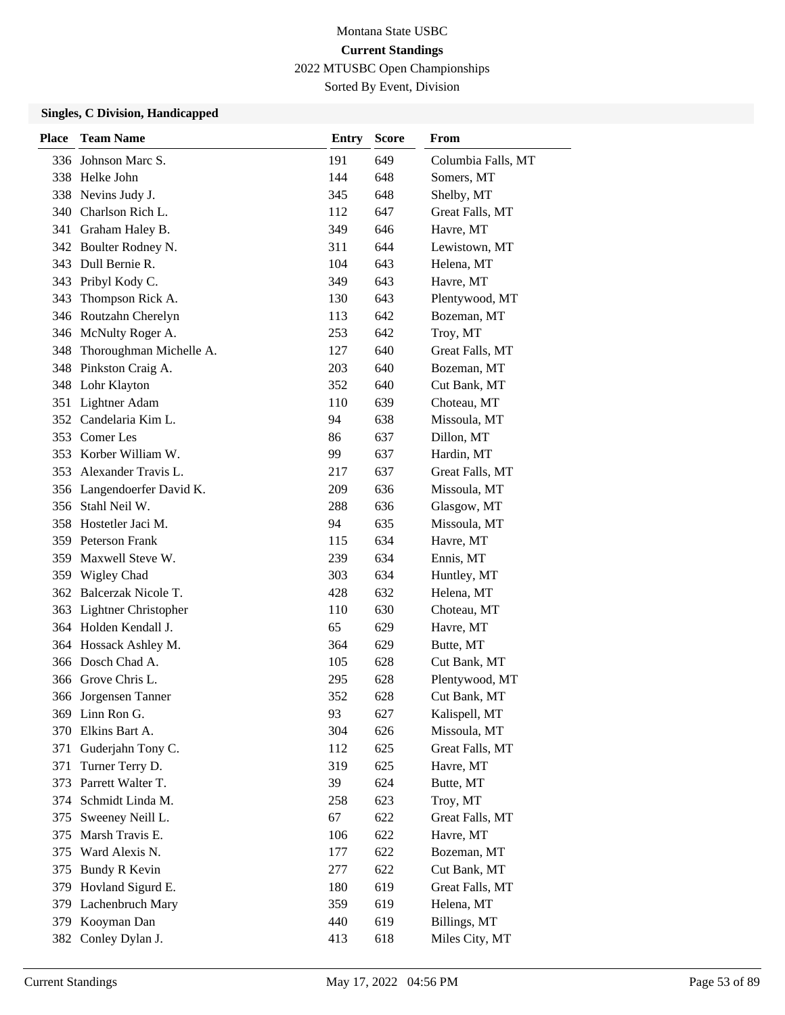# Montana State USBC **Current Standings**

2022 MTUSBC Open Championships

Sorted By Event, Division

| <b>Place</b> | <b>Team Name</b>           | <b>Entry</b> | <b>Score</b> | From               |
|--------------|----------------------------|--------------|--------------|--------------------|
|              | 336 Johnson Marc S.        | 191          | 649          | Columbia Falls, MT |
|              | 338 Helke John             | 144          | 648          | Somers, MT         |
| 338          | Nevins Judy J.             | 345          | 648          | Shelby, MT         |
|              | 340 Charlson Rich L.       | 112          | 647          | Great Falls, MT    |
|              | 341 Graham Haley B.        | 349          | 646          | Havre, MT          |
|              | 342 Boulter Rodney N.      | 311          | 644          | Lewistown, MT      |
|              | 343 Dull Bernie R.         | 104          | 643          | Helena, MT         |
|              | 343 Pribyl Kody C.         | 349          | 643          | Havre, MT          |
| 343          | Thompson Rick A.           | 130          | 643          | Plentywood, MT     |
|              | 346 Routzahn Cherelyn      | 113          | 642          | Bozeman, MT        |
|              | 346 McNulty Roger A.       | 253          | 642          | Troy, MT           |
| 348          | Thoroughman Michelle A.    | 127          | 640          | Great Falls, MT    |
|              | 348 Pinkston Craig A.      | 203          | 640          | Bozeman, MT        |
|              | 348 Lohr Klayton           | 352          | 640          | Cut Bank, MT       |
| 351          | Lightner Adam              | 110          | 639          | Choteau, MT        |
|              | 352 Candelaria Kim L.      | 94           | 638          | Missoula, MT       |
|              | 353 Comer Les              | 86           | 637          | Dillon, MT         |
| 353          | Korber William W.          | 99           | 637          | Hardin, MT         |
|              | 353 Alexander Travis L.    | 217          | 637          | Great Falls, MT    |
|              | 356 Langendoerfer David K. | 209          | 636          | Missoula, MT       |
|              | 356 Stahl Neil W.          | 288          | 636          | Glasgow, MT        |
|              | 358 Hostetler Jaci M.      | 94           | 635          | Missoula, MT       |
|              | 359 Peterson Frank         | 115          | 634          | Havre, MT          |
|              | 359 Maxwell Steve W.       | 239          | 634          | Ennis, MT          |
|              | 359 Wigley Chad            | 303          | 634          | Huntley, MT        |
|              | 362 Balcerzak Nicole T.    | 428          | 632          | Helena, MT         |
| 363          | Lightner Christopher       | 110          | 630          | Choteau, MT        |
|              | 364 Holden Kendall J.      | 65           | 629          | Havre, MT          |
|              | 364 Hossack Ashley M.      | 364          | 629          | Butte, MT          |
|              | 366 Dosch Chad A.          | 105          | 628          | Cut Bank, MT       |
|              | 366 Grove Chris L.         | 295          | 628          | Plentywood, MT     |
|              | 366 Jorgensen Tanner       | 352          | 628          | Cut Bank, MT       |
|              | 369 Linn Ron G.            | 93           | 627          | Kalispell, MT      |
| 370          | Elkins Bart A.             | 304          | 626          | Missoula, MT       |
| 371          | Guderjahn Tony C.          | 112          | 625          | Great Falls, MT    |
| 371          | Turner Terry D.            | 319          | 625          | Havre, MT          |
| 373          | Parrett Walter T.          | 39           | 624          | Butte, MT          |
| 374          | Schmidt Linda M.           | 258          | 623          | Troy, MT           |
| 375          | Sweeney Neill L.           | 67           | 622          | Great Falls, MT    |
| 375          | Marsh Travis E.            | 106          | 622          | Havre, MT          |
| 375          | Ward Alexis N.             | 177          | 622          | Bozeman, MT        |
| 375          | <b>Bundy R Kevin</b>       | 277          | 622          | Cut Bank, MT       |
| 379          | Hovland Sigurd E.          | 180          | 619          | Great Falls, MT    |
|              | 379 Lachenbruch Mary       | 359          | 619          | Helena, MT         |
| 379          | Kooyman Dan                | 440          | 619          | Billings, MT       |
| 382          | Conley Dylan J.            | 413          | 618          | Miles City, MT     |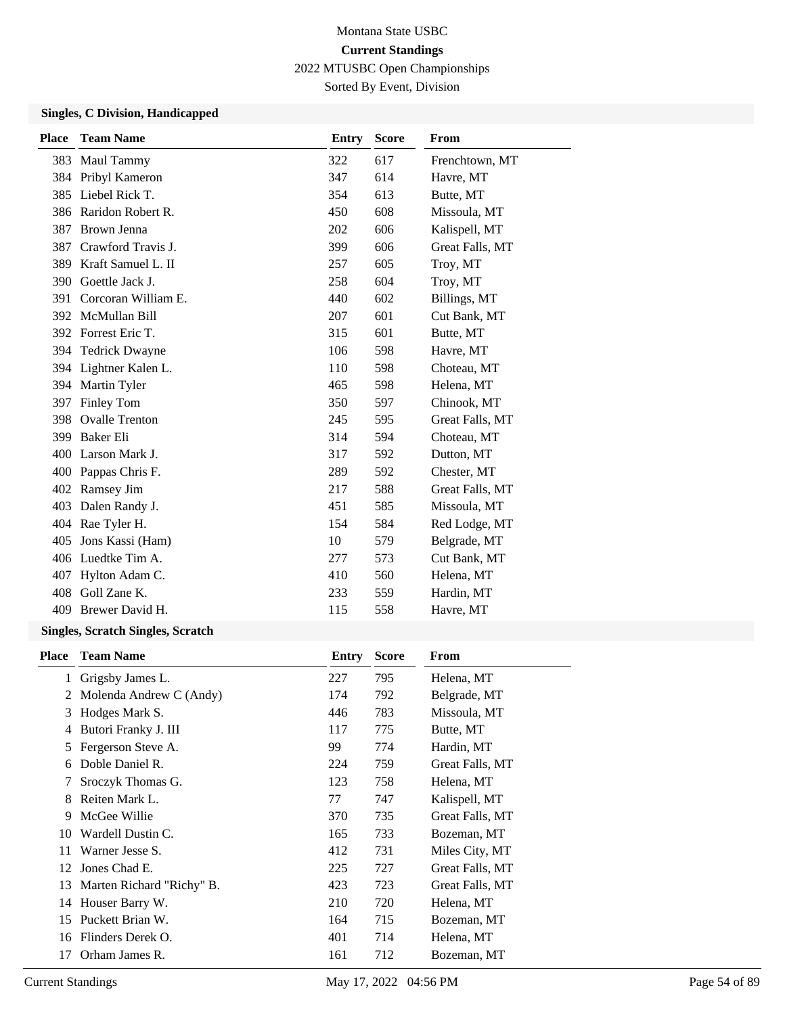Sorted By Event, Division

## **Singles, C Division, Handicapped**

| <b>Place</b> | <b>Team Name</b>       | <b>Entry</b> | <b>Score</b> | From            |
|--------------|------------------------|--------------|--------------|-----------------|
|              | 383 Maul Tammy         | 322          | 617          | Frenchtown, MT  |
|              | 384 Pribyl Kameron     | 347          | 614          | Havre, MT       |
|              | 385 Liebel Rick T.     | 354          | 613          | Butte, MT       |
|              | 386 Raridon Robert R.  | 450          | 608          | Missoula, MT    |
|              | 387 Brown Jenna        | 202          | 606          | Kalispell, MT   |
| 387          | Crawford Travis J.     | 399          | 606          | Great Falls, MT |
|              | 389 Kraft Samuel L. II | 257          | 605          | Troy, MT        |
| 390          | Goettle Jack J.        | 258          | 604          | Troy, MT        |
| 391          | Corcoran William E.    | 440          | 602          | Billings, MT    |
|              | 392 McMullan Bill      | 207          | 601          | Cut Bank, MT    |
| 392          | Forrest Eric T.        | 315          | 601          | Butte, MT       |
| 394          | <b>Tedrick Dwayne</b>  | 106          | 598          | Havre, MT       |
|              | 394 Lightner Kalen L.  | 110          | 598          | Choteau, MT     |
|              | 394 Martin Tyler       | 465          | 598          | Helena, MT      |
| 397          | Finley Tom             | 350          | 597          | Chinook, MT     |
| 398          | <b>Ovalle Trenton</b>  | 245          | 595          | Great Falls, MT |
|              | 399 Baker Eli          | 314          | 594          | Choteau, MT     |
|              | 400 Larson Mark J.     | 317          | 592          | Dutton, MT      |
|              | 400 Pappas Chris F.    | 289          | 592          | Chester, MT     |
| 402          | Ramsey Jim             | 217          | 588          | Great Falls, MT |
| 403          | Dalen Randy J.         | 451          | 585          | Missoula, MT    |
|              | 404 Rae Tyler H.       | 154          | 584          | Red Lodge, MT   |
| 405          | Jons Kassi (Ham)       | 10           | 579          | Belgrade, MT    |
|              | 406 Luedtke Tim A.     | 277          | 573          | Cut Bank, MT    |
| 407          | Hylton Adam C.         | 410          | 560          | Helena, MT      |
|              | 408 Goll Zane K.       | 233          | 559          | Hardin, MT      |
| 409          | Brewer David H.        | 115          | 558          | Havre, MT       |
|              |                        |              |              |                 |

| Place | <b>Team Name</b>          | Entry | <b>Score</b> | From            |
|-------|---------------------------|-------|--------------|-----------------|
| 1     | Grigsby James L.          | 227   | 795          | Helena, MT      |
| 2     | Molenda Andrew C (Andy)   | 174   | 792          | Belgrade, MT    |
| 3     | Hodges Mark S.            | 446   | 783          | Missoula, MT    |
| 4     | Butori Franky J. III      | 117   | 775          | Butte, MT       |
| 5     | Fergerson Steve A.        | 99.   | 774          | Hardin, MT      |
| 6     | Doble Daniel R.           | 224   | 759          | Great Falls, MT |
| 7     | Sroczyk Thomas G.         | 123   | 758          | Helena, MT      |
| 8     | Reiten Mark L.            | 77    | 747          | Kalispell, MT   |
| 9     | McGee Willie              | 370   | 735          | Great Falls, MT |
| 10    | Wardell Dustin C.         | 165   | 733          | Bozeman, MT     |
| 11    | Warner Jesse S.           | 412   | 731          | Miles City, MT  |
| 12    | Jones Chad E.             | 225   | 727          | Great Falls, MT |
| 13    | Marten Richard "Richy" B. | 423   | 723          | Great Falls, MT |
| 14    | Houser Barry W.           | 210   | 720          | Helena, MT      |
| 15    | Puckett Brian W.          | 164   | 715          | Bozeman, MT     |
| 16    | Flinders Derek O.         | 401   | 714          | Helena, MT      |
| 17    | Orham James R.            | 161   | 712          | Bozeman, MT     |
|       |                           |       |              |                 |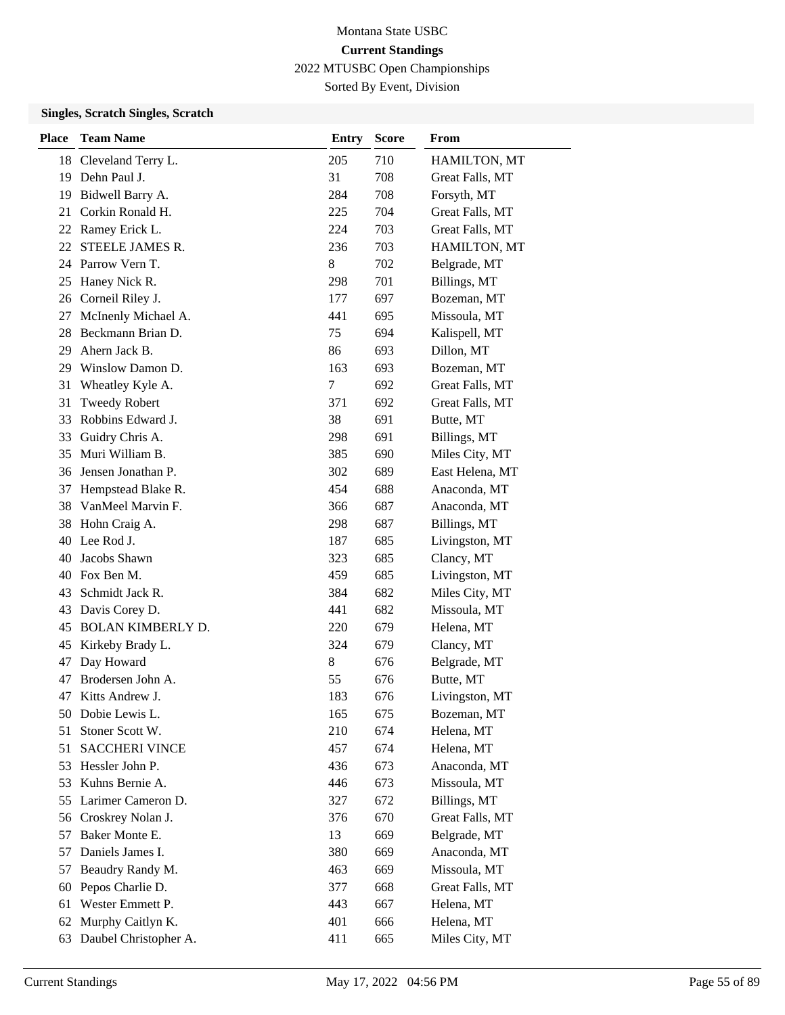Sorted By Event, Division

| <b>Place</b> | <b>Team Name</b>         | <b>Entry</b> | <b>Score</b> | From            |
|--------------|--------------------------|--------------|--------------|-----------------|
| 18           | Cleveland Terry L.       | 205          | 710          | HAMILTON, MT    |
| 19           | Dehn Paul J.             | 31           | 708          | Great Falls, MT |
| 19           | Bidwell Barry A.         | 284          | 708          | Forsyth, MT     |
| 21           | Corkin Ronald H.         | 225          | 704          | Great Falls, MT |
|              | 22 Ramey Erick L.        | 224          | 703          | Great Falls, MT |
| 22           | STEELE JAMES R.          | 236          | 703          | HAMILTON, MT    |
|              | 24 Parrow Vern T.        | 8            | 702          | Belgrade, MT    |
| 25           | Haney Nick R.            | 298          | 701          | Billings, MT    |
| 26           | Corneil Riley J.         | 177          | 697          | Bozeman, MT     |
| 27           | McInenly Michael A.      | 441          | 695          | Missoula, MT    |
| 28           | Beckmann Brian D.        | 75           | 694          | Kalispell, MT   |
| 29           | Ahern Jack B.            | 86           | 693          | Dillon, MT      |
| 29           | Winslow Damon D.         | 163          | 693          | Bozeman, MT     |
| 31           | Wheatley Kyle A.         | 7            | 692          | Great Falls, MT |
| 31           | <b>Tweedy Robert</b>     | 371          | 692          | Great Falls, MT |
| 33           | Robbins Edward J.        | 38           | 691          | Butte, MT       |
| 33           | Guidry Chris A.          | 298          | 691          | Billings, MT    |
| 35           | Muri William B.          | 385          | 690          | Miles City, MT  |
| 36           | Jensen Jonathan P.       | 302          | 689          | East Helena, MT |
| 37           | Hempstead Blake R.       | 454          | 688          | Anaconda, MT    |
| 38           | VanMeel Marvin F.        | 366          | 687          | Anaconda, MT    |
| 38           | Hohn Craig A.            | 298          | 687          | Billings, MT    |
| 40           | Lee Rod J.               | 187          | 685          | Livingston, MT  |
| 40           | Jacobs Shawn             | 323          | 685          | Clancy, MT      |
| 40           | Fox Ben M.               | 459          | 685          | Livingston, MT  |
| 43           | Schmidt Jack R.          | 384          | 682          | Miles City, MT  |
| 43           | Davis Corey D.           | 441          | 682          | Missoula, MT    |
| 45           | <b>BOLAN KIMBERLY D.</b> | 220          | 679          | Helena, MT      |
| 45           | Kirkeby Brady L.         | 324          | 679          | Clancy, MT      |
| 47           | Day Howard               | 8            | 676          | Belgrade, MT    |
| 47           | Brodersen John A.        | 55           | 676          | Butte, MT       |
| 47           | Kitts Andrew J.          | 183          | 676          | Livingston, MT  |
| 50           | Dobie Lewis L.           | 165          | 675          | Bozeman, MT     |
| 51           | Stoner Scott W.          | 210          | 674          | Helena, MT      |
| 51           | <b>SACCHERI VINCE</b>    | 457          | 674          | Helena, MT      |
| 53           | Hessler John P.          | 436          | 673          | Anaconda, MT    |
| 53           | Kuhns Bernie A.          | 446          | 673          | Missoula, MT    |
| 55           | Larimer Cameron D.       | 327          | 672          | Billings, MT    |
| 56           | Croskrey Nolan J.        | 376          | 670          | Great Falls, MT |
| 57           | Baker Monte E.           | 13           | 669          | Belgrade, MT    |
| 57           | Daniels James I.         | 380          | 669          | Anaconda, MT    |
| 57           | Beaudry Randy M.         | 463          | 669          | Missoula, MT    |
| 60           | Pepos Charlie D.         | 377          | 668          | Great Falls, MT |
| 61           | Wester Emmett P.         | 443          | 667          | Helena, MT      |
| 62           | Murphy Caitlyn K.        | 401          | 666          | Helena, MT      |
| 63           | Daubel Christopher A.    | 411          | 665          | Miles City, MT  |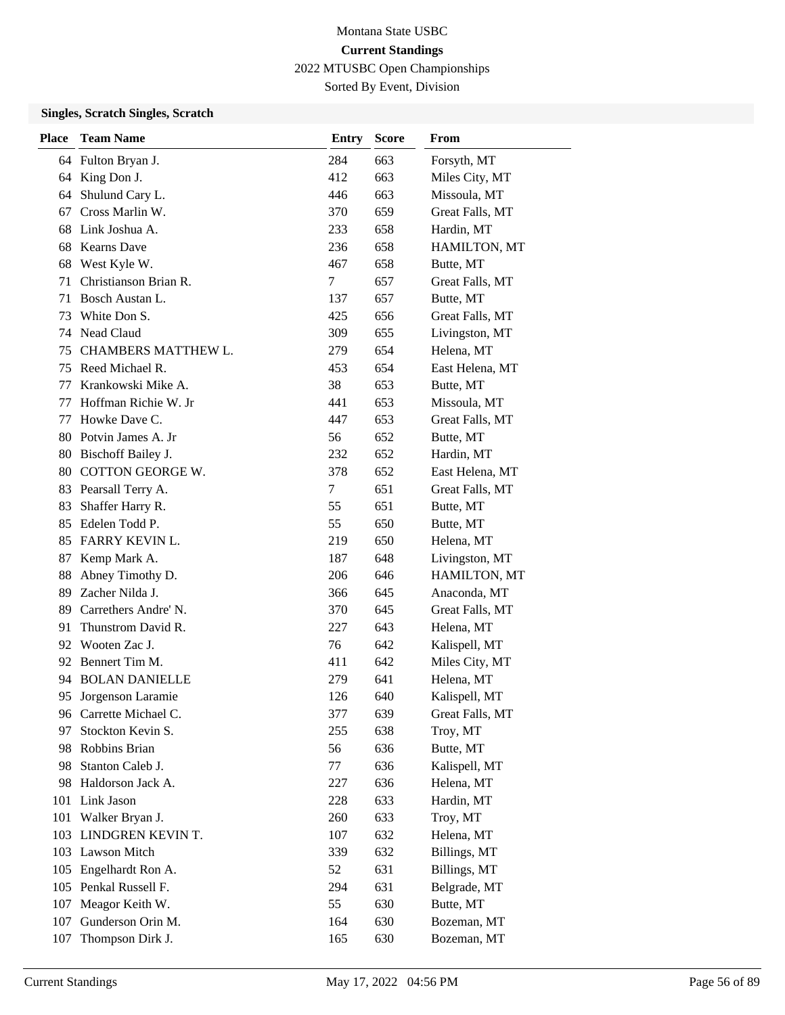# Montana State USBC **Current Standings**

2022 MTUSBC Open Championships

Sorted By Event, Division

| <b>Place</b> | <b>Team Name</b>       | <b>Entry</b> | <b>Score</b> | From            |
|--------------|------------------------|--------------|--------------|-----------------|
|              | 64 Fulton Bryan J.     | 284          | 663          | Forsyth, MT     |
| 64           | King Don J.            | 412          | 663          | Miles City, MT  |
| 64           | Shulund Cary L.        | 446          | 663          | Missoula, MT    |
| 67           | Cross Marlin W.        | 370          | 659          | Great Falls, MT |
| 68           | Link Joshua A.         | 233          | 658          | Hardin, MT      |
| 68           | <b>Kearns Dave</b>     | 236          | 658          | HAMILTON, MT    |
| 68           | West Kyle W.           | 467          | 658          | Butte, MT       |
| 71           | Christianson Brian R.  | 7            | 657          | Great Falls, MT |
| 71           | Bosch Austan L.        | 137          | 657          | Butte, MT       |
| 73           | White Don S.           | 425          | 656          | Great Falls, MT |
|              | 74 Nead Claud          | 309          | 655          | Livingston, MT  |
| 75           | CHAMBERS MATTHEW L.    | 279          | 654          | Helena, MT      |
| 75           | Reed Michael R.        | 453          | 654          | East Helena, MT |
| 77           | Krankowski Mike A.     | 38           | 653          | Butte, MT       |
| 77           | Hoffman Richie W. Jr   | 441          | 653          | Missoula, MT    |
| 77           | Howke Dave C.          | 447          | 653          | Great Falls, MT |
| 80           | Potvin James A. Jr     | 56           | 652          | Butte, MT       |
| 80           | Bischoff Bailey J.     | 232          | 652          | Hardin, MT      |
| 80           | COTTON GEORGE W.       | 378          | 652          | East Helena, MT |
| 83           | Pearsall Terry A.      | 7            | 651          | Great Falls, MT |
| 83           | Shaffer Harry R.       | 55           | 651          | Butte, MT       |
| 85           | Edelen Todd P.         | 55           | 650          | Butte, MT       |
| 85           | <b>FARRY KEVIN L.</b>  | 219          | 650          | Helena, MT      |
| 87           | Kemp Mark A.           | 187          | 648          | Livingston, MT  |
| 88           | Abney Timothy D.       | 206          | 646          | HAMILTON, MT    |
| 89           | Zacher Nilda J.        | 366          | 645          | Anaconda, MT    |
| 89           | Carrethers Andre' N.   | 370          | 645          | Great Falls, MT |
| 91           | Thunstrom David R.     | 227          | 643          | Helena, MT      |
| 92           | Wooten Zac J.          | 76           | 642          | Kalispell, MT   |
| 92           | Bennert Tim M.         | 411          | 642          | Miles City, MT  |
| 94           | <b>BOLAN DANIELLE</b>  | 279          | 641          | Helena, MT      |
| 95           | Jorgenson Laramie      | 126          | 640          | Kalispell, MT   |
|              | 96 Carrette Michael C. | 377          | 639          | Great Falls, MT |
| 97           | Stockton Kevin S.      | 255          | 638          | Troy, MT        |
| 98           | Robbins Brian          | 56           | 636          | Butte, MT       |
| 98           | Stanton Caleb J.       | 77           | 636          | Kalispell, MT   |
| 98           | Haldorson Jack A.      | 227          | 636          | Helena, MT      |
| 101          | Link Jason             | 228          | 633          | Hardin, MT      |
| 101          | Walker Bryan J.        | 260          | 633          | Troy, MT        |
|              | 103 LINDGREN KEVIN T.  | 107          | 632          | Helena, MT      |
|              | 103 Lawson Mitch       | 339          | 632          | Billings, MT    |
| 105          | Engelhardt Ron A.      | 52           | 631          | Billings, MT    |
|              | 105 Penkal Russell F.  | 294          | 631          | Belgrade, MT    |
| 107          | Meagor Keith W.        | 55           | 630          | Butte, MT       |
| 107          | Gunderson Orin M.      | 164          | 630          | Bozeman, MT     |
| 107          | Thompson Dirk J.       | 165          | 630          | Bozeman, MT     |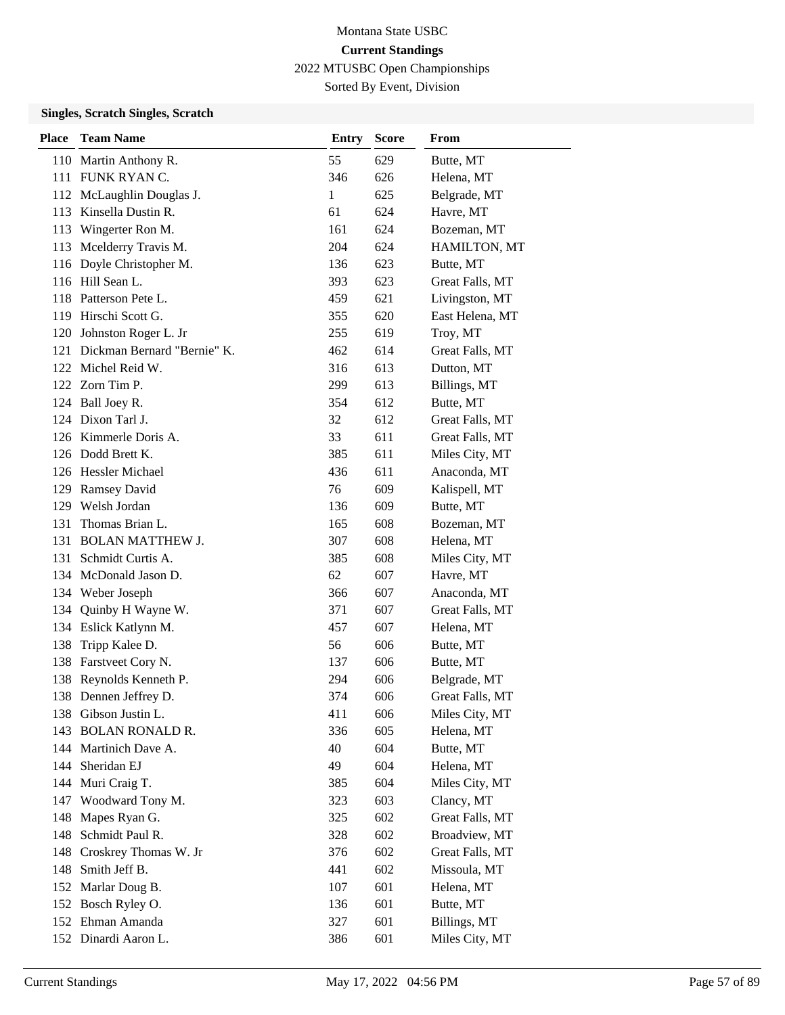# Montana State USBC **Current Standings**

2022 MTUSBC Open Championships

Sorted By Event, Division

| <b>Place</b> | <b>Team Name</b>                | <b>Entry</b> | <b>Score</b> | From            |
|--------------|---------------------------------|--------------|--------------|-----------------|
|              | 110 Martin Anthony R.           | 55           | 629          | Butte, MT       |
|              | 111 FUNK RYAN C.                | 346          | 626          | Helena, MT      |
|              | 112 McLaughlin Douglas J.       | 1            | 625          | Belgrade, MT    |
| 113          | Kinsella Dustin R.              | 61           | 624          | Havre, MT       |
|              | 113 Wingerter Ron M.            | 161          | 624          | Bozeman, MT     |
| 113          | Mcelderry Travis M.             | 204          | 624          | HAMILTON, MT    |
|              | 116 Doyle Christopher M.        | 136          | 623          | Butte, MT       |
|              | 116 Hill Sean L.                | 393          | 623          | Great Falls, MT |
|              | 118 Patterson Pete L.           | 459          | 621          | Livingston, MT  |
|              | 119 Hirschi Scott G.            | 355          | 620          | East Helena, MT |
| 120          | Johnston Roger L. Jr            | 255          | 619          | Troy, MT        |
|              | 121 Dickman Bernard "Bernie" K. | 462          | 614          | Great Falls, MT |
|              | 122 Michel Reid W.              | 316          | 613          | Dutton, MT      |
|              | 122 Zorn Tim P.                 | 299          | 613          | Billings, MT    |
|              | 124 Ball Joey R.                | 354          | 612          | Butte, MT       |
|              | 124 Dixon Tarl J.               | 32           | 612          | Great Falls, MT |
|              | 126 Kimmerle Doris A.           | 33           | 611          | Great Falls, MT |
|              | 126 Dodd Brett K.               | 385          | 611          | Miles City, MT  |
|              | 126 Hessler Michael             | 436          | 611          | Anaconda, MT    |
|              | 129 Ramsey David                | 76           | 609          | Kalispell, MT   |
|              | 129 Welsh Jordan                | 136          | 609          | Butte, MT       |
| 131          | Thomas Brian L.                 | 165          | 608          | Bozeman, MT     |
|              | 131 BOLAN MATTHEW J.            | 307          | 608          | Helena, MT      |
|              | 131 Schmidt Curtis A.           | 385          | 608          | Miles City, MT  |
|              | 134 McDonald Jason D.           | 62           | 607          | Havre, MT       |
|              | 134 Weber Joseph                | 366          | 607          | Anaconda, MT    |
| 134          | Quinby H Wayne W.               | 371          | 607          | Great Falls, MT |
|              | 134 Eslick Katlynn M.           | 457          | 607          | Helena, MT      |
| 138          | Tripp Kalee D.                  | 56           | 606          | Butte, MT       |
|              | 138 Farstveet Cory N.           | 137          | 606          | Butte, MT       |
|              | 138 Reynolds Kenneth P.         | 294          | 606          | Belgrade, MT    |
|              | 138 Dennen Jeffrey D.           | 374          | 606          | Great Falls, MT |
|              | 138 Gibson Justin L.            | 411          | 606          | Miles City, MT  |
| 143          | <b>BOLAN RONALD R.</b>          | 336          | 605          | Helena, MT      |
|              | 144 Martinich Dave A.           | 40           | 604          | Butte, MT       |
|              | 144 Sheridan EJ                 | 49           | 604          | Helena, MT      |
| 144          | Muri Craig T.                   | 385          | 604          | Miles City, MT  |
|              | 147 Woodward Tony M.            | 323          | 603          | Clancy, MT      |
| 148          | Mapes Ryan G.                   | 325          | 602          | Great Falls, MT |
| 148          | Schmidt Paul R.                 | 328          | 602          | Broadview, MT   |
| 148          | Croskrey Thomas W. Jr           | 376          | 602          | Great Falls, MT |
| 148          | Smith Jeff B.                   | 441          | 602          | Missoula, MT    |
| 152          | Marlar Doug B.                  | 107          | 601          | Helena, MT      |
|              | 152 Bosch Ryley O.              | 136          | 601          | Butte, MT       |
|              | 152 Ehman Amanda                | 327          | 601          | Billings, MT    |
|              | 152 Dinardi Aaron L.            | 386          | 601          | Miles City, MT  |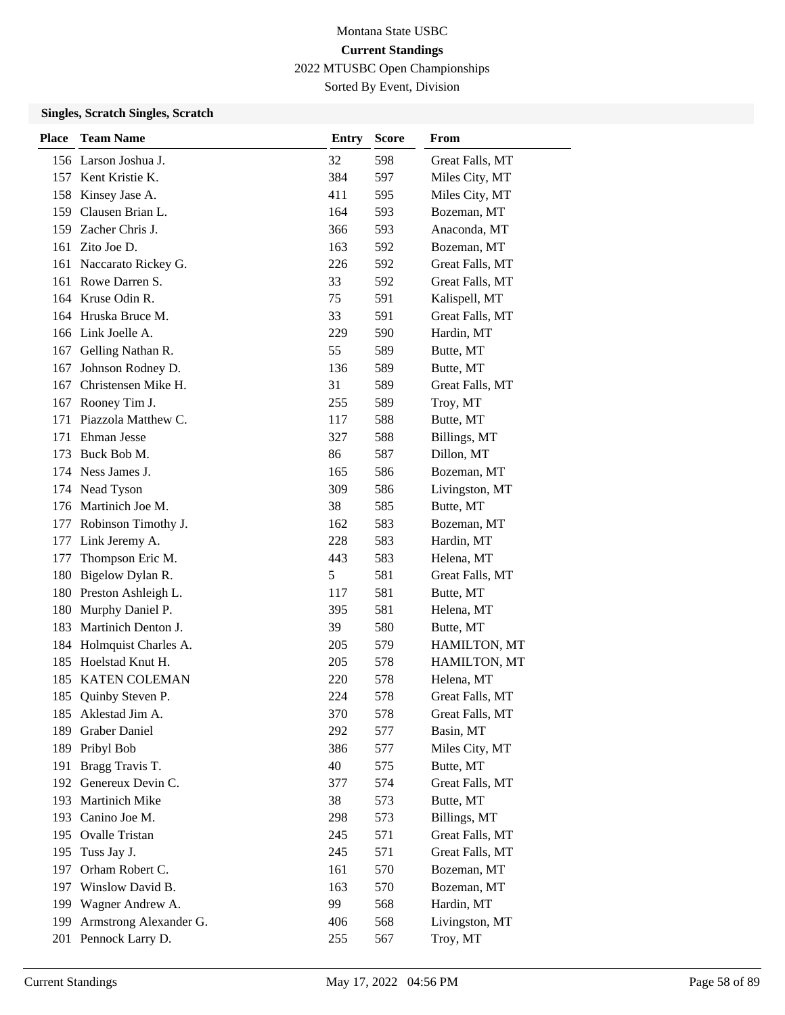Sorted By Event, Division

| <b>Place</b> | <b>Team Name</b>         | <b>Entry</b> | <b>Score</b> | From            |
|--------------|--------------------------|--------------|--------------|-----------------|
|              | 156 Larson Joshua J.     | 32           | 598          | Great Falls, MT |
|              | 157 Kent Kristie K.      | 384          | 597          | Miles City, MT  |
|              | 158 Kinsey Jase A.       | 411          | 595          | Miles City, MT  |
|              | 159 Clausen Brian L.     | 164          | 593          | Bozeman, MT     |
|              | 159 Zacher Chris J.      | 366          | 593          | Anaconda, MT    |
|              | 161 Zito Joe D.          | 163          | 592          | Bozeman, MT     |
|              | 161 Naccarato Rickey G.  | 226          | 592          | Great Falls, MT |
|              | 161 Rowe Darren S.       | 33           | 592          | Great Falls, MT |
|              | 164 Kruse Odin R.        | 75           | 591          | Kalispell, MT   |
|              | 164 Hruska Bruce M.      | 33           | 591          | Great Falls, MT |
|              | 166 Link Joelle A.       | 229          | 590          | Hardin, MT      |
|              | 167 Gelling Nathan R.    | 55           | 589          | Butte, MT       |
| 167          | Johnson Rodney D.        | 136          | 589          | Butte, MT       |
|              | 167 Christensen Mike H.  | 31           | 589          | Great Falls, MT |
|              | 167 Rooney Tim J.        | 255          | 589          | Troy, MT        |
|              | 171 Piazzola Matthew C.  | 117          | 588          | Butte, MT       |
| 171          | Ehman Jesse              | 327          | 588          | Billings, MT    |
| 173          | Buck Bob M.              | 86           | 587          | Dillon, MT      |
|              | 174 Ness James J.        | 165          | 586          | Bozeman, MT     |
|              | 174 Nead Tyson           | 309          | 586          | Livingston, MT  |
|              | 176 Martinich Joe M.     | 38           | 585          | Butte, MT       |
|              | 177 Robinson Timothy J.  | 162          | 583          | Bozeman, MT     |
|              | 177 Link Jeremy A.       | 228          | 583          | Hardin, MT      |
| 177          | Thompson Eric M.         | 443          | 583          | Helena, MT      |
| 180          | Bigelow Dylan R.         | 5            | 581          | Great Falls, MT |
|              | 180 Preston Ashleigh L.  | 117          | 581          | Butte, MT       |
| 180          | Murphy Daniel P.         | 395          | 581          | Helena, MT      |
|              | 183 Martinich Denton J.  | 39           | 580          | Butte, MT       |
|              | 184 Holmquist Charles A. | 205          | 579          | HAMILTON, MT    |
|              | 185 Hoelstad Knut H.     | 205          | 578          | HAMILTON, MT    |
|              | 185 KATEN COLEMAN        | 220          | 578          | Helena, MT      |
|              | 185 Quinby Steven P.     | 224          | 578          | Great Falls, MT |
| 185          | Aklestad Jim A.          | 370          | 578          | Great Falls, MT |
| 189          | <b>Graber Daniel</b>     | 292          | 577          | Basin, MT       |
| 189          | Pribyl Bob               | 386          | 577          | Miles City, MT  |
| 191          | Bragg Travis T.          | 40           | 575          | Butte, MT       |
|              | 192 Genereux Devin C.    | 377          | 574          | Great Falls, MT |
| 193          | Martinich Mike           | 38           | 573          | Butte, MT       |
| 193          | Canino Joe M.            | 298          | 573          | Billings, MT    |
|              | 195 Ovalle Tristan       | 245          | 571          | Great Falls, MT |
| 195          | Tuss Jay J.              | 245          | 571          | Great Falls, MT |
| 197          | Orham Robert C.          | 161          | 570          | Bozeman, MT     |
| 197          | Winslow David B.         | 163          | 570          | Bozeman, MT     |
|              | 199 Wagner Andrew A.     | 99           | 568          | Hardin, MT      |
| 199          | Armstrong Alexander G.   | 406          | 568          | Livingston, MT  |
|              | 201 Pennock Larry D.     | 255          | 567          | Troy, MT        |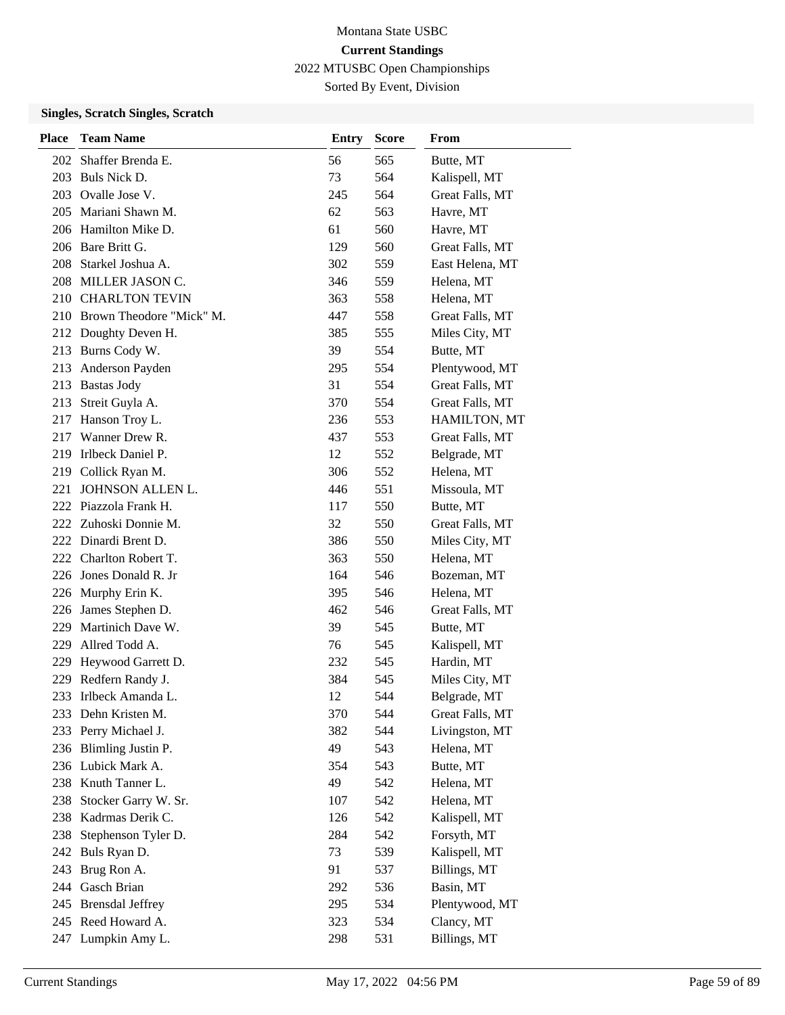# Montana State USBC **Current Standings**

2022 MTUSBC Open Championships

Sorted By Event, Division

| Place | <b>Team Name</b>             | <b>Entry</b> | Score | From            |
|-------|------------------------------|--------------|-------|-----------------|
| 202   | Shaffer Brenda E.            | 56           | 565   | Butte, MT       |
|       | 203 Buls Nick D.             | 73           | 564   | Kalispell, MT   |
|       | 203 Ovalle Jose V.           | 245          | 564   | Great Falls, MT |
| 205   | Mariani Shawn M.             | 62           | 563   | Havre, MT       |
|       | 206 Hamilton Mike D.         | 61           | 560   | Havre, MT       |
|       | 206 Bare Britt G.            | 129          | 560   | Great Falls, MT |
|       | 208 Starkel Joshua A.        | 302          | 559   | East Helena, MT |
|       | 208 MILLER JASON C.          | 346          | 559   | Helena, MT      |
|       | 210 CHARLTON TEVIN           | 363          | 558   | Helena, MT      |
|       | 210 Brown Theodore "Mick" M. | 447          | 558   | Great Falls, MT |
| 212   | Doughty Deven H.             | 385          | 555   | Miles City, MT  |
| 213   | Burns Cody W.                | 39           | 554   | Butte, MT       |
| 213   | Anderson Payden              | 295          | 554   | Plentywood, MT  |
|       | 213 Bastas Jody              | 31           | 554   | Great Falls, MT |
|       | 213 Streit Guyla A.          | 370          | 554   | Great Falls, MT |
| 217   | Hanson Troy L.               | 236          | 553   | HAMILTON, MT    |
| 217   | Wanner Drew R.               | 437          | 553   | Great Falls, MT |
| 219   | Irlbeck Daniel P.            | 12           | 552   | Belgrade, MT    |
|       | 219 Collick Ryan M.          | 306          | 552   | Helena, MT      |
| 221   | JOHNSON ALLEN L.             | 446          | 551   | Missoula, MT    |
|       | 222 Piazzola Frank H.        | 117          | 550   | Butte, MT       |
|       | 222 Zuhoski Donnie M.        | 32           | 550   | Great Falls, MT |
|       | 222 Dinardi Brent D.         | 386          | 550   | Miles City, MT  |
|       | 222 Charlton Robert T.       | 363          | 550   | Helena, MT      |
|       | 226 Jones Donald R. Jr       | 164          | 546   | Bozeman, MT     |
| 226   | Murphy Erin K.               | 395          | 546   | Helena, MT      |
| 226   | James Stephen D.             | 462          | 546   | Great Falls, MT |
| 229   | Martinich Dave W.            | 39           | 545   | Butte, MT       |
| 229   | Allred Todd A.               | 76           | 545   | Kalispell, MT   |
| 229   | Heywood Garrett D.           | 232          | 545   | Hardin, MT      |
| 229   | Redfern Randy J.             | 384          | 545   | Miles City, MT  |
| 233   | Irlbeck Amanda L.            | 12           | 544   | Belgrade, MT    |
|       | 233 Dehn Kristen M.          | 370          | 544   | Great Falls, MT |
| 233   | Perry Michael J.             | 382          | 544   | Livingston, MT  |
|       | 236 Blimling Justin P.       | 49           | 543   | Helena, MT      |
|       | 236 Lubick Mark A.           | 354          | 543   | Butte, MT       |
|       | 238 Knuth Tanner L.          | 49           | 542   | Helena, MT      |
| 238   | Stocker Garry W. Sr.         | 107          | 542   | Helena, MT      |
| 238   | Kadrmas Derik C.             | 126          | 542   | Kalispell, MT   |
| 238   | Stephenson Tyler D.          | 284          | 542   | Forsyth, MT     |
| 242   | Buls Ryan D.                 | 73           | 539   | Kalispell, MT   |
| 243   | Brug Ron A.                  | 91           | 537   | Billings, MT    |
|       | 244 Gasch Brian              | 292          | 536   | Basin, MT       |
| 245   | <b>Brensdal Jeffrey</b>      | 295          | 534   | Plentywood, MT  |
|       | 245 Reed Howard A.           | 323          | 534   | Clancy, MT      |
| 247   | Lumpkin Amy L.               | 298          | 531   | Billings, MT    |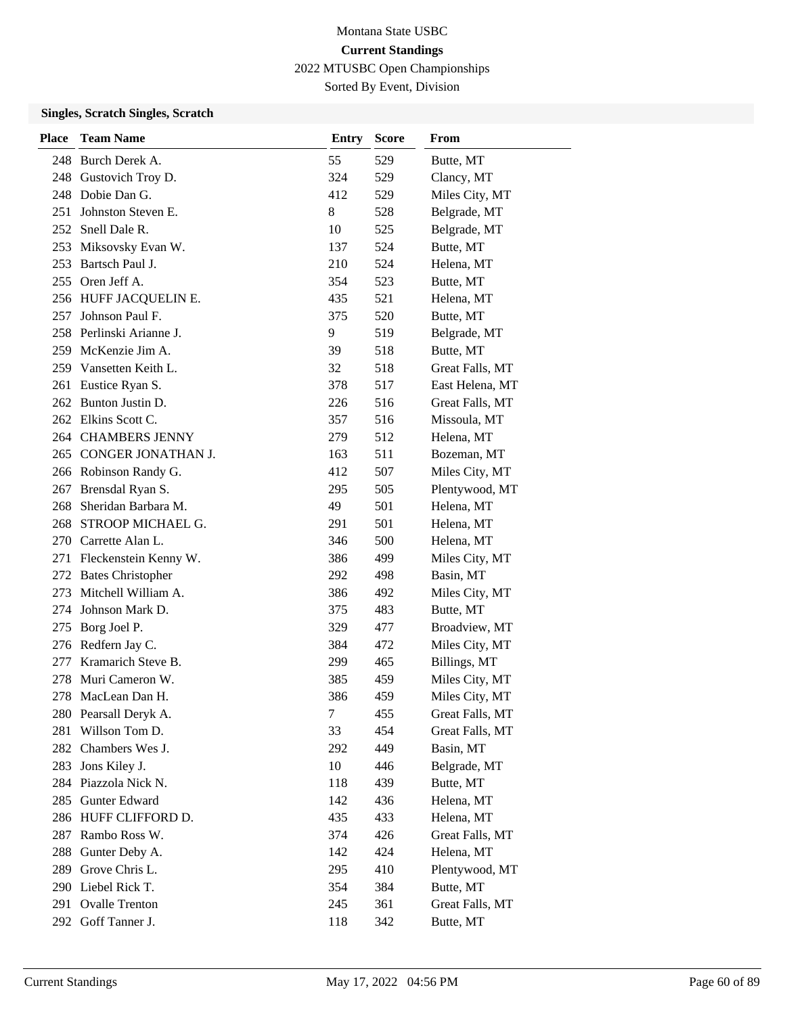# Montana State USBC **Current Standings**

2022 MTUSBC Open Championships

Sorted By Event, Division

| <b>Place</b> | <b>Team Name</b>          | <b>Entry</b> | <b>Score</b> | From            |
|--------------|---------------------------|--------------|--------------|-----------------|
|              | 248 Burch Derek A.        | 55           | 529          | Butte, MT       |
| 248          | Gustovich Troy D.         | 324          | 529          | Clancy, MT      |
|              | 248 Dobie Dan G.          | 412          | 529          | Miles City, MT  |
|              | 251 Johnston Steven E.    | 8            | 528          | Belgrade, MT    |
| 252          | Snell Dale R.             | 10           | 525          | Belgrade, MT    |
|              | 253 Miksovsky Evan W.     | 137          | 524          | Butte, MT       |
|              | 253 Bartsch Paul J.       | 210          | 524          | Helena, MT      |
|              | 255 Oren Jeff A.          | 354          | 523          | Butte, MT       |
|              | 256 HUFF JACQUELIN E.     | 435          | 521          | Helena, MT      |
| 257          | Johnson Paul F.           | 375          | 520          | Butte, MT       |
|              | 258 Perlinski Arianne J.  | 9            | 519          | Belgrade, MT    |
|              | 259 McKenzie Jim A.       | 39           | 518          | Butte, MT       |
|              | 259 Vansetten Keith L.    | 32           | 518          | Great Falls, MT |
|              | 261 Eustice Ryan S.       | 378          | 517          | East Helena, MT |
|              | 262 Bunton Justin D.      | 226          | 516          | Great Falls, MT |
|              | 262 Elkins Scott C.       | 357          | 516          | Missoula, MT    |
|              | 264 CHAMBERS JENNY        | 279          | 512          | Helena, MT      |
|              | 265 CONGER JONATHAN J.    | 163          | 511          | Bozeman, MT     |
|              | 266 Robinson Randy G.     | 412          | 507          | Miles City, MT  |
|              | 267 Brensdal Ryan S.      | 295          | 505          | Plentywood, MT  |
| 268          | Sheridan Barbara M.       | 49           | 501          | Helena, MT      |
|              | 268 STROOP MICHAEL G.     | 291          | 501          | Helena, MT      |
|              | 270 Carrette Alan L.      | 346          | 500          | Helena, MT      |
|              | 271 Fleckenstein Kenny W. | 386          | 499          | Miles City, MT  |
|              | 272 Bates Christopher     | 292          | 498          | Basin, MT       |
| 273          | Mitchell William A.       | 386          | 492          | Miles City, MT  |
| 274          | Johnson Mark D.           | 375          | 483          | Butte, MT       |
| 275          | Borg Joel P.              | 329          | 477          | Broadview, MT   |
|              | 276 Redfern Jay C.        | 384          | 472          | Miles City, MT  |
| 277          | Kramarich Steve B.        | 299          | 465          | Billings, MT    |
| 278          | Muri Cameron W.           | 385          | 459          | Miles City, MT  |
| 278          | MacLean Dan H.            | 386          | 459          | Miles City, MT  |
|              | 280 Pearsall Deryk A.     | $\tau$       | 455          | Great Falls, MT |
| 281          | Willson Tom D.            | 33           | 454          | Great Falls, MT |
| 282          | Chambers Wes J.           | 292          | 449          | Basin, MT       |
| 283          | Jons Kiley J.             | 10           | 446          | Belgrade, MT    |
|              | 284 Piazzola Nick N.      | 118          | 439          | Butte, MT       |
| 285          | Gunter Edward             | 142          | 436          | Helena, MT      |
|              | 286 HUFF CLIFFORD D.      | 435          | 433          | Helena, MT      |
| 287          | Rambo Ross W.             | 374          | 426          | Great Falls, MT |
| 288          | Gunter Deby A.            | 142          | 424          | Helena, MT      |
| 289          | Grove Chris L.            | 295          | 410          | Plentywood, MT  |
|              | 290 Liebel Rick T.        | 354          | 384          | Butte, MT       |
| 291          | <b>Ovalle Trenton</b>     | 245          | 361          | Great Falls, MT |
| 292          | Goff Tanner J.            | 118          | 342          | Butte, MT       |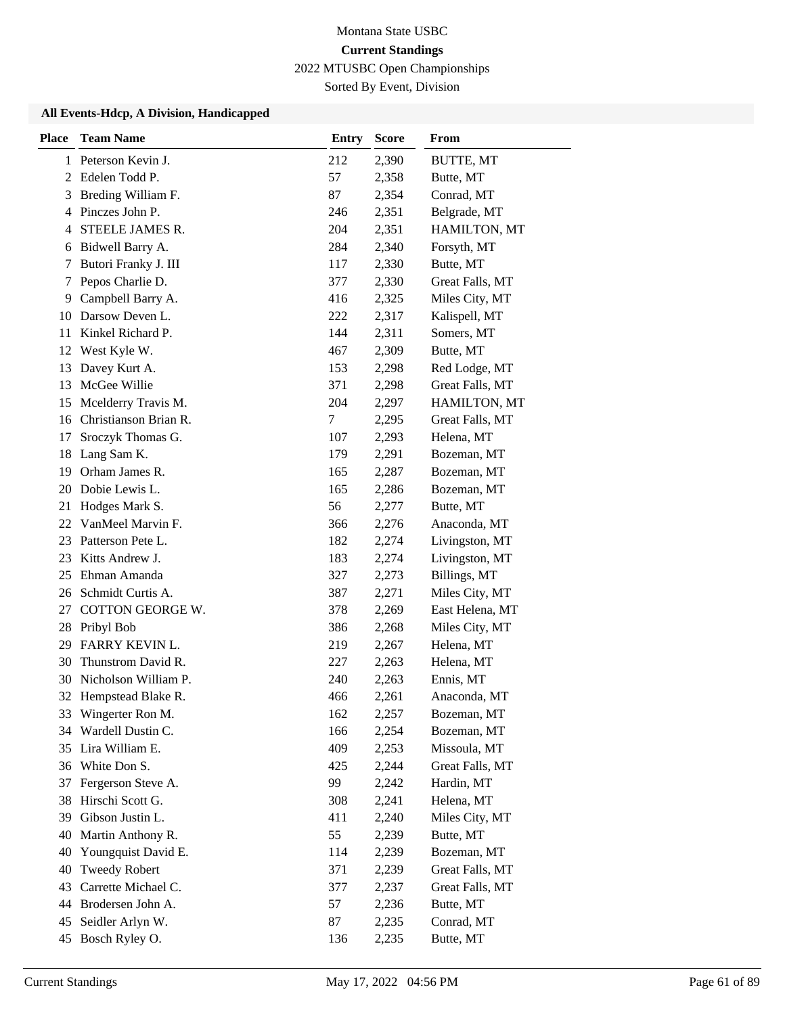Sorted By Event, Division

| <b>Place</b> | <b>Team Name</b>        | <b>Entry</b> | <b>Score</b> | <b>From</b>     |
|--------------|-------------------------|--------------|--------------|-----------------|
|              | 1 Peterson Kevin J.     | 212          | 2,390        | BUTTE, MT       |
|              | 2 Edelen Todd P.        | 57           | 2,358        | Butte, MT       |
| 3            | Breding William F.      | 87           | 2,354        | Conrad, MT      |
| 4            | Pinczes John P.         | 246          | 2,351        | Belgrade, MT    |
| 4            | STEELE JAMES R.         | 204          | 2,351        | HAMILTON, MT    |
| 6            | Bidwell Barry A.        | 284          | 2,340        | Forsyth, MT     |
| 7            | Butori Franky J. III    | 117          | 2,330        | Butte, MT       |
| 7            | Pepos Charlie D.        | 377          | 2,330        | Great Falls, MT |
| 9            | Campbell Barry A.       | 416          | 2,325        | Miles City, MT  |
| 10           | Darsow Deven L.         | 222          | 2,317        | Kalispell, MT   |
| 11           | Kinkel Richard P.       | 144          | 2,311        | Somers, MT      |
| 12           | West Kyle W.            | 467          | 2,309        | Butte, MT       |
| 13           | Davey Kurt A.           | 153          | 2,298        | Red Lodge, MT   |
| 13           | McGee Willie            | 371          | 2,298        | Great Falls, MT |
| 15           | Mcelderry Travis M.     | 204          | 2,297        | HAMILTON, MT    |
| 16           | Christianson Brian R.   | 7            | 2,295        | Great Falls, MT |
| 17           | Sroczyk Thomas G.       | 107          | 2,293        | Helena, MT      |
| 18           | Lang Sam K.             | 179          | 2,291        | Bozeman, MT     |
| 19           | Orham James R.          | 165          | 2,287        | Bozeman, MT     |
| 20           | Dobie Lewis L.          | 165          | 2,286        | Bozeman, MT     |
| 21           | Hodges Mark S.          | 56           | 2,277        | Butte, MT       |
| 22           | VanMeel Marvin F.       | 366          | 2,276        | Anaconda, MT    |
| 23           | Patterson Pete L.       | 182          | 2,274        | Livingston, MT  |
| 23           | Kitts Andrew J.         | 183          | 2,274        | Livingston, MT  |
| 25           | Ehman Amanda            | 327          | 2,273        | Billings, MT    |
| 26           | Schmidt Curtis A.       | 387          | 2,271        | Miles City, MT  |
| 27           | <b>COTTON GEORGE W.</b> | 378          | 2,269        | East Helena, MT |
| 28           | Pribyl Bob              | 386          | 2,268        | Miles City, MT  |
| 29           | <b>FARRY KEVIN L.</b>   | 219          | 2,267        | Helena, MT      |
| 30           | Thunstrom David R.      | 227          | 2,263        | Helena, MT      |
| 30           | Nicholson William P.    | 240          | 2,263        | Ennis, MT       |
| 32           | Hempstead Blake R.      | 466          | 2,261        | Anaconda, MT    |
| 33           | Wingerter Ron M.        | 162          | 2,257        | Bozeman, MT     |
| 34           | Wardell Dustin C.       | 166          | 2,254        | Bozeman, MT     |
| 35           | Lira William E.         | 409          | 2,253        | Missoula, MT    |
| 36           | White Don S.            | 425          | 2,244        | Great Falls, MT |
| 37           | Fergerson Steve A.      | 99           | 2,242        | Hardin, MT      |
| 38           | Hirschi Scott G.        | 308          | 2,241        | Helena, MT      |
| 39           | Gibson Justin L.        | 411          | 2,240        | Miles City, MT  |
| 40           | Martin Anthony R.       | 55           | 2,239        | Butte, MT       |
| 40           | Youngquist David E.     | 114          | 2,239        | Bozeman, MT     |
| 40           | <b>Tweedy Robert</b>    | 371          | 2,239        | Great Falls, MT |
| 43           | Carrette Michael C.     | 377          | 2,237        | Great Falls, MT |
| 44           | Brodersen John A.       | 57           | 2,236        | Butte, MT       |
| 45           | Seidler Arlyn W.        | 87           | 2,235        | Conrad, MT      |
| 45           | Bosch Ryley O.          | 136          | 2,235        | Butte, MT       |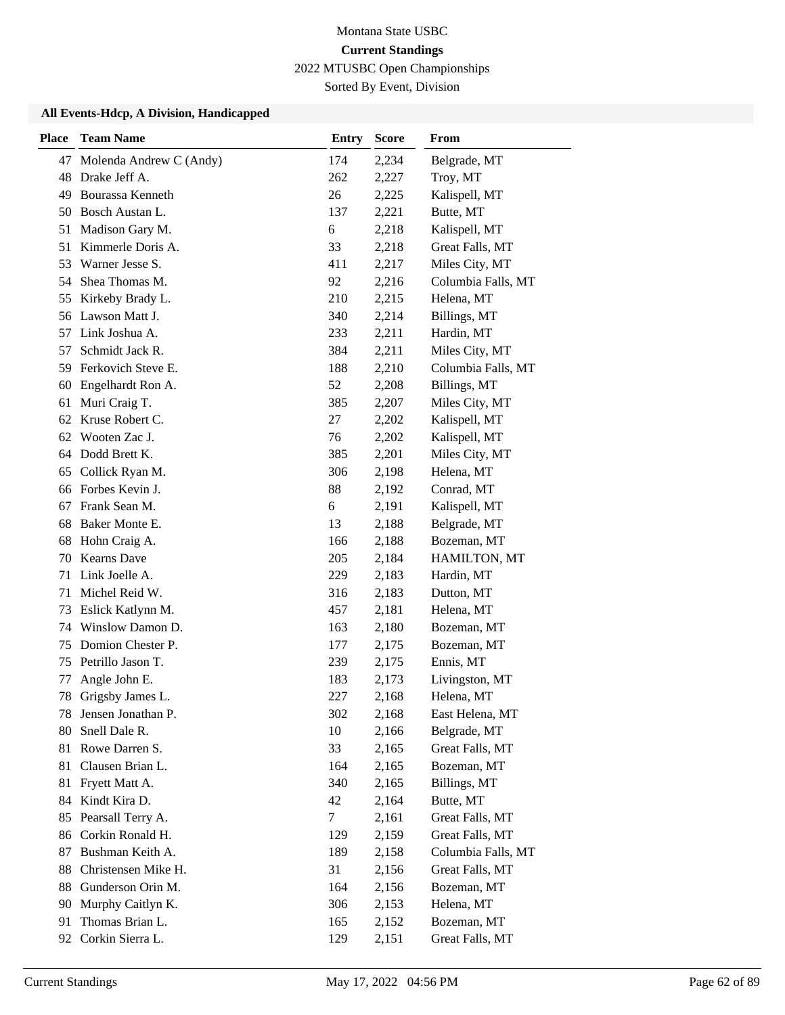Sorted By Event, Division

| <b>Place</b> | <b>Team Name</b>        | <b>Entry</b> | <b>Score</b> | From               |
|--------------|-------------------------|--------------|--------------|--------------------|
| 47           | Molenda Andrew C (Andy) | 174          | 2,234        | Belgrade, MT       |
| 48           | Drake Jeff A.           | 262          | 2,227        | Troy, MT           |
| 49           | <b>Bourassa Kenneth</b> | 26           | 2,225        | Kalispell, MT      |
| 50           | Bosch Austan L.         | 137          | 2,221        | Butte, MT          |
| 51           | Madison Gary M.         | 6            | 2,218        | Kalispell, MT      |
| 51           | Kimmerle Doris A.       | 33           | 2,218        | Great Falls, MT    |
| 53           | Warner Jesse S.         | 411          | 2,217        | Miles City, MT     |
| 54           | Shea Thomas M.          | 92           | 2,216        | Columbia Falls, MT |
| 55           | Kirkeby Brady L.        | 210          | 2,215        | Helena, MT         |
| 56           | Lawson Matt J.          | 340          | 2,214        | Billings, MT       |
| 57           | Link Joshua A.          | 233          | 2,211        | Hardin, MT         |
| 57           | Schmidt Jack R.         | 384          | 2,211        | Miles City, MT     |
| 59           | Ferkovich Steve E.      | 188          | 2,210        | Columbia Falls, MT |
| 60           | Engelhardt Ron A.       | 52           | 2,208        | Billings, MT       |
| 61           | Muri Craig T.           | 385          | 2,207        | Miles City, MT     |
|              | 62 Kruse Robert C.      | 27           | 2,202        | Kalispell, MT      |
| 62           | Wooten Zac J.           | 76           | 2,202        | Kalispell, MT      |
| 64           | Dodd Brett K.           | 385          | 2,201        | Miles City, MT     |
| 65           | Collick Ryan M.         | 306          | 2,198        | Helena, MT         |
|              | 66 Forbes Kevin J.      | 88           | 2,192        | Conrad, MT         |
| 67           | Frank Sean M.           | 6            | 2,191        | Kalispell, MT      |
| 68           | Baker Monte E.          | 13           | 2,188        | Belgrade, MT       |
| 68           | Hohn Craig A.           | 166          | 2,188        | Bozeman, MT        |
| 70           | <b>Kearns</b> Dave      | 205          | 2,184        | HAMILTON, MT       |
| 71           | Link Joelle A.          | 229          | 2,183        | Hardin, MT         |
| 71           | Michel Reid W.          | 316          | 2,183        | Dutton, MT         |
| 73           | Eslick Katlynn M.       | 457          | 2,181        | Helena, MT         |
| 74           | Winslow Damon D.        | 163          | 2,180        | Bozeman, MT        |
| 75           | Domion Chester P.       | 177          | 2,175        | Bozeman, MT        |
| 75           | Petrillo Jason T.       | 239          | 2,175        | Ennis, MT          |
| 77           | Angle John E.           | 183          | 2,173        | Livingston, MT     |
| 78           | Grigsby James L.        | 227          | 2,168        | Helena, MT         |
| 78           | Jensen Jonathan P.      | 302          | 2,168        | East Helena, MT    |
| 80           | Snell Dale R.           | 10           | 2,166        | Belgrade, MT       |
| 81           | Rowe Darren S.          | 33           | 2,165        | Great Falls, MT    |
| 81           | Clausen Brian L.        | 164          | 2,165        | Bozeman, MT        |
| 81           | Fryett Matt A.          | 340          | 2,165        | Billings, MT       |
| 84           | Kindt Kira D.           | 42           | 2,164        | Butte, MT          |
| 85           | Pearsall Terry A.       | $\tau$       | 2,161        | Great Falls, MT    |
| 86           | Corkin Ronald H.        | 129          | 2,159        | Great Falls, MT    |
| 87           | Bushman Keith A.        | 189          | 2,158        | Columbia Falls, MT |
| 88           | Christensen Mike H.     | 31           | 2,156        | Great Falls, MT    |
| 88           | Gunderson Orin M.       | 164          | 2,156        | Bozeman, MT        |
| 90           | Murphy Caitlyn K.       | 306          | 2,153        | Helena, MT         |
| 91           | Thomas Brian L.         | 165          | 2,152        | Bozeman, MT        |
| 92           | Corkin Sierra L.        | 129          | 2,151        | Great Falls, MT    |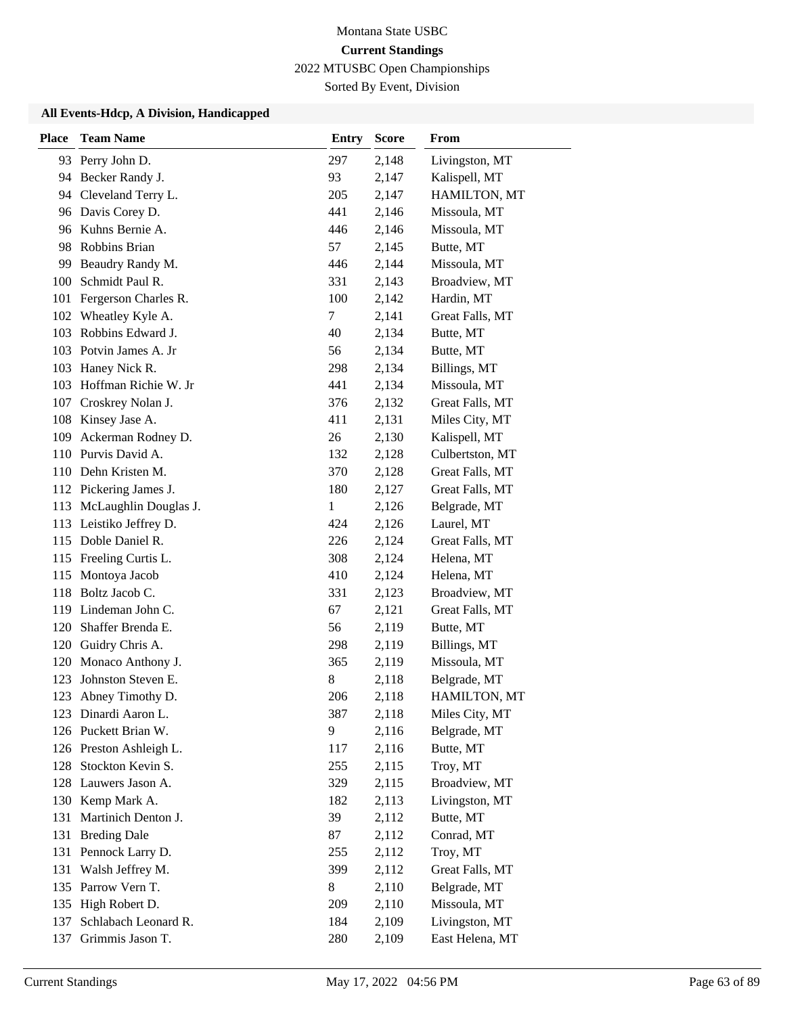Sorted By Event, Division

| <b>Place</b> | <b>Team Name</b>          | <b>Entry</b> | <b>Score</b> | From            |
|--------------|---------------------------|--------------|--------------|-----------------|
|              | 93 Perry John D.          | 297          | 2,148        | Livingston, MT  |
|              | 94 Becker Randy J.        | 93           | 2,147        | Kalispell, MT   |
|              | 94 Cleveland Terry L.     | 205          | 2,147        | HAMILTON, MT    |
| 96           | Davis Corey D.            | 441          | 2,146        | Missoula, MT    |
| 96           | Kuhns Bernie A.           | 446          | 2,146        | Missoula, MT    |
| 98           | Robbins Brian             | 57           | 2,145        | Butte, MT       |
| 99           | Beaudry Randy M.          | 446          | 2,144        | Missoula, MT    |
| 100          | Schmidt Paul R.           | 331          | 2,143        | Broadview, MT   |
| 101          | Fergerson Charles R.      | 100          | 2,142        | Hardin, MT      |
| 102          | Wheatley Kyle A.          | 7            | 2,141        | Great Falls, MT |
| 103          | Robbins Edward J.         | 40           | 2,134        | Butte, MT       |
|              | 103 Potvin James A. Jr    | 56           | 2,134        | Butte, MT       |
| 103          | Haney Nick R.             | 298          | 2,134        | Billings, MT    |
| 103          | Hoffman Richie W. Jr      | 441          | 2,134        | Missoula, MT    |
|              | 107 Croskrey Nolan J.     | 376          | 2,132        | Great Falls, MT |
| 108          | Kinsey Jase A.            | 411          | 2,131        | Miles City, MT  |
| 109          | Ackerman Rodney D.        | 26           | 2,130        | Kalispell, MT   |
| 110          | Purvis David A.           | 132          | 2,128        | Culbertston, MT |
|              | 110 Dehn Kristen M.       | 370          | 2,128        | Great Falls, MT |
|              | 112 Pickering James J.    | 180          | 2,127        | Great Falls, MT |
|              | 113 McLaughlin Douglas J. | 1            | 2,126        | Belgrade, MT    |
|              | 113 Leistiko Jeffrey D.   | 424          | 2,126        | Laurel, MT      |
|              | 115 Doble Daniel R.       | 226          | 2,124        | Great Falls, MT |
| 115          | Freeling Curtis L.        | 308          | 2,124        | Helena, MT      |
| 115          | Montoya Jacob             | 410          | 2,124        | Helena, MT      |
| 118          | Boltz Jacob C.            | 331          | 2,123        | Broadview, MT   |
|              | 119 Lindeman John C.      | 67           | 2,121        | Great Falls, MT |
| 120          | Shaffer Brenda E.         | 56           | 2,119        | Butte, MT       |
| 120          | Guidry Chris A.           | 298          | 2,119        | Billings, MT    |
| 120          | Monaco Anthony J.         | 365          | 2,119        | Missoula, MT    |
| 123          | Johnston Steven E.        | 8            | 2,118        | Belgrade, MT    |
| 123          | Abney Timothy D.          | 206          | 2,118        | HAMILTON, MT    |
|              | 123 Dinardi Aaron L.      | 387          | 2,118        | Miles City, MT  |
|              | 126 Puckett Brian W.      | 9            | 2,116        | Belgrade, MT    |
|              | 126 Preston Ashleigh L.   | 117          | 2,116        | Butte, MT       |
| 128          | Stockton Kevin S.         | 255          | 2,115        | Troy, MT        |
|              | 128 Lauwers Jason A.      | 329          | 2,115        | Broadview, MT   |
| 130          | Kemp Mark A.              | 182          | 2,113        | Livingston, MT  |
| 131          | Martinich Denton J.       | 39           | 2,112        | Butte, MT       |
| 131          | <b>Breding Dale</b>       | 87           | 2,112        | Conrad, MT      |
|              | 131 Pennock Larry D.      | 255          | 2,112        | Troy, MT        |
| 131          | Walsh Jeffrey M.          | 399          | 2,112        | Great Falls, MT |
|              | 135 Parrow Vern T.        | 8            | 2,110        | Belgrade, MT    |
| 135          | High Robert D.            | 209          | 2,110        | Missoula, MT    |
| 137          | Schlabach Leonard R.      | 184          | 2,109        | Livingston, MT  |
| 137          | Grimmis Jason T.          | 280          | 2,109        | East Helena, MT |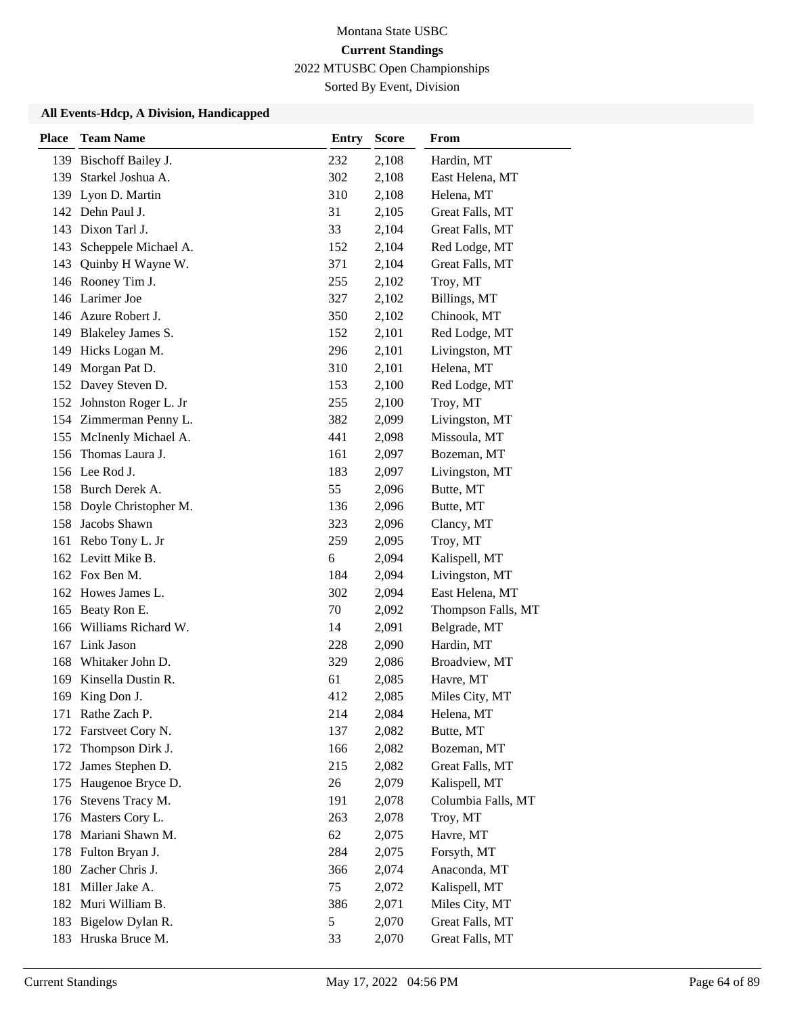Sorted By Event, Division

| <b>Place</b> | <b>Team Name</b>         | <b>Entry</b> | <b>Score</b> | From               |
|--------------|--------------------------|--------------|--------------|--------------------|
|              | 139 Bischoff Bailey J.   | 232          | 2,108        | Hardin, MT         |
|              | 139 Starkel Joshua A.    | 302          | 2,108        | East Helena, MT    |
|              | 139 Lyon D. Martin       | 310          | 2,108        | Helena, MT         |
|              | 142 Dehn Paul J.         | 31           | 2,105        | Great Falls, MT    |
|              | 143 Dixon Tarl J.        | 33           | 2,104        | Great Falls, MT    |
|              | 143 Scheppele Michael A. | 152          | 2,104        | Red Lodge, MT      |
|              | 143 Quinby H Wayne W.    | 371          | 2,104        | Great Falls, MT    |
|              | 146 Rooney Tim J.        | 255          | 2,102        | Troy, MT           |
|              | 146 Larimer Joe          | 327          | 2,102        | Billings, MT       |
|              | 146 Azure Robert J.      | 350          | 2,102        | Chinook, MT        |
|              | 149 Blakeley James S.    | 152          | 2,101        | Red Lodge, MT      |
| 149          | Hicks Logan M.           | 296          | 2,101        | Livingston, MT     |
| 149          | Morgan Pat D.            | 310          | 2,101        | Helena, MT         |
|              | 152 Davey Steven D.      | 153          | 2,100        | Red Lodge, MT      |
|              | 152 Johnston Roger L. Jr | 255          | 2,100        | Troy, MT           |
|              | 154 Zimmerman Penny L.   | 382          | 2,099        | Livingston, MT     |
|              | 155 McInenly Michael A.  | 441          | 2,098        | Missoula, MT       |
| 156          | Thomas Laura J.          | 161          | 2,097        | Bozeman, MT        |
|              | 156 Lee Rod J.           | 183          | 2,097        | Livingston, MT     |
|              | 158 Burch Derek A.       | 55           | 2,096        | Butte, MT          |
|              | 158 Doyle Christopher M. | 136          | 2,096        | Butte, MT          |
|              | 158 Jacobs Shawn         | 323          | 2,096        | Clancy, MT         |
|              | 161 Rebo Tony L. Jr      | 259          | 2,095        | Troy, MT           |
|              | 162 Levitt Mike B.       | 6            | 2,094        | Kalispell, MT      |
|              | 162 Fox Ben M.           | 184          | 2,094        | Livingston, MT     |
|              | 162 Howes James L.       | 302          | 2,094        | East Helena, MT    |
|              | 165 Beaty Ron E.         | 70           | 2,092        | Thompson Falls, MT |
| 166          | Williams Richard W.      | 14           | 2,091        | Belgrade, MT       |
|              | 167 Link Jason           | 228          | 2,090        | Hardin, MT         |
| 168          | Whitaker John D.         | 329          | 2,086        | Broadview, MT      |
|              | 169 Kinsella Dustin R.   | 61           | 2,085        | Havre, MT          |
| 169          | King Don J.              | 412          | 2,085        | Miles City, MT     |
|              | 171 Rathe Zach P.        | 214          | 2,084        | Helena, MT         |
| 172          | Farstveet Cory N.        | 137          | 2,082        | Butte, MT          |
| 172          | Thompson Dirk J.         | 166          | 2,082        | Bozeman, MT        |
| 172          | James Stephen D.         | 215          | 2,082        | Great Falls, MT    |
| 175          | Haugenoe Bryce D.        | 26           | 2,079        | Kalispell, MT      |
|              | 176 Stevens Tracy M.     | 191          | 2,078        | Columbia Falls, MT |
|              | 176 Masters Cory L.      | 263          | 2,078        | Troy, MT           |
| 178          | Mariani Shawn M.         | 62           | 2,075        | Havre, MT          |
|              | 178 Fulton Bryan J.      | 284          | 2,075        | Forsyth, MT        |
|              | 180 Zacher Chris J.      | 366          | 2,074        | Anaconda, MT       |
| 181          | Miller Jake A.           | 75           | 2,072        | Kalispell, MT      |
|              | 182 Muri William B.      | 386          | 2,071        | Miles City, MT     |
| 183          | Bigelow Dylan R.         | 5            | 2,070        | Great Falls, MT    |
|              | 183 Hruska Bruce M.      | 33           | 2,070        | Great Falls, MT    |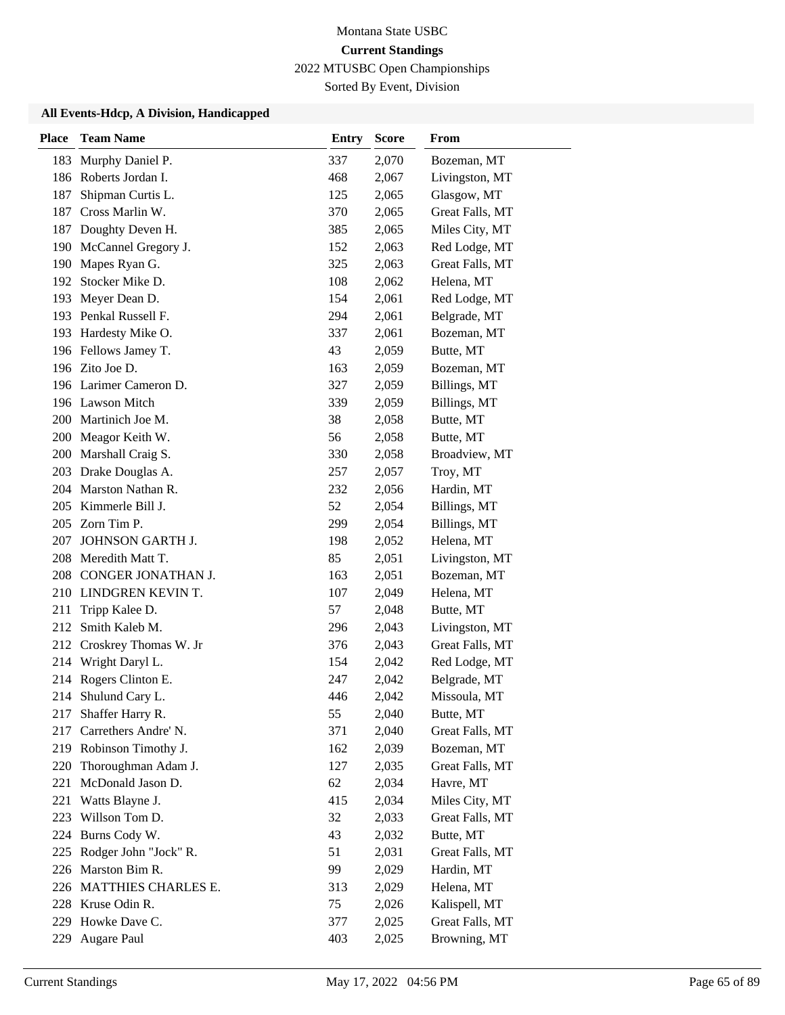Sorted By Event, Division

| <b>Place</b> | <b>Team Name</b>        | <b>Entry</b> | <b>Score</b> | <b>From</b>     |
|--------------|-------------------------|--------------|--------------|-----------------|
| 183          | Murphy Daniel P.        | 337          | 2,070        | Bozeman, MT     |
|              | 186 Roberts Jordan I.   | 468          | 2,067        | Livingston, MT  |
| 187          | Shipman Curtis L.       | 125          | 2,065        | Glasgow, MT     |
| 187          | Cross Marlin W.         | 370          | 2,065        | Great Falls, MT |
| 187          | Doughty Deven H.        | 385          | 2,065        | Miles City, MT  |
| 190          | McCannel Gregory J.     | 152          | 2,063        | Red Lodge, MT   |
| 190          | Mapes Ryan G.           | 325          | 2,063        | Great Falls, MT |
|              | 192 Stocker Mike D.     | 108          | 2,062        | Helena, MT      |
| 193          | Meyer Dean D.           | 154          | 2,061        | Red Lodge, MT   |
|              | 193 Penkal Russell F.   | 294          | 2,061        | Belgrade, MT    |
|              | 193 Hardesty Mike O.    | 337          | 2,061        | Bozeman, MT     |
|              | 196 Fellows Jamey T.    | 43           | 2,059        | Butte, MT       |
|              | 196 Zito Joe D.         | 163          | 2,059        | Bozeman, MT     |
|              | 196 Larimer Cameron D.  | 327          | 2,059        | Billings, MT    |
|              | 196 Lawson Mitch        | 339          | 2,059        | Billings, MT    |
|              | 200 Martinich Joe M.    | 38           | 2,058        | Butte, MT       |
|              | 200 Meagor Keith W.     | 56           | 2,058        | Butte, MT       |
| 200          | Marshall Craig S.       | 330          | 2,058        | Broadview, MT   |
|              | 203 Drake Douglas A.    | 257          | 2,057        | Troy, MT        |
|              | 204 Marston Nathan R.   | 232          | 2,056        | Hardin, MT      |
|              | 205 Kimmerle Bill J.    | 52           | 2,054        | Billings, MT    |
|              | 205 Zorn Tim P.         | 299          | 2,054        | Billings, MT    |
| 207          | JOHNSON GARTH J.        | 198          | 2,052        | Helena, MT      |
|              | 208 Meredith Matt T.    | 85           | 2,051        | Livingston, MT  |
| 208          | CONGER JONATHAN J.      | 163          | 2,051        | Bozeman, MT     |
|              | 210 LINDGREN KEVIN T.   | 107          | 2,049        | Helena, MT      |
| 211          | Tripp Kalee D.          | 57           | 2,048        | Butte, MT       |
| 212          | Smith Kaleb M.          | 296          | 2,043        | Livingston, MT  |
| 212          | Croskrey Thomas W. Jr   | 376          | 2,043        | Great Falls, MT |
| 214          | Wright Daryl L.         | 154          | 2,042        | Red Lodge, MT   |
|              | 214 Rogers Clinton E.   | 247          | 2,042        | Belgrade, MT    |
| 214          | Shulund Cary L.         | 446          | 2,042        | Missoula, MT    |
| 217          | Shaffer Harry R.        | 55           | 2,040        | Butte, MT       |
| 217          | Carrethers Andre' N.    | 371          | 2,040        | Great Falls, MT |
|              | 219 Robinson Timothy J. | 162          | 2,039        | Bozeman, MT     |
| 220          | Thoroughman Adam J.     | 127          | 2,035        | Great Falls, MT |
| 221          | McDonald Jason D.       | 62           | 2,034        | Havre, MT       |
| 221          | Watts Blayne J.         | 415          | 2,034        | Miles City, MT  |
| 223          | Willson Tom D.          | 32           | 2,033        | Great Falls, MT |
| 224          | Burns Cody W.           | 43           | 2,032        | Butte, MT       |
| 225          | Rodger John "Jock" R.   | 51           | 2,031        | Great Falls, MT |
|              | 226 Marston Bim R.      | 99           | 2,029        | Hardin, MT      |
|              | 226 MATTHIES CHARLES E. | 313          | 2,029        | Helena, MT      |
|              | 228 Kruse Odin R.       | 75           | 2,026        | Kalispell, MT   |
|              | 229 Howke Dave C.       | 377          | 2,025        | Great Falls, MT |
| 229          | Augare Paul             | 403          | 2,025        | Browning, MT    |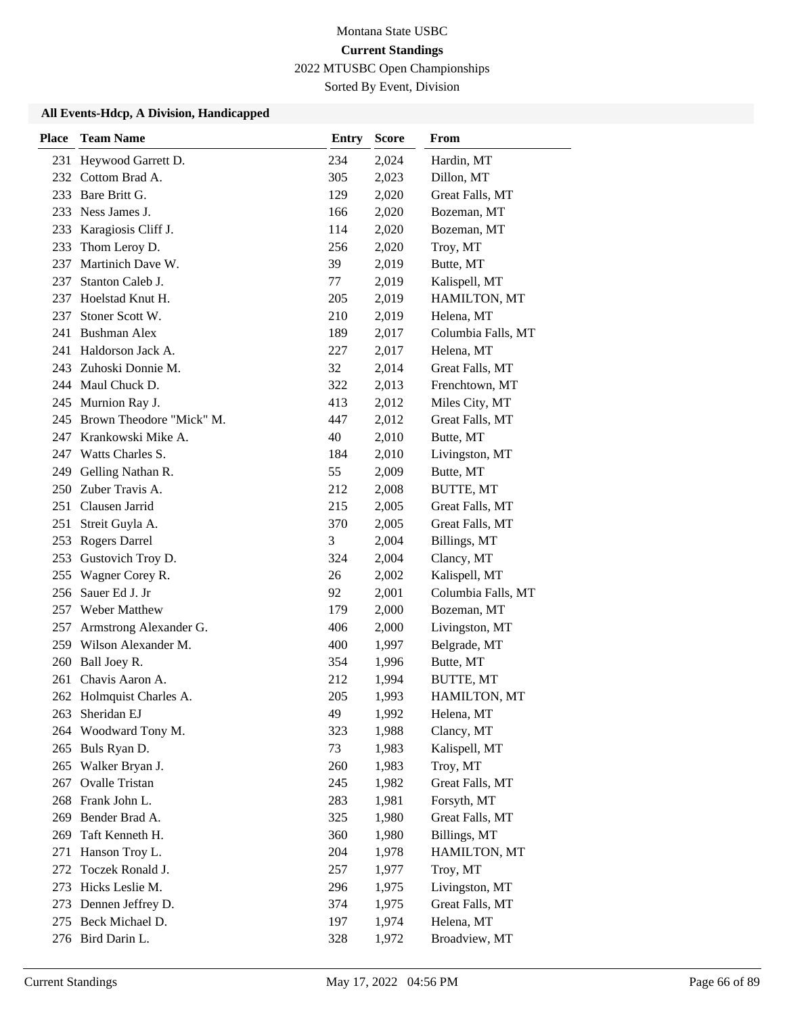Sorted By Event, Division

| <b>Place</b> | <b>Team Name</b>             | Entry | <b>Score</b> | From               |
|--------------|------------------------------|-------|--------------|--------------------|
| 231          | Heywood Garrett D.           | 234   | 2,024        | Hardin, MT         |
| 232          | Cottom Brad A.               | 305   | 2,023        | Dillon, MT         |
|              | 233 Bare Britt G.            | 129   | 2,020        | Great Falls, MT    |
|              | 233 Ness James J.            | 166   | 2,020        | Bozeman, MT        |
| 233          | Karagiosis Cliff J.          | 114   | 2,020        | Bozeman, MT        |
| 233          | Thom Leroy D.                | 256   | 2,020        | Troy, MT           |
| 237          | Martinich Dave W.            | 39    | 2,019        | Butte, MT          |
| 237          | Stanton Caleb J.             | 77    | 2,019        | Kalispell, MT      |
| 237          | Hoelstad Knut H.             | 205   | 2,019        | HAMILTON, MT       |
| 237          | Stoner Scott W.              | 210   | 2,019        | Helena, MT         |
| 241          | <b>Bushman Alex</b>          | 189   | 2,017        | Columbia Falls, MT |
| 241          | Haldorson Jack A.            | 227   | 2,017        | Helena, MT         |
|              | 243 Zuhoski Donnie M.        | 32    | 2,014        | Great Falls, MT    |
|              | 244 Maul Chuck D.            | 322   | 2,013        | Frenchtown, MT     |
|              | 245 Murnion Ray J.           | 413   | 2,012        | Miles City, MT     |
|              | 245 Brown Theodore "Mick" M. | 447   | 2,012        | Great Falls, MT    |
|              | 247 Krankowski Mike A.       | 40    | 2,010        | Butte, MT          |
| 247          | Watts Charles S.             | 184   | 2,010        | Livingston, MT     |
| 249          | Gelling Nathan R.            | 55    | 2,009        | Butte, MT          |
| 250          | Zuber Travis A.              | 212   | 2,008        | BUTTE, MT          |
| 251          | Clausen Jarrid               | 215   | 2,005        | Great Falls, MT    |
| 251          | Streit Guyla A.              | 370   | 2,005        | Great Falls, MT    |
|              | 253 Rogers Darrel            | 3     | 2,004        | Billings, MT       |
| 253          | Gustovich Troy D.            | 324   | 2,004        | Clancy, MT         |
| 255          | Wagner Corey R.              | 26    | 2,002        | Kalispell, MT      |
| 256          | Sauer Ed J. Jr               | 92    | 2,001        | Columbia Falls, MT |
| 257          | Weber Matthew                | 179   | 2,000        | Bozeman, MT        |
| 257          | Armstrong Alexander G.       | 406   | 2,000        | Livingston, MT     |
|              | 259 Wilson Alexander M.      | 400   | 1,997        | Belgrade, MT       |
| 260          | Ball Joey R.                 | 354   | 1,996        | Butte, MT          |
| 261          | Chavis Aaron A.              | 212   | 1,994        | BUTTE, MT          |
|              | 262 Holmquist Charles A.     | 205   | 1,993        | HAMILTON, MT       |
| 263          | Sheridan EJ                  | 49    | 1,992        | Helena, MT         |
| 264          | Woodward Tony M.             | 323   | 1,988        | Clancy, MT         |
|              | 265 Buls Ryan D.             | 73    | 1,983        | Kalispell, MT      |
| 265          | Walker Bryan J.              | 260   | 1,983        | Troy, MT           |
| 267          | <b>Ovalle Tristan</b>        | 245   | 1,982        | Great Falls, MT    |
| 268          | Frank John L.                | 283   | 1,981        | Forsyth, MT        |
| 269          | Bender Brad A.               | 325   | 1,980        | Great Falls, MT    |
| 269          | Taft Kenneth H.              | 360   | 1,980        | Billings, MT       |
| 271          | Hanson Troy L.               | 204   | 1,978        | HAMILTON, MT       |
| 272          | Toczek Ronald J.             | 257   | 1,977        | Troy, MT           |
|              | 273 Hicks Leslie M.          | 296   | 1,975        | Livingston, MT     |
| 273          | Dennen Jeffrey D.            | 374   | 1,975        | Great Falls, MT    |
|              | 275 Beck Michael D.          | 197   | 1,974        | Helena, MT         |
|              | 276 Bird Darin L.            | 328   | 1,972        | Broadview, MT      |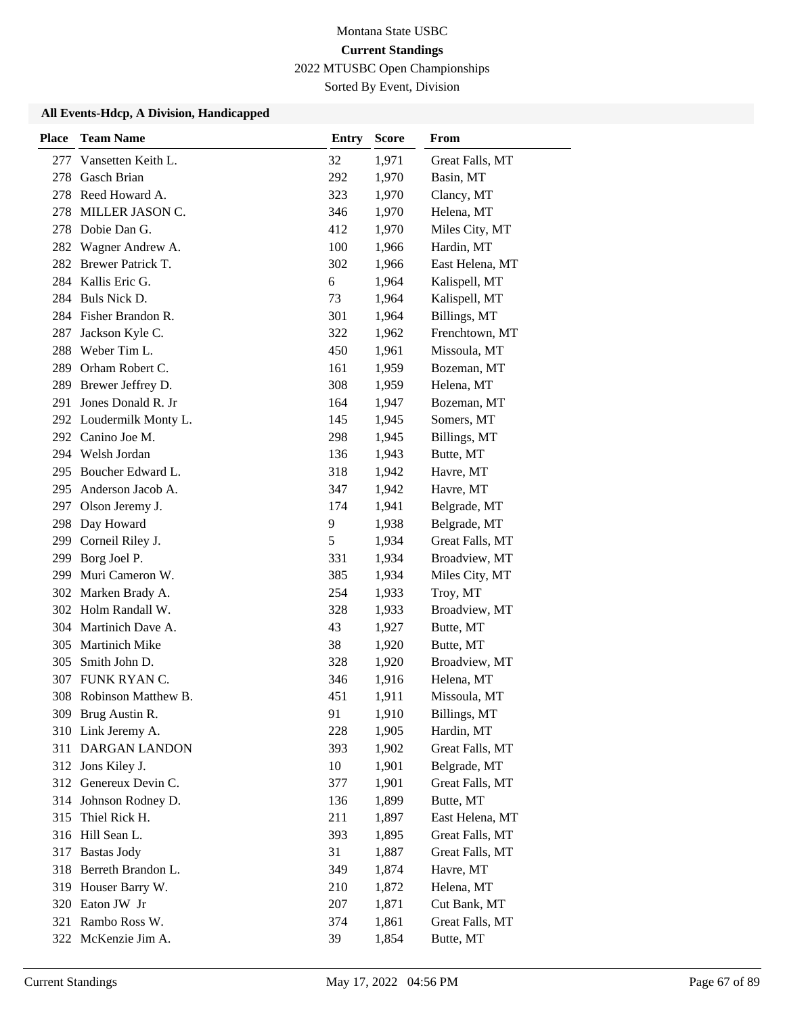Sorted By Event, Division

| <b>Place</b> | <b>Team Name</b>        | <b>Entry</b> | <b>Score</b> | From            |
|--------------|-------------------------|--------------|--------------|-----------------|
| 277          | Vansetten Keith L.      | 32           | 1,971        | Great Falls, MT |
| 278          | <b>Gasch Brian</b>      | 292          | 1,970        | Basin, MT       |
| 278          | Reed Howard A.          | 323          | 1,970        | Clancy, MT      |
| 278          | MILLER JASON C.         | 346          | 1,970        | Helena, MT      |
| 278          | Dobie Dan G.            | 412          | 1,970        | Miles City, MT  |
| 282          | Wagner Andrew A.        | 100          | 1,966        | Hardin, MT      |
|              | 282 Brewer Patrick T.   | 302          | 1,966        | East Helena, MT |
|              | 284 Kallis Eric G.      | 6            | 1,964        | Kalispell, MT   |
|              | 284 Buls Nick D.        | 73           | 1,964        | Kalispell, MT   |
|              | 284 Fisher Brandon R.   | 301          | 1,964        | Billings, MT    |
| 287          | Jackson Kyle C.         | 322          | 1,962        | Frenchtown, MT  |
| 288          | Weber Tim L.            | 450          | 1,961        | Missoula, MT    |
| 289          | Orham Robert C.         | 161          | 1,959        | Bozeman, MT     |
| 289          | Brewer Jeffrey D.       | 308          | 1,959        | Helena, MT      |
| 291          | Jones Donald R. Jr      | 164          | 1,947        | Bozeman, MT     |
|              | 292 Loudermilk Monty L. | 145          | 1,945        | Somers, MT      |
|              | 292 Canino Joe M.       | 298          | 1,945        | Billings, MT    |
| 294          | Welsh Jordan            | 136          | 1,943        | Butte, MT       |
|              | 295 Boucher Edward L.   | 318          | 1,942        | Havre, MT       |
|              | 295 Anderson Jacob A.   | 347          | 1,942        | Havre, MT       |
| 297          | Olson Jeremy J.         | 174          | 1,941        | Belgrade, MT    |
| 298          | Day Howard              | 9            | 1,938        | Belgrade, MT    |
| 299          | Corneil Riley J.        | 5            | 1,934        | Great Falls, MT |
|              | 299 Borg Joel P.        | 331          | 1,934        | Broadview, MT   |
| 299          | Muri Cameron W.         | 385          | 1,934        | Miles City, MT  |
| 302          | Marken Brady A.         | 254          | 1,933        | Troy, MT        |
|              | 302 Holm Randall W.     | 328          | 1,933        | Broadview, MT   |
|              | 304 Martinich Dave A.   | 43           | 1,927        | Butte, MT       |
| 305          | <b>Martinich Mike</b>   | 38           | 1,920        | Butte, MT       |
| 305          | Smith John D.           | 328          | 1,920        | Broadview, MT   |
| 307          | FUNK RYAN C.            | 346          | 1,916        | Helena, MT      |
| 308          | Robinson Matthew B.     | 451          | 1,911        | Missoula, MT    |
|              | 309 Brug Austin R.      | 91           | 1,910        | Billings, MT    |
|              | 310 Link Jeremy A.      | 228          | 1,905        | Hardin, MT      |
|              | 311 DARGAN LANDON       | 393          | 1,902        | Great Falls, MT |
|              | 312 Jons Kiley J.       | 10           | 1,901        | Belgrade, MT    |
|              | 312 Genereux Devin C.   | 377          | 1,901        | Great Falls, MT |
|              | 314 Johnson Rodney D.   | 136          | 1,899        | Butte, MT       |
| 315          | Thiel Rick H.           | 211          | 1,897        | East Helena, MT |
|              | 316 Hill Sean L.        | 393          | 1,895        | Great Falls, MT |
|              | 317 Bastas Jody         | 31           | 1,887        | Great Falls, MT |
|              | 318 Berreth Brandon L.  | 349          | 1,874        | Havre, MT       |
|              | 319 Houser Barry W.     | 210          | 1,872        | Helena, MT      |
|              | 320 Eaton JW Jr         | 207          | 1,871        | Cut Bank, MT    |
|              | 321 Rambo Ross W.       | 374          | 1,861        | Great Falls, MT |
|              | 322 McKenzie Jim A.     | 39           | 1,854        | Butte, MT       |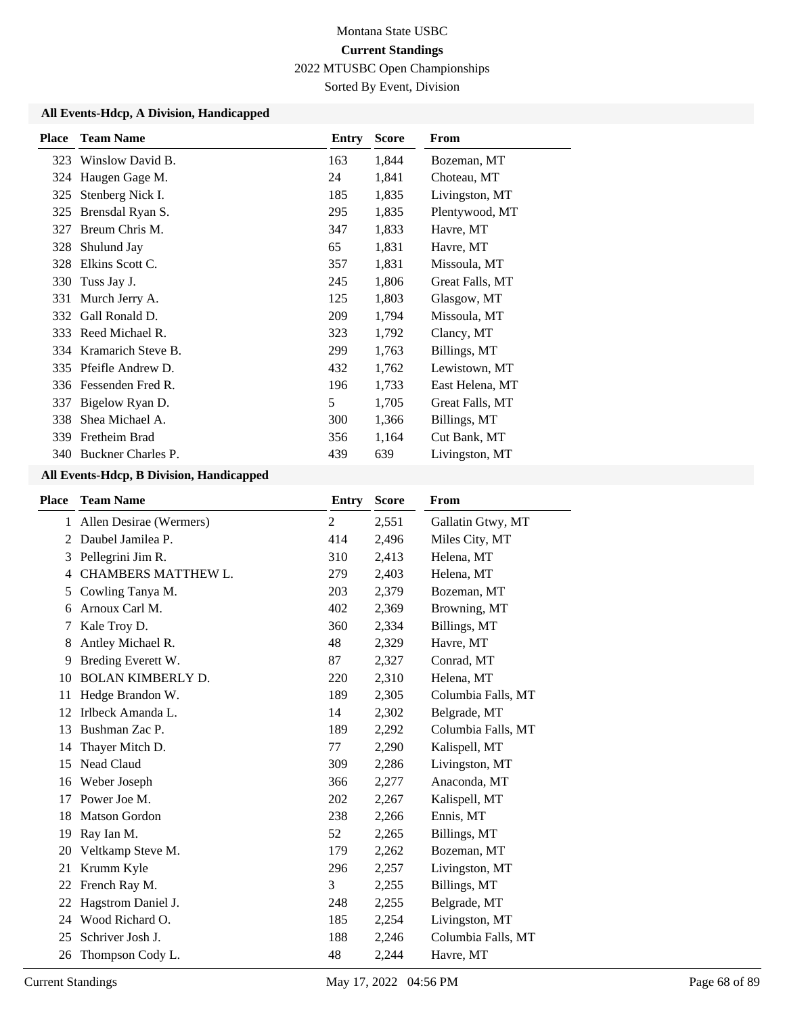Sorted By Event, Division

## **All Events-Hdcp, A Division, Handicapped**

| <b>Place</b> | <b>Team Name</b>       | Entry | <b>Score</b> | From            |
|--------------|------------------------|-------|--------------|-----------------|
| 323          | Winslow David B.       | 163   | 1,844        | Bozeman, MT     |
|              | 324 Haugen Gage M.     | 24    | 1,841        | Choteau, MT     |
| 325          | Stenberg Nick I.       | 185   | 1,835        | Livingston, MT  |
| 325          | Brensdal Ryan S.       | 295   | 1,835        | Plentywood, MT  |
| 327          | Breum Chris M.         | 347   | 1,833        | Havre, MT       |
| 328          | Shulund Jay            | 65    | 1,831        | Havre, MT       |
| 328          | Elkins Scott C.        | 357   | 1,831        | Missoula, MT    |
| 330          | Tuss Jay J.            | 245   | 1,806        | Great Falls, MT |
| 331          | Murch Jerry A.         | 125   | 1,803        | Glasgow, MT     |
| 332          | Gall Ronald D.         | 209   | 1,794        | Missoula, MT    |
|              | 333 Reed Michael R.    | 323   | 1,792        | Clancy, MT      |
|              | 334 Kramarich Steve B. | 299   | 1,763        | Billings, MT    |
|              | 335 Pfeifle Andrew D.  | 432   | 1,762        | Lewistown, MT   |
|              | 336 Fessenden Fred R.  | 196   | 1,733        | East Helena, MT |
| 337          | Bigelow Ryan D.        | 5     | 1,705        | Great Falls, MT |
| 338          | Shea Michael A.        | 300   | 1,366        | Billings, MT    |
| 339          | Fretheim Brad          | 356   | 1,164        | Cut Bank, MT    |
|              | 340 Buckner Charles P. | 439   | 639          | Livingston, MT  |

| <b>Place</b> | <b>Team Name</b>           | <b>Entry</b>   | <b>Score</b> | From               |
|--------------|----------------------------|----------------|--------------|--------------------|
| 1            | Allen Desirae (Wermers)    | $\overline{2}$ | 2,551        | Gallatin Gtwy, MT  |
| 2            | Daubel Jamilea P.          | 414            | 2,496        | Miles City, MT     |
| 3            | Pellegrini Jim R.          | 310            | 2,413        | Helena, MT         |
| 4            | <b>CHAMBERS MATTHEW L.</b> | 279            | 2,403        | Helena, MT         |
| 5            | Cowling Tanya M.           | 203            | 2,379        | Bozeman, MT        |
| 6            | Arnoux Carl M.             | 402            | 2,369        | Browning, MT       |
|              | Kale Troy D.               | 360            | 2,334        | Billings, MT       |
| 8            | Antley Michael R.          | 48             | 2,329        | Havre, MT          |
| 9            | Breding Everett W.         | 87             | 2,327        | Conrad, MT         |
| 10           | <b>BOLAN KIMBERLY D.</b>   | 220            | 2,310        | Helena, MT         |
| 11           | Hedge Brandon W.           | 189            | 2,305        | Columbia Falls, MT |
| 12           | Irlbeck Amanda L.          | 14             | 2,302        | Belgrade, MT       |
| 13           | Bushman Zac P.             | 189            | 2,292        | Columbia Falls, MT |
| 14           | Thayer Mitch D.            | 77             | 2,290        | Kalispell, MT      |
| 15           | Nead Claud                 | 309            | 2,286        | Livingston, MT     |
| 16           | Weber Joseph               | 366            | 2,277        | Anaconda, MT       |
| 17           | Power Joe M.               | 202            | 2,267        | Kalispell, MT      |
| 18           | <b>Matson Gordon</b>       | 238            | 2,266        | Ennis, MT          |
| 19           | Ray Ian M.                 | 52             | 2,265        | Billings, MT       |
| 20           | Veltkamp Steve M.          | 179            | 2,262        | Bozeman, MT        |
| 21           | Krumm Kyle                 | 296            | 2,257        | Livingston, MT     |
| 22           | French Ray M.              | 3              | 2,255        | Billings, MT       |
| 22           | Hagstrom Daniel J.         | 248            | 2,255        | Belgrade, MT       |
| 24           | Wood Richard O.            | 185            | 2,254        | Livingston, MT     |
| 25           | Schriver Josh J.           | 188            | 2,246        | Columbia Falls, MT |
| 26           | Thompson Cody L.           | 48             | 2,244        | Havre, MT          |
|              |                            |                |              |                    |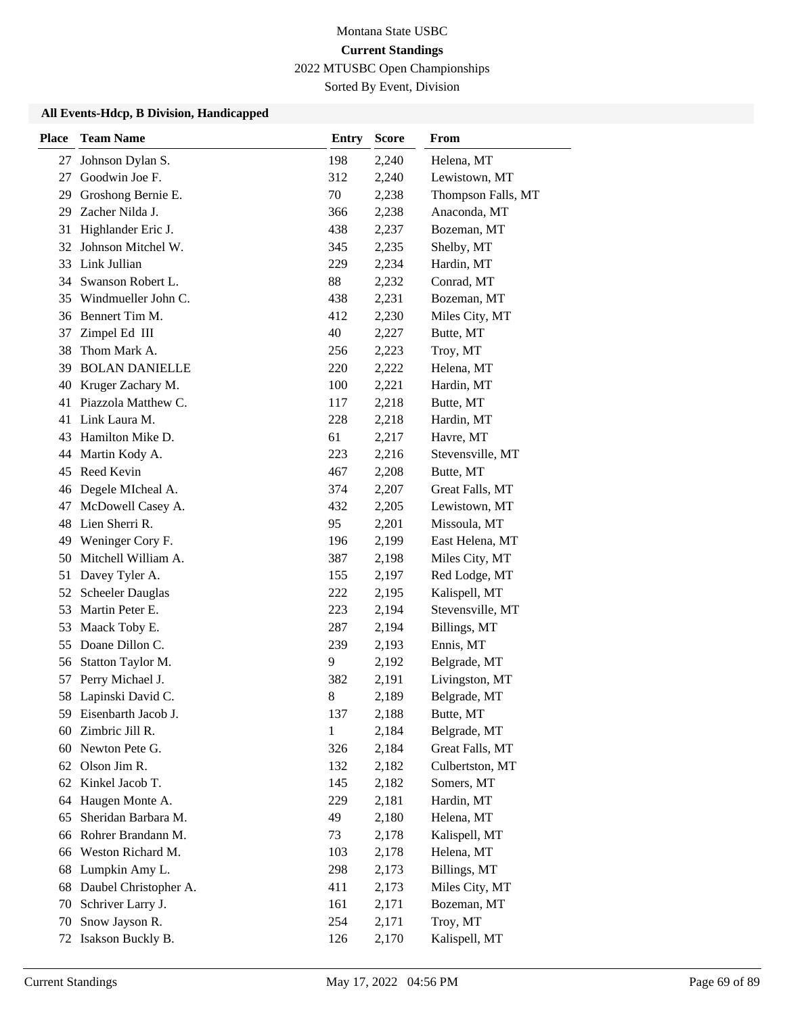Sorted By Event, Division

| <b>Place</b> | <b>Team Name</b>        | <b>Entry</b> | <b>Score</b> | From               |
|--------------|-------------------------|--------------|--------------|--------------------|
| 27           | Johnson Dylan S.        | 198          | 2,240        | Helena, MT         |
| 27           | Goodwin Joe F.          | 312          | 2,240        | Lewistown, MT      |
| 29           | Groshong Bernie E.      | 70           | 2,238        | Thompson Falls, MT |
| 29           | Zacher Nilda J.         | 366          | 2,238        | Anaconda, MT       |
| 31           | Highlander Eric J.      | 438          | 2,237        | Bozeman, MT        |
| 32           | Johnson Mitchel W.      | 345          | 2,235        | Shelby, MT         |
| 33           | Link Jullian            | 229          | 2,234        | Hardin, MT         |
|              | 34 Swanson Robert L.    | 88           | 2,232        | Conrad, MT         |
| 35           | Windmueller John C.     | 438          | 2,231        | Bozeman, MT        |
| 36           | Bennert Tim M.          | 412          | 2,230        | Miles City, MT     |
| 37           | Zimpel Ed III           | 40           | 2,227        | Butte, MT          |
| 38           | Thom Mark A.            | 256          | 2,223        | Troy, MT           |
| 39           | <b>BOLAN DANIELLE</b>   | 220          | 2,222        | Helena, MT         |
| 40           | Kruger Zachary M.       | 100          | 2,221        | Hardin, MT         |
| 41           | Piazzola Matthew C.     | 117          | 2,218        | Butte, MT          |
| 41           | Link Laura M.           | 228          | 2,218        | Hardin, MT         |
| 43           | Hamilton Mike D.        | 61           | 2,217        | Havre, MT          |
| 44           | Martin Kody A.          | 223          | 2,216        | Stevensville, MT   |
| 45           | Reed Kevin              | 467          | 2,208        | Butte, MT          |
| 46           | Degele MIcheal A.       | 374          | 2,207        | Great Falls, MT    |
| 47           | McDowell Casey A.       | 432          | 2,205        | Lewistown, MT      |
| 48           | Lien Sherri R.          | 95           | 2,201        | Missoula, MT       |
| 49           | Weninger Cory F.        | 196          | 2,199        | East Helena, MT    |
| 50           | Mitchell William A.     | 387          | 2,198        | Miles City, MT     |
| 51           | Davey Tyler A.          | 155          | 2,197        | Red Lodge, MT      |
| 52           | <b>Scheeler Dauglas</b> | 222          | 2,195        | Kalispell, MT      |
| 53           | Martin Peter E.         | 223          | 2,194        | Stevensville, MT   |
| 53           | Maack Toby E.           | 287          | 2,194        | Billings, MT       |
| 55           | Doane Dillon C.         | 239          | 2,193        | Ennis, MT          |
| 56           | Statton Taylor M.       | 9            | 2,192        | Belgrade, MT       |
| 57           | Perry Michael J.        | 382          | 2,191        | Livingston, MT     |
| 58           | Lapinski David C.       | $8\,$        | 2,189        | Belgrade, MT       |
| 59           | Eisenbarth Jacob J.     | 137          | 2,188        | Butte, MT          |
| 60           | Zimbric Jill R.         | 1            | 2,184        | Belgrade, MT       |
| 60           | Newton Pete G.          | 326          | 2,184        | Great Falls, MT    |
| 62           | Olson Jim R.            | 132          | 2,182        | Culbertston, MT    |
| 62           | Kinkel Jacob T.         | 145          | 2,182        | Somers, MT         |
| 64           | Haugen Monte A.         | 229          | 2,181        | Hardin, MT         |
| 65           | Sheridan Barbara M.     | 49           | 2,180        | Helena, MT         |
| 66           | Rohrer Brandann M.      | 73           | 2,178        | Kalispell, MT      |
| 66           | Weston Richard M.       | 103          | 2,178        | Helena, MT         |
| 68           | Lumpkin Amy L.          | 298          | 2,173        | Billings, MT       |
| 68           | Daubel Christopher A.   | 411          | 2,173        | Miles City, MT     |
| 70           | Schriver Larry J.       | 161          | 2,171        | Bozeman, MT        |
| 70           | Snow Jayson R.          | 254          | 2,171        | Troy, MT           |
| 72           | Isakson Buckly B.       | 126          | 2,170        | Kalispell, MT      |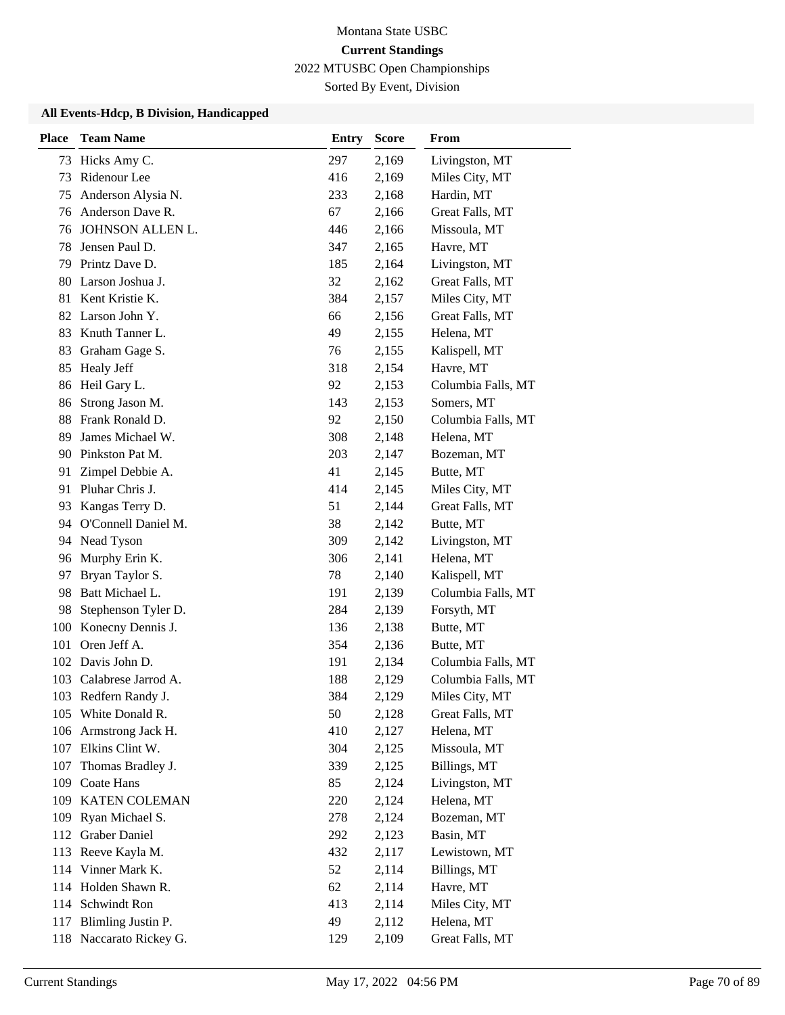Sorted By Event, Division

| <b>Place</b> | <b>Team Name</b>        | <b>Entry</b> | <b>Score</b> | From               |
|--------------|-------------------------|--------------|--------------|--------------------|
| 73           | Hicks Amy C.            | 297          | 2,169        | Livingston, MT     |
| 73           | Ridenour Lee            | 416          | 2,169        | Miles City, MT     |
| 75           | Anderson Alysia N.      | 233          | 2,168        | Hardin, MT         |
| 76           | Anderson Dave R.        | 67           | 2,166        | Great Falls, MT    |
| 76           | JOHNSON ALLEN L.        | 446          | 2,166        | Missoula, MT       |
| 78           | Jensen Paul D.          | 347          | 2,165        | Havre, MT          |
| 79           | Printz Dave D.          | 185          | 2,164        | Livingston, MT     |
| 80           | Larson Joshua J.        | 32           | 2,162        | Great Falls, MT    |
| 81           | Kent Kristie K.         | 384          | 2,157        | Miles City, MT     |
| 82           | Larson John Y.          | 66           | 2,156        | Great Falls, MT    |
| 83           | Knuth Tanner L.         | 49           | 2,155        | Helena, MT         |
| 83           | Graham Gage S.          | 76           | 2,155        | Kalispell, MT      |
| 85           | Healy Jeff              | 318          | 2,154        | Havre, MT          |
| 86           | Heil Gary L.            | 92           | 2,153        | Columbia Falls, MT |
| 86           | Strong Jason M.         | 143          | 2,153        | Somers, MT         |
| 88           | Frank Ronald D.         | 92           | 2,150        | Columbia Falls, MT |
| 89           | James Michael W.        | 308          | 2,148        | Helena, MT         |
| 90           | Pinkston Pat M.         | 203          | 2,147        | Bozeman, MT        |
| 91           | Zimpel Debbie A.        | 41           | 2,145        | Butte, MT          |
|              | 91 Pluhar Chris J.      | 414          | 2,145        | Miles City, MT     |
| 93           | Kangas Terry D.         | 51           | 2,144        | Great Falls, MT    |
| 94           | O'Connell Daniel M.     | 38           | 2,142        | Butte, MT          |
| 94           | Nead Tyson              | 309          | 2,142        | Livingston, MT     |
| 96           | Murphy Erin K.          | 306          | 2,141        | Helena, MT         |
| 97           | Bryan Taylor S.         | 78           | 2,140        | Kalispell, MT      |
| 98           | Batt Michael L.         | 191          | 2,139        | Columbia Falls, MT |
| 98           | Stephenson Tyler D.     | 284          | 2,139        | Forsyth, MT        |
| 100          | Konecny Dennis J.       | 136          | 2,138        | Butte, MT          |
| 101          | Oren Jeff A.            | 354          | 2,136        | Butte, MT          |
| 102          | Davis John D.           | 191          | 2,134        | Columbia Falls, MT |
| 103          | Calabrese Jarrod A.     | 188          | 2,129        | Columbia Falls, MT |
|              | 103 Redfern Randy J.    | 384          | 2,129        | Miles City, MT     |
| 105          | White Donald R.         | 50           | 2,128        | Great Falls, MT    |
| 106          | Armstrong Jack H.       | 410          | 2,127        | Helena, MT         |
| 107          | Elkins Clint W.         | 304          | 2,125        | Missoula, MT       |
| 107          | Thomas Bradley J.       | 339          | 2,125        | Billings, MT       |
| 109          | Coate Hans              | 85           | 2,124        | Livingston, MT     |
| 109          | KATEN COLEMAN           | 220          | 2,124        | Helena, MT         |
| 109          | Ryan Michael S.         | 278          | 2,124        | Bozeman, MT        |
| 112          | <b>Graber Daniel</b>    | 292          | 2,123        | Basin, MT          |
| 113          | Reeve Kayla M.          | 432          | 2,117        | Lewistown, MT      |
| 114          | Vinner Mark K.          | 52           | 2,114        | Billings, MT       |
|              | 114 Holden Shawn R.     | 62           | 2,114        | Havre, MT          |
| 114          | Schwindt Ron            | 413          | 2,114        | Miles City, MT     |
| 117          | Blimling Justin P.      | 49           | 2,112        | Helena, MT         |
|              | 118 Naccarato Rickey G. | 129          | 2,109        | Great Falls, MT    |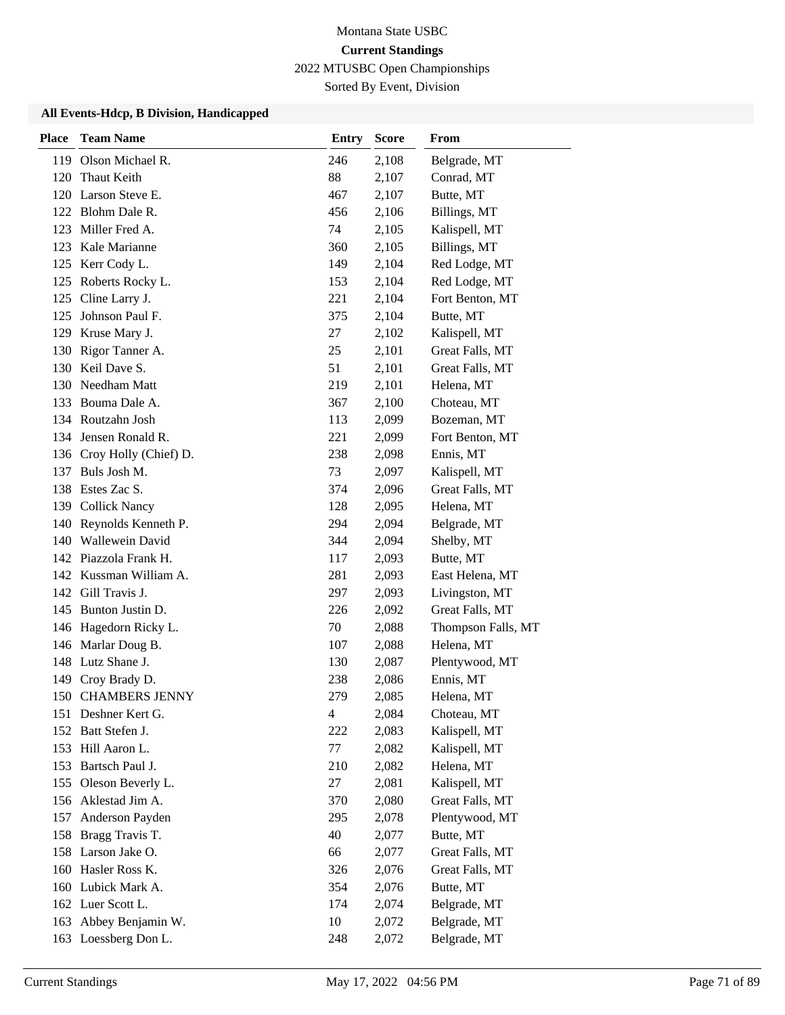Sorted By Event, Division

| <b>Place</b> | <b>Team Name</b>          | <b>Entry</b>   | <b>Score</b> | From               |
|--------------|---------------------------|----------------|--------------|--------------------|
| 119          | Olson Michael R.          | 246            | 2,108        | Belgrade, MT       |
| 120          | Thaut Keith               | 88             | 2,107        | Conrad, MT         |
|              | 120 Larson Steve E.       | 467            | 2,107        | Butte, MT          |
|              | 122 Blohm Dale R.         | 456            | 2,106        | Billings, MT       |
| 123          | Miller Fred A.            | 74             | 2,105        | Kalispell, MT      |
| 123          | Kale Marianne             | 360            | 2,105        | Billings, MT       |
|              | 125 Kerr Cody L.          | 149            | 2,104        | Red Lodge, MT      |
| 125          | Roberts Rocky L.          | 153            | 2,104        | Red Lodge, MT      |
| 125          | Cline Larry J.            | 221            | 2,104        | Fort Benton, MT    |
| 125          | Johnson Paul F.           | 375            | 2,104        | Butte, MT          |
|              | 129 Kruse Mary J.         | 27             | 2,102        | Kalispell, MT      |
| 130          | Rigor Tanner A.           | 25             | 2,101        | Great Falls, MT    |
|              | 130 Keil Dave S.          | 51             | 2,101        | Great Falls, MT    |
|              | 130 Needham Matt          | 219            | 2,101        | Helena, MT         |
|              | 133 Bouma Dale A.         | 367            | 2,100        | Choteau, MT        |
|              | 134 Routzahn Josh         | 113            | 2,099        | Bozeman, MT        |
|              | 134 Jensen Ronald R.      | 221            | 2,099        | Fort Benton, MT    |
|              | 136 Croy Holly (Chief) D. | 238            | 2,098        | Ennis, MT          |
| 137          | Buls Josh M.              | 73             | 2,097        | Kalispell, MT      |
|              | 138 Estes Zac S.          | 374            | 2,096        | Great Falls, MT    |
|              | 139 Collick Nancy         | 128            | 2,095        | Helena, MT         |
|              | 140 Reynolds Kenneth P.   | 294            | 2,094        | Belgrade, MT       |
|              | 140 Wallewein David       | 344            | 2,094        | Shelby, MT         |
|              | 142 Piazzola Frank H.     | 117            | 2,093        | Butte, MT          |
|              | 142 Kussman William A.    | 281            | 2,093        | East Helena, MT    |
| 142          | Gill Travis J.            | 297            | 2,093        | Livingston, MT     |
| 145          | Bunton Justin D.          | 226            | 2,092        | Great Falls, MT    |
| 146          | Hagedorn Ricky L.         | 70             | 2,088        | Thompson Falls, MT |
|              | 146 Marlar Doug B.        | 107            | 2,088        | Helena, MT         |
|              | 148 Lutz Shane J.         | 130            | 2,087        | Plentywood, MT     |
| 149          | Croy Brady D.             | 238            | 2,086        | Ennis, MT          |
| 150          | <b>CHAMBERS JENNY</b>     | 279            | 2,085        | Helena, MT         |
|              | 151 Deshner Kert G.       | $\overline{4}$ | 2,084        | Choteau, MT        |
|              | 152 Batt Stefen J.        | 222            | 2,083        | Kalispell, MT      |
|              | 153 Hill Aaron L.         | 77             | 2,082        | Kalispell, MT      |
| 153          | Bartsch Paul J.           | 210            | 2,082        | Helena, MT         |
| 155          | Oleson Beverly L.         | 27             | 2,081        | Kalispell, MT      |
|              | 156 Aklestad Jim A.       | 370            | 2,080        | Great Falls, MT    |
| 157          | Anderson Payden           | 295            | 2,078        | Plentywood, MT     |
| 158          | Bragg Travis T.           | 40             | 2,077        | Butte, MT          |
|              | 158 Larson Jake O.        | 66             | 2,077        | Great Falls, MT    |
|              | 160 Hasler Ross K.        | 326            | 2,076        | Great Falls, MT    |
| 160          | Lubick Mark A.            | 354            | 2,076        | Butte, MT          |
|              | 162 Luer Scott L.         | 174            | 2,074        | Belgrade, MT       |
| 163          | Abbey Benjamin W.         | 10             | 2,072        | Belgrade, MT       |
|              | 163 Loessberg Don L.      | 248            | 2,072        | Belgrade, MT       |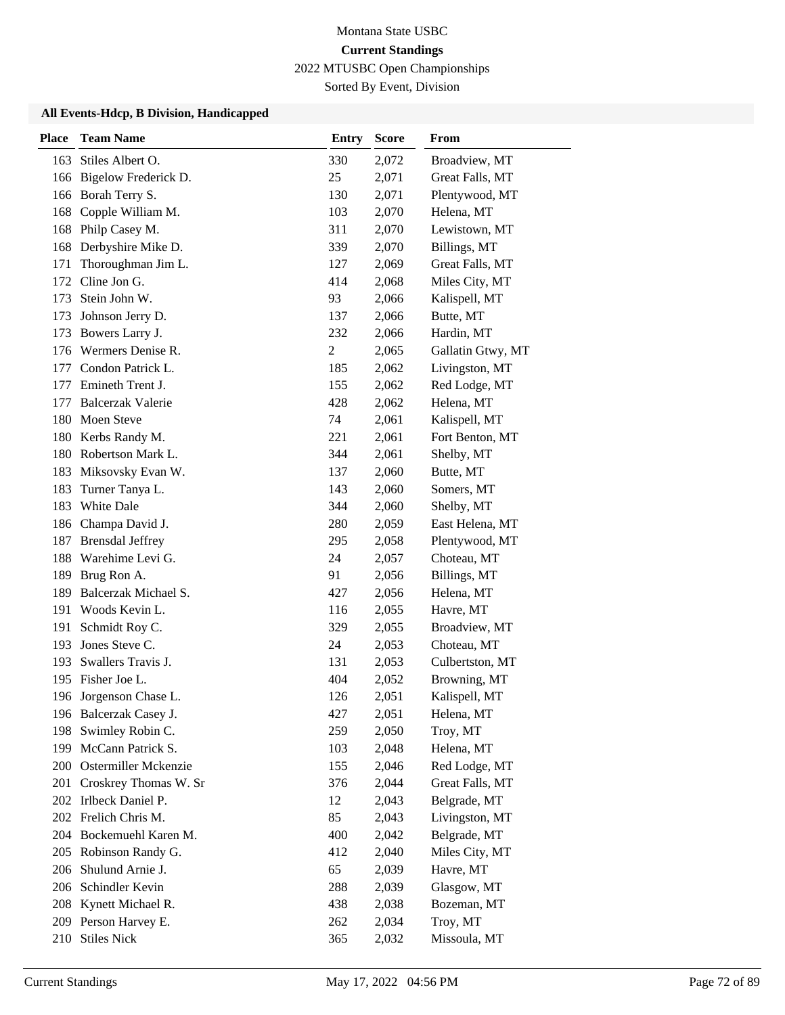Sorted By Event, Division

| <b>Place</b> | <b>Team Name</b>         | <b>Entry</b> | <b>Score</b> | From              |
|--------------|--------------------------|--------------|--------------|-------------------|
| 163          | Stiles Albert O.         | 330          | 2,072        | Broadview, MT     |
| 166          | Bigelow Frederick D.     | 25           | 2,071        | Great Falls, MT   |
| 166          | Borah Terry S.           | 130          | 2,071        | Plentywood, MT    |
| 168          | Copple William M.        | 103          | 2,070        | Helena, MT        |
| 168          | Philp Casey M.           | 311          | 2,070        | Lewistown, MT     |
| 168          | Derbyshire Mike D.       | 339          | 2,070        | Billings, MT      |
| 171          | Thoroughman Jim L.       | 127          | 2,069        | Great Falls, MT   |
| 172          | Cline Jon G.             | 414          | 2,068        | Miles City, MT    |
| 173          | Stein John W.            | 93           | 2,066        | Kalispell, MT     |
| 173          | Johnson Jerry D.         | 137          | 2,066        | Butte, MT         |
| 173          | Bowers Larry J.          | 232          | 2,066        | Hardin, MT        |
| 176          | Wermers Denise R.        | $\mathbf{2}$ | 2,065        | Gallatin Gtwy, MT |
| 177          | Condon Patrick L.        | 185          | 2,062        | Livingston, MT    |
| 177          | Emineth Trent J.         | 155          | 2,062        | Red Lodge, MT     |
| 177          | Balcerzak Valerie        | 428          | 2,062        | Helena, MT        |
| 180          | Moen Steve               | 74           | 2,061        | Kalispell, MT     |
| 180          | Kerbs Randy M.           | 221          | 2,061        | Fort Benton, MT   |
| 180          | Robertson Mark L.        | 344          | 2,061        | Shelby, MT        |
| 183          | Miksovsky Evan W.        | 137          | 2,060        | Butte, MT         |
| 183          | Turner Tanya L.          | 143          | 2,060        | Somers, MT        |
| 183          | White Dale               | 344          | 2,060        | Shelby, MT        |
| 186          | Champa David J.          | 280          | 2,059        | East Helena, MT   |
| 187          | <b>Brensdal Jeffrey</b>  | 295          | 2,058        | Plentywood, MT    |
| 188          | Warehime Levi G.         | 24           | 2,057        | Choteau, MT       |
| 189          | Brug Ron A.              | 91           | 2,056        | Billings, MT      |
| 189          | Balcerzak Michael S.     | 427          | 2,056        | Helena, MT        |
| 191          | Woods Kevin L.           | 116          | 2,055        | Havre, MT         |
| 191          | Schmidt Roy C.           | 329          | 2,055        | Broadview, MT     |
| 193          | Jones Steve C.           | 24           | 2,053        | Choteau, MT       |
| 193          | Swallers Travis J.       | 131          | 2,053        | Culbertston, MT   |
|              | 195 Fisher Joe L.        | 404          | 2,052        | Browning, MT      |
|              | 196 Jorgenson Chase L.   | 126          | 2,051        | Kalispell, MT     |
|              | 196 Balcerzak Casey J.   | 427          | 2,051        | Helena, MT        |
| 198          | Swimley Robin C.         | 259          | 2,050        | Troy, MT          |
| 199          | McCann Patrick S.        | 103          | 2,048        | Helena, MT        |
|              | 200 Ostermiller Mckenzie | 155          | 2,046        | Red Lodge, MT     |
| 201          | Croskrey Thomas W. Sr    | 376          | 2,044        | Great Falls, MT   |
| 202          | Irlbeck Daniel P.        | 12           | 2,043        | Belgrade, MT      |
| 202          | Frelich Chris M.         | 85           | 2,043        | Livingston, MT    |
|              | 204 Bockemuehl Karen M.  | 400          | 2,042        | Belgrade, MT      |
| 205          | Robinson Randy G.        | 412          | 2,040        | Miles City, MT    |
| 206          | Shulund Arnie J.         | 65           | 2,039        | Havre, MT         |
|              | 206 Schindler Kevin      | 288          | 2,039        | Glasgow, MT       |
|              | 208 Kynett Michael R.    | 438          | 2,038        | Bozeman, MT       |
|              | 209 Person Harvey E.     | 262          | 2,034        | Troy, MT          |
| 210          | <b>Stiles Nick</b>       | 365          | 2,032        | Missoula, MT      |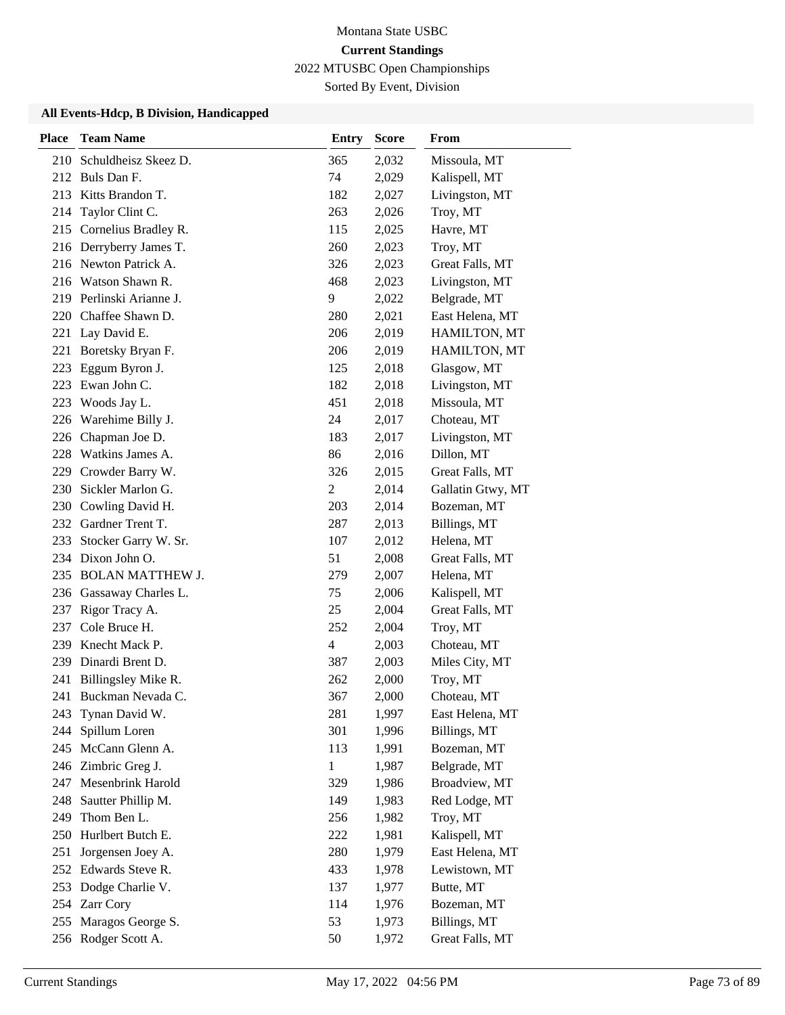Sorted By Event, Division

| <b>Place</b> | <b>Team Name</b>                     | <b>Entry</b>             | <b>Score</b>   | From                       |
|--------------|--------------------------------------|--------------------------|----------------|----------------------------|
| 210          | Schuldheisz Skeez D.                 | 365                      | 2,032          | Missoula, MT               |
|              | 212 Buls Dan F.                      | 74                       | 2,029          | Kalispell, MT              |
|              | 213 Kitts Brandon T.                 | 182                      | 2,027          | Livingston, MT             |
| 214          | Taylor Clint C.                      | 263                      | 2,026          | Troy, MT                   |
|              | 215 Cornelius Bradley R.             | 115                      | 2,025          | Havre, MT                  |
|              | 216 Derryberry James T.              | 260                      | 2,023          | Troy, MT                   |
|              | 216 Newton Patrick A.                | 326                      | 2,023          | Great Falls, MT            |
|              | 216 Watson Shawn R.                  | 468                      | 2,023          | Livingston, MT             |
|              | 219 Perlinski Arianne J.             | 9                        | 2,022          | Belgrade, MT               |
| 220          | Chaffee Shawn D.                     | 280                      | 2,021          | East Helena, MT            |
| 221          | Lay David E.                         | 206                      | 2,019          | HAMILTON, MT               |
| 221          | Boretsky Bryan F.                    | 206                      | 2,019          | HAMILTON, MT               |
| 223          | Eggum Byron J.                       | 125                      | 2,018          | Glasgow, MT                |
|              | 223 Ewan John C.                     | 182                      | 2,018          | Livingston, MT             |
| 223          | Woods Jay L.                         | 451                      | 2,018          | Missoula, MT               |
| 226          | Warehime Billy J.                    | 24                       | 2,017          | Choteau, MT                |
| 226          | Chapman Joe D.                       | 183                      | 2,017          | Livingston, MT             |
| 228          | Watkins James A.                     | 86                       | 2,016          | Dillon, MT                 |
| 229          | Crowder Barry W.                     | 326                      | 2,015          | Great Falls, MT            |
| 230          | Sickler Marlon G.                    | 2                        | 2,014          | Gallatin Gtwy, MT          |
| 230          | Cowling David H.<br>Gardner Trent T. | 203                      | 2,014          | Bozeman, MT                |
| 232<br>233   | Stocker Garry W. Sr.                 | 287<br>107               | 2,013<br>2,012 | Billings, MT<br>Helena, MT |
|              | 234 Dixon John O.                    | 51                       | 2,008          | Great Falls, MT            |
| 235          | <b>BOLAN MATTHEW J.</b>              | 279                      | 2,007          | Helena, MT                 |
| 236          | Gassaway Charles L.                  | 75                       | 2,006          | Kalispell, MT              |
| 237          | Rigor Tracy A.                       | 25                       | 2,004          | Great Falls, MT            |
|              | 237 Cole Bruce H.                    | 252                      | 2,004          | Troy, MT                   |
| 239          | Knecht Mack P.                       | $\overline{\mathcal{L}}$ | 2,003          | Choteau, MT                |
| 239          | Dinardi Brent D.                     | 387                      | 2,003          | Miles City, MT             |
| 241          | Billingsley Mike R.                  | 262                      | 2,000          | Troy, MT                   |
| 241          | Buckman Nevada C.                    | 367                      | 2,000          | Choteau, MT                |
| 243          | Tynan David W.                       | 281                      | 1,997          | East Helena, MT            |
| 244          | Spillum Loren                        | 301                      | 1,996          | Billings, MT               |
|              | 245 McCann Glenn A.                  | 113                      | 1,991          | Bozeman, MT                |
|              | 246 Zimbric Greg J.                  | $\mathbf{1}$             | 1,987          | Belgrade, MT               |
|              | 247 Mesenbrink Harold                | 329                      | 1,986          | Broadview, MT              |
| 248          | Sautter Phillip M.                   | 149                      | 1,983          | Red Lodge, MT              |
| 249          | Thom Ben L.                          | 256                      | 1,982          | Troy, MT                   |
| 250          | Hurlbert Butch E.                    | 222                      | 1,981          | Kalispell, MT              |
| 251          | Jorgensen Joey A.                    | 280                      | 1,979          | East Helena, MT            |
| 252          | Edwards Steve R.                     | 433                      | 1,978          | Lewistown, MT              |
|              | 253 Dodge Charlie V.                 | 137                      | 1,977          | Butte, MT                  |
|              | 254 Zarr Cory                        | 114                      | 1,976          | Bozeman, MT                |
| 255          | Maragos George S.                    | 53                       | 1,973          | Billings, MT               |
|              | 256 Rodger Scott A.                  | 50                       | 1,972          | Great Falls, MT            |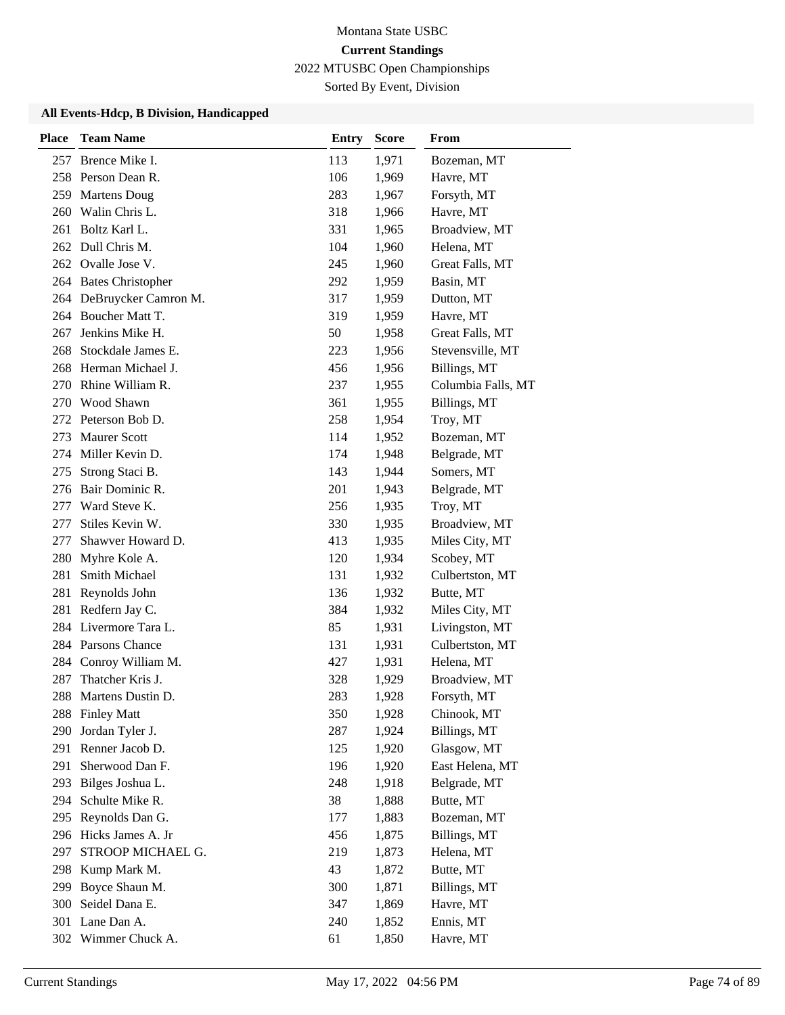Sorted By Event, Division

| <b>Place</b> | <b>Team Name</b>      | <b>Entry</b> | <b>Score</b> | From               |
|--------------|-----------------------|--------------|--------------|--------------------|
| 257          | Brence Mike I.        | 113          | 1,971        | Bozeman, MT        |
|              | 258 Person Dean R.    | 106          | 1,969        | Havre, MT          |
|              | 259 Martens Doug      | 283          | 1,967        | Forsyth, MT        |
| 260          | Walin Chris L.        | 318          | 1,966        | Havre, MT          |
|              | 261 Boltz Karl L.     | 331          | 1,965        | Broadview, MT      |
|              | 262 Dull Chris M.     | 104          | 1,960        | Helena, MT         |
|              | 262 Ovalle Jose V.    | 245          | 1,960        | Great Falls, MT    |
|              | 264 Bates Christopher | 292          | 1,959        | Basin, MT          |
| 264          | DeBruycker Camron M.  | 317          | 1,959        | Dutton, MT         |
| 264          | Boucher Matt T.       | 319          | 1,959        | Havre, MT          |
| 267          | Jenkins Mike H.       | 50           | 1,958        | Great Falls, MT    |
| 268          | Stockdale James E.    | 223          | 1,956        | Stevensville, MT   |
| 268          | Herman Michael J.     | 456          | 1,956        | Billings, MT       |
| 270          | Rhine William R.      | 237          | 1,955        | Columbia Falls, MT |
| 270          | Wood Shawn            | 361          | 1,955        | Billings, MT       |
|              | 272 Peterson Bob D.   | 258          | 1,954        | Troy, MT           |
| 273          | <b>Maurer Scott</b>   | 114          | 1,952        | Bozeman, MT        |
| 274          | Miller Kevin D.       | 174          | 1,948        | Belgrade, MT       |
| 275          | Strong Staci B.       | 143          | 1,944        | Somers, MT         |
| 276          | Bair Dominic R.       | 201          | 1,943        | Belgrade, MT       |
| 277          | Ward Steve K.         | 256          | 1,935        | Troy, MT           |
| 277          | Stiles Kevin W.       | 330          | 1,935        | Broadview, MT      |
| 277          | Shawver Howard D.     | 413          | 1,935        | Miles City, MT     |
| 280          | Myhre Kole A.         | 120          | 1,934        | Scobey, MT         |
| 281          | Smith Michael         | 131          | 1,932        | Culbertston, MT    |
| 281          | Reynolds John         | 136          | 1,932        | Butte, MT          |
| 281          | Redfern Jay C.        | 384          | 1,932        | Miles City, MT     |
|              | 284 Livermore Tara L. | 85           | 1,931        | Livingston, MT     |
|              | 284 Parsons Chance    | 131          | 1,931        | Culbertston, MT    |
| 284          | Conroy William M.     | 427          | 1,931        | Helena, MT         |
| 287          | Thatcher Kris J.      | 328          | 1,929        | Broadview, MT      |
| 288          | Martens Dustin D.     | 283          | 1,928        | Forsyth, MT        |
|              | 288 Finley Matt       | 350          | 1,928        | Chinook, MT        |
| 290          | Jordan Tyler J.       | 287          | 1,924        | Billings, MT       |
| 291          | Renner Jacob D.       | 125          | 1,920        | Glasgow, MT        |
| 291          | Sherwood Dan F.       | 196          | 1,920        | East Helena, MT    |
| 293          | Bilges Joshua L.      | 248          | 1,918        | Belgrade, MT       |
| 294          | Schulte Mike R.       | 38           | 1,888        | Butte, MT          |
| 295          | Reynolds Dan G.       | 177          | 1,883        | Bozeman, MT        |
| 296          | Hicks James A. Jr     | 456          | 1,875        | Billings, MT       |
| 297          | STROOP MICHAEL G.     | 219          | 1,873        | Helena, MT         |
| 298          | Kump Mark M.          | 43           | 1,872        | Butte, MT          |
| 299          | Boyce Shaun M.        | 300          | 1,871        | Billings, MT       |
| 300          | Seidel Dana E.        | 347          | 1,869        | Havre, MT          |
| 301          | Lane Dan A.           | 240          | 1,852        | Ennis, MT          |
|              | 302 Wimmer Chuck A.   | 61           | 1,850        | Havre, MT          |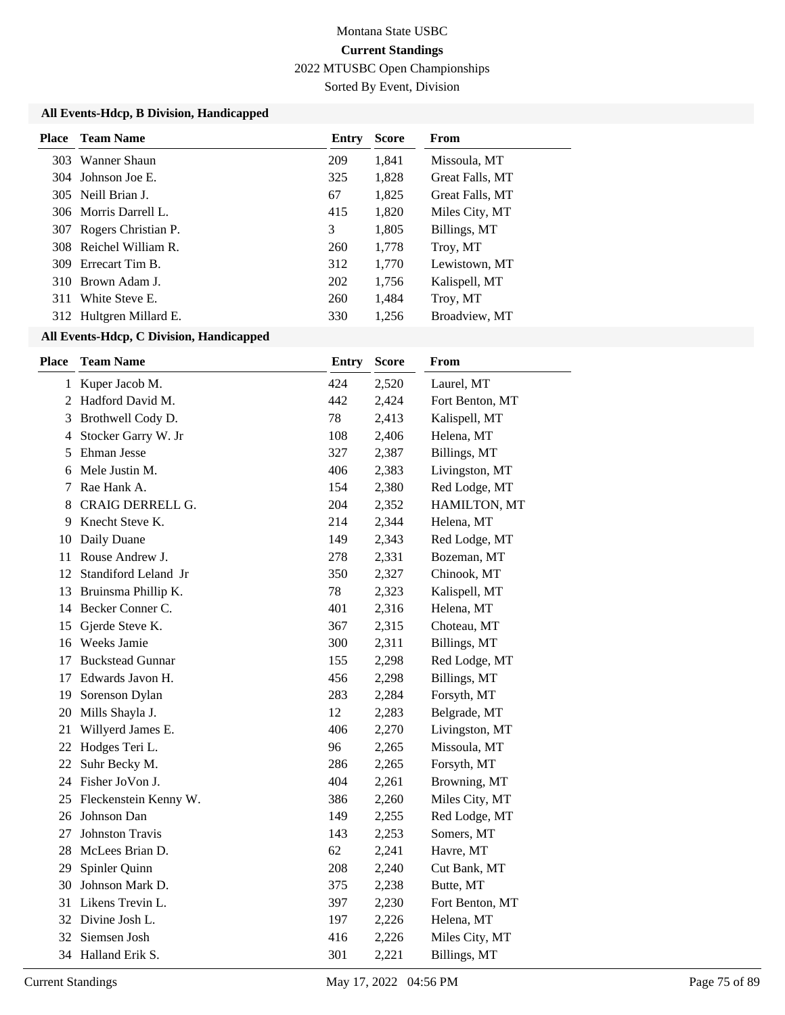Sorted By Event, Division

#### **All Events-Hdcp, B Division, Handicapped**

| Place | <b>Team Name</b>        | Entry | <b>Score</b> | <b>From</b>     |
|-------|-------------------------|-------|--------------|-----------------|
|       | 303 Wanner Shaun        | 209   | 1,841        | Missoula, MT    |
|       | 304 Johnson Joe E.      | 325   | 1,828        | Great Falls, MT |
|       | 305 Neill Brian J.      | 67    | 1,825        | Great Falls, MT |
|       | 306 Morris Darrell L.   | 415   | 1,820        | Miles City, MT  |
| 307   | Rogers Christian P.     | 3     | 1,805        | Billings, MT    |
|       | 308 Reichel William R.  | 260   | 1,778        | Troy, MT        |
| 309   | Errecart Tim B.         | 312   | 1,770        | Lewistown, MT   |
|       | 310 Brown Adam J.       | 202   | 1,756        | Kalispell, MT   |
| 311   | White Steve E.          | 260   | 1,484        | Troy, MT        |
|       | 312 Hultgren Millard E. | 330   | 1,256        | Broadview, MT   |

| <b>Place</b> | <b>Team Name</b>        | <b>Entry</b> | <b>Score</b> | From            |
|--------------|-------------------------|--------------|--------------|-----------------|
| 1            | Kuper Jacob M.          | 424          | 2,520        | Laurel, MT      |
| 2            | Hadford David M.        | 442          | 2,424        | Fort Benton, MT |
| 3            | Brothwell Cody D.       | 78           | 2,413        | Kalispell, MT   |
| 4            | Stocker Garry W. Jr     | 108          | 2,406        | Helena, MT      |
| 5            | Ehman Jesse             | 327          | 2,387        | Billings, MT    |
| 6            | Mele Justin M.          | 406          | 2,383        | Livingston, MT  |
| 7            | Rae Hank A.             | 154          | 2,380        | Red Lodge, MT   |
| 8            | CRAIG DERRELL G.        | 204          | 2,352        | HAMILTON, MT    |
| 9            | Knecht Steve K.         | 214          | 2,344        | Helena, MT      |
| 10           | Daily Duane             | 149          | 2,343        | Red Lodge, MT   |
| 11           | Rouse Andrew J.         | 278          | 2,331        | Bozeman, MT     |
| 12           | Standiford Leland Jr    | 350          | 2,327        | Chinook, MT     |
| 13           | Bruinsma Phillip K.     | 78           | 2,323        | Kalispell, MT   |
| 14           | Becker Conner C.        | 401          | 2,316        | Helena, MT      |
| 15           | Gjerde Steve K.         | 367          | 2,315        | Choteau, MT     |
|              | 16 Weeks Jamie          | 300          | 2,311        | Billings, MT    |
| 17           | <b>Buckstead Gunnar</b> | 155          | 2,298        | Red Lodge, MT   |
| 17           | Edwards Javon H.        | 456          | 2,298        | Billings, MT    |
| 19           | Sorenson Dylan          | 283          | 2,284        | Forsyth, MT     |
| 20           | Mills Shayla J.         | 12           | 2,283        | Belgrade, MT    |
| 21           | Willyerd James E.       | 406          | 2,270        | Livingston, MT  |
|              | 22 Hodges Teri L.       | 96           | 2,265        | Missoula, MT    |
| 22           | Suhr Becky M.           | 286          | 2,265        | Forsyth, MT     |
|              | 24 Fisher JoVon J.      | 404          | 2,261        | Browning, MT    |
| 25           | Fleckenstein Kenny W.   | 386          | 2,260        | Miles City, MT  |
| 26           | Johnson Dan             | 149          | 2,255        | Red Lodge, MT   |
| 27           | <b>Johnston Travis</b>  | 143          | 2,253        | Somers, MT      |
| 28           | McLees Brian D.         | 62           | 2,241        | Havre, MT       |
| 29           | Spinler Quinn           | 208          | 2,240        | Cut Bank, MT    |
| 30           | Johnson Mark D.         | 375          | 2,238        | Butte, MT       |
| 31           | Likens Trevin L.        | 397          | 2,230        | Fort Benton, MT |
| 32           | Divine Josh L.          | 197          | 2,226        | Helena, MT      |
| 32           | Siemsen Josh            | 416          | 2,226        | Miles City, MT  |
|              | 34 Halland Erik S.      | 301          | 2,221        | Billings, MT    |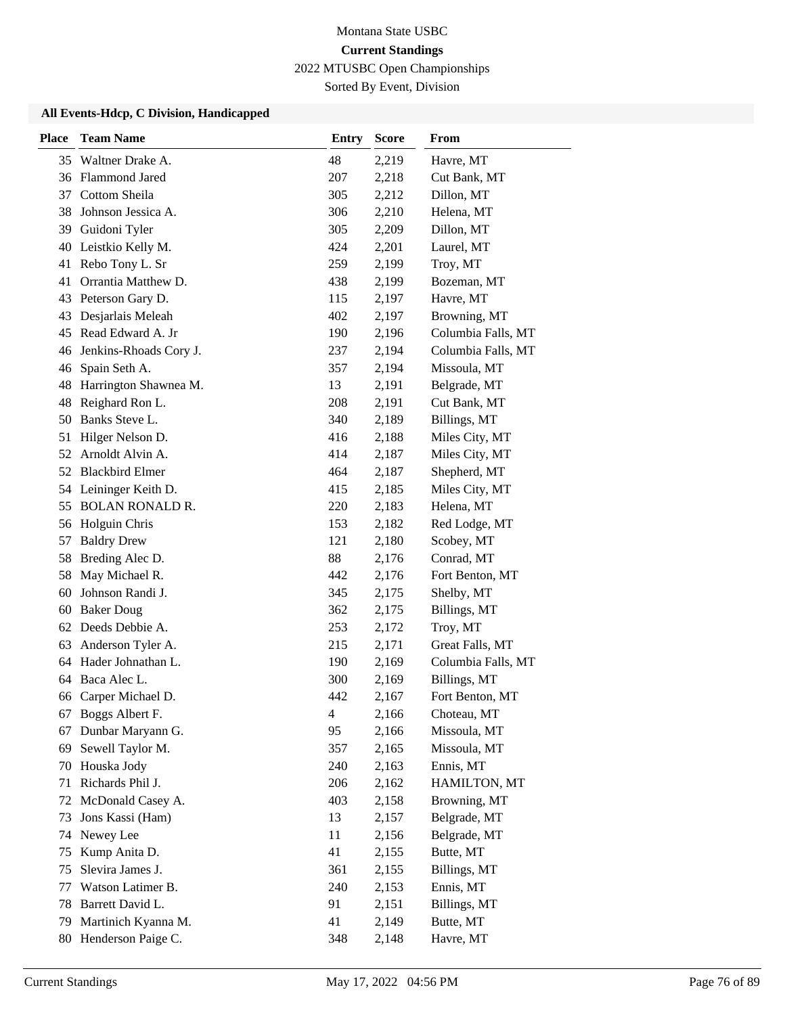Sorted By Event, Division

| <b>Place</b> | <b>Team Name</b>       | <b>Entry</b> | <b>Score</b> | From               |
|--------------|------------------------|--------------|--------------|--------------------|
|              | 35 Waltner Drake A.    | 48           | 2,219        | Havre, MT          |
|              | 36 Flammond Jared      | 207          | 2,218        | Cut Bank, MT       |
| 37           | Cottom Sheila          | 305          | 2,212        | Dillon, MT         |
| 38           | Johnson Jessica A.     | 306          | 2,210        | Helena, MT         |
| 39           | Guidoni Tyler          | 305          | 2,209        | Dillon, MT         |
| 40           | Leistkio Kelly M.      | 424          | 2,201        | Laurel, MT         |
| 41           | Rebo Tony L. Sr        | 259          | 2,199        | Troy, MT           |
| 41           | Orrantia Matthew D.    | 438          | 2,199        | Bozeman, MT        |
| 43           | Peterson Gary D.       | 115          | 2,197        | Havre, MT          |
| 43           | Desjarlais Meleah      | 402          | 2,197        | Browning, MT       |
| 45           | Read Edward A. Jr      | 190          | 2,196        | Columbia Falls, MT |
| 46           | Jenkins-Rhoads Cory J. | 237          | 2,194        | Columbia Falls, MT |
| 46           | Spain Seth A.          | 357          | 2,194        | Missoula, MT       |
| 48           | Harrington Shawnea M.  | 13           | 2,191        | Belgrade, MT       |
| 48           | Reighard Ron L.        | 208          | 2,191        | Cut Bank, MT       |
| 50           | Banks Steve L.         | 340          | 2,189        | Billings, MT       |
| 51           | Hilger Nelson D.       | 416          | 2,188        | Miles City, MT     |
| 52           | Arnoldt Alvin A.       | 414          | 2,187        | Miles City, MT     |
|              | 52 Blackbird Elmer     | 464          | 2,187        | Shepherd, MT       |
|              | 54 Leininger Keith D.  | 415          | 2,185        | Miles City, MT     |
| 55           | <b>BOLAN RONALD R.</b> | 220          | 2,183        | Helena, MT         |
| 56           | Holguin Chris          | 153          | 2,182        | Red Lodge, MT      |
| 57           | <b>Baldry Drew</b>     | 121          | 2,180        | Scobey, MT         |
| 58           | Breding Alec D.        | 88           | 2,176        | Conrad, MT         |
| 58           | May Michael R.         | 442          | 2,176        | Fort Benton, MT    |
| 60           | Johnson Randi J.       | 345          | 2,175        | Shelby, MT         |
| 60           | <b>Baker Doug</b>      | 362          | 2,175        | Billings, MT       |
|              | 62 Deeds Debbie A.     | 253          | 2,172        | Troy, MT           |
| 63           | Anderson Tyler A.      | 215          | 2,171        | Great Falls, MT    |
| 64           | Hader Johnathan L.     | 190          | 2,169        | Columbia Falls, MT |
| 64           | Baca Alec L.           | 300          | 2,169        | Billings, MT       |
| 66           | Carper Michael D.      | 442          | 2,167        | Fort Benton, MT    |
| 67           | Boggs Albert F.        | 4            | 2,166        | Choteau, MT        |
| 67           | Dunbar Maryann G.      | 95           | 2,166        | Missoula, MT       |
| 69           | Sewell Taylor M.       | 357          | 2,165        | Missoula, MT       |
| 70           | Houska Jody            | 240          | 2,163        | Ennis, MT          |
| 71           | Richards Phil J.       | 206          | 2,162        | HAMILTON, MT       |
| 72           | McDonald Casey A.      | 403          | 2,158        | Browning, MT       |
| 73           | Jons Kassi (Ham)       | 13           | 2,157        | Belgrade, MT       |
| 74           | Newey Lee              | 11           | 2,156        | Belgrade, MT       |
| 75           | Kump Anita D.          | 41           | 2,155        | Butte, MT          |
| 75           | Slevira James J.       | 361          | 2,155        | Billings, MT       |
| 77           | Watson Latimer B.      | 240          | 2,153        | Ennis, MT          |
| 78           | Barrett David L.       | 91           | 2,151        | Billings, MT       |
| 79           | Martinich Kyanna M.    | 41           | 2,149        | Butte, MT          |
| 80           | Henderson Paige C.     | 348          | 2,148        | Havre, MT          |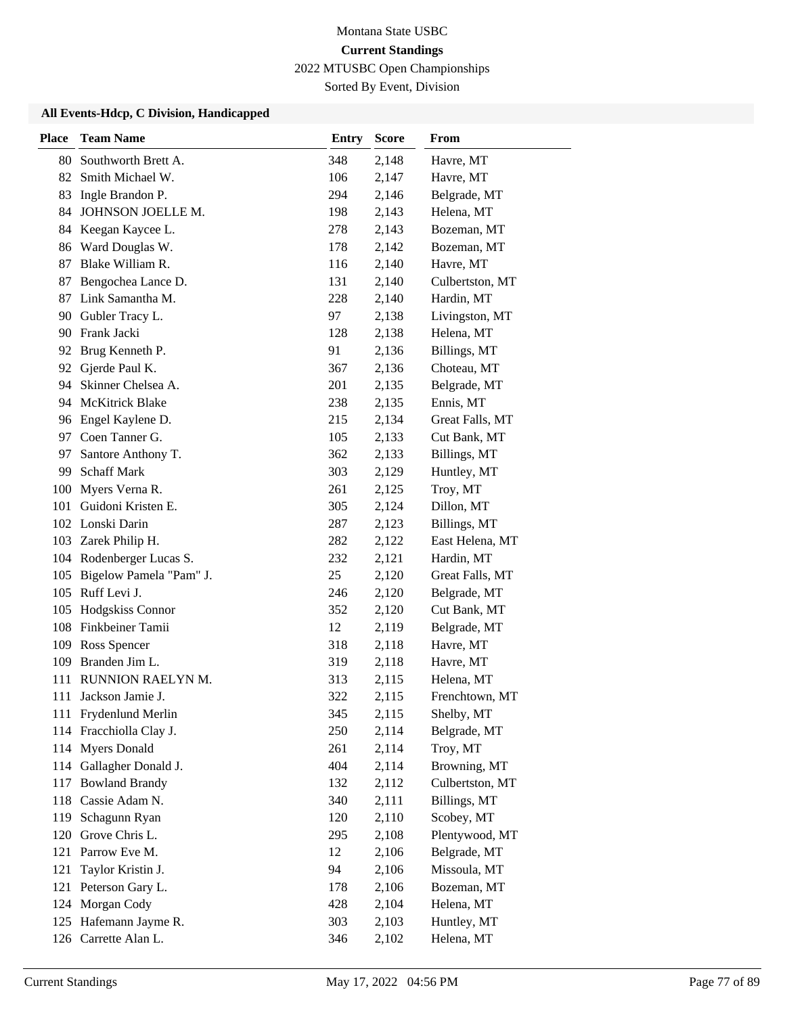Sorted By Event, Division

| <b>Place</b> | <b>Team Name</b>         | <b>Entry</b> | <b>Score</b> | From            |
|--------------|--------------------------|--------------|--------------|-----------------|
| 80           | Southworth Brett A.      | 348          | 2,148        | Havre, MT       |
| 82           | Smith Michael W.         | 106          | 2,147        | Havre, MT       |
| 83           | Ingle Brandon P.         | 294          | 2,146        | Belgrade, MT    |
| 84           | JOHNSON JOELLE M.        | 198          | 2,143        | Helena, MT      |
| 84           | Keegan Kaycee L.         | 278          | 2,143        | Bozeman, MT     |
| 86           | Ward Douglas W.          | 178          | 2,142        | Bozeman, MT     |
| 87           | Blake William R.         | 116          | 2,140        | Havre, MT       |
| 87           | Bengochea Lance D.       | 131          | 2,140        | Culbertston, MT |
| 87           | Link Samantha M.         | 228          | 2,140        | Hardin, MT      |
| 90           | Gubler Tracy L.          | 97           | 2,138        | Livingston, MT  |
| 90           | Frank Jacki              | 128          | 2,138        | Helena, MT      |
| 92           | Brug Kenneth P.          | 91           | 2,136        | Billings, MT    |
| 92           | Gjerde Paul K.           | 367          | 2,136        | Choteau, MT     |
| 94           | Skinner Chelsea A.       | 201          | 2,135        | Belgrade, MT    |
| 94           | <b>McKitrick Blake</b>   | 238          | 2,135        | Ennis, MT       |
|              | 96 Engel Kaylene D.      | 215          | 2,134        | Great Falls, MT |
| 97           | Coen Tanner G.           | 105          | 2,133        | Cut Bank, MT    |
| 97           | Santore Anthony T.       | 362          | 2,133        | Billings, MT    |
| 99           | <b>Schaff Mark</b>       | 303          | 2,129        | Huntley, MT     |
| 100          | Myers Verna R.           | 261          | 2,125        | Troy, MT        |
| 101          | Guidoni Kristen E.       | 305          | 2,124        | Dillon, MT      |
|              | 102 Lonski Darin         | 287          | 2,123        | Billings, MT    |
|              | 103 Zarek Philip H.      | 282          | 2,122        | East Helena, MT |
|              | 104 Rodenberger Lucas S. | 232          | 2,121        | Hardin, MT      |
| 105          | Bigelow Pamela "Pam" J.  | 25           | 2,120        | Great Falls, MT |
| 105          | Ruff Levi J.             | 246          | 2,120        | Belgrade, MT    |
| 105          | Hodgskiss Connor         | 352          | 2,120        | Cut Bank, MT    |
| 108          | Finkbeiner Tamii         | 12           | 2,119        | Belgrade, MT    |
| 109          | Ross Spencer             | 318          | 2,118        | Havre, MT       |
| 109          | Branden Jim L.           | 319          | 2,118        | Havre, MT       |
| 111          | RUNNION RAELYN M.        | 313          | 2,115        | Helena, MT      |
| 111          | Jackson Jamie J.         | 322          | 2,115        | Frenchtown, MT  |
|              | 111 Frydenlund Merlin    | 345          | 2,115        | Shelby, MT      |
| 114          | Fracchiolla Clay J.      | 250          | 2,114        | Belgrade, MT    |
| 114          | <b>Myers Donald</b>      | 261          | 2,114        | Troy, MT        |
|              | 114 Gallagher Donald J.  | 404          | 2,114        | Browning, MT    |
| 117          | <b>Bowland Brandy</b>    | 132          | 2,112        | Culbertston, MT |
| 118          | Cassie Adam N.           | 340          | 2,111        | Billings, MT    |
| 119          | Schagunn Ryan            | 120          | 2,110        | Scobey, MT      |
| 120          | Grove Chris L.           | 295          | 2,108        | Plentywood, MT  |
| 121          | Parrow Eve M.            | 12           | 2,106        | Belgrade, MT    |
| 121          | Taylor Kristin J.        | 94           | 2,106        | Missoula, MT    |
| 121          | Peterson Gary L.         | 178          | 2,106        | Bozeman, MT     |
| 124          | Morgan Cody              | 428          | 2,104        | Helena, MT      |
|              | 125 Hafemann Jayme R.    | 303          | 2,103        | Huntley, MT     |
|              | 126 Carrette Alan L.     | 346          | 2,102        | Helena, MT      |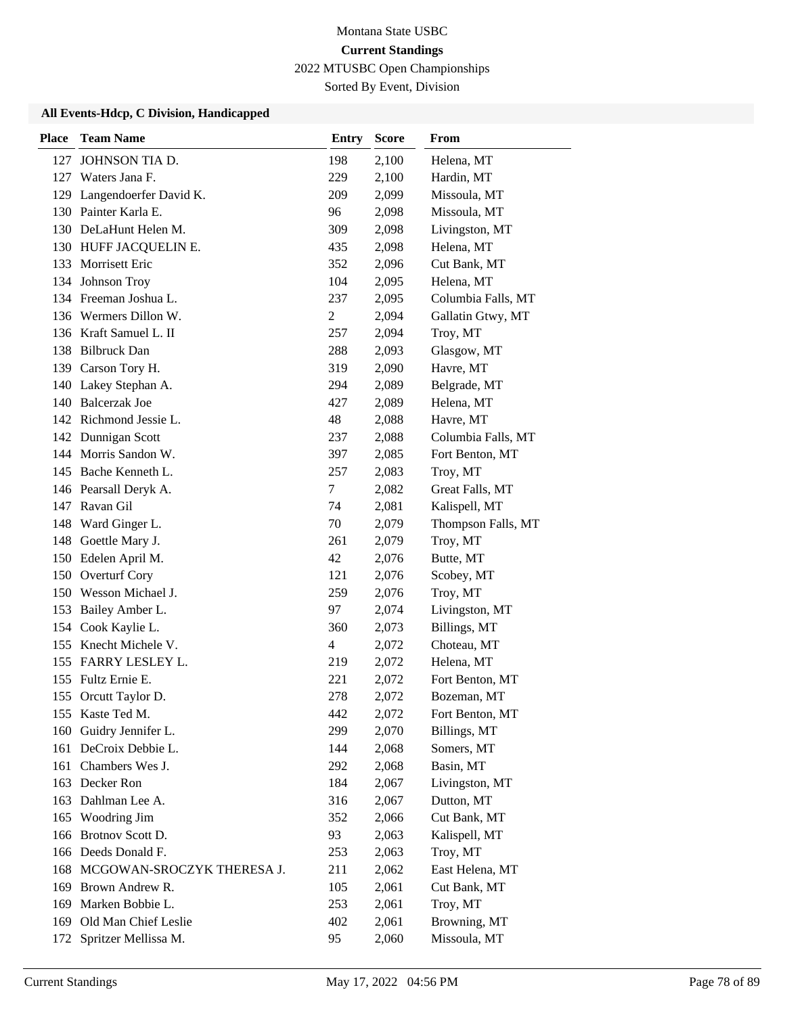Sorted By Event, Division

| <b>Place</b> | <b>Team Name</b>               | <b>Entry</b>   | <b>Score</b> | From               |
|--------------|--------------------------------|----------------|--------------|--------------------|
| 127          | JOHNSON TIA D.                 | 198            | 2,100        | Helena, MT         |
|              | 127 Waters Jana F.             | 229            | 2,100        | Hardin, MT         |
|              | 129 Langendoerfer David K.     | 209            | 2,099        | Missoula, MT       |
|              | 130 Painter Karla E.           | 96             | 2,098        | Missoula, MT       |
|              | 130 DeLaHunt Helen M.          | 309            | 2,098        | Livingston, MT     |
|              | 130 HUFF JACQUELIN E.          | 435            | 2,098        | Helena, MT         |
| 133          | <b>Morrisett Eric</b>          | 352            | 2,096        | Cut Bank, MT       |
|              | 134 Johnson Troy               | 104            | 2,095        | Helena, MT         |
|              | 134 Freeman Joshua L.          | 237            | 2,095        | Columbia Falls, MT |
|              | 136 Wermers Dillon W.          | $\overline{c}$ | 2,094        | Gallatin Gtwy, MT  |
|              | 136 Kraft Samuel L. II         | 257            | 2,094        | Troy, MT           |
|              | 138 Bilbruck Dan               | 288            | 2,093        | Glasgow, MT        |
|              | 139 Carson Tory H.             | 319            | 2,090        | Havre, MT          |
|              | 140 Lakey Stephan A.           | 294            | 2,089        | Belgrade, MT       |
|              | 140 Balcerzak Joe              | 427            | 2,089        | Helena, MT         |
|              | 142 Richmond Jessie L.         | 48             | 2,088        | Havre, MT          |
|              | 142 Dunnigan Scott             | 237            | 2,088        | Columbia Falls, MT |
|              | 144 Morris Sandon W.           | 397            | 2,085        | Fort Benton, MT    |
|              | 145 Bache Kenneth L.           | 257            | 2,083        | Troy, MT           |
|              | 146 Pearsall Deryk A.          | $\tau$         | 2,082        | Great Falls, MT    |
|              | 147 Ravan Gil                  | 74             | 2,081        | Kalispell, MT      |
| 148          | Ward Ginger L.                 | 70             | 2,079        | Thompson Falls, MT |
| 148          | Goettle Mary J.                | 261            | 2,079        | Troy, MT           |
|              | 150 Edelen April M.            | 42             | 2,076        | Butte, MT          |
| 150          | Overturf Cory                  | 121            | 2,076        | Scobey, MT         |
|              | 150 Wesson Michael J.          | 259            | 2,076        | Troy, MT           |
| 153          | Bailey Amber L.                | 97             | 2,074        | Livingston, MT     |
|              | 154 Cook Kaylie L.             | 360            | 2,073        | Billings, MT       |
| 155          | Knecht Michele V.              | $\overline{4}$ | 2,072        | Choteau, MT        |
|              | 155 FARRY LESLEY L.            | 219            | 2,072        | Helena, MT         |
|              | 155 Fultz Ernie E.             | 221            | 2,072        | Fort Benton, MT    |
| 155          | Orcutt Taylor D.               | 278            | 2,072        | Bozeman, MT        |
|              | 155 Kaste Ted M.               | 442            | 2,072        | Fort Benton, MT    |
| 160          | Guidry Jennifer L.             | 299            | 2,070        | Billings, MT       |
|              | 161 DeCroix Debbie L.          | 144            | 2,068        | Somers, MT         |
|              | 161 Chambers Wes J.            | 292            | 2,068        | Basin, MT          |
|              | 163 Decker Ron                 | 184            | 2,067        | Livingston, MT     |
|              | 163 Dahlman Lee A.             | 316            | 2,067        | Dutton, MT         |
| 165          | Woodring Jim                   | 352            | 2,066        | Cut Bank, MT       |
| 166          | Brotnov Scott D.               | 93             | 2,063        | Kalispell, MT      |
|              | 166 Deeds Donald F.            | 253            | 2,063        | Troy, MT           |
|              | 168 MCGOWAN-SROCZYK THERESA J. | 211            | 2,062        | East Helena, MT    |
| 169          | Brown Andrew R.                | 105            | 2,061        | Cut Bank, MT       |
| 169          | Marken Bobbie L.               | 253            | 2,061        | Troy, MT           |
| 169          | Old Man Chief Leslie           | 402            | 2,061        | Browning, MT       |
| 172          | Spritzer Mellissa M.           | 95             | 2,060        | Missoula, MT       |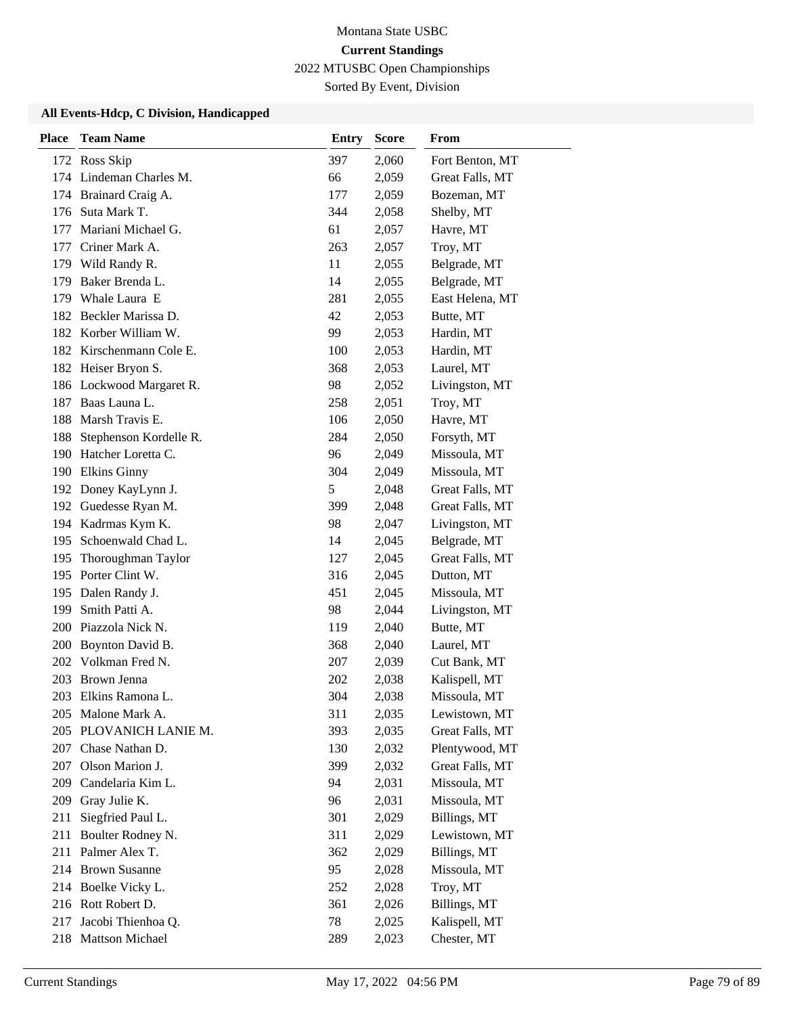Sorted By Event, Division

| <b>Place</b> | <b>Team Name</b>         | <b>Entry</b> | <b>Score</b> | From            |
|--------------|--------------------------|--------------|--------------|-----------------|
|              | 172 Ross Skip            | 397          | 2,060        | Fort Benton, MT |
|              | 174 Lindeman Charles M.  | 66           | 2,059        | Great Falls, MT |
|              | 174 Brainard Craig A.    | 177          | 2,059        | Bozeman, MT     |
| 176          | Suta Mark T.             | 344          | 2,058        | Shelby, MT      |
| 177          | Mariani Michael G.       | 61           | 2,057        | Havre, MT       |
| 177          | Criner Mark A.           | 263          | 2,057        | Troy, MT        |
|              | 179 Wild Randy R.        | 11           | 2,055        | Belgrade, MT    |
| 179          | Baker Brenda L.          | 14           | 2,055        | Belgrade, MT    |
| 179          | Whale Laura E            | 281          | 2,055        | East Helena, MT |
| 182          | Beckler Marissa D.       | 42           | 2,053        | Butte, MT       |
|              | 182 Korber William W.    | 99           | 2,053        | Hardin, MT      |
|              | 182 Kirschenmann Cole E. | 100          | 2,053        | Hardin, MT      |
|              | 182 Heiser Bryon S.      | 368          | 2,053        | Laurel, MT      |
|              | 186 Lockwood Margaret R. | 98           | 2,052        | Livingston, MT  |
| 187          | Baas Launa L.            | 258          | 2,051        | Troy, MT        |
| 188          | Marsh Travis E.          | 106          | 2,050        | Havre, MT       |
| 188          | Stephenson Kordelle R.   | 284          | 2,050        | Forsyth, MT     |
| 190          | Hatcher Loretta C.       | 96           | 2,049        | Missoula, MT    |
| 190          | <b>Elkins Ginny</b>      | 304          | 2,049        | Missoula, MT    |
|              | 192 Doney KayLynn J.     | 5            | 2,048        | Great Falls, MT |
|              | 192 Guedesse Ryan M.     | 399          | 2,048        | Great Falls, MT |
|              | 194 Kadrmas Kym K.       | 98           | 2,047        | Livingston, MT  |
| 195          | Schoenwald Chad L.       | 14           | 2,045        | Belgrade, MT    |
| 195          | Thoroughman Taylor       | 127          | 2,045        | Great Falls, MT |
|              | 195 Porter Clint W.      | 316          | 2,045        | Dutton, MT      |
| 195          | Dalen Randy J.           | 451          | 2,045        | Missoula, MT    |
| 199          | Smith Patti A.           | 98           | 2,044        | Livingston, MT  |
|              | 200 Piazzola Nick N.     | 119          | 2,040        | Butte, MT       |
| 200          | Boynton David B.         | 368          | 2,040        | Laurel, MT      |
| 202          | Volkman Fred N.          | 207          | 2,039        | Cut Bank, MT    |
| 203          | Brown Jenna              | 202          | 2,038        | Kalispell, MT   |
| 203          | Elkins Ramona L.         | 304          | 2,038        | Missoula, MT    |
| 205          | Malone Mark A.           | 311          | 2,035        | Lewistown, MT   |
|              | 205 PLOVANICH LANIE M.   | 393          | 2,035        | Great Falls, MT |
| 207          | Chase Nathan D.          | 130          | 2,032        | Plentywood, MT  |
|              | 207 Olson Marion J.      | 399          | 2,032        | Great Falls, MT |
| 209          | Candelaria Kim L.        | 94           | 2,031        | Missoula, MT    |
| 209          | Gray Julie K.            | 96           | 2,031        | Missoula, MT    |
| 211          | Siegfried Paul L.        | 301          | 2,029        | Billings, MT    |
| 211          | Boulter Rodney N.        | 311          | 2,029        | Lewistown, MT   |
| 211          | Palmer Alex T.           | 362          | 2,029        | Billings, MT    |
|              | 214 Brown Susanne        | 95           | 2,028        | Missoula, MT    |
|              | 214 Boelke Vicky L.      | 252          | 2,028        | Troy, MT        |
|              | 216 Rott Robert D.       | 361          | 2,026        | Billings, MT    |
| 217          | Jacobi Thienhoa Q.       | 78           | 2,025        | Kalispell, MT   |
|              | 218 Mattson Michael      | 289          | 2,023        | Chester, MT     |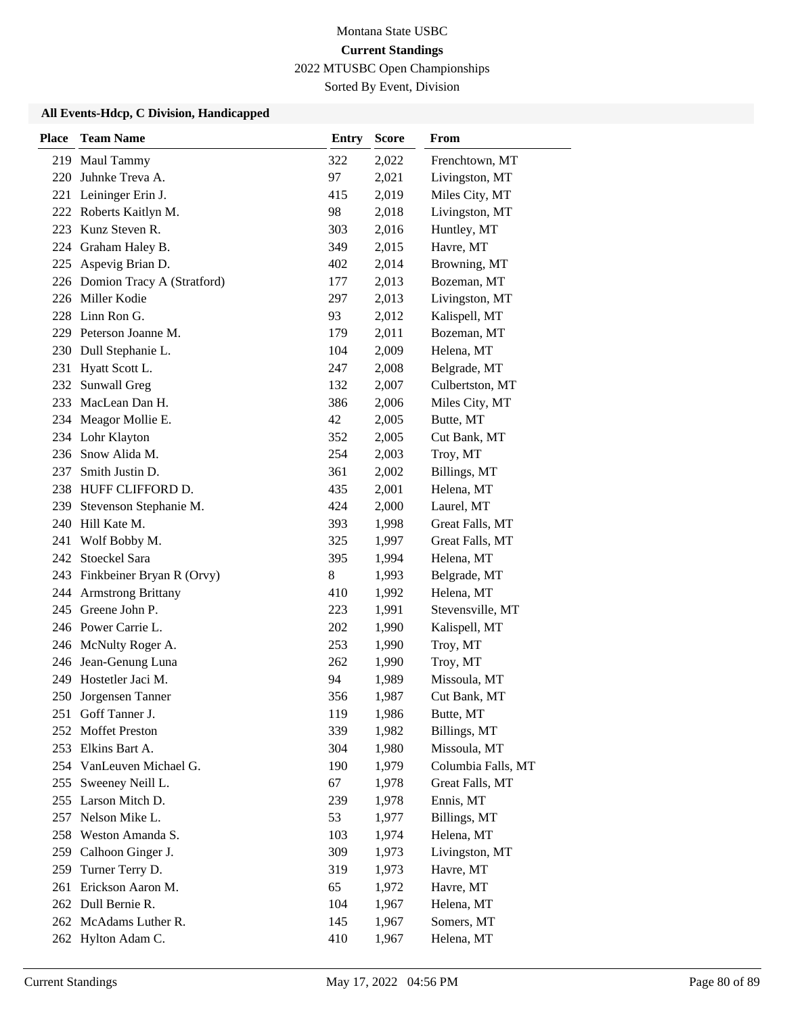Sorted By Event, Division

| <b>Place</b> | <b>Team Name</b>                       | <b>Entry</b> | <b>Score</b>   | From                               |
|--------------|----------------------------------------|--------------|----------------|------------------------------------|
|              | 219 Maul Tammy                         | 322          | 2,022          | Frenchtown, MT                     |
| 220          | Juhnke Treva A.                        | 97           | 2,021          | Livingston, MT                     |
|              | 221 Leininger Erin J.                  | 415          | 2,019          | Miles City, MT                     |
|              | 222 Roberts Kaitlyn M.                 | 98           | 2,018          | Livingston, MT                     |
| 223          | Kunz Steven R.                         | 303          | 2,016          | Huntley, MT                        |
| 224          | Graham Haley B.                        | 349          | 2,015          | Havre, MT                          |
| 225          | Aspevig Brian D.                       | 402          | 2,014          | Browning, MT                       |
|              | 226 Domion Tracy A (Stratford)         | 177          | 2,013          | Bozeman, MT                        |
|              | 226 Miller Kodie                       | 297          | 2,013          | Livingston, MT                     |
|              | 228 Linn Ron G.                        | 93           | 2,012          | Kalispell, MT                      |
|              | 229 Peterson Joanne M.                 | 179          | 2,011          | Bozeman, MT                        |
|              | 230 Dull Stephanie L.                  | 104          | 2,009          | Helena, MT                         |
| 231          | Hyatt Scott L.                         | 247          | 2,008          | Belgrade, MT                       |
| 232          | Sunwall Greg                           | 132          | 2,007          | Culbertston, MT                    |
|              | 233 MacLean Dan H.                     | 386          | 2,006          | Miles City, MT                     |
|              | 234 Meagor Mollie E.                   | 42           | 2,005          | Butte, MT                          |
|              | 234 Lohr Klayton                       | 352          | 2,005          | Cut Bank, MT                       |
|              | 236 Snow Alida M.                      | 254          | 2,003          | Troy, MT                           |
| 237          | Smith Justin D.                        | 361          | 2,002          | Billings, MT                       |
|              | 238 HUFF CLIFFORD D.                   | 435          | 2,001          | Helena, MT                         |
| 239          | Stevenson Stephanie M.<br>Hill Kate M. | 424          | 2,000          | Laurel, MT                         |
| 240<br>241   |                                        | 393<br>325   | 1,998          | Great Falls, MT<br>Great Falls, MT |
|              | Wolf Bobby M.<br>242 Stoeckel Sara     | 395          | 1,997<br>1,994 | Helena, MT                         |
|              | 243 Finkbeiner Bryan R (Orvy)          | 8            | 1,993          | Belgrade, MT                       |
| 244          | <b>Armstrong Brittany</b>              | 410          | 1,992          | Helena, MT                         |
| 245          | Greene John P.                         | 223          | 1,991          | Stevensville, MT                   |
|              | 246 Power Carrie L.                    | 202          | 1,990          | Kalispell, MT                      |
|              | 246 McNulty Roger A.                   | 253          | 1,990          | Troy, MT                           |
| 246          | Jean-Genung Luna                       | 262          | 1,990          | Troy, MT                           |
|              | 249 Hostetler Jaci M.                  | 94           | 1,989          | Missoula, MT                       |
|              | 250 Jorgensen Tanner                   | 356          | 1,987          | Cut Bank, MT                       |
| 251          | Goff Tanner J.                         | 119          | 1,986          | Butte, MT                          |
|              | 252 Moffet Preston                     | 339          | 1,982          | Billings, MT                       |
|              | 253 Elkins Bart A.                     | 304          | 1,980          | Missoula, MT                       |
|              | 254 VanLeuven Michael G.               | 190          | 1,979          | Columbia Falls, MT                 |
| 255          | Sweeney Neill L.                       | 67           | 1,978          | Great Falls, MT                    |
| 255          | Larson Mitch D.                        | 239          | 1,978          | Ennis, MT                          |
| 257          | Nelson Mike L.                         | 53           | 1,977          | Billings, MT                       |
| 258          | Weston Amanda S.                       | 103          | 1,974          | Helena, MT                         |
| 259          | Calhoon Ginger J.                      | 309          | 1,973          | Livingston, MT                     |
| 259          | Turner Terry D.                        | 319          | 1,973          | Havre, MT                          |
| 261          | Erickson Aaron M.                      | 65           | 1,972          | Havre, MT                          |
|              | 262 Dull Bernie R.                     | 104          | 1,967          | Helena, MT                         |
|              | 262 McAdams Luther R.                  | 145          | 1,967          | Somers, MT                         |
|              | 262 Hylton Adam C.                     | 410          | 1,967          | Helena, MT                         |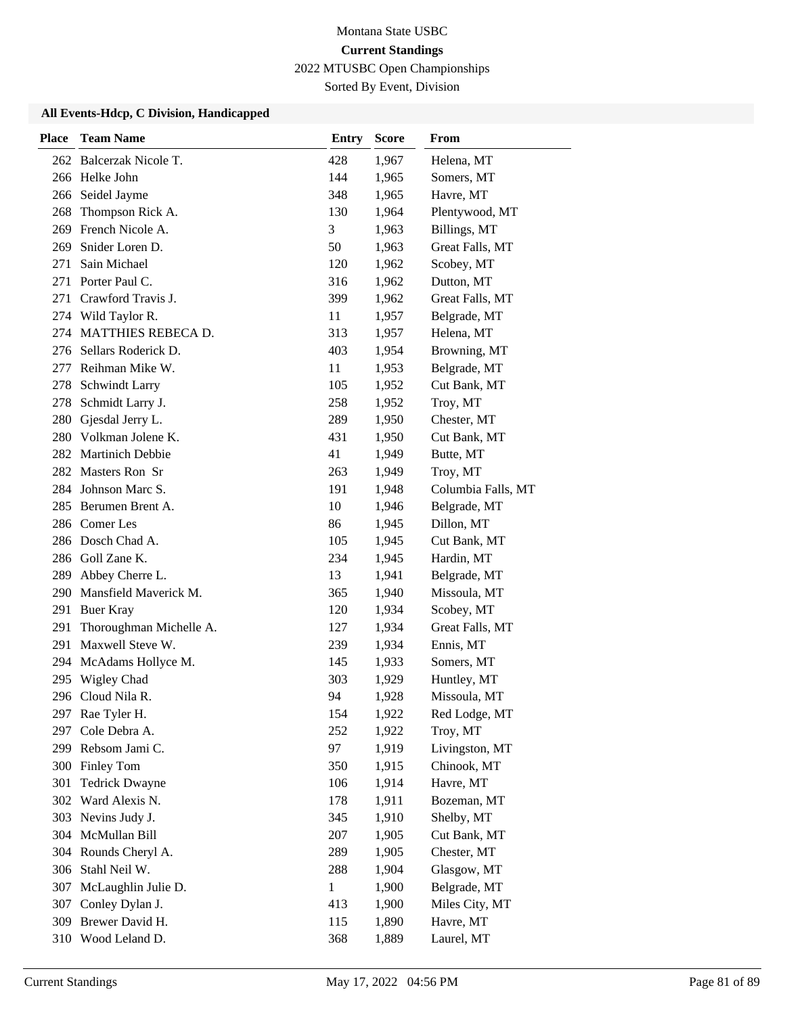Sorted By Event, Division

| <b>Place</b> | <b>Team Name</b>        | <b>Entry</b> | <b>Score</b> | From               |
|--------------|-------------------------|--------------|--------------|--------------------|
|              | 262 Balcerzak Nicole T. | 428          | 1,967        | Helena, MT         |
|              | 266 Helke John          | 144          | 1,965        | Somers, MT         |
|              | 266 Seidel Jayme        | 348          | 1,965        | Havre, MT          |
| 268          | Thompson Rick A.        | 130          | 1,964        | Plentywood, MT     |
| 269          | French Nicole A.        | 3            | 1,963        | Billings, MT       |
| 269          | Snider Loren D.         | 50           | 1,963        | Great Falls, MT    |
| 271          | Sain Michael            | 120          | 1,962        | Scobey, MT         |
|              | 271 Porter Paul C.      | 316          | 1,962        | Dutton, MT         |
| 271          | Crawford Travis J.      | 399          | 1,962        | Great Falls, MT    |
|              | 274 Wild Taylor R.      | 11           | 1,957        | Belgrade, MT       |
|              | 274 MATTHIES REBECA D.  | 313          | 1,957        | Helena, MT         |
|              | 276 Sellars Roderick D. | 403          | 1,954        | Browning, MT       |
|              | 277 Reihman Mike W.     | 11           | 1,953        | Belgrade, MT       |
|              | 278 Schwindt Larry      | 105          | 1,952        | Cut Bank, MT       |
|              | 278 Schmidt Larry J.    | 258          | 1,952        | Troy, MT           |
|              | 280 Gjesdal Jerry L.    | 289          | 1,950        | Chester, MT        |
|              | 280 Volkman Jolene K.   | 431          | 1,950        | Cut Bank, MT       |
|              | 282 Martinich Debbie    | 41           | 1,949        | Butte, MT          |
|              | 282 Masters Ron Sr      | 263          | 1,949        | Troy, MT           |
|              | 284 Johnson Marc S.     | 191          | 1,948        | Columbia Falls, MT |
| 285          | Berumen Brent A.        | 10           | 1,946        | Belgrade, MT       |
|              | 286 Comer Les           | 86           | 1,945        | Dillon, MT         |
|              | 286 Dosch Chad A.       | 105          | 1,945        | Cut Bank, MT       |
|              | 286 Goll Zane K.        | 234          | 1,945        | Hardin, MT         |
| 289          | Abbey Cherre L.         | 13           | 1,941        | Belgrade, MT       |
| 290          | Mansfield Maverick M.   | 365          | 1,940        | Missoula, MT       |
| 291          | <b>Buer Kray</b>        | 120          | 1,934        | Scobey, MT         |
| 291          | Thoroughman Michelle A. | 127          | 1,934        | Great Falls, MT    |
| 291          | Maxwell Steve W.        | 239          | 1,934        | Ennis, MT          |
|              | 294 McAdams Hollyce M.  | 145          | 1,933        | Somers, MT         |
| 295          | <b>Wigley Chad</b>      | 303          | 1,929        | Huntley, MT        |
|              | 296 Cloud Nila R.       | 94           | 1,928        | Missoula, MT       |
|              | 297 Rae Tyler H.        | 154          | 1,922        | Red Lodge, MT      |
| 297          | Cole Debra A.           | 252          | 1,922        | Troy, MT           |
|              | 299 Rebsom Jami C.      | 97           | 1,919        | Livingston, MT     |
|              | 300 Finley Tom          | 350          | 1,915        | Chinook, MT        |
| 301          | <b>Tedrick Dwayne</b>   | 106          | 1,914        | Havre, MT          |
| 302          | Ward Alexis N.          | 178          | 1,911        | Bozeman, MT        |
|              | 303 Nevins Judy J.      | 345          | 1,910        | Shelby, MT         |
|              | 304 McMullan Bill       | 207          | 1,905        | Cut Bank, MT       |
|              | 304 Rounds Cheryl A.    | 289          | 1,905        | Chester, MT        |
|              | 306 Stahl Neil W.       | 288          | 1,904        | Glasgow, MT        |
| 307          | McLaughlin Julie D.     | $\mathbf{1}$ | 1,900        | Belgrade, MT       |
|              | 307 Conley Dylan J.     | 413          | 1,900        | Miles City, MT     |
| 309          | Brewer David H.         | 115          | 1,890        | Havre, MT          |
|              | 310 Wood Leland D.      | 368          | 1,889        | Laurel, MT         |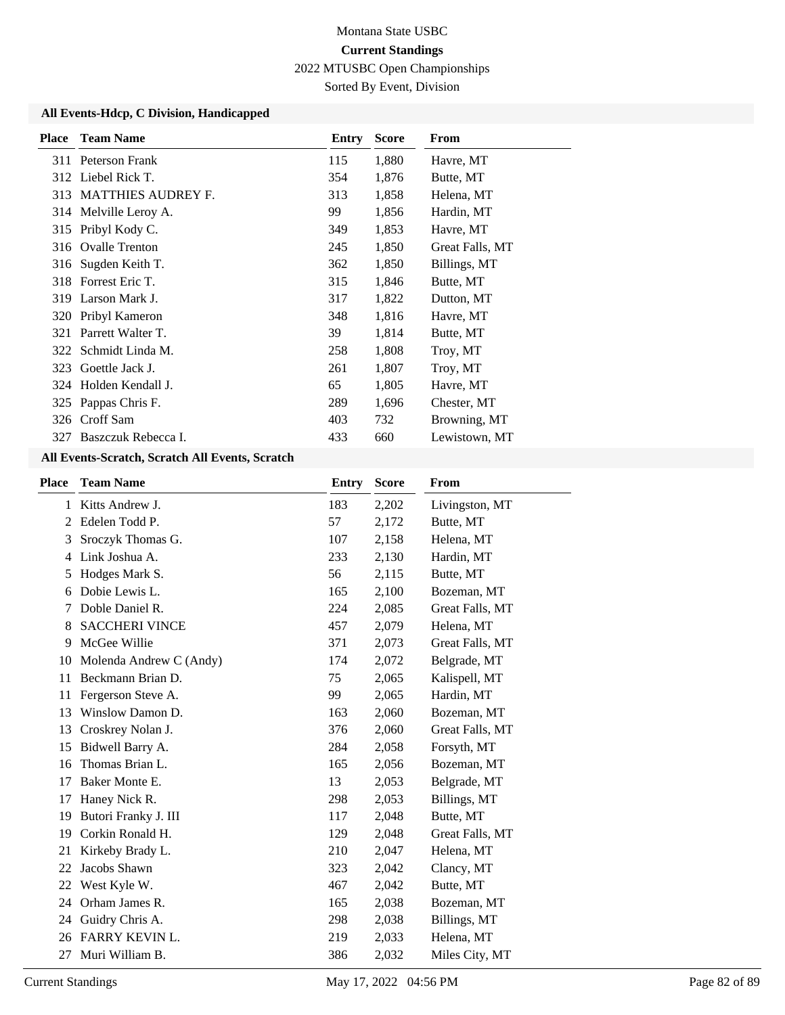Sorted By Event, Division

#### **All Events-Hdcp, C Division, Handicapped**

| <b>Place</b> | <b>Team Name</b>       | Entry | <b>Score</b> | From            |
|--------------|------------------------|-------|--------------|-----------------|
|              | 311 Peterson Frank     | 115   | 1,880        | Havre, MT       |
|              | 312 Liebel Rick T.     | 354   | 1,876        | Butte, MT       |
|              | 313 MATTHIES AUDREY F. | 313   | 1,858        | Helena, MT      |
|              | 314 Melville Leroy A.  | 99    | 1,856        | Hardin, MT      |
|              | 315 Pribyl Kody C.     | 349   | 1,853        | Havre, MT       |
| 316          | <b>Ovalle Trenton</b>  | 245   | 1,850        | Great Falls, MT |
| 316          | Sugden Keith T.        | 362   | 1,850        | Billings, MT    |
| 318          | Forrest Eric T.        | 315   | 1,846        | Butte, MT       |
| 319          | Larson Mark J.         | 317   | 1,822        | Dutton, MT      |
| 320          | Pribyl Kameron         | 348   | 1,816        | Havre, MT       |
| 321          | Parrett Walter T.      | 39    | 1,814        | Butte, MT       |
| 322          | Schmidt Linda M.       | 258   | 1,808        | Troy, MT        |
| 323          | Goettle Jack J.        | 261   | 1,807        | Troy, MT        |
|              | 324 Holden Kendall J.  | 65    | 1,805        | Havre, MT       |
|              | 325 Pappas Chris F.    | 289   | 1,696        | Chester, MT     |
| 326          | Croff Sam              | 403   | 732          | Browning, MT    |
| 327          | Baszczuk Rebecca I.    | 433   | 660          | Lewistown, MT   |

| <b>Place</b>   | <b>Team Name</b>        | <b>Entry</b> | <b>Score</b> | From            |
|----------------|-------------------------|--------------|--------------|-----------------|
| 1              | Kitts Andrew J.         | 183          | 2,202        | Livingston, MT  |
| $\overline{2}$ | Edelen Todd P.          | 57           | 2,172        | Butte, MT       |
| 3              | Sroczyk Thomas G.       | 107          | 2,158        | Helena, MT      |
| 4              | Link Joshua A.          | 233          | 2,130        | Hardin, MT      |
| 5              | Hodges Mark S.          | 56           | 2,115        | Butte, MT       |
| 6              | Dobie Lewis L.          | 165          | 2,100        | Bozeman, MT     |
|                | Doble Daniel R.         | 224          | 2,085        | Great Falls, MT |
| 8              | <b>SACCHERI VINCE</b>   | 457          | 2,079        | Helena, MT      |
| 9              | McGee Willie            | 371          | 2,073        | Great Falls, MT |
| 10             | Molenda Andrew C (Andy) | 174          | 2,072        | Belgrade, MT    |
| 11             | Beckmann Brian D.       | 75           | 2,065        | Kalispell, MT   |
| 11             | Fergerson Steve A.      | 99           | 2,065        | Hardin, MT      |
| 13             | Winslow Damon D.        | 163          | 2,060        | Bozeman, MT     |
| 13             | Croskrey Nolan J.       | 376          | 2,060        | Great Falls, MT |
| 15             | Bidwell Barry A.        | 284          | 2,058        | Forsyth, MT     |
| 16             | Thomas Brian L.         | 165          | 2,056        | Bozeman, MT     |
| 17             | Baker Monte E.          | 13           | 2,053        | Belgrade, MT    |
| 17             | Haney Nick R.           | 298          | 2,053        | Billings, MT    |
| 19             | Butori Franky J. III    | 117          | 2,048        | Butte, MT       |
| 19             | Corkin Ronald H.        | 129          | 2,048        | Great Falls, MT |
| 21             | Kirkeby Brady L.        | 210          | 2,047        | Helena, MT      |
| 22             | Jacobs Shawn            | 323          | 2,042        | Clancy, MT      |
| 22             | West Kyle W.            | 467          | 2,042        | Butte, MT       |
| 24             | Orham James R.          | 165          | 2,038        | Bozeman, MT     |
| 24             | Guidry Chris A.         | 298          | 2,038        | Billings, MT    |
| 26             | <b>FARRY KEVIN L.</b>   | 219          | 2,033        | Helena, MT      |
| 27             | Muri William B.         | 386          | 2,032        | Miles City, MT  |
|                |                         |              |              |                 |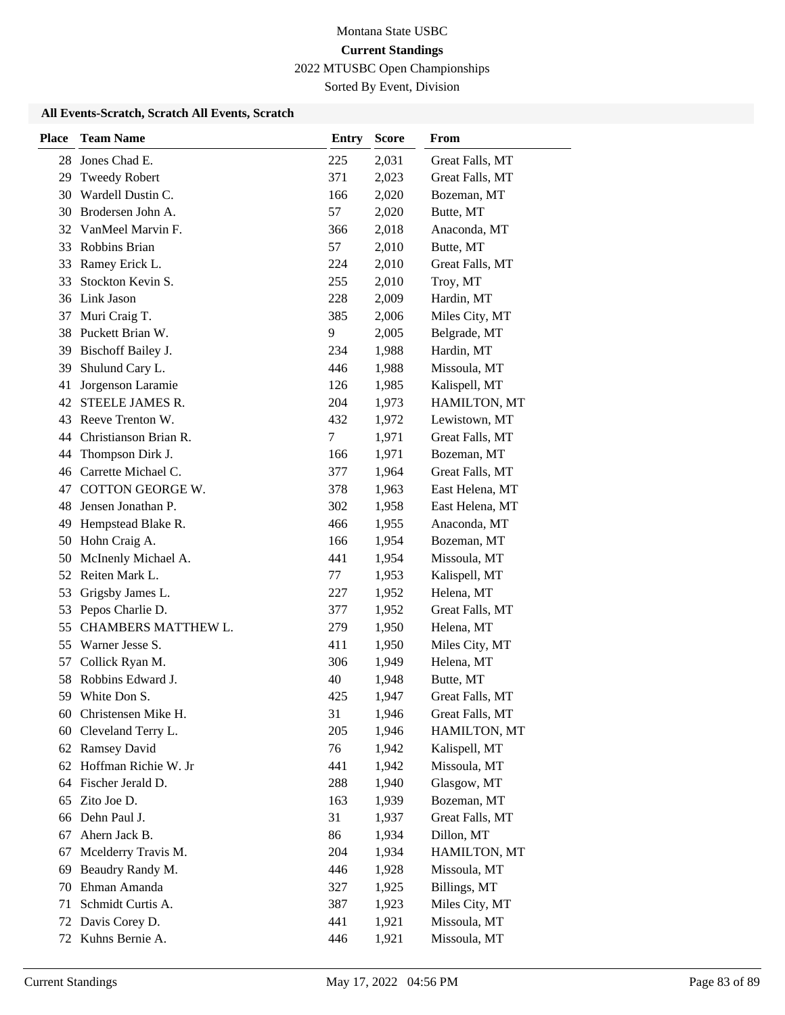Sorted By Event, Division

| <b>Place</b> | <b>Team Name</b>         | <b>Entry</b> | <b>Score</b> | From            |
|--------------|--------------------------|--------------|--------------|-----------------|
| 28           | Jones Chad E.            | 225          | 2,031        | Great Falls, MT |
| 29           | <b>Tweedy Robert</b>     | 371          | 2,023        | Great Falls, MT |
| 30           | Wardell Dustin C.        | 166          | 2,020        | Bozeman, MT     |
| 30           | Brodersen John A.        | 57           | 2,020        | Butte, MT       |
| 32           | VanMeel Marvin F.        | 366          | 2,018        | Anaconda, MT    |
| 33           | Robbins Brian            | 57           | 2,010        | Butte, MT       |
| 33           | Ramey Erick L.           | 224          | 2,010        | Great Falls, MT |
| 33           | Stockton Kevin S.        | 255          | 2,010        | Troy, MT        |
|              | 36 Link Jason            | 228          | 2,009        | Hardin, MT      |
| 37           | Muri Craig T.            | 385          | 2,006        | Miles City, MT  |
|              | 38 Puckett Brian W.      | 9            | 2,005        | Belgrade, MT    |
| 39           | Bischoff Bailey J.       | 234          | 1,988        | Hardin, MT      |
| 39           | Shulund Cary L.          | 446          | 1,988        | Missoula, MT    |
| 41           | Jorgenson Laramie        | 126          | 1,985        | Kalispell, MT   |
| 42           | STEELE JAMES R.          | 204          | 1,973        | HAMILTON, MT    |
| 43           | Reeve Trenton W.         | 432          | 1,972        | Lewistown, MT   |
|              | 44 Christianson Brian R. | 7            | 1,971        | Great Falls, MT |
| 44           | Thompson Dirk J.         | 166          | 1,971        | Bozeman, MT     |
|              | 46 Carrette Michael C.   | 377          | 1,964        | Great Falls, MT |
|              | 47 COTTON GEORGE W.      | 378          | 1,963        | East Helena, MT |
| 48           | Jensen Jonathan P.       | 302          | 1,958        | East Helena, MT |
| 49           | Hempstead Blake R.       | 466          | 1,955        | Anaconda, MT    |
| 50           | Hohn Craig A.            | 166          | 1,954        | Bozeman, MT     |
| 50           | McInenly Michael A.      | 441          | 1,954        | Missoula, MT    |
| 52           | Reiten Mark L.           | 77           | 1,953        | Kalispell, MT   |
| 53           | Grigsby James L.         | 227          | 1,952        | Helena, MT      |
| 53           | Pepos Charlie D.         | 377          | 1,952        | Great Falls, MT |
| 55           | CHAMBERS MATTHEW L.      | 279          | 1,950        | Helena, MT      |
| 55           | Warner Jesse S.          | 411          | 1,950        | Miles City, MT  |
| 57           | Collick Ryan M.          | 306          | 1,949        | Helena, MT      |
|              | 58 Robbins Edward J.     | 40           | 1,948        | Butte, MT       |
| 59           | White Don S.             | 425          | 1,947        | Great Falls, MT |
|              | 60 Christensen Mike H.   | 31           | 1,946        | Great Falls, MT |
| 60           | Cleveland Terry L.       | 205          | 1,946        | HAMILTON, MT    |
|              | 62 Ramsey David          | 76           | 1,942        | Kalispell, MT   |
|              | 62 Hoffman Richie W. Jr  | 441          | 1,942        | Missoula, MT    |
| 64           | Fischer Jerald D.        | 288          | 1,940        | Glasgow, MT     |
| 65           | Zito Joe D.              | 163          | 1,939        | Bozeman, MT     |
|              | 66 Dehn Paul J.          | 31           | 1,937        | Great Falls, MT |
| 67           | Ahern Jack B.            | 86           | 1,934        | Dillon, MT      |
| 67           | Mcelderry Travis M.      | 204          | 1,934        | HAMILTON, MT    |
| 69           | Beaudry Randy M.         | 446          | 1,928        | Missoula, MT    |
| 70           | Ehman Amanda             | 327          | 1,925        | Billings, MT    |
| 71           | Schmidt Curtis A.        | 387          | 1,923        | Miles City, MT  |
| 72           | Davis Corey D.           | 441          | 1,921        | Missoula, MT    |
|              | 72 Kuhns Bernie A.       | 446          | 1,921        | Missoula, MT    |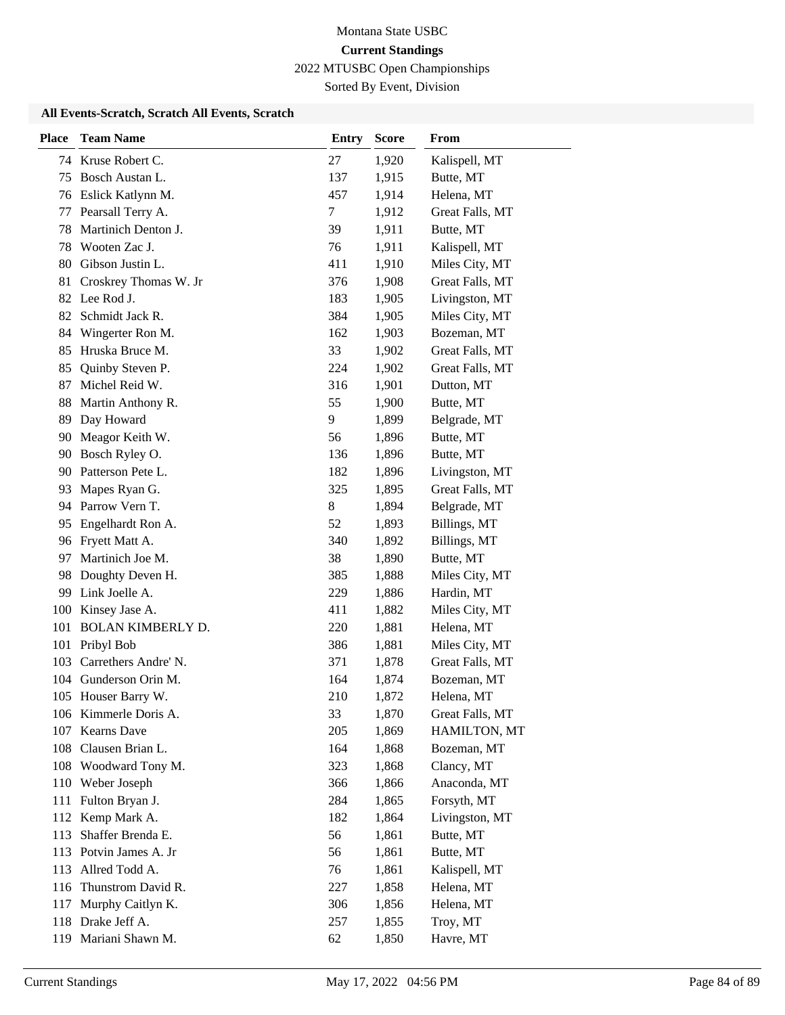Sorted By Event, Division

| <b>Place</b> | <b>Team Name</b>         | <b>Entry</b> | <b>Score</b> | From            |
|--------------|--------------------------|--------------|--------------|-----------------|
|              | 74 Kruse Robert C.       | 27           | 1,920        | Kalispell, MT   |
| 75           | Bosch Austan L.          | 137          | 1,915        | Butte, MT       |
| 76           | Eslick Katlynn M.        | 457          | 1,914        | Helena, MT      |
| 77           | Pearsall Terry A.        | 7            | 1,912        | Great Falls, MT |
| 78           | Martinich Denton J.      | 39           | 1,911        | Butte, MT       |
| 78           | Wooten Zac J.            | 76           | 1,911        | Kalispell, MT   |
| 80           | Gibson Justin L.         | 411          | 1,910        | Miles City, MT  |
| 81           | Croskrey Thomas W. Jr    | 376          | 1,908        | Great Falls, MT |
| 82           | Lee Rod J.               | 183          | 1,905        | Livingston, MT  |
| 82           | Schmidt Jack R.          | 384          | 1,905        | Miles City, MT  |
| 84           | Wingerter Ron M.         | 162          | 1,903        | Bozeman, MT     |
| 85           | Hruska Bruce M.          | 33           | 1,902        | Great Falls, MT |
| 85           | Quinby Steven P.         | 224          | 1,902        | Great Falls, MT |
| 87           | Michel Reid W.           | 316          | 1,901        | Dutton, MT      |
| 88           | Martin Anthony R.        | 55           | 1,900        | Butte, MT       |
| 89           | Day Howard               | 9            | 1,899        | Belgrade, MT    |
| 90           | Meagor Keith W.          | 56           | 1,896        | Butte, MT       |
| 90           | Bosch Ryley O.           | 136          | 1,896        | Butte, MT       |
| 90           | Patterson Pete L.        | 182          | 1,896        | Livingston, MT  |
| 93           | Mapes Ryan G.            | 325          | 1,895        | Great Falls, MT |
| 94           | Parrow Vern T.           | 8            | 1,894        | Belgrade, MT    |
| 95           | Engelhardt Ron A.        | 52           | 1,893        | Billings, MT    |
| 96           | Fryett Matt A.           | 340          | 1,892        | Billings, MT    |
| 97           | Martinich Joe M.         | 38           | 1,890        | Butte, MT       |
| 98           | Doughty Deven H.         | 385          | 1,888        | Miles City, MT  |
| 99           | Link Joelle A.           | 229          | 1,886        | Hardin, MT      |
| 100          | Kinsey Jase A.           | 411          | 1,882        | Miles City, MT  |
| 101          | <b>BOLAN KIMBERLY D.</b> | 220          | 1,881        | Helena, MT      |
| 101          | Pribyl Bob               | 386          | 1,881        | Miles City, MT  |
| 103          | Carrethers Andre' N.     | 371          | 1,878        | Great Falls, MT |
|              | 104 Gunderson Orin M.    | 164          | 1,874        | Bozeman, MT     |
|              | 105 Houser Barry W.      | 210          | 1,872        | Helena, MT      |
|              | 106 Kimmerle Doris A.    | 33           | 1,870        | Great Falls, MT |
|              | 107 Kearns Dave          | 205          | 1,869        | HAMILTON, MT    |
|              | 108 Clausen Brian L.     | 164          | 1,868        | Bozeman, MT     |
|              | 108 Woodward Tony M.     | 323          | 1,868        | Clancy, MT      |
|              | 110 Weber Joseph         | 366          | 1,866        | Anaconda, MT    |
| 111          | Fulton Bryan J.          | 284          | 1,865        | Forsyth, MT     |
|              | 112 Kemp Mark A.         | 182          | 1,864        | Livingston, MT  |
| 113          | Shaffer Brenda E.        | 56           | 1,861        | Butte, MT       |
| 113          | Potvin James A. Jr       | 56           | 1,861        | Butte, MT       |
| 113          | Allred Todd A.           | 76           | 1,861        | Kalispell, MT   |
| 116          | Thunstrom David R.       | 227          | 1,858        | Helena, MT      |
| 117          | Murphy Caitlyn K.        | 306          | 1,856        | Helena, MT      |
| 118          | Drake Jeff A.            | 257          | 1,855        | Troy, MT        |
|              | 119 Mariani Shawn M.     | 62           | 1,850        | Havre, MT       |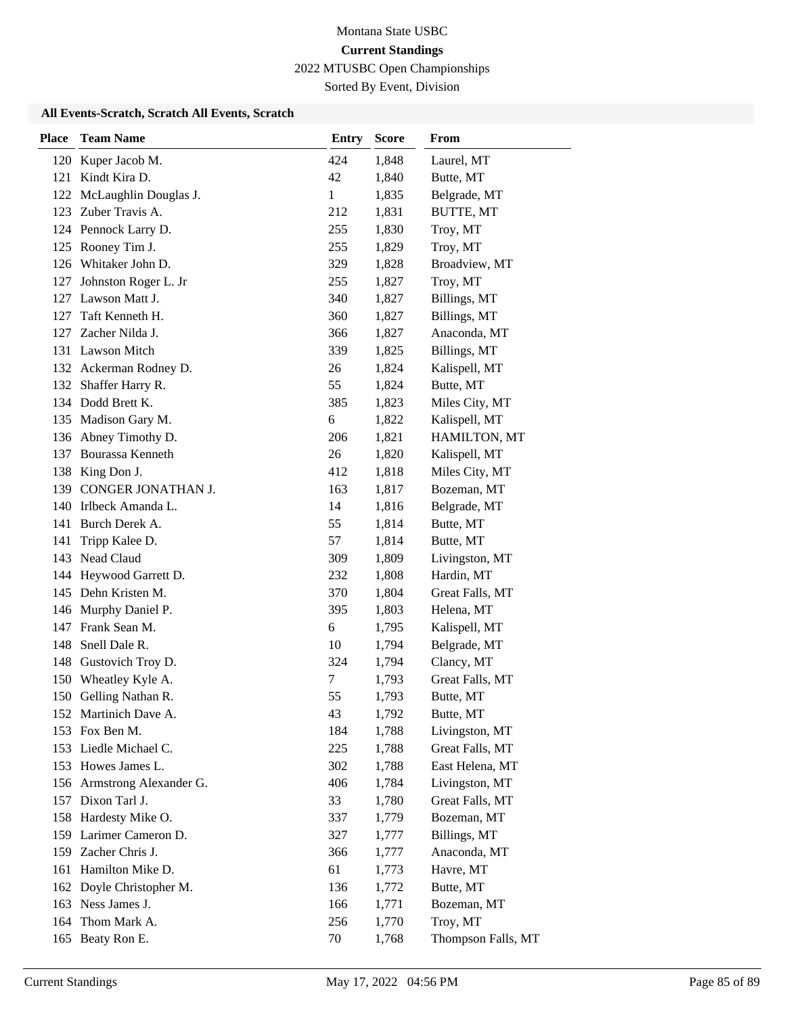Sorted By Event, Division

| <b>Place</b> | <b>Team Name</b>           | <b>Entry</b> | <b>Score</b> | From               |
|--------------|----------------------------|--------------|--------------|--------------------|
|              | 120 Kuper Jacob M.         | 424          | 1,848        | Laurel, MT         |
| 121          | Kindt Kira D.              | 42           | 1,840        | Butte, MT          |
|              | 122 McLaughlin Douglas J.  | $\mathbf{1}$ | 1,835        | Belgrade, MT       |
| 123          | Zuber Travis A.            | 212          | 1,831        | <b>BUTTE, MT</b>   |
|              | 124 Pennock Larry D.       | 255          | 1,830        | Troy, MT           |
| 125          | Rooney Tim J.              | 255          | 1,829        | Troy, MT           |
|              | 126 Whitaker John D.       | 329          | 1,828        | Broadview, MT      |
| 127          | Johnston Roger L. Jr       | 255          | 1,827        | Troy, MT           |
| 127          | Lawson Matt J.             | 340          | 1,827        | Billings, MT       |
| 127          | Taft Kenneth H.            | 360          | 1,827        | Billings, MT       |
| 127          | Zacher Nilda J.            | 366          | 1,827        | Anaconda, MT       |
|              | 131 Lawson Mitch           | 339          | 1,825        | Billings, MT       |
|              | 132 Ackerman Rodney D.     | 26           | 1,824        | Kalispell, MT      |
|              | 132 Shaffer Harry R.       | 55           | 1,824        | Butte, MT          |
|              | 134 Dodd Brett K.          | 385          | 1,823        | Miles City, MT     |
|              | 135 Madison Gary M.        | 6            | 1,822        | Kalispell, MT      |
| 136          | Abney Timothy D.           | 206          | 1,821        | HAMILTON, MT       |
| 137          | Bourassa Kenneth           | 26           | 1,820        | Kalispell, MT      |
| 138          | King Don J.                | 412          | 1,818        | Miles City, MT     |
| 139          | CONGER JONATHAN J.         | 163          | 1,817        | Bozeman, MT        |
|              | 140 Irlbeck Amanda L.      | 14           | 1,816        | Belgrade, MT       |
|              | 141 Burch Derek A.         | 55           | 1,814        | Butte, MT          |
| 141          | Tripp Kalee D.             | 57           | 1,814        | Butte, MT          |
|              | 143 Nead Claud             | 309          | 1,809        | Livingston, MT     |
|              | 144 Heywood Garrett D.     | 232          | 1,808        | Hardin, MT         |
|              | 145 Dehn Kristen M.        | 370          | 1,804        | Great Falls, MT    |
|              | 146 Murphy Daniel P.       | 395          | 1,803        | Helena, MT         |
|              | 147 Frank Sean M.          | 6            | 1,795        | Kalispell, MT      |
| 148          | Snell Dale R.              | 10           | 1,794        | Belgrade, MT       |
| 148          | Gustovich Troy D.          | 324          | 1,794        | Clancy, MT         |
|              | 150 Wheatley Kyle A.       | 7            | 1,793        | Great Falls, MT    |
| 150          | Gelling Nathan R.          | 55           | 1,793        | Butte, MT          |
|              | 152 Martinich Dave A.      | 43           | 1,792        | Butte, MT          |
|              | 153 Fox Ben M.             | 184          | 1,788        | Livingston, MT     |
|              | 153 Liedle Michael C.      | 225          | 1,788        | Great Falls, MT    |
|              | 153 Howes James L.         | 302          | 1,788        | East Helena, MT    |
|              | 156 Armstrong Alexander G. | 406          | 1,784        | Livingston, MT     |
|              | 157 Dixon Tarl J.          | 33           | 1,780        | Great Falls, MT    |
|              | 158 Hardesty Mike O.       | 337          | 1,779        | Bozeman, MT        |
|              | 159 Larimer Cameron D.     | 327          | 1,777        | Billings, MT       |
|              | 159 Zacher Chris J.        | 366          | 1,777        | Anaconda, MT       |
| 161          | Hamilton Mike D.           | 61           | 1,773        | Havre, MT          |
|              | 162 Doyle Christopher M.   | 136          | 1,772        | Butte, MT          |
|              | 163 Ness James J.          | 166          | 1,771        | Bozeman, MT        |
| 164          | Thom Mark A.               | 256          | 1,770        | Troy, MT           |
|              | 165 Beaty Ron E.           | $70\,$       | 1,768        | Thompson Falls, MT |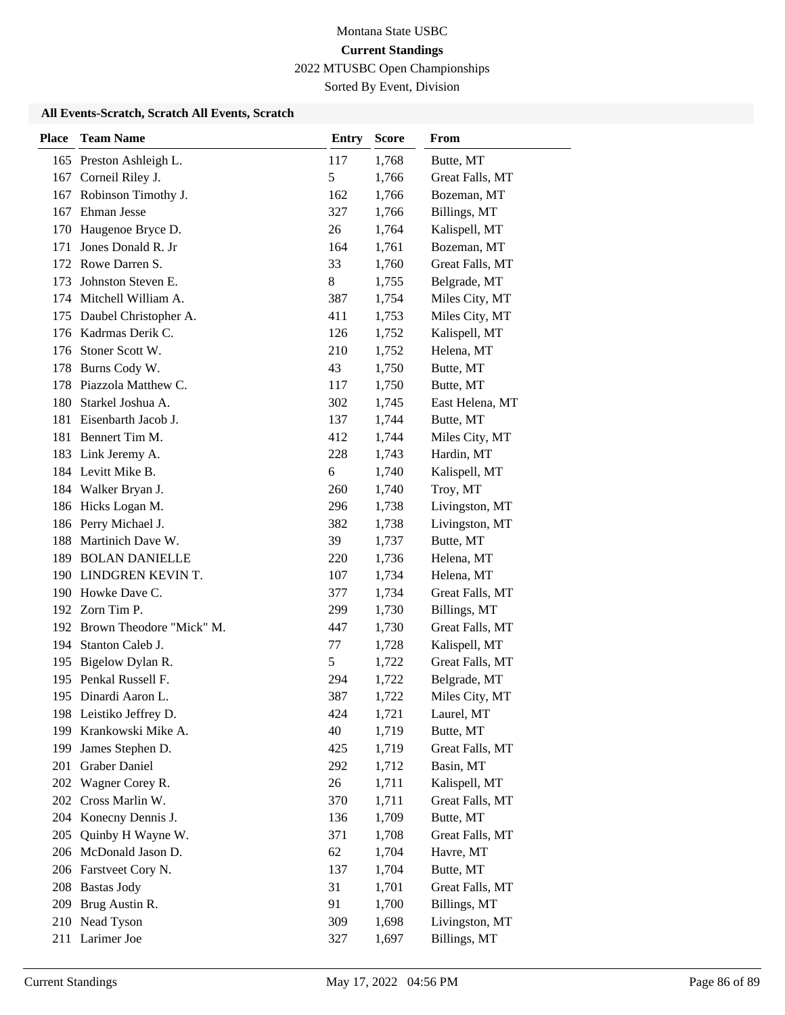Sorted By Event, Division

| <b>Place</b> | <b>Team Name</b>             | <b>Entry</b>  | <b>Score</b> | From            |
|--------------|------------------------------|---------------|--------------|-----------------|
|              | 165 Preston Ashleigh L.      | 117           | 1,768        | Butte, MT       |
| 167          | Corneil Riley J.             | 5             | 1,766        | Great Falls, MT |
| 167          | Robinson Timothy J.          | 162           | 1,766        | Bozeman, MT     |
| 167          | Ehman Jesse                  | 327           | 1,766        | Billings, MT    |
| 170          | Haugenoe Bryce D.            | 26            | 1,764        | Kalispell, MT   |
| 171          | Jones Donald R. Jr           | 164           | 1,761        | Bozeman, MT     |
|              | 172 Rowe Darren S.           | 33            | 1,760        | Great Falls, MT |
| 173          | Johnston Steven E.           | 8             | 1,755        | Belgrade, MT    |
|              | 174 Mitchell William A.      | 387           | 1,754        | Miles City, MT  |
| 175          | Daubel Christopher A.        | 411           | 1,753        | Miles City, MT  |
|              | 176 Kadrmas Derik C.         | 126           | 1,752        | Kalispell, MT   |
|              | 176 Stoner Scott W.          | 210           | 1,752        | Helena, MT      |
|              | 178 Burns Cody W.            | 43            | 1,750        | Butte, MT       |
|              | 178 Piazzola Matthew C.      | 117           | 1,750        | Butte, MT       |
|              | 180 Starkel Joshua A.        | 302           | 1,745        | East Helena, MT |
| 181          | Eisenbarth Jacob J.          | 137           | 1,744        | Butte, MT       |
|              | 181 Bennert Tim M.           | 412           | 1,744        | Miles City, MT  |
|              | 183 Link Jeremy A.           | 228           | 1,743        | Hardin, MT      |
|              | 184 Levitt Mike B.           | 6             | 1,740        | Kalispell, MT   |
|              | 184 Walker Bryan J.          | 260           | 1,740        | Troy, MT        |
|              | 186 Hicks Logan M.           | 296           | 1,738        | Livingston, MT  |
|              | 186 Perry Michael J.         | 382           | 1,738        | Livingston, MT  |
|              | 188 Martinich Dave W.        | 39            | 1,737        | Butte, MT       |
| 189          | <b>BOLAN DANIELLE</b>        | 220           | 1,736        | Helena, MT      |
|              | 190 LINDGREN KEVIN T.        | 107           | 1,734        | Helena, MT      |
|              | 190 Howke Dave C.            | 377           | 1,734        | Great Falls, MT |
|              | 192 Zorn Tim P.              | 299           | 1,730        | Billings, MT    |
|              | 192 Brown Theodore "Mick" M. | 447           | 1,730        | Great Falls, MT |
| 194          | Stanton Caleb J.             | 77            | 1,728        | Kalispell, MT   |
| 195          | Bigelow Dylan R.             | $\mathfrak s$ | 1,722        | Great Falls, MT |
|              | 195 Penkal Russell F.        | 294           | 1,722        | Belgrade, MT    |
|              | 195 Dinardi Aaron L.         | 387           | 1,722        | Miles City, MT  |
|              | 198 Leistiko Jeffrey D.      | 424           | 1,721        | Laurel, MT      |
|              | 199 Krankowski Mike A.       | 40            | 1,719        | Butte, MT       |
| 199          | James Stephen D.             | 425           | 1,719        | Great Falls, MT |
| 201          | <b>Graber Daniel</b>         | 292           | 1,712        | Basin, MT       |
| 202          | Wagner Corey R.              | 26            | 1,711        | Kalispell, MT   |
| 202          | Cross Marlin W.              | 370           | 1,711        | Great Falls, MT |
| 204          | Konecny Dennis J.            | 136           | 1,709        | Butte, MT       |
| 205          | Quinby H Wayne W.            | 371           | 1,708        | Great Falls, MT |
|              | 206 McDonald Jason D.        | 62            | 1,704        | Havre, MT       |
|              | 206 Farstveet Cory N.        | 137           | 1,704        | Butte, MT       |
|              | 208 Bastas Jody              | 31            | 1,701        | Great Falls, MT |
| 209          | Brug Austin R.               | 91            | 1,700        | Billings, MT    |
| 210          | Nead Tyson                   | 309           | 1,698        | Livingston, MT  |
|              | 211 Larimer Joe              | 327           | 1,697        | Billings, MT    |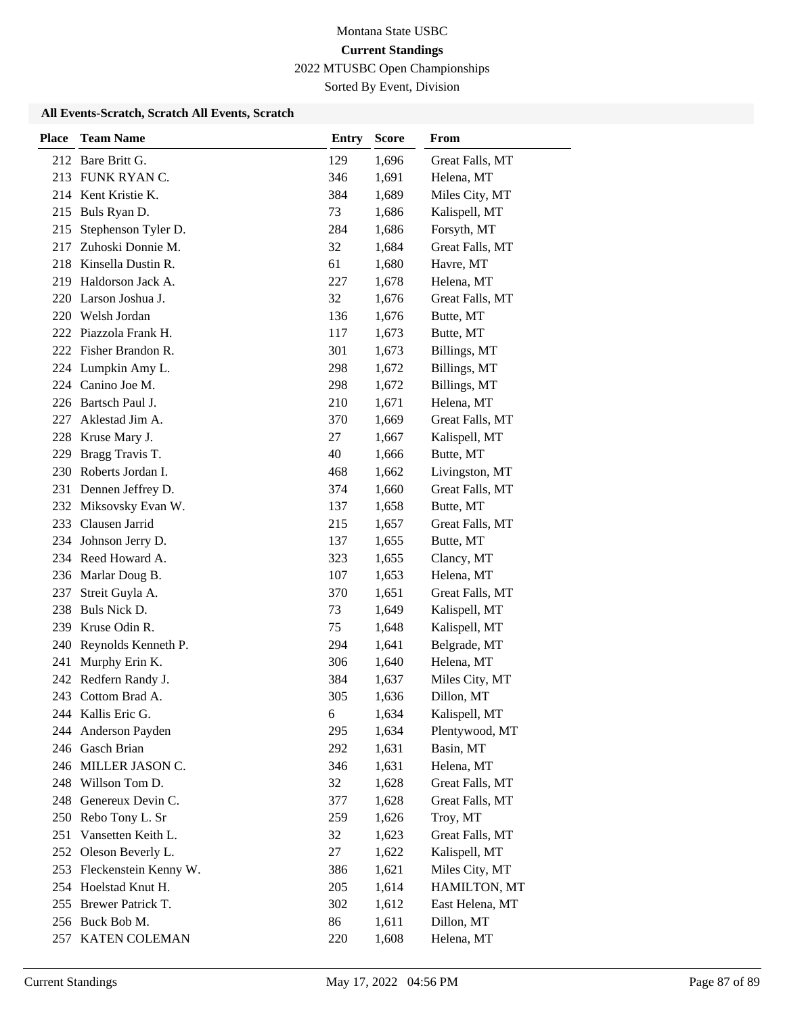Sorted By Event, Division

| <b>Place</b> | <b>Team Name</b>          | <b>Entry</b> | <b>Score</b> | From            |
|--------------|---------------------------|--------------|--------------|-----------------|
|              | 212 Bare Britt G.         | 129          | 1,696        | Great Falls, MT |
|              | 213 FUNK RYAN C.          | 346          | 1,691        | Helena, MT      |
|              | 214 Kent Kristie K.       | 384          | 1,689        | Miles City, MT  |
| 215          | Buls Ryan D.              | 73           | 1,686        | Kalispell, MT   |
| 215          | Stephenson Tyler D.       | 284          | 1,686        | Forsyth, MT     |
| 217          | Zuhoski Donnie M.         | 32           | 1,684        | Great Falls, MT |
|              | 218 Kinsella Dustin R.    | 61           | 1,680        | Havre, MT       |
|              | 219 Haldorson Jack A.     | 227          | 1,678        | Helena, MT      |
| 220          | Larson Joshua J.          | 32           | 1,676        | Great Falls, MT |
|              | 220 Welsh Jordan          | 136          | 1,676        | Butte, MT       |
|              | 222 Piazzola Frank H.     | 117          | 1,673        | Butte, MT       |
|              | 222 Fisher Brandon R.     | 301          | 1,673        | Billings, MT    |
|              | 224 Lumpkin Amy L.        | 298          | 1,672        | Billings, MT    |
|              | 224 Canino Joe M.         | 298          | 1,672        | Billings, MT    |
|              | 226 Bartsch Paul J.       | 210          | 1,671        | Helena, MT      |
| 227          | Aklestad Jim A.           | 370          | 1,669        | Great Falls, MT |
| 228          | Kruse Mary J.             | 27           | 1,667        | Kalispell, MT   |
| 229          | Bragg Travis T.           | 40           | 1,666        | Butte, MT       |
|              | 230 Roberts Jordan I.     | 468          | 1,662        | Livingston, MT  |
|              | 231 Dennen Jeffrey D.     | 374          | 1,660        | Great Falls, MT |
|              | 232 Miksovsky Evan W.     | 137          | 1,658        | Butte, MT       |
|              | 233 Clausen Jarrid        | 215          | 1,657        | Great Falls, MT |
|              | 234 Johnson Jerry D.      | 137          | 1,655        | Butte, MT       |
|              | 234 Reed Howard A.        | 323          | 1,655        | Clancy, MT      |
|              | 236 Marlar Doug B.        | 107          | 1,653        | Helena, MT      |
| 237          | Streit Guyla A.           | 370          | 1,651        | Great Falls, MT |
| 238          | Buls Nick D.              | 73           | 1,649        | Kalispell, MT   |
| 239          | Kruse Odin R.             | 75           | 1,648        | Kalispell, MT   |
| 240          | Reynolds Kenneth P.       | 294          | 1,641        | Belgrade, MT    |
| 241          | Murphy Erin K.            | 306          | 1,640        | Helena, MT      |
|              | 242 Redfern Randy J.      | 384          | 1,637        | Miles City, MT  |
| 243          | Cottom Brad A.            | 305          | 1,636        | Dillon, MT      |
|              | 244 Kallis Eric G.        | 6            | 1,634        | Kalispell, MT   |
|              | 244 Anderson Payden       | 295          | 1,634        | Plentywood, MT  |
|              | 246 Gasch Brian           | 292          | 1,631        | Basin, MT       |
|              | 246 MILLER JASON C.       | 346          | 1,631        | Helena, MT      |
|              | 248 Willson Tom D.        | 32           | 1,628        | Great Falls, MT |
|              | 248 Genereux Devin C.     | 377          | 1,628        | Great Falls, MT |
|              | 250 Rebo Tony L. Sr       | 259          | 1,626        | Troy, MT        |
| 251          | Vansetten Keith L.        | 32           | 1,623        | Great Falls, MT |
|              | 252 Oleson Beverly L.     | 27           | 1,622        | Kalispell, MT   |
|              | 253 Fleckenstein Kenny W. | 386          | 1,621        | Miles City, MT  |
|              | 254 Hoelstad Knut H.      | 205          | 1,614        | HAMILTON, MT    |
|              | 255 Brewer Patrick T.     | 302          | 1,612        | East Helena, MT |
|              | 256 Buck Bob M.           | 86           | 1,611        | Dillon, MT      |
|              | 257 KATEN COLEMAN         | 220          | 1,608        | Helena, MT      |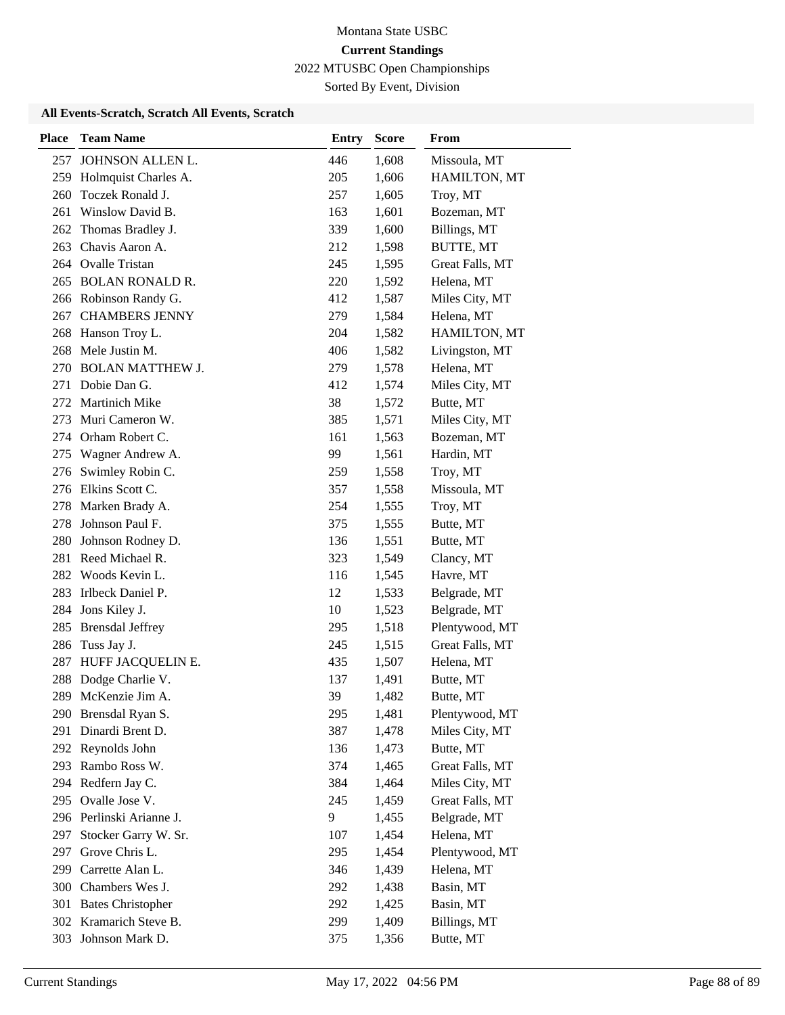Sorted By Event, Division

| <b>Place</b> | <b>Team Name</b>         | <b>Entry</b> | <b>Score</b> | From            |
|--------------|--------------------------|--------------|--------------|-----------------|
|              | 257 JOHNSON ALLEN L.     | 446          | 1,608        | Missoula, MT    |
|              | 259 Holmquist Charles A. | 205          | 1,606        | HAMILTON, MT    |
| 260          | Toczek Ronald J.         | 257          | 1,605        | Troy, MT        |
| 261          | Winslow David B.         | 163          | 1,601        | Bozeman, MT     |
| 262          | Thomas Bradley J.        | 339          | 1,600        | Billings, MT    |
| 263          | Chavis Aaron A.          | 212          | 1,598        | BUTTE, MT       |
|              | 264 Ovalle Tristan       | 245          | 1,595        | Great Falls, MT |
|              | 265 BOLAN RONALD R.      | 220          | 1,592        | Helena, MT      |
|              | 266 Robinson Randy G.    | 412          | 1,587        | Miles City, MT  |
| 267          | <b>CHAMBERS JENNY</b>    | 279          | 1,584        | Helena, MT      |
|              | 268 Hanson Troy L.       | 204          | 1,582        | HAMILTON, MT    |
|              | 268 Mele Justin M.       | 406          | 1,582        | Livingston, MT  |
|              | 270 BOLAN MATTHEW J.     | 279          | 1,578        | Helena, MT      |
|              | 271 Dobie Dan G.         | 412          | 1,574        | Miles City, MT  |
|              | 272 Martinich Mike       | 38           | 1,572        | Butte, MT       |
| 273          | Muri Cameron W.          | 385          | 1,571        | Miles City, MT  |
| 274          | Orham Robert C.          | 161          | 1,563        | Bozeman, MT     |
| 275          | Wagner Andrew A.         | 99           | 1,561        | Hardin, MT      |
|              | 276 Swimley Robin C.     | 259          | 1,558        | Troy, MT        |
|              | 276 Elkins Scott C.      | 357          | 1,558        | Missoula, MT    |
|              | 278 Marken Brady A.      | 254          | 1,555        | Troy, MT        |
|              | 278 Johnson Paul F.      | 375          | 1,555        | Butte, MT       |
| 280          | Johnson Rodney D.        | 136          | 1,551        | Butte, MT       |
|              | 281 Reed Michael R.      | 323          | 1,549        | Clancy, MT      |
|              | 282 Woods Kevin L.       | 116          | 1,545        | Havre, MT       |
| 283          | Irlbeck Daniel P.        | 12           | 1,533        | Belgrade, MT    |
| 284          | Jons Kiley J.            | 10           | 1,523        | Belgrade, MT    |
| 285          | <b>Brensdal Jeffrey</b>  | 295          | 1,518        | Plentywood, MT  |
| 286          | Tuss Jay J.              | 245          | 1,515        | Great Falls, MT |
| 287          | HUFF JACQUELIN E.        | 435          | 1,507        | Helena, MT      |
| 288          | Dodge Charlie V.         | 137          | 1,491        | Butte, MT       |
| 289          | McKenzie Jim A.          | 39           | 1,482        | Butte, MT       |
|              | 290 Brensdal Ryan S.     | 295          | 1,481        | Plentywood, MT  |
| 291          | Dinardi Brent D.         | 387          | 1,478        | Miles City, MT  |
|              | 292 Reynolds John        | 136          | 1,473        | Butte, MT       |
|              | 293 Rambo Ross W.        | 374          | 1,465        | Great Falls, MT |
|              | 294 Redfern Jay C.       | 384          | 1,464        | Miles City, MT  |
| 295          | Ovalle Jose V.           | 245          | 1,459        | Great Falls, MT |
|              | 296 Perlinski Arianne J. | 9            | 1,455        | Belgrade, MT    |
| 297          | Stocker Garry W. Sr.     | 107          | 1,454        | Helena, MT      |
| 297          | Grove Chris L.           | 295          | 1,454        | Plentywood, MT  |
| 299          | Carrette Alan L.         | 346          | 1,439        | Helena, MT      |
|              | 300 Chambers Wes J.      | 292          | 1,438        | Basin, MT       |
|              | 301 Bates Christopher    | 292          | 1,425        | Basin, MT       |
|              | 302 Kramarich Steve B.   | 299          | 1,409        | Billings, MT    |
| 303          | Johnson Mark D.          | 375          | 1,356        | Butte, MT       |